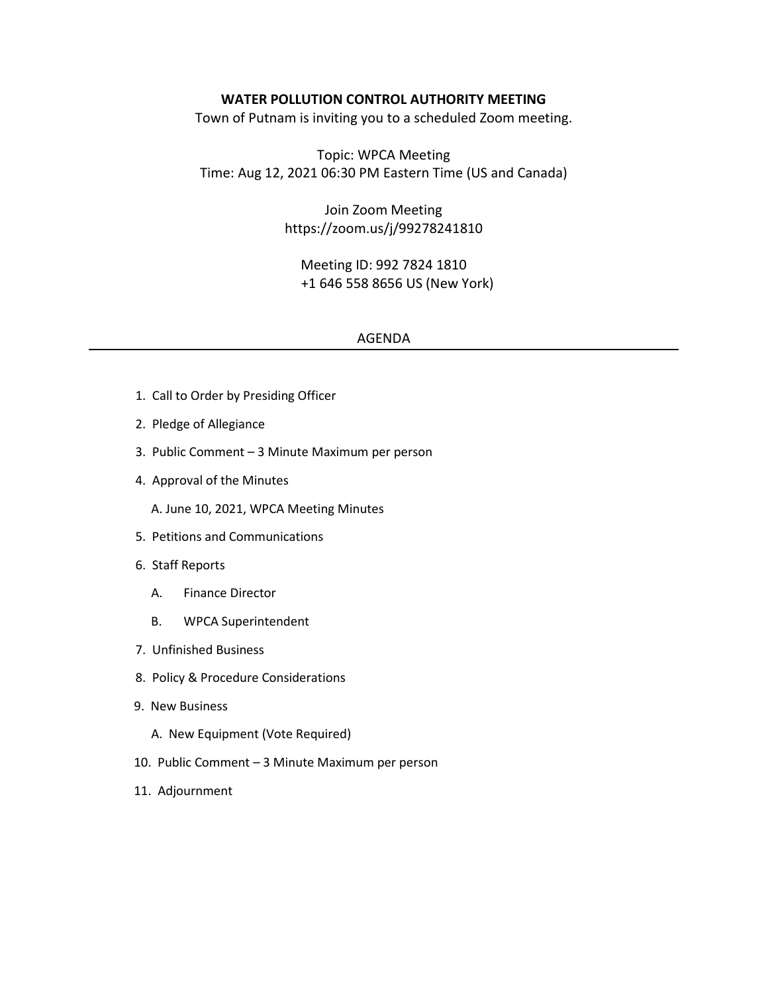#### **WATER POLLUTION CONTROL AUTHORITY MEETING**

Town of Putnam is inviting you to a scheduled Zoom meeting.

Topic: WPCA Meeting Time: Aug 12, 2021 06:30 PM Eastern Time (US and Canada)

> Join Zoom Meeting https://zoom.us/j/99278241810

Meeting ID: 992 7824 1810 +1 646 558 8656 US (New York)

#### AGENDA

- 1. Call to Order by Presiding Officer
- 2. Pledge of Allegiance
- 3. Public Comment 3 Minute Maximum per person
- 4. Approval of the Minutes
	- A. June 10, 2021, WPCA Meeting Minutes
- 5. Petitions and Communications
- 6. Staff Reports
	- A. Finance Director
	- B. WPCA Superintendent
- 7. Unfinished Business
- 8. Policy & Procedure Considerations
- 9. New Business
	- A. New Equipment (Vote Required)
- 10. Public Comment 3 Minute Maximum per person
- 11. Adjournment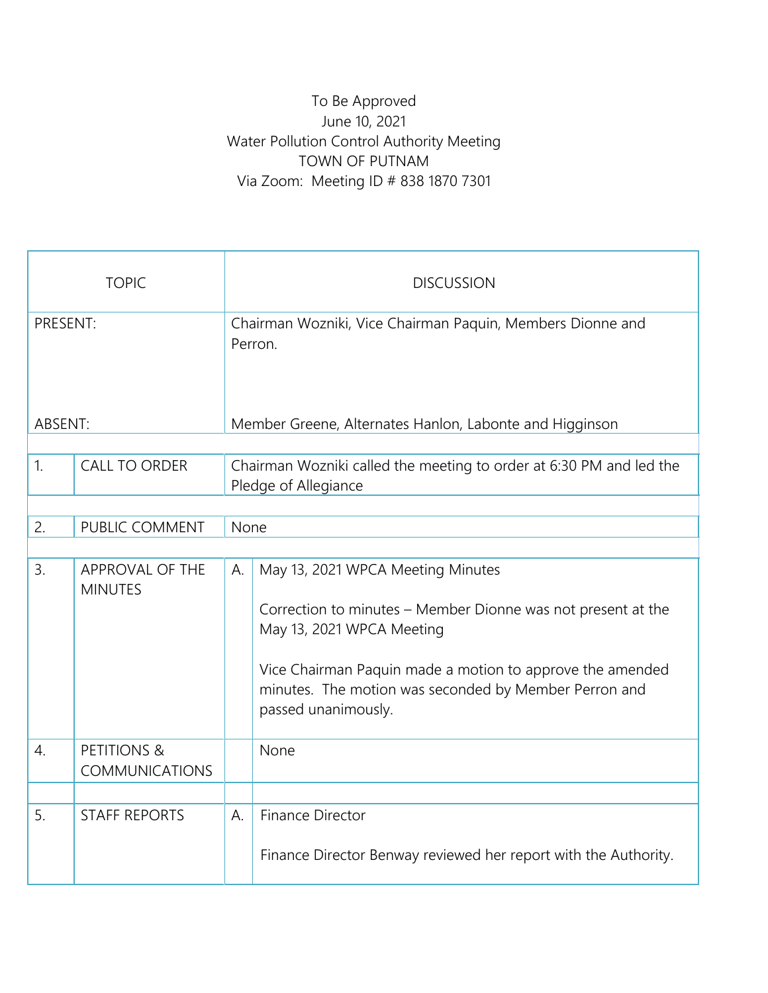## To Be Approved June 10, 2021 Water Pollution Control Authority Meeting TOWN OF PUTNAM Via Zoom: Meeting ID # 838 1870 7301

|                  | <b>TOPIC</b>                             |                                                         | <b>DISCUSSION</b>                                                                                                                                                                                                                                                           |  |  |  |  |  |
|------------------|------------------------------------------|---------------------------------------------------------|-----------------------------------------------------------------------------------------------------------------------------------------------------------------------------------------------------------------------------------------------------------------------------|--|--|--|--|--|
| PRESENT:         |                                          |                                                         | Chairman Wozniki, Vice Chairman Paquin, Members Dionne and<br>Perron.                                                                                                                                                                                                       |  |  |  |  |  |
| ABSENT:          |                                          | Member Greene, Alternates Hanlon, Labonte and Higginson |                                                                                                                                                                                                                                                                             |  |  |  |  |  |
| 1.               | <b>CALL TO ORDER</b>                     |                                                         | Chairman Wozniki called the meeting to order at 6:30 PM and led the<br>Pledge of Allegiance                                                                                                                                                                                 |  |  |  |  |  |
| 2.               | PUBLIC COMMENT                           |                                                         | None                                                                                                                                                                                                                                                                        |  |  |  |  |  |
|                  |                                          |                                                         |                                                                                                                                                                                                                                                                             |  |  |  |  |  |
| 3.               | APPROVAL OF THE<br><b>MINUTES</b>        | А.                                                      | May 13, 2021 WPCA Meeting Minutes<br>Correction to minutes - Member Dionne was not present at the<br>May 13, 2021 WPCA Meeting<br>Vice Chairman Paquin made a motion to approve the amended<br>minutes. The motion was seconded by Member Perron and<br>passed unanimously. |  |  |  |  |  |
| $\overline{4}$ . | <b>PETITIONS &amp;</b><br>COMMUNICATIONS |                                                         | None                                                                                                                                                                                                                                                                        |  |  |  |  |  |
| 5.               | <b>STAFF REPORTS</b>                     | A.                                                      | Finance Director<br>Finance Director Benway reviewed her report with the Authority.                                                                                                                                                                                         |  |  |  |  |  |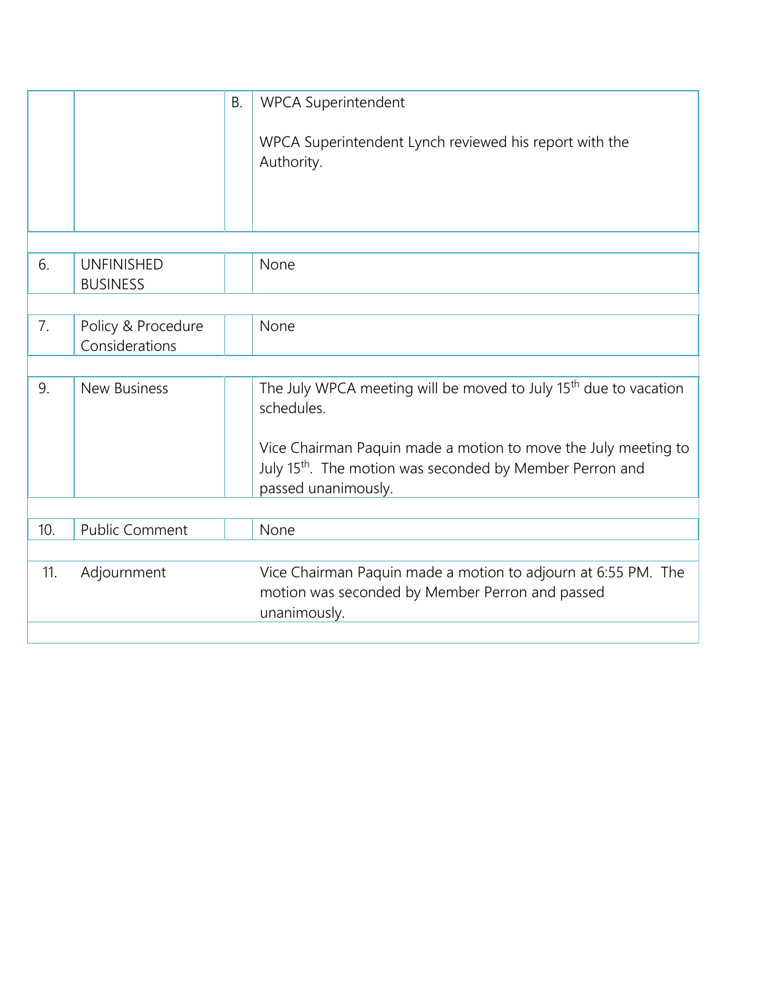|     |                                      | Β. | <b>WPCA Superintendent</b><br>WPCA Superintendent Lynch reviewed his report with the<br>Authority.                                                                                                                                                          |
|-----|--------------------------------------|----|-------------------------------------------------------------------------------------------------------------------------------------------------------------------------------------------------------------------------------------------------------------|
| 6.  | <b>UNFINISHED</b><br><b>BUSINESS</b> |    | None                                                                                                                                                                                                                                                        |
| 7.  | Policy & Procedure<br>Considerations |    | None                                                                                                                                                                                                                                                        |
|     |                                      |    |                                                                                                                                                                                                                                                             |
| 9.  | <b>New Business</b>                  |    | The July WPCA meeting will be moved to July 15 <sup>th</sup> due to vacation<br>schedules.<br>Vice Chairman Paquin made a motion to move the July meeting to<br>July 15 <sup>th</sup> . The motion was seconded by Member Perron and<br>passed unanimously. |
|     |                                      |    |                                                                                                                                                                                                                                                             |
| 10. | <b>Public Comment</b>                |    | None                                                                                                                                                                                                                                                        |
|     |                                      |    |                                                                                                                                                                                                                                                             |
| 11. | Adjournment                          |    | Vice Chairman Paquin made a motion to adjourn at 6:55 PM. The<br>motion was seconded by Member Perron and passed<br>unanimously.                                                                                                                            |
|     |                                      |    |                                                                                                                                                                                                                                                             |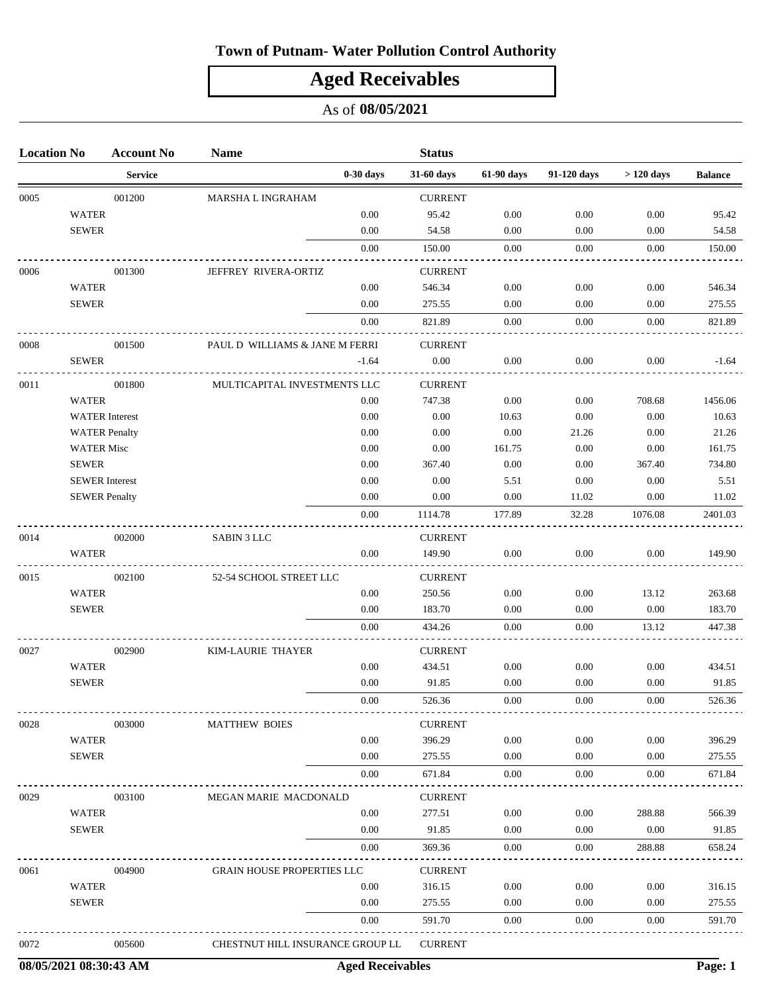## **Town of Putnam- Water Pollution Control Authority**

# **Aged Receivables**

### As of **08/05/2021**

| <b>Location No</b> |                       | <b>Account No</b> | <b>Name</b>                       |             | <b>Status</b>  |            |             |             |                |
|--------------------|-----------------------|-------------------|-----------------------------------|-------------|----------------|------------|-------------|-------------|----------------|
|                    |                       | <b>Service</b>    |                                   | $0-30$ days | 31-60 days     | 61-90 days | 91-120 days | $>120$ days | <b>Balance</b> |
| 0005               |                       | 001200            | MARSHA L INGRAHAM                 |             | <b>CURRENT</b> |            |             |             |                |
|                    | <b>WATER</b>          |                   |                                   | 0.00        | 95.42          | 0.00       | 0.00        | 0.00        | 95.42          |
|                    | <b>SEWER</b>          |                   |                                   | 0.00        | 54.58          | 0.00       | 0.00        | 0.00        | 54.58          |
|                    |                       |                   |                                   | 0.00        | 150.00         | 0.00       | 0.00        | 0.00        | 150.00         |
| 0006               |                       | 001300            | JEFFREY RIVERA-ORTIZ              |             | <b>CURRENT</b> |            |             |             |                |
|                    | <b>WATER</b>          |                   |                                   | 0.00        | 546.34         | 0.00       | 0.00        | 0.00        | 546.34         |
|                    | <b>SEWER</b>          |                   |                                   | 0.00        | 275.55         | 0.00       | 0.00        | 0.00        | 275.55         |
|                    |                       |                   |                                   | 0.00        | 821.89         | 0.00       | $0.00\,$    | 0.00        | 821.89         |
| 0008               |                       | 001500            | PAUL D WILLIAMS & JANE M FERRI    |             | <b>CURRENT</b> |            |             |             |                |
|                    | <b>SEWER</b>          |                   |                                   | $-1.64$     | $0.00\,$       | 0.00       | 0.00        | 0.00        | $-1.64$        |
| 0011               |                       | 001800            | MULTICAPITAL INVESTMENTS LLC      |             | <b>CURRENT</b> |            |             |             |                |
|                    | <b>WATER</b>          |                   |                                   | 0.00        | 747.38         | 0.00       | $0.00\,$    | 708.68      | 1456.06        |
|                    | <b>WATER</b> Interest |                   |                                   | 0.00        | 0.00           | 10.63      | 0.00        | 0.00        | 10.63          |
|                    | <b>WATER Penalty</b>  |                   |                                   | 0.00        | 0.00           | 0.00       | 21.26       | 0.00        | 21.26          |
|                    | <b>WATER Misc</b>     |                   |                                   | 0.00        | 0.00           | 161.75     | 0.00        | 0.00        | 161.75         |
|                    | <b>SEWER</b>          |                   |                                   | 0.00        | 367.40         | 0.00       | $0.00\,$    | 367.40      | 734.80         |
|                    | <b>SEWER</b> Interest |                   |                                   | 0.00        | 0.00           | 5.51       | 0.00        | 0.00        | 5.51           |
|                    | <b>SEWER Penalty</b>  |                   |                                   | 0.00        | 0.00           | 0.00       | 11.02       | 0.00        | 11.02          |
|                    |                       |                   |                                   | $0.00\,$    | 1114.78        | 177.89     | 32.28       | 1076.08     | 2401.03        |
| 0014               |                       | 002000            | <b>SABIN 3 LLC</b>                |             | <b>CURRENT</b> |            |             |             |                |
|                    | <b>WATER</b>          |                   |                                   | 0.00        | 149.90         | 0.00       | 0.00        | 0.00        | 149.90         |
| 0015               |                       | 002100            | 52-54 SCHOOL STREET LLC           |             | <b>CURRENT</b> |            |             |             |                |
|                    | <b>WATER</b>          |                   |                                   | 0.00        | 250.56         | 0.00       | 0.00        | 13.12       | 263.68         |
|                    | <b>SEWER</b>          |                   |                                   | 0.00        | 183.70         | 0.00       | 0.00        | 0.00        | 183.70         |
|                    |                       |                   |                                   | 0.00        | 434.26         | 0.00       | 0.00        | 13.12       | 447.38         |
| 0027               |                       | 002900            | KIM-LAURIE THAYER                 |             | <b>CURRENT</b> |            |             |             |                |
|                    | <b>WATER</b>          |                   |                                   | 0.00        | 434.51         | 0.00       | 0.00        | 0.00        | 434.51         |
|                    | <b>SEWER</b>          |                   |                                   | 0.00        | 91.85          | 0.00       | 0.00        | 0.00        | 91.85          |
|                    |                       |                   |                                   | 0.00        | 526.36         | 0.00       | 0.00        | 0.00        | 526.36         |
| 0028               |                       | 003000            | <b>MATTHEW BOIES</b>              |             | <b>CURRENT</b> |            |             |             |                |
|                    | <b>WATER</b>          |                   |                                   | 0.00        | 396.29         | 0.00       | 0.00        | 0.00        | 396.29         |
|                    | <b>SEWER</b>          |                   |                                   | 0.00        | 275.55         | 0.00       | 0.00        | 0.00        | 275.55         |
|                    |                       |                   |                                   | 0.00        | 671.84         | 0.00       | 0.00        | 0.00        | 671.84         |
| 0029               |                       | 003100            | MEGAN MARIE MACDONALD             |             | <b>CURRENT</b> |            |             |             |                |
|                    | <b>WATER</b>          |                   |                                   | 0.00        | 277.51         | 0.00       | 0.00        | 288.88      | 566.39         |
|                    | <b>SEWER</b>          |                   |                                   | 0.00        | 91.85          | 0.00       | $0.00\,$    | 0.00        | 91.85          |
|                    |                       |                   |                                   | 0.00        | 369.36         | 0.00       | 0.00        | 288.88      | 658.24         |
| 0061               |                       | 004900            | <b>GRAIN HOUSE PROPERTIES LLC</b> |             | <b>CURRENT</b> |            |             |             |                |
|                    | <b>WATER</b>          |                   |                                   | 0.00        | 316.15         | 0.00       | 0.00        | 0.00        | 316.15         |
|                    | <b>SEWER</b>          |                   |                                   | 0.00        | 275.55         | 0.00       | 0.00        | 0.00        | 275.55         |
|                    |                       |                   |                                   | 0.00        | 591.70         | 0.00       | 0.00        | 0.00        | 591.70         |
| 0072               |                       | 005600            | CHESTNUT HILL INSURANCE GROUP LL  |             | <b>CURRENT</b> |            |             |             |                |

**08/05/2021 08:30:43 AM Aged Receivables Page: 1**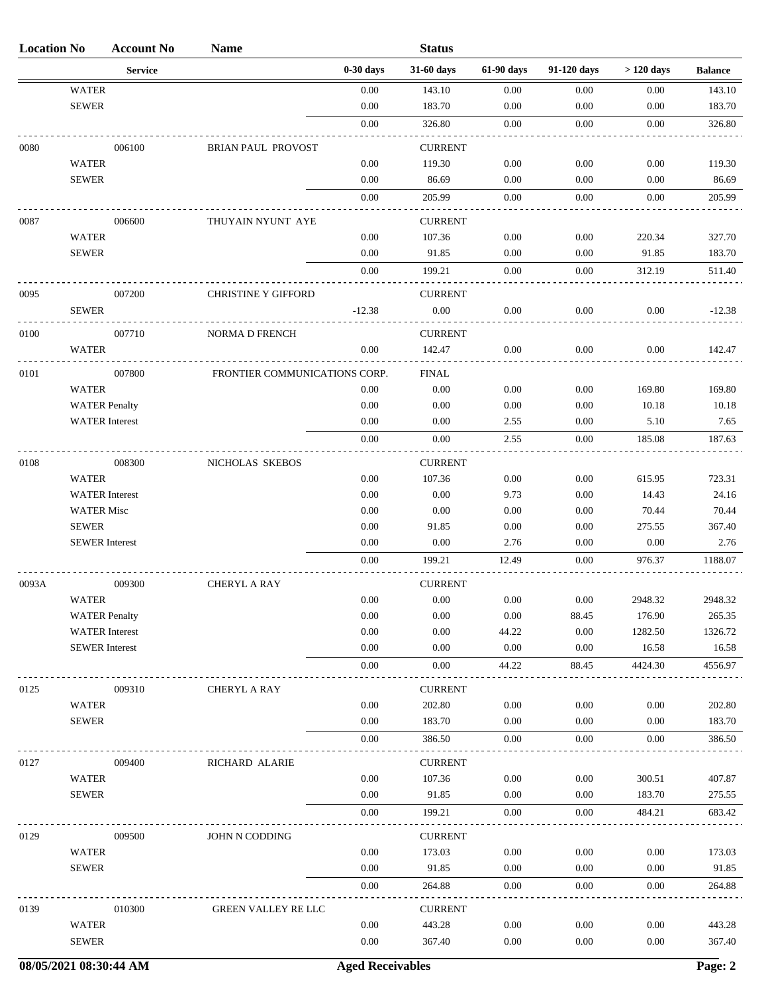| <b>Location No</b> |                       | <b>Account No</b> | <b>Name</b>                   |             | <b>Status</b>  |            |             |             |                |
|--------------------|-----------------------|-------------------|-------------------------------|-------------|----------------|------------|-------------|-------------|----------------|
|                    |                       | <b>Service</b>    |                               | $0-30$ days | 31-60 days     | 61-90 days | 91-120 days | $>120$ days | <b>Balance</b> |
|                    | <b>WATER</b>          |                   |                               | 0.00        | 143.10         | 0.00       | 0.00        | 0.00        | 143.10         |
|                    | <b>SEWER</b>          |                   |                               | 0.00        | 183.70         | 0.00       | 0.00        | 0.00        | 183.70         |
|                    |                       |                   |                               | 0.00        | 326.80         | 0.00       | 0.00        | 0.00        | 326.80         |
| 0080               |                       | 006100            | <b>BRIAN PAUL PROVOST</b>     |             | <b>CURRENT</b> |            |             |             |                |
|                    | <b>WATER</b>          |                   |                               | 0.00        | 119.30         | 0.00       | 0.00        | 0.00        | 119.30         |
|                    | <b>SEWER</b>          |                   |                               | 0.00        | 86.69          | 0.00       | 0.00        | 0.00        | 86.69          |
|                    |                       |                   |                               | 0.00        | 205.99         | 0.00       | 0.00        | 0.00        | 205.99         |
| 0087               |                       | 006600            | THUYAIN NYUNT AYE             |             | <b>CURRENT</b> |            |             |             |                |
|                    | <b>WATER</b>          |                   |                               | 0.00        | 107.36         | 0.00       | 0.00        | 220.34      | 327.70         |
|                    | <b>SEWER</b>          |                   |                               | 0.00        | 91.85          | 0.00       | 0.00        | 91.85       | 183.70         |
|                    |                       |                   |                               | 0.00        | 199.21         | 0.00       | 0.00        | 312.19      | 511.40         |
| 0095               |                       | 007200            | <b>CHRISTINE Y GIFFORD</b>    |             | <b>CURRENT</b> |            |             |             |                |
|                    | <b>SEWER</b>          |                   |                               | $-12.38$    | 0.00           | 0.00       | 0.00        | 0.00        | $-12.38$       |
| 0100               |                       | 007710            | NORMA D FRENCH                |             | <b>CURRENT</b> |            |             |             |                |
|                    | WATER                 |                   |                               | 0.00        | 142.47         | 0.00       | 0.00        | 0.00        | 142.47         |
| 0101               |                       |                   |                               |             |                |            |             |             |                |
|                    | <b>WATER</b>          | 007800            | FRONTIER COMMUNICATIONS CORP. | 0.00        | FINAL<br>0.00  | 0.00       | 0.00        | 169.80      | 169.80         |
|                    | <b>WATER Penalty</b>  |                   |                               | 0.00        | 0.00           | 0.00       | 0.00        | 10.18       | 10.18          |
|                    | <b>WATER</b> Interest |                   |                               | 0.00        | 0.00           | 2.55       | 0.00        | 5.10        | 7.65           |
|                    |                       |                   |                               | 0.00        | 0.00           | 2.55       | 0.00        | 185.08      | 187.63         |
| 0108               |                       | 008300            | NICHOLAS SKEBOS               |             | <b>CURRENT</b> |            |             |             |                |
|                    | <b>WATER</b>          |                   |                               | 0.00        | 107.36         | 0.00       | 0.00        | 615.95      | 723.31         |
|                    | <b>WATER</b> Interest |                   |                               | 0.00        | 0.00           | 9.73       | 0.00        | 14.43       | 24.16          |
|                    | <b>WATER Misc</b>     |                   |                               | 0.00        | 0.00           | 0.00       | 0.00        | 70.44       | 70.44          |
|                    | <b>SEWER</b>          |                   |                               | 0.00        | 91.85          | 0.00       | 0.00        | 275.55      | 367.40         |
|                    | <b>SEWER</b> Interest |                   |                               | 0.00        | 0.00           | 2.76       | 0.00        | 0.00        | 2.76           |
|                    |                       |                   |                               | $0.00\,$    | 199.21         | 12.49      | 0.00        | 976.37      | 1188.07        |
| 0093A              |                       | 009300            | <b>CHERYL A RAY</b>           |             | <b>CURRENT</b> |            |             |             |                |
|                    | <b>WATER</b>          |                   |                               | $0.00\,$    | $0.00\,$       | $0.00\,$   | 0.00        | 2948.32     | 2948.32        |
|                    | <b>WATER Penalty</b>  |                   |                               | 0.00        | 0.00           | 0.00       | 88.45       | 176.90      | 265.35         |
|                    | <b>WATER</b> Interest |                   |                               | 0.00        | 0.00           | 44.22      | 0.00        | 1282.50     | 1326.72        |
|                    | <b>SEWER</b> Interest |                   |                               | 0.00        | 0.00           | 0.00       | 0.00        | 16.58       | 16.58          |
|                    |                       |                   |                               | 0.00        | 0.00           | 44.22      | 88.45       | 4424.30     | 4556.97        |
| 0125               |                       | 009310            | <b>CHERYL A RAY</b>           |             | <b>CURRENT</b> |            |             |             |                |
|                    | <b>WATER</b>          |                   |                               | 0.00        | 202.80         | 0.00       | 0.00        | 0.00        | 202.80         |
|                    | <b>SEWER</b>          |                   |                               | 0.00        | 183.70         | 0.00       | $0.00\,$    | 0.00        | 183.70         |
|                    |                       |                   |                               | 0.00        | 386.50         | 0.00       | 0.00        | 0.00        | 386.50         |
| 0127               |                       | 009400            | RICHARD ALARIE                |             | <b>CURRENT</b> |            |             |             |                |
|                    | <b>WATER</b>          |                   |                               | 0.00        | 107.36         | 0.00       | $0.00\,$    | 300.51      | 407.87         |
|                    | <b>SEWER</b>          |                   |                               | 0.00        | 91.85          | 0.00       | 0.00        | 183.70      | 275.55         |
|                    |                       |                   |                               | 0.00        | 199.21         | 0.00       | 0.00        | 484.21      | 683.42         |
| 0129               |                       | 009500            | JOHN N CODDING                |             | <b>CURRENT</b> |            |             |             |                |
|                    | <b>WATER</b>          |                   |                               | 0.00        | 173.03         | 0.00       | 0.00        | 0.00        | 173.03         |
|                    | <b>SEWER</b>          |                   |                               | 0.00        | 91.85          | 0.00       | 0.00        | 0.00        | 91.85          |
|                    |                       |                   |                               | 0.00        | 264.88         | 0.00       | 0.00        | 0.00        | 264.88         |
| 0139               |                       | 010300            | <b>GREEN VALLEY RE LLC</b>    |             | <b>CURRENT</b> |            |             |             |                |
|                    | <b>WATER</b>          |                   |                               | 0.00        | 443.28         | 0.00       | 0.00        | 0.00        | 443.28         |
|                    | <b>SEWER</b>          |                   |                               | 0.00        | 367.40         | 0.00       | 0.00        | 0.00        | 367.40         |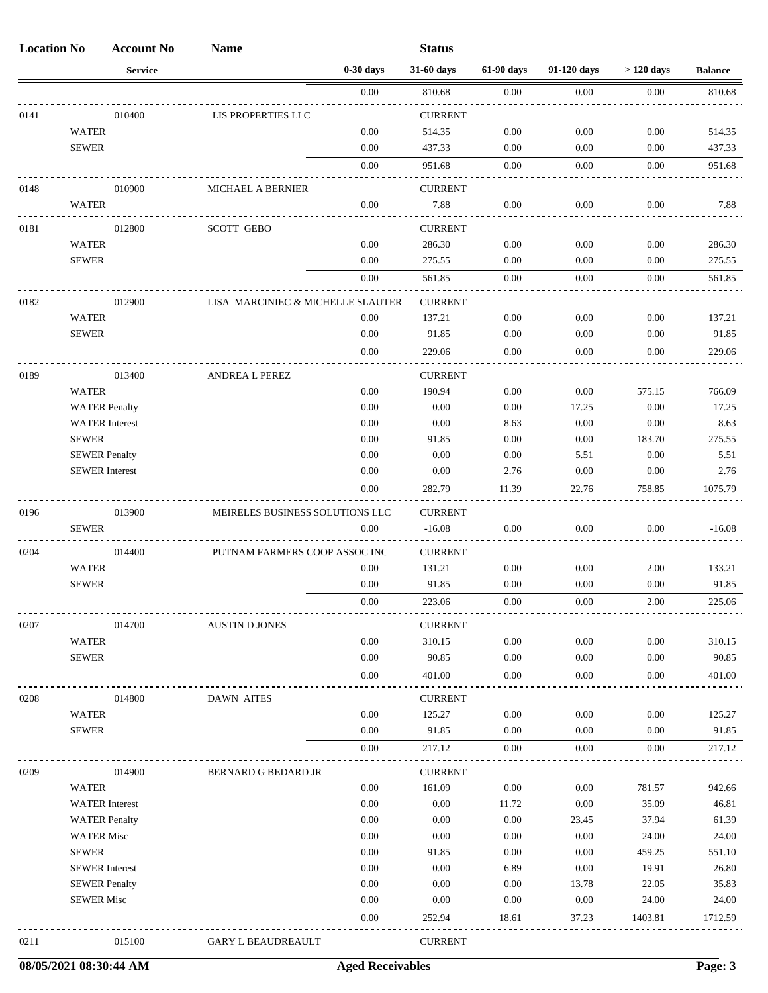| <b>Location No</b> |                       | <b>Account No</b> | <b>Name</b>                       |             | <b>Status</b>  |            |             |             |                |
|--------------------|-----------------------|-------------------|-----------------------------------|-------------|----------------|------------|-------------|-------------|----------------|
|                    |                       | <b>Service</b>    |                                   | $0-30$ days | 31-60 days     | 61-90 days | 91-120 days | $>120$ days | <b>Balance</b> |
|                    |                       |                   |                                   | 0.00        | 810.68         | 0.00       | 0.00        | 0.00        | 810.68         |
| 0141               |                       | 010400            | LIS PROPERTIES LLC                |             | <b>CURRENT</b> |            |             |             |                |
|                    | <b>WATER</b>          |                   |                                   | 0.00        | 514.35         | 0.00       | 0.00        | 0.00        | 514.35         |
|                    | <b>SEWER</b>          |                   |                                   | 0.00        | 437.33         | 0.00       | 0.00        | 0.00        | 437.33         |
|                    |                       |                   |                                   | $0.00\,$    | 951.68         | 0.00       | 0.00        | 0.00        | 951.68         |
| 0148               |                       | 010900            | <b>MICHAEL A BERNIER</b>          |             | <b>CURRENT</b> |            |             |             |                |
|                    | <b>WATER</b>          |                   |                                   | 0.00        | 7.88           | 0.00       | 0.00        | 0.00        | 7.88           |
| 0181               |                       | 012800            | <b>SCOTT GEBO</b>                 |             | <b>CURRENT</b> |            |             |             |                |
|                    | <b>WATER</b>          |                   |                                   | 0.00        | 286.30         | 0.00       | 0.00        | 0.00        | 286.30         |
|                    | <b>SEWER</b>          |                   |                                   | 0.00        | 275.55         | 0.00       | 0.00        | 0.00        | 275.55         |
|                    |                       |                   |                                   | $0.00\,$    | 561.85         | $0.00\,$   | 0.00        | 0.00        | 561.85         |
| 0182               |                       | 012900            | LISA MARCINIEC & MICHELLE SLAUTER |             | <b>CURRENT</b> |            |             |             |                |
|                    | <b>WATER</b>          |                   |                                   | 0.00        | 137.21         | 0.00       | 0.00        | 0.00        | 137.21         |
|                    | <b>SEWER</b>          |                   |                                   | 0.00        | 91.85          | 0.00       | 0.00        | 0.00        | 91.85          |
|                    |                       |                   |                                   | 0.00        | 229.06         | 0.00       | 0.00        | 0.00        | 229.06         |
| 0189               |                       | 013400            | <b>ANDREA L PEREZ</b>             |             | <b>CURRENT</b> |            |             |             |                |
|                    | <b>WATER</b>          |                   |                                   | 0.00        | 190.94         | 0.00       | 0.00        | 575.15      | 766.09         |
|                    | <b>WATER Penalty</b>  |                   |                                   | 0.00        | 0.00           | 0.00       | 17.25       | 0.00        | 17.25          |
|                    | <b>WATER</b> Interest |                   |                                   | 0.00        | 0.00           | 8.63       | 0.00        | 0.00        | 8.63           |
|                    | <b>SEWER</b>          |                   |                                   | 0.00        | 91.85          | 0.00       | 0.00        | 183.70      | 275.55         |
|                    | <b>SEWER Penalty</b>  |                   |                                   | 0.00        | 0.00           | 0.00       | 5.51        | 0.00        | 5.51           |
|                    | <b>SEWER</b> Interest |                   |                                   | 0.00        | 0.00           | 2.76       | 0.00        | 0.00        | 2.76           |
|                    |                       |                   |                                   | 0.00        | 282.79         | 11.39      | 22.76       | 758.85      | 1075.79        |
| 0196               |                       | 013900            | MEIRELES BUSINESS SOLUTIONS LLC   |             | <b>CURRENT</b> |            |             |             |                |
|                    | <b>SEWER</b>          |                   |                                   | 0.00        | $-16.08$       | 0.00       | 0.00        | 0.00        | $-16.08$       |
| 0204               |                       | 014400            | PUTNAM FARMERS COOP ASSOC INC     |             | <b>CURRENT</b> |            |             |             |                |
|                    | <b>WATER</b>          |                   |                                   | 0.00        | 131.21         | 0.00       | 0.00        | 2.00        | 133.21         |
|                    | <b>SEWER</b>          |                   |                                   | 0.00        | 91.85          | 0.00       | 0.00        | 0.00        | 91.85          |
|                    |                       |                   |                                   | $0.00\,$    | 223.06         | $0.00\,$   | $0.00\,$    | $2.00\,$    | 225.06         |
| 0207               |                       | 014700            | <b>AUSTIN D JONES</b>             |             | <b>CURRENT</b> |            |             |             |                |
|                    | <b>WATER</b>          |                   |                                   | 0.00        | 310.15         | 0.00       | 0.00        | 0.00        | 310.15         |
|                    | <b>SEWER</b>          |                   |                                   | 0.00        | 90.85          | 0.00       | 0.00        | 0.00        | 90.85          |
|                    |                       |                   |                                   | 0.00        | 401.00         | 0.00       | 0.00        | 0.00        | 401.00         |
| 0208               |                       | 014800            | <b>DAWN AITES</b>                 |             | <b>CURRENT</b> |            |             |             |                |
|                    | <b>WATER</b>          |                   |                                   | 0.00        | 125.27         | 0.00       | 0.00        | 0.00        | 125.27         |
|                    | <b>SEWER</b>          |                   |                                   | 0.00        | 91.85          | 0.00       | 0.00        | 0.00        | 91.85          |
|                    |                       |                   |                                   | $0.00\,$    | 217.12         | 0.00       | 0.00        | 0.00        | 217.12         |
| 0209               |                       | 014900            | BERNARD G BEDARD JR               |             | <b>CURRENT</b> |            |             |             |                |
|                    | <b>WATER</b>          |                   |                                   | 0.00        | 161.09         | 0.00       | 0.00        | 781.57      | 942.66         |
|                    | <b>WATER</b> Interest |                   |                                   | 0.00        | 0.00           | 11.72      | 0.00        | 35.09       | 46.81          |
|                    | <b>WATER Penalty</b>  |                   |                                   | 0.00        | 0.00           | 0.00       | 23.45       | 37.94       | 61.39          |
|                    | <b>WATER Misc</b>     |                   |                                   | 0.00        | 0.00           | 0.00       | 0.00        | 24.00       | 24.00          |
|                    | <b>SEWER</b>          |                   |                                   | 0.00        | 91.85          | 0.00       | 0.00        | 459.25      | 551.10         |
|                    | <b>SEWER</b> Interest |                   |                                   | 0.00        | 0.00           | 6.89       | 0.00        | 19.91       | 26.80          |
|                    | <b>SEWER Penalty</b>  |                   |                                   | 0.00        | 0.00           | 0.00       | 13.78       | 22.05       | 35.83          |
|                    | <b>SEWER Misc</b>     |                   |                                   | 0.00        | 0.00           | 0.00       | 0.00        | 24.00       | 24.00          |
|                    |                       |                   |                                   | $0.00\,$    | 252.94         | 18.61      | 37.23       | 1403.81     | 1712.59        |
| 0211               |                       | 015100            | <b>GARY L BEAUDREAULT</b>         |             | <b>CURRENT</b> |            |             |             |                |

**08/05/2021 08:30:44 AM Aged Receivables Page: 3**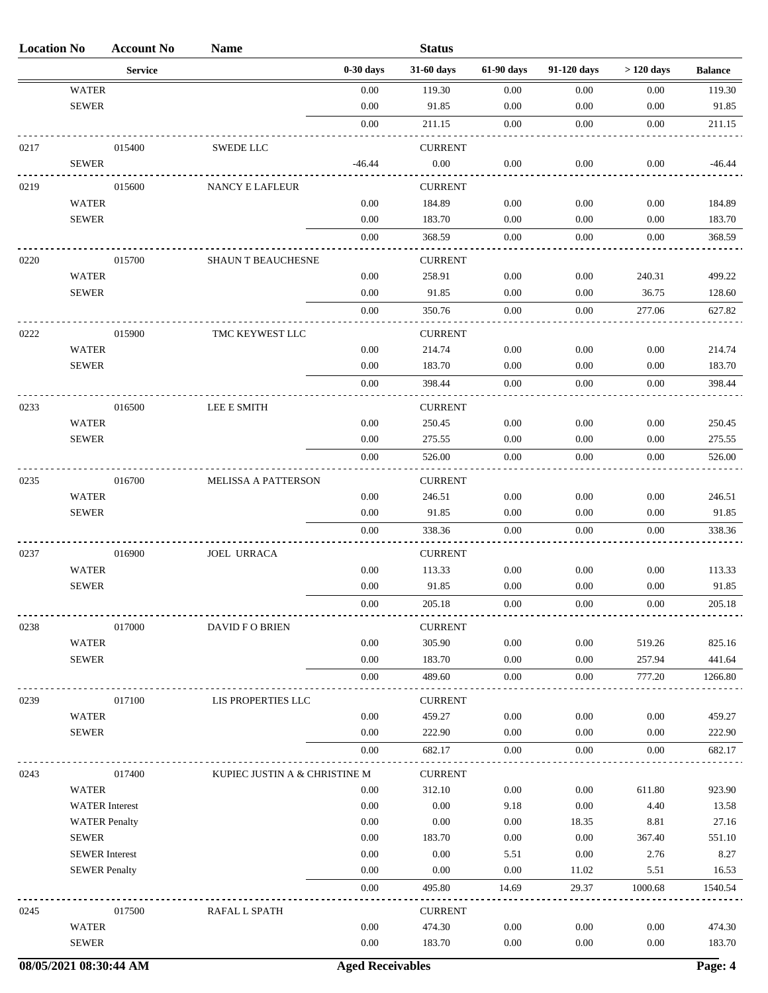| <b>Location No</b> |                       | <b>Account No</b> | <b>Name</b>                   |             | <b>Status</b>            |            |             |             |                |
|--------------------|-----------------------|-------------------|-------------------------------|-------------|--------------------------|------------|-------------|-------------|----------------|
|                    |                       | <b>Service</b>    |                               | $0-30$ days | 31-60 days               | 61-90 days | 91-120 days | $>120$ days | <b>Balance</b> |
|                    | <b>WATER</b>          |                   |                               | 0.00        | 119.30                   | 0.00       | 0.00        | 0.00        | 119.30         |
|                    | <b>SEWER</b>          |                   |                               | 0.00        | 91.85                    | 0.00       | 0.00        | 0.00        | 91.85          |
|                    |                       |                   |                               | $0.00\,$    | 211.15                   | 0.00       | 0.00        | 0.00        | 211.15         |
| 0217               |                       | 015400            | <b>SWEDE LLC</b>              |             | <b>CURRENT</b>           |            |             |             |                |
|                    | <b>SEWER</b>          |                   |                               | $-46.44$    | 0.00                     | 0.00       | 0.00        | 0.00        | $-46.44$       |
|                    |                       |                   |                               |             |                          |            |             |             |                |
| 0219               | WATER                 | 015600            | <b>NANCY E LAFLEUR</b>        | 0.00        | <b>CURRENT</b><br>184.89 | 0.00       | 0.00        | 0.00        | 184.89         |
|                    | <b>SEWER</b>          |                   |                               | 0.00        | 183.70                   | 0.00       | 0.00        | 0.00        | 183.70         |
|                    |                       |                   |                               | 0.00        | 368.59                   | 0.00       | 0.00        | 0.00        | 368.59         |
|                    |                       |                   |                               |             |                          |            |             |             |                |
| 0220               |                       | 015700            | <b>SHAUN T BEAUCHESNE</b>     |             | <b>CURRENT</b>           |            |             |             |                |
|                    | <b>WATER</b>          |                   |                               | 0.00        | 258.91                   | 0.00       | 0.00        | 240.31      | 499.22         |
|                    | <b>SEWER</b>          |                   |                               | 0.00        | 91.85                    | 0.00       | 0.00        | 36.75       | 128.60         |
|                    |                       |                   |                               | $0.00\,$    | 350.76                   | 0.00       | 0.00        | 277.06      | 627.82         |
| 0222               |                       | 015900            | TMC KEYWEST LLC               |             | <b>CURRENT</b>           |            |             |             |                |
|                    | <b>WATER</b>          |                   |                               | 0.00        | 214.74                   | 0.00       | 0.00        | 0.00        | 214.74         |
|                    | <b>SEWER</b>          |                   |                               | 0.00        | 183.70                   | 0.00       | 0.00        | 0.00        | 183.70         |
|                    |                       |                   |                               | 0.00        | 398.44                   | 0.00       | 0.00        | $0.00\,$    | 398.44         |
| 0233               |                       | 016500            | LEE E SMITH                   |             | <b>CURRENT</b>           |            |             |             |                |
|                    | <b>WATER</b>          |                   |                               | 0.00        | 250.45                   | 0.00       | 0.00        | 0.00        | 250.45         |
|                    | <b>SEWER</b>          |                   |                               | 0.00        | 275.55                   | 0.00       | 0.00        | 0.00        | 275.55         |
|                    |                       |                   |                               | $0.00\,$    | 526.00                   | 0.00       | $0.00\,$    | $0.00\,$    | 526.00         |
|                    |                       | 016700            |                               |             |                          |            |             |             |                |
| 0235               | <b>WATER</b>          |                   | <b>MELISSA A PATTERSON</b>    | 0.00        | <b>CURRENT</b><br>246.51 | 0.00       | 0.00        | 0.00        | 246.51         |
|                    | <b>SEWER</b>          |                   |                               | 0.00        | 91.85                    | 0.00       | 0.00        | 0.00        | 91.85          |
|                    |                       |                   |                               | 0.00        | 338.36                   | 0.00       | 0.00        | 0.00        | 338.36         |
|                    |                       |                   |                               |             |                          |            |             |             |                |
| 0237               | <b>WATER</b>          | 016900            | <b>JOEL URRACA</b>            | 0.00        | <b>CURRENT</b><br>113.33 | 0.00       | 0.00        | 0.00        | 113.33         |
|                    | <b>SEWER</b>          |                   |                               | 0.00        | 91.85                    | 0.00       | 0.00        | 0.00        | 91.85          |
|                    |                       |                   |                               | $0.00\,$    | 205.18                   | $0.00\,$   | $0.00\,$    | $0.00\,$    | 205.18         |
|                    |                       |                   |                               |             |                          |            |             |             |                |
| 0238               |                       | 017000            | <b>DAVID F O BRIEN</b>        |             | <b>CURRENT</b>           |            |             |             |                |
|                    | <b>WATER</b>          |                   |                               | 0.00        | 305.90                   | 0.00       | 0.00        | 519.26      | 825.16         |
|                    | <b>SEWER</b>          |                   |                               | 0.00        | 183.70                   | 0.00       | 0.00        | 257.94      | 441.64         |
|                    |                       |                   |                               | 0.00        | 489.60                   | 0.00       | 0.00        | 777.20      | 1266.80        |
| 0239               |                       | 017100            | LIS PROPERTIES LLC            |             | <b>CURRENT</b>           |            |             |             |                |
|                    | <b>WATER</b>          |                   |                               | 0.00        | 459.27                   | 0.00       | 0.00        | 0.00        | 459.27         |
|                    | <b>SEWER</b>          |                   |                               | 0.00        | 222.90                   | 0.00       | 0.00        | 0.00        | 222.90         |
|                    |                       |                   |                               | 0.00        | 682.17                   | 0.00       | 0.00        | 0.00        | 682.17         |
| 0243               |                       | 017400            | KUPIEC JUSTIN A & CHRISTINE M |             | <b>CURRENT</b>           |            |             |             |                |
|                    | <b>WATER</b>          |                   |                               | 0.00        | 312.10                   | 0.00       | 0.00        | 611.80      | 923.90         |
|                    | <b>WATER</b> Interest |                   |                               | 0.00        | 0.00                     | 9.18       | 0.00        | 4.40        | 13.58          |
|                    | <b>WATER Penalty</b>  |                   |                               | 0.00        | 0.00                     | 0.00       | 18.35       | 8.81        | 27.16          |
|                    | <b>SEWER</b>          |                   |                               | 0.00        | 183.70                   | 0.00       | 0.00        | 367.40      | 551.10         |
|                    | <b>SEWER</b> Interest |                   |                               | 0.00        | 0.00                     | 5.51       | 0.00        | 2.76        | 8.27           |
|                    | <b>SEWER Penalty</b>  |                   |                               | 0.00        | 0.00                     | 0.00       | 11.02       | 5.51        | 16.53          |
|                    |                       |                   |                               | 0.00        | 495.80                   | 14.69      | 29.37       | 1000.68     | 1540.54        |
| 0245               |                       | 017500            | RAFAL L SPATH                 |             | <b>CURRENT</b>           |            |             |             |                |
|                    | <b>WATER</b>          |                   |                               | 0.00        | 474.30                   | 0.00       | 0.00        | 0.00        | 474.30         |
|                    | <b>SEWER</b>          |                   |                               | 0.00        | 183.70                   | 0.00       | 0.00        | 0.00        | 183.70         |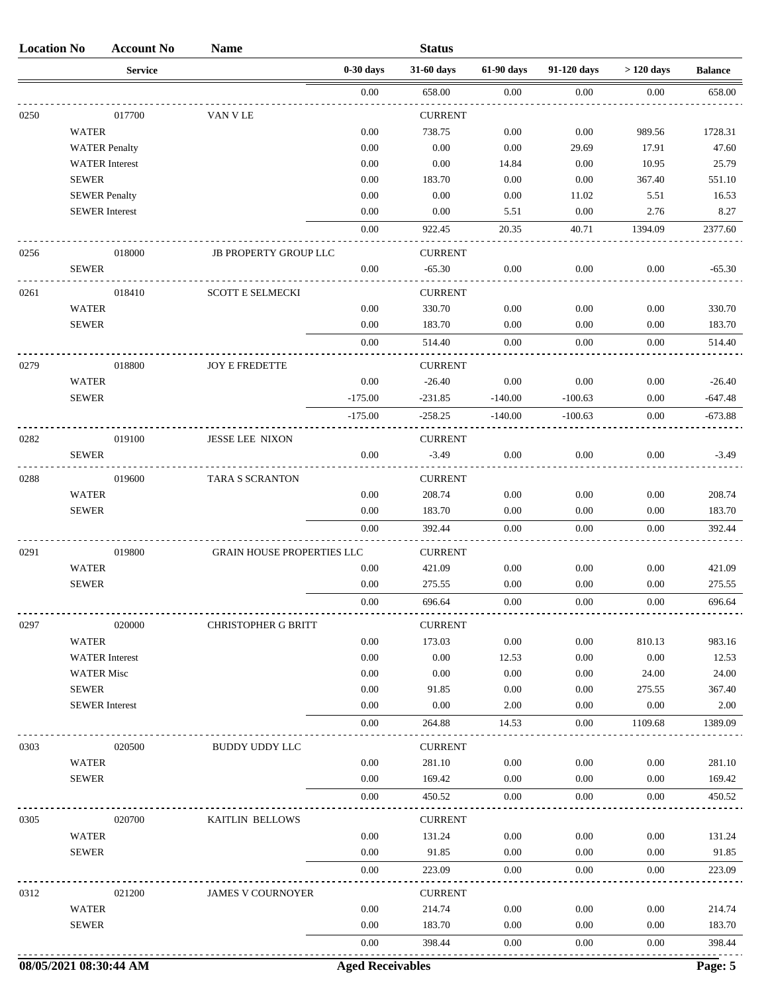| <b>Location No</b> |                       | <b>Account No</b>      | <b>Name</b>                       |                         | <b>Status</b>  |            |             |             |                |
|--------------------|-----------------------|------------------------|-----------------------------------|-------------------------|----------------|------------|-------------|-------------|----------------|
|                    |                       | <b>Service</b>         |                                   | $0-30$ days             | 31-60 days     | 61-90 days | 91-120 days | $>120$ days | <b>Balance</b> |
|                    |                       |                        |                                   | 0.00                    | 658.00         | 0.00       | 0.00        | 0.00        | 658.00         |
| 0250               |                       | 017700                 | VAN V LE                          |                         | <b>CURRENT</b> |            |             |             |                |
|                    | <b>WATER</b>          |                        |                                   | 0.00                    | 738.75         | 0.00       | 0.00        | 989.56      | 1728.31        |
|                    | <b>WATER Penalty</b>  |                        |                                   | 0.00                    | 0.00           | $0.00\,$   | 29.69       | 17.91       | 47.60          |
|                    |                       | <b>WATER</b> Interest  |                                   | 0.00                    | 0.00           | 14.84      | 0.00        | 10.95       | 25.79          |
|                    | <b>SEWER</b>          |                        |                                   | 0.00                    | 183.70         | 0.00       | 0.00        | 367.40      | 551.10         |
|                    | <b>SEWER Penalty</b>  |                        |                                   | 0.00                    | 0.00           | 0.00       | 11.02       | 5.51        | 16.53          |
|                    | <b>SEWER</b> Interest |                        |                                   | 0.00                    | 0.00           | 5.51       | 0.00        | 2.76        | 8.27           |
|                    |                       |                        |                                   | 0.00                    | 922.45         | 20.35      | 40.71       | 1394.09     | 2377.60        |
| 0256               |                       | 018000                 | <b>JB PROPERTY GROUP LLC</b>      |                         | <b>CURRENT</b> |            |             |             |                |
|                    | <b>SEWER</b>          |                        |                                   | 0.00                    | $-65.30$       | 0.00       | 0.00        | 0.00        | $-65.30$       |
| 0261               |                       | 018410                 | <b>SCOTT E SELMECKI</b>           |                         | <b>CURRENT</b> |            |             |             |                |
|                    | <b>WATER</b>          |                        |                                   | 0.00                    | 330.70         | 0.00       | 0.00        | 0.00        | 330.70         |
|                    | <b>SEWER</b>          |                        |                                   | 0.00                    | 183.70         | 0.00       | 0.00        | 0.00        | 183.70         |
|                    |                       |                        |                                   | 0.00                    | 514.40         | 0.00       | 0.00        | 0.00        | 514.40         |
| 0279               |                       | 018800                 | <b>JOY E FREDETTE</b>             |                         | <b>CURRENT</b> |            |             |             |                |
|                    | <b>WATER</b>          |                        |                                   | 0.00                    | $-26.40$       | 0.00       | 0.00        | 0.00        | $-26.40$       |
|                    | <b>SEWER</b>          |                        |                                   | $-175.00$               | $-231.85$      | $-140.00$  | $-100.63$   | 0.00        | $-647.48$      |
|                    |                       |                        |                                   | $-175.00$               | $-258.25$      | $-140.00$  | $-100.63$   | 0.00        | $-673.88$      |
| 0282               |                       | 019100                 | <b>JESSE LEE NIXON</b>            |                         | <b>CURRENT</b> |            |             |             |                |
|                    | <b>SEWER</b>          |                        |                                   | 0.00                    | $-3.49$        | 0.00       | 0.00        | 0.00        | $-3.49$        |
| 0288               |                       | 019600                 | <b>TARA S SCRANTON</b>            |                         | <b>CURRENT</b> |            |             |             |                |
|                    | <b>WATER</b>          |                        |                                   | 0.00                    | 208.74         | 0.00       | 0.00        | 0.00        | 208.74         |
|                    | <b>SEWER</b>          |                        |                                   | 0.00                    | 183.70         | 0.00       | 0.00        | 0.00        | 183.70         |
|                    |                       |                        |                                   | 0.00                    | 392.44         | 0.00       | 0.00        | 0.00        | 392.44         |
| 0291               |                       | 019800                 | <b>GRAIN HOUSE PROPERTIES LLC</b> |                         | <b>CURRENT</b> |            |             |             |                |
|                    | <b>WATER</b>          |                        |                                   | 0.00                    | 421.09         | 0.00       | 0.00        | 0.00        | 421.09         |
|                    | <b>SEWER</b>          |                        |                                   | 0.00                    | 275.55         | 0.00       | 0.00        | 0.00        | 275.55         |
|                    |                       |                        |                                   | $0.00\,$                | 696.64         | $0.00\,$   | $0.00\,$    | $0.00\,$    | 696.64         |
| 0297               |                       | 020000                 | CHRISTOPHER G BRITT               |                         | <b>CURRENT</b> |            |             |             |                |
|                    | <b>WATER</b>          |                        |                                   | 0.00                    | 173.03         | 0.00       | 0.00        | 810.13      | 983.16         |
|                    | <b>WATER</b> Interest |                        |                                   | 0.00                    | 0.00           | 12.53      | 0.00        | $0.00\,$    | 12.53          |
|                    | <b>WATER Misc</b>     |                        |                                   | 0.00                    | 0.00           | 0.00       | 0.00        | 24.00       | 24.00          |
|                    | <b>SEWER</b>          |                        |                                   | 0.00                    | 91.85          | 0.00       | 0.00        | 275.55      | 367.40         |
|                    | <b>SEWER</b> Interest |                        |                                   | 0.00                    | 0.00           | 2.00       | 0.00        | 0.00        | 2.00           |
|                    |                       |                        |                                   | 0.00                    | 264.88         | 14.53      | 0.00        | 1109.68     | 1389.09        |
| 0303               |                       | 020500                 | <b>BUDDY UDDY LLC</b>             |                         | <b>CURRENT</b> |            |             |             |                |
|                    | <b>WATER</b>          |                        |                                   | 0.00                    | 281.10         | 0.00       | 0.00        | 0.00        | 281.10         |
|                    | <b>SEWER</b>          |                        |                                   | 0.00                    | 169.42         | 0.00       | 0.00        | 0.00        | 169.42         |
|                    |                       |                        |                                   | 0.00                    | 450.52         | 0.00       | 0.00        | 0.00        | 450.52         |
| 0305               |                       | 020700                 | KAITLIN BELLOWS                   |                         | <b>CURRENT</b> |            |             |             |                |
|                    | <b>WATER</b>          |                        |                                   | 0.00                    | 131.24         | 0.00       | 0.00        | 0.00        | 131.24         |
|                    | <b>SEWER</b>          |                        |                                   | 0.00                    | 91.85          | 0.00       | 0.00        | 0.00        | 91.85          |
|                    |                       |                        |                                   | 0.00                    | 223.09         | 0.00       | 0.00        | 0.00        | 223.09         |
| 0312               |                       | 021200                 | <b>JAMES V COURNOYER</b>          |                         | <b>CURRENT</b> |            |             |             |                |
|                    | <b>WATER</b>          |                        |                                   | 0.00                    | 214.74         | 0.00       | 0.00        | 0.00        | 214.74         |
|                    | <b>SEWER</b>          |                        |                                   | 0.00                    | 183.70         | 0.00       | 0.00        | 0.00        | 183.70         |
|                    |                       |                        |                                   | 0.00                    | 398.44         | 0.00       | 0.00        | 0.00        | 398.44         |
|                    |                       | 08/05/2021 08:30:44 AM |                                   | <b>Aged Receivables</b> |                |            |             |             | Page: 5        |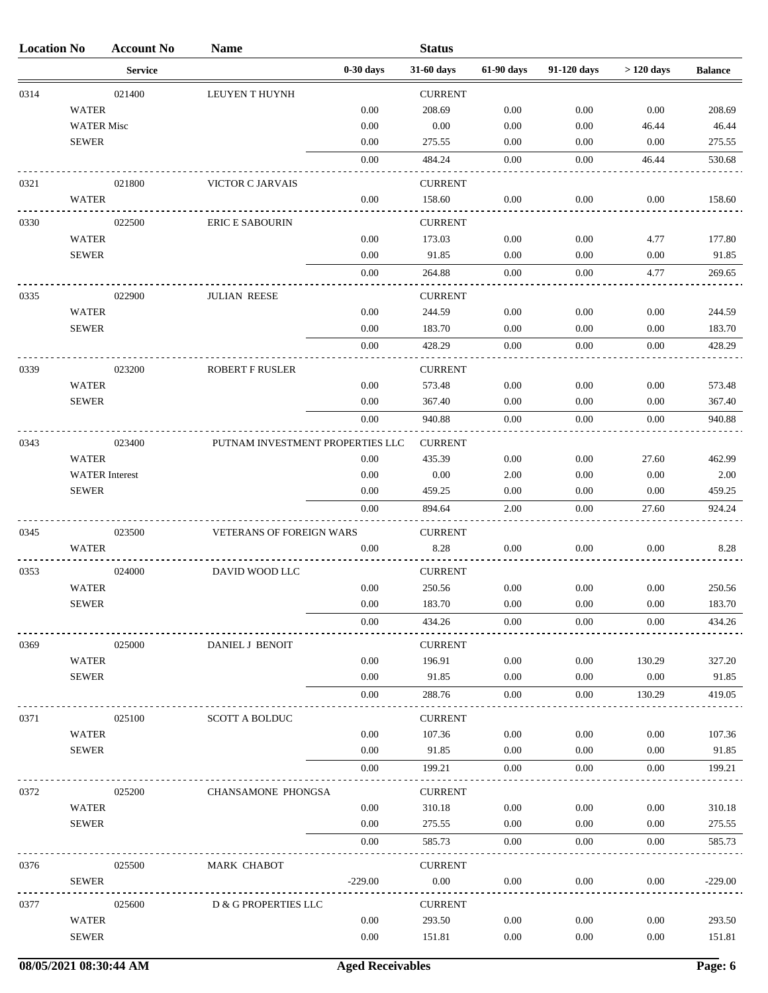| <b>Location No</b> |                       | <b>Account No</b> | <b>Name</b>                      |             | <b>Status</b>  |            |             |             |                |
|--------------------|-----------------------|-------------------|----------------------------------|-------------|----------------|------------|-------------|-------------|----------------|
|                    |                       | <b>Service</b>    |                                  | $0-30$ days | 31-60 days     | 61-90 days | 91-120 days | $>120$ days | <b>Balance</b> |
| 0314               |                       | 021400            | LEUYEN T HUYNH                   |             | <b>CURRENT</b> |            |             |             |                |
|                    | <b>WATER</b>          |                   |                                  | 0.00        | 208.69         | 0.00       | 0.00        | 0.00        | 208.69         |
|                    | <b>WATER Misc</b>     |                   |                                  | 0.00        | 0.00           | 0.00       | 0.00        | 46.44       | 46.44          |
|                    | <b>SEWER</b>          |                   |                                  | 0.00        | 275.55         | 0.00       | 0.00        | 0.00        | 275.55         |
|                    |                       |                   |                                  | 0.00        | 484.24         | 0.00       | 0.00        | 46.44       | 530.68         |
| 0321               |                       | 021800            | <b>VICTOR C JARVAIS</b>          |             | <b>CURRENT</b> |            |             |             |                |
|                    | <b>WATER</b>          |                   |                                  | 0.00        | 158.60         | 0.00       | 0.00        | 0.00        | 158.60         |
| 0330               |                       | 022500            | <b>ERIC E SABOURIN</b>           |             | <b>CURRENT</b> |            |             |             |                |
|                    | <b>WATER</b>          |                   |                                  | 0.00        | 173.03         | 0.00       | 0.00        | 4.77        | 177.80         |
|                    | <b>SEWER</b>          |                   |                                  | 0.00        | 91.85          | 0.00       | 0.00        | 0.00        | 91.85          |
|                    |                       |                   |                                  | 0.00        | 264.88         | 0.00       | 0.00        | 4.77        | 269.65         |
|                    |                       |                   |                                  |             |                |            |             |             |                |
| 0335               |                       | 022900            | <b>JULIAN REESE</b>              |             | <b>CURRENT</b> |            |             |             |                |
|                    | <b>WATER</b>          |                   |                                  | 0.00        | 244.59         | 0.00       | 0.00        | 0.00        | 244.59         |
|                    | <b>SEWER</b>          |                   |                                  | 0.00        | 183.70         | 0.00       | 0.00        | 0.00        | 183.70         |
|                    |                       |                   |                                  | 0.00        | 428.29         | 0.00       | 0.00        | 0.00        | 428.29         |
| 0339               |                       | 023200            | <b>ROBERT F RUSLER</b>           |             | <b>CURRENT</b> |            |             |             |                |
|                    | <b>WATER</b>          |                   |                                  | 0.00        | 573.48         | 0.00       | 0.00        | 0.00        | 573.48         |
|                    | <b>SEWER</b>          |                   |                                  | 0.00        | 367.40         | 0.00       | 0.00        | 0.00        | 367.40         |
|                    |                       |                   |                                  | 0.00        | 940.88         | 0.00       | 0.00        | 0.00        | 940.88         |
| 0343               |                       | 023400            | PUTNAM INVESTMENT PROPERTIES LLC |             | <b>CURRENT</b> |            |             |             |                |
|                    | <b>WATER</b>          |                   |                                  | 0.00        | 435.39         | 0.00       | 0.00        | 27.60       | 462.99         |
|                    | <b>WATER</b> Interest |                   |                                  | 0.00        | 0.00           | 2.00       | 0.00        | 0.00        | 2.00           |
|                    | <b>SEWER</b>          |                   |                                  | 0.00        | 459.25         | 0.00       | 0.00        | 0.00        | 459.25         |
|                    |                       |                   |                                  | 0.00        | 894.64         | 2.00       | 0.00        | 27.60       | 924.24         |
| 0345               |                       | 023500            | <b>VETERANS OF FOREIGN WARS</b>  |             | <b>CURRENT</b> |            |             |             |                |
|                    | <b>WATER</b>          |                   |                                  | 0.00        | 8.28           | 0.00       | 0.00        | 0.00        | 8.28           |
|                    |                       |                   |                                  |             |                |            |             |             |                |
| 0353               |                       | 024000            | DAVID WOOD LLC                   |             | <b>CURRENT</b> |            |             |             |                |
|                    | <b>WATER</b>          |                   |                                  | 0.00        | 250.56         | 0.00       | 0.00        | 0.00        | 250.56         |
|                    | <b>SEWER</b>          |                   |                                  | 0.00        | 183.70         | 0.00       | 0.00        | 0.00        | 183.70         |
|                    |                       |                   |                                  | 0.00        | 434.26         | 0.00       | 0.00        | 0.00        | 434.26         |
| 0369               |                       | 025000            | DANIEL J BENOIT                  |             | <b>CURRENT</b> |            |             |             |                |
|                    | <b>WATER</b>          |                   |                                  | 0.00        | 196.91         | 0.00       | 0.00        | 130.29      | 327.20         |
|                    | <b>SEWER</b>          |                   |                                  | 0.00        | 91.85          | 0.00       | 0.00        | 0.00        | 91.85          |
|                    |                       |                   |                                  | 0.00        | 288.76         | 0.00       | 0.00        | 130.29      | 419.05         |
| 0371               |                       | 025100            | <b>SCOTT A BOLDUC</b>            |             | <b>CURRENT</b> |            |             |             |                |
|                    | <b>WATER</b>          |                   |                                  | 0.00        | 107.36         | 0.00       | 0.00        | 0.00        | 107.36         |
|                    | <b>SEWER</b>          |                   |                                  | 0.00        | 91.85          | 0.00       | 0.00        | 0.00        | 91.85          |
|                    |                       |                   |                                  | 0.00        | 199.21         | 0.00       | 0.00        | $0.00\,$    | 199.21         |
| 0372               |                       | 025200            | CHANSAMONE PHONGSA               |             | <b>CURRENT</b> |            |             |             |                |
|                    | <b>WATER</b>          |                   |                                  | 0.00        | 310.18         | 0.00       | 0.00        | 0.00        | 310.18         |
|                    | <b>SEWER</b>          |                   |                                  | 0.00        | 275.55         | 0.00       | 0.00        | 0.00        | 275.55         |
|                    |                       |                   |                                  | 0.00        | 585.73         | 0.00       | 0.00        | 0.00        | 585.73         |
|                    |                       |                   |                                  |             |                |            |             |             |                |
| 0376               |                       | 025500            | MARK CHABOT                      |             | <b>CURRENT</b> |            |             |             |                |
|                    | <b>SEWER</b>          |                   |                                  | $-229.00$   | $0.00\,$       | 0.00       | 0.00        | 0.00        | $-229.00$      |
| 0377               |                       | 025600            | D & G PROPERTIES LLC             |             | <b>CURRENT</b> |            |             |             |                |
|                    | <b>WATER</b>          |                   |                                  | 0.00        | 293.50         | 0.00       | 0.00        | 0.00        | 293.50         |
|                    | <b>SEWER</b>          |                   |                                  | 0.00        | 151.81         | 0.00       | 0.00        | 0.00        | 151.81         |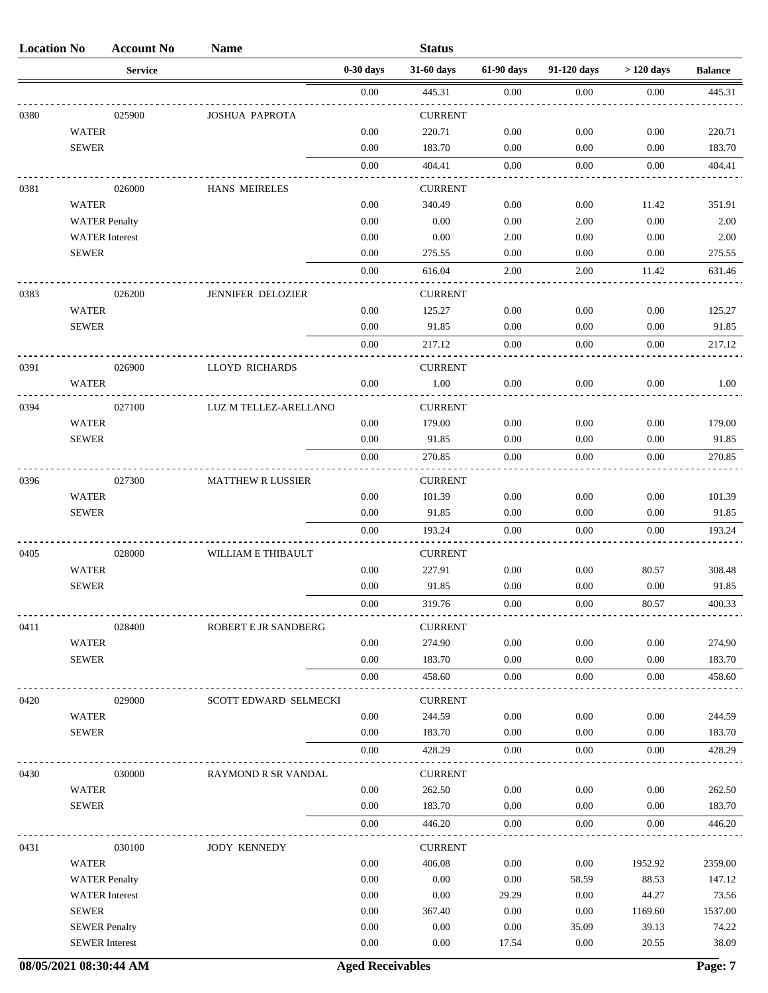| <b>Location No</b> |                       | <b>Account No</b> | <b>Name</b>              |             | <b>Status</b>  |            |             |             |                |
|--------------------|-----------------------|-------------------|--------------------------|-------------|----------------|------------|-------------|-------------|----------------|
|                    |                       | <b>Service</b>    |                          | $0-30$ days | 31-60 days     | 61-90 days | 91-120 days | $>120$ days | <b>Balance</b> |
|                    |                       |                   |                          | 0.00        | 445.31         | 0.00       | 0.00        | 0.00        | 445.31         |
| 0380               |                       | 025900            | <b>JOSHUA PAPROTA</b>    |             | <b>CURRENT</b> |            |             |             |                |
|                    | <b>WATER</b>          |                   |                          | 0.00        | 220.71         | 0.00       | 0.00        | 0.00        | 220.71         |
|                    | <b>SEWER</b>          |                   |                          | 0.00        | 183.70         | 0.00       | 0.00        | 0.00        | 183.70         |
|                    |                       |                   |                          | 0.00        | 404.41         | 0.00       | 0.00        | 0.00        | 404.41         |
| 0381               |                       | 026000            | <b>HANS MEIRELES</b>     |             | <b>CURRENT</b> |            |             |             |                |
|                    | <b>WATER</b>          |                   |                          | 0.00        | 340.49         | 0.00       | 0.00        | 11.42       | 351.91         |
|                    | <b>WATER Penalty</b>  |                   |                          | 0.00        | 0.00           | 0.00       | 2.00        | 0.00        | 2.00           |
|                    | <b>WATER</b> Interest |                   |                          | 0.00        | 0.00           | 2.00       | 0.00        | 0.00        | 2.00           |
|                    | <b>SEWER</b>          |                   |                          | 0.00        | 275.55         | 0.00       | 0.00        | 0.00        | 275.55         |
|                    |                       |                   |                          | 0.00        | 616.04         | 2.00       | 2.00        | 11.42       | 631.46         |
| 0383               |                       | 026200            | JENNIFER DELOZIER        |             | <b>CURRENT</b> |            |             |             |                |
|                    | <b>WATER</b>          |                   |                          | 0.00        | 125.27         | 0.00       | 0.00        | 0.00        | 125.27         |
|                    | <b>SEWER</b>          |                   |                          | 0.00        | 91.85          | 0.00       | 0.00        | 0.00        | 91.85          |
|                    |                       |                   |                          | 0.00        | 217.12         | 0.00       | 0.00        | 0.00        | 217.12         |
| 0391               |                       | 026900            | LLOYD RICHARDS           |             | <b>CURRENT</b> |            |             |             |                |
|                    | <b>WATER</b>          |                   |                          | 0.00        | 1.00           | 0.00       | 0.00        | 0.00        | 1.00           |
| 0394               |                       | 027100            | LUZ M TELLEZ-ARELLANO    |             | <b>CURRENT</b> |            |             |             |                |
|                    | <b>WATER</b>          |                   |                          | 0.00        | 179.00         | 0.00       | 0.00        | 0.00        | 179.00         |
|                    | <b>SEWER</b>          |                   |                          | 0.00        | 91.85          | 0.00       | 0.00        | 0.00        | 91.85          |
|                    |                       |                   |                          | 0.00        | 270.85         | 0.00       | 0.00        | 0.00        | 270.85         |
| 0396               |                       | 027300            | <b>MATTHEW R LUSSIER</b> |             | <b>CURRENT</b> |            |             |             |                |
|                    | <b>WATER</b>          |                   |                          | 0.00        | 101.39         | 0.00       | 0.00        | 0.00        | 101.39         |
|                    | <b>SEWER</b>          |                   |                          | 0.00        | 91.85          | 0.00       | 0.00        | 0.00        | 91.85          |
|                    |                       |                   |                          | 0.00        | 193.24         | 0.00       | 0.00        | 0.00        | 193.24         |
| 0405               |                       | 028000            | WILLIAM E THIBAULT       |             | <b>CURRENT</b> |            |             |             |                |
|                    | <b>WATER</b>          |                   |                          | 0.00        | 227.91         | 0.00       | 0.00        | 80.57       | 308.48         |
|                    | <b>SEWER</b>          |                   |                          | 0.00        | 91.85          | 0.00       | 0.00        | 0.00        | 91.85          |
|                    |                       |                   |                          | 0.00        | 319.76         | 0.00       | 0.00        | 80.57       | 400.33         |
| 0411               |                       | 028400            | ROBERT E JR SANDBERG     |             | <b>CURRENT</b> |            |             |             |                |
|                    | <b>WATER</b>          |                   |                          | 0.00        | 274.90         | $0.00\,$   | 0.00        | 0.00        | 274.90         |
|                    | <b>SEWER</b>          |                   |                          | 0.00        | 183.70         | 0.00       | 0.00        | 0.00        | 183.70         |
|                    |                       |                   |                          | 0.00        | 458.60         | 0.00       | 0.00        | 0.00        | 458.60         |
| 0420               |                       | 029000            | SCOTT EDWARD SELMECKI    |             | <b>CURRENT</b> |            |             |             |                |
|                    | <b>WATER</b>          |                   |                          | 0.00        | 244.59         | $0.00\,$   | 0.00        | 0.00        | 244.59         |
|                    | <b>SEWER</b>          |                   |                          | 0.00        | 183.70         | 0.00       | 0.00        | 0.00        | 183.70         |
|                    |                       |                   |                          | 0.00        | 428.29         | 0.00       | 0.00        | 0.00        | 428.29         |
| 0430               |                       | 030000            | RAYMOND R SR VANDAL      |             | <b>CURRENT</b> |            |             |             |                |
|                    | <b>WATER</b>          |                   |                          | $0.00\,$    | 262.50         | $0.00\,$   | 0.00        | 0.00        | 262.50         |
|                    | <b>SEWER</b>          |                   |                          | 0.00        | 183.70         | 0.00       | 0.00        | 0.00        | 183.70         |
|                    |                       |                   |                          | 0.00        | 446.20         | 0.00       | 0.00        | 0.00        | 446.20         |
| 0431               |                       | 030100            | <b>JODY KENNEDY</b>      |             | <b>CURRENT</b> |            |             |             |                |
|                    | <b>WATER</b>          |                   |                          | 0.00        | 406.08         | 0.00       | $0.00\,$    | 1952.92     | 2359.00        |
|                    | <b>WATER Penalty</b>  |                   |                          | 0.00        | 0.00           | 0.00       | 58.59       | 88.53       | 147.12         |
|                    | <b>WATER</b> Interest |                   |                          | 0.00        | 0.00           | 29.29      | 0.00        | 44.27       | 73.56          |
|                    | <b>SEWER</b>          |                   |                          | 0.00        | 367.40         | 0.00       | $0.00\,$    | 1169.60     | 1537.00        |
|                    | <b>SEWER Penalty</b>  |                   |                          | 0.00        | 0.00           | 0.00       | 35.09       | 39.13       | 74.22          |
|                    | <b>SEWER</b> Interest |                   |                          | 0.00        | 0.00           | 17.54      | 0.00        | 20.55       | 38.09          |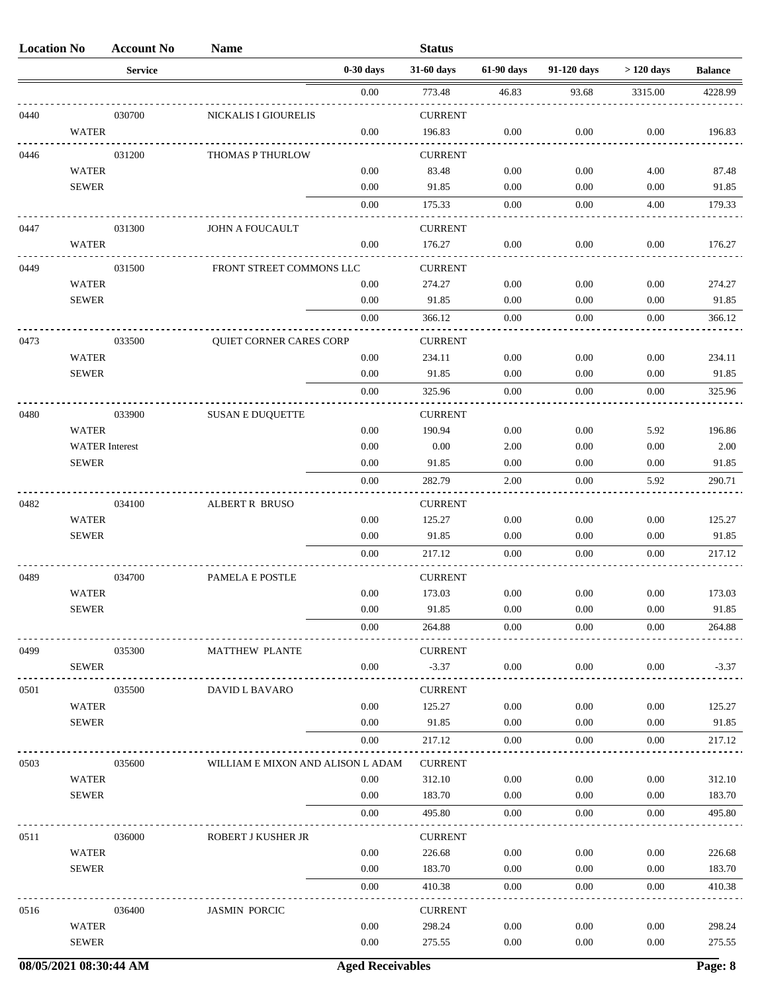| <b>Location No</b> |                       | <b>Account No</b> | <b>Name</b>                       |             | <b>Status</b>  |            |             |             |                |
|--------------------|-----------------------|-------------------|-----------------------------------|-------------|----------------|------------|-------------|-------------|----------------|
|                    |                       | <b>Service</b>    |                                   | $0-30$ days | 31-60 days     | 61-90 days | 91-120 days | $>120$ days | <b>Balance</b> |
|                    |                       |                   |                                   | 0.00        | 773.48         | 46.83      | 93.68       | 3315.00     | 4228.99        |
| 0440               |                       | 030700            | NICKALIS I GIOURELIS              |             | <b>CURRENT</b> |            |             |             |                |
|                    | <b>WATER</b>          |                   |                                   | 0.00        | 196.83         | 0.00       | 0.00        | 0.00        | 196.83         |
| 0446               |                       | 031200            | <b>THOMAS P THURLOW</b>           |             | <b>CURRENT</b> |            |             |             |                |
|                    | <b>WATER</b>          |                   |                                   | 0.00        | 83.48          | 0.00       | 0.00        | 4.00        | 87.48          |
|                    | <b>SEWER</b>          |                   |                                   | 0.00        | 91.85          | 0.00       | 0.00        | 0.00        | 91.85          |
|                    |                       |                   |                                   | 0.00        | 175.33         | 0.00       | 0.00        | 4.00        | 179.33         |
| 0447               |                       | 031300            | <b>JOHN A FOUCAULT</b>            |             | <b>CURRENT</b> |            |             |             |                |
|                    | <b>WATER</b>          |                   |                                   | 0.00        | 176.27         | 0.00       | 0.00        | 0.00        | 176.27         |
| 0449               |                       | 031500            | FRONT STREET COMMONS LLC          |             | <b>CURRENT</b> |            |             |             |                |
|                    | <b>WATER</b>          |                   |                                   | 0.00        | 274.27         | 0.00       | 0.00        | 0.00        | 274.27         |
|                    | <b>SEWER</b>          |                   |                                   | 0.00        | 91.85          | 0.00       | 0.00        | 0.00        | 91.85          |
|                    |                       |                   |                                   | 0.00        | 366.12         | 0.00       | 0.00        | 0.00        | 366.12         |
| 0473               |                       | 033500            | <b>QUIET CORNER CARES CORP</b>    |             | <b>CURRENT</b> |            |             |             |                |
|                    | <b>WATER</b>          |                   |                                   | 0.00        | 234.11         | 0.00       | 0.00        | 0.00        | 234.11         |
|                    | <b>SEWER</b>          |                   |                                   | 0.00        | 91.85          | 0.00       | 0.00        | 0.00        | 91.85          |
|                    |                       |                   |                                   | 0.00        | 325.96         | 0.00       | 0.00        | 0.00        | 325.96         |
| 0480               |                       | 033900            | <b>SUSAN E DUQUETTE</b>           |             | <b>CURRENT</b> |            |             |             |                |
|                    | <b>WATER</b>          |                   |                                   | 0.00        | 190.94         | 0.00       | 0.00        | 5.92        | 196.86         |
|                    | <b>WATER</b> Interest |                   |                                   | 0.00        | 0.00           | 2.00       | 0.00        | 0.00        | 2.00           |
|                    | <b>SEWER</b>          |                   |                                   | 0.00        | 91.85          | 0.00       | 0.00        | 0.00        | 91.85          |
|                    |                       |                   |                                   | 0.00        | 282.79         | 2.00       | 0.00        | 5.92        | 290.71         |
| 0482               |                       | 034100            | <b>ALBERT R BRUSO</b>             |             | <b>CURRENT</b> |            |             |             |                |
|                    | <b>WATER</b>          |                   |                                   | 0.00        | 125.27         | 0.00       | 0.00        | 0.00        | 125.27         |
|                    | <b>SEWER</b>          |                   |                                   | 0.00        | 91.85          | 0.00       | 0.00        | 0.00        | 91.85          |
|                    |                       |                   |                                   | 0.00        | 217.12         | 0.00       | 0.00        | 0.00        | 217.12         |
| 0489               |                       | 034700            | PAMELA E POSTLE                   |             | <b>CURRENT</b> |            |             |             |                |
|                    | <b>WATER</b>          |                   |                                   | 0.00        | 173.03         | 0.00       | 0.00        | 0.00        | 173.03         |
|                    | <b>SEWER</b>          |                   |                                   | 0.00        | 91.85          | 0.00       | 0.00        | 0.00        | 91.85          |
|                    |                       |                   |                                   | 0.00        | 264.88         | 0.00       | 0.00        | 0.00        | 264.88         |
| 0499               |                       | 035300            | <b>MATTHEW PLANTE</b>             |             | <b>CURRENT</b> |            |             |             |                |
|                    | <b>SEWER</b>          |                   |                                   | 0.00        | $-3.37$        | 0.00       | 0.00        | 0.00        | $-3.37$        |
| 0501               |                       | 035500            | DAVID L BAVARO                    |             | <b>CURRENT</b> |            |             |             |                |
|                    | <b>WATER</b>          |                   |                                   | 0.00        | 125.27         | 0.00       | 0.00        | 0.00        | 125.27         |
|                    | <b>SEWER</b>          |                   |                                   | 0.00        | 91.85          | 0.00       | 0.00        | 0.00        | 91.85          |
|                    |                       |                   |                                   | 0.00        | 217.12         | 0.00       | 0.00        | 0.00        | 217.12         |
| 0503               |                       | 035600            | WILLIAM E MIXON AND ALISON L ADAM |             | <b>CURRENT</b> |            |             |             |                |
|                    | <b>WATER</b>          |                   |                                   | 0.00        | 312.10         | 0.00       | 0.00        | 0.00        | 312.10         |
|                    | <b>SEWER</b>          |                   |                                   | 0.00        | 183.70         | 0.00       | 0.00        | 0.00        | 183.70         |
|                    |                       |                   |                                   | 0.00        | 495.80         | 0.00       | 0.00        | 0.00        | 495.80         |
| 0511               |                       | 036000            | ROBERT J KUSHER JR                |             | <b>CURRENT</b> |            |             |             |                |
|                    | <b>WATER</b>          |                   |                                   | 0.00        | 226.68         | 0.00       | 0.00        | 0.00        | 226.68         |
|                    | <b>SEWER</b>          |                   |                                   | 0.00        | 183.70         | 0.00       | 0.00        | 0.00        | 183.70         |
|                    |                       |                   |                                   | 0.00        | 410.38         | 0.00       | 0.00        | 0.00        | 410.38         |
| 0516               |                       | 036400            | <b>JASMIN PORCIC</b>              |             | <b>CURRENT</b> |            |             |             |                |
|                    | <b>WATER</b>          |                   |                                   | 0.00        | 298.24         | 0.00       | 0.00        | 0.00        | 298.24         |
|                    | <b>SEWER</b>          |                   |                                   | 0.00        | 275.55         | 0.00       | 0.00        | 0.00        | 275.55         |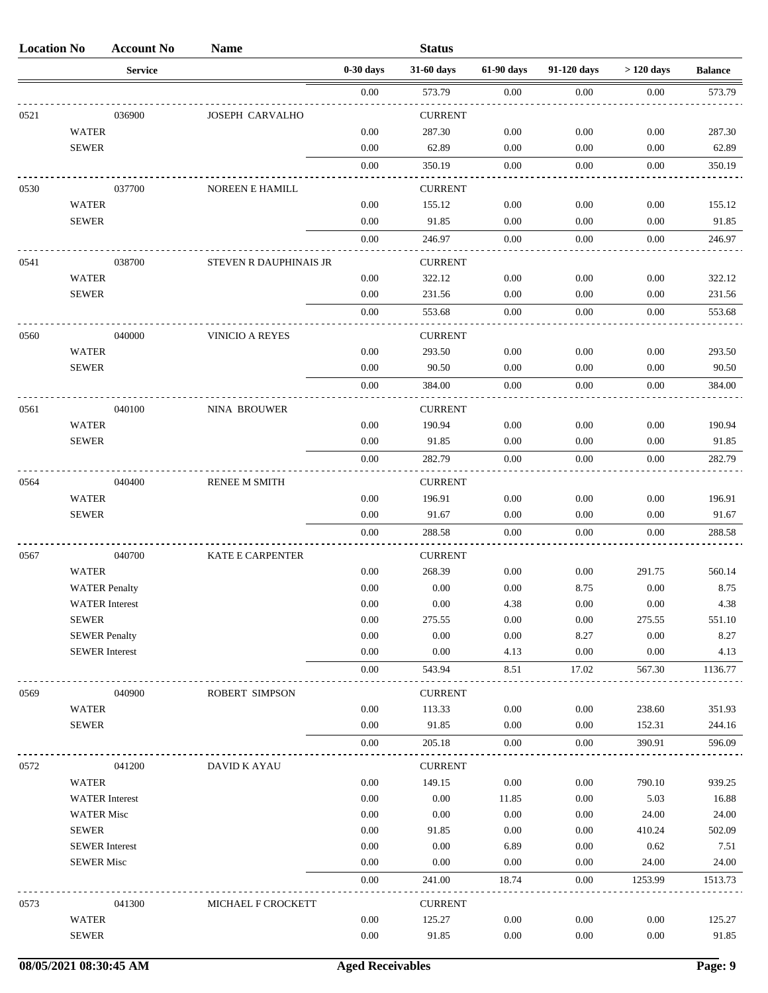| <b>Location No</b> |                       | <b>Account No</b>     | <b>Name</b>             |             | <b>Status</b>  |            |             |             |                |
|--------------------|-----------------------|-----------------------|-------------------------|-------------|----------------|------------|-------------|-------------|----------------|
|                    |                       | <b>Service</b>        |                         | $0-30$ days | 31-60 days     | 61-90 days | 91-120 days | $>120$ days | <b>Balance</b> |
|                    |                       |                       |                         | 0.00        | 573.79         | 0.00       | 0.00        | 0.00        | 573.79         |
| 0521               |                       | 036900                | <b>JOSEPH CARVALHO</b>  |             | <b>CURRENT</b> |            |             |             |                |
|                    | <b>WATER</b>          |                       |                         | 0.00        | 287.30         | 0.00       | 0.00        | 0.00        | 287.30         |
|                    | <b>SEWER</b>          |                       |                         | 0.00        | 62.89          | 0.00       | 0.00        | 0.00        | 62.89          |
|                    |                       |                       |                         | 0.00        | 350.19         | 0.00       | 0.00        | 0.00        | 350.19         |
| 0530               |                       | 037700                | NOREEN E HAMILL         |             | <b>CURRENT</b> |            |             |             |                |
|                    | <b>WATER</b>          |                       |                         | 0.00        | 155.12         | 0.00       | 0.00        | 0.00        | 155.12         |
|                    | <b>SEWER</b>          |                       |                         | 0.00        | 91.85          | 0.00       | 0.00        | 0.00        | 91.85          |
|                    |                       |                       |                         | 0.00        | 246.97         | 0.00       | 0.00        | 0.00        | 246.97         |
| 0541               |                       | 038700                | STEVEN R DAUPHINAIS JR  |             | <b>CURRENT</b> |            |             |             |                |
|                    | <b>WATER</b>          |                       |                         | 0.00        | 322.12         | 0.00       | 0.00        | 0.00        | 322.12         |
|                    | <b>SEWER</b>          |                       |                         | 0.00        | 231.56         | 0.00       | 0.00        | 0.00        | 231.56         |
|                    |                       |                       |                         | 0.00        | 553.68         | 0.00       | 0.00        | 0.00        | 553.68         |
| 0560               |                       | 040000                | VINICIO A REYES         |             | <b>CURRENT</b> |            |             |             |                |
|                    | <b>WATER</b>          |                       |                         | 0.00        | 293.50         | 0.00       | 0.00        | 0.00        | 293.50         |
|                    | <b>SEWER</b>          |                       |                         | 0.00        | 90.50          | 0.00       | 0.00        | 0.00        | 90.50          |
|                    |                       |                       |                         | 0.00        | 384.00         | 0.00       | 0.00        | 0.00        | 384.00         |
| 0561               |                       | 040100                | NINA BROUWER            |             | <b>CURRENT</b> |            |             |             |                |
|                    | <b>WATER</b>          |                       |                         | 0.00        | 190.94         | 0.00       | 0.00        | 0.00        | 190.94         |
|                    | <b>SEWER</b>          |                       |                         | 0.00        | 91.85          | 0.00       | 0.00        | 0.00        | 91.85          |
|                    |                       |                       |                         | 0.00        | 282.79         | 0.00       | 0.00        | 0.00        | 282.79         |
| 0564               |                       | 040400                | <b>RENEE M SMITH</b>    |             | <b>CURRENT</b> |            |             |             |                |
|                    | <b>WATER</b>          |                       |                         | 0.00        | 196.91         | 0.00       | 0.00        | 0.00        | 196.91         |
|                    | <b>SEWER</b>          |                       |                         | 0.00        | 91.67          | 0.00       | 0.00        | 0.00        | 91.67          |
|                    |                       |                       |                         | 0.00        | 288.58         | 0.00       | 0.00        | 0.00        | 288.58         |
| 0567               |                       | 040700                | <b>KATE E CARPENTER</b> |             | <b>CURRENT</b> |            |             |             |                |
|                    | <b>WATER</b>          |                       |                         | 0.00        | 268.39         | 0.00       | 0.00        | 291.75      | 560.14         |
|                    | <b>WATER Penalty</b>  |                       |                         | 0.00        | 0.00           | 0.00       | 8.75        | 0.00        | 8.75           |
|                    |                       | <b>WATER</b> Interest |                         | 0.00        | 0.00           | 4.38       | 0.00        | 0.00        | 4.38           |
|                    | <b>SEWER</b>          |                       |                         | 0.00        | 275.55         | 0.00       | 0.00        | 275.55      | 551.10         |
|                    | <b>SEWER Penalty</b>  |                       |                         | 0.00        | 0.00           | 0.00       | 8.27        | 0.00        | 8.27           |
|                    | <b>SEWER</b> Interest |                       |                         | 0.00        | 0.00           | 4.13       | 0.00        | 0.00        | 4.13           |
|                    |                       |                       |                         | 0.00        | 543.94         | 8.51       | 17.02       | 567.30      | 1136.77        |
| 0569               |                       | 040900                | ROBERT SIMPSON          |             | <b>CURRENT</b> |            |             |             |                |
|                    | <b>WATER</b>          |                       |                         | 0.00        | 113.33         | 0.00       | 0.00        | 238.60      | 351.93         |
|                    | <b>SEWER</b>          |                       |                         | 0.00        | 91.85          | 0.00       | $0.00\,$    | 152.31      | 244.16         |
|                    |                       |                       |                         | 0.00        | 205.18         | $0.00\,$   | 0.00        | 390.91      | 596.09         |
| 0572               |                       | 041200                | DAVID K AYAU            |             | <b>CURRENT</b> |            |             |             |                |
|                    | <b>WATER</b>          |                       |                         | 0.00        | 149.15         | 0.00       | 0.00        | 790.10      | 939.25         |
|                    |                       | <b>WATER</b> Interest |                         | 0.00        | 0.00           | 11.85      | 0.00        | 5.03        | 16.88          |
|                    | <b>WATER Misc</b>     |                       |                         | 0.00        | 0.00           | 0.00       | 0.00        | 24.00       | 24.00          |
|                    | <b>SEWER</b>          |                       |                         | 0.00        | 91.85          | 0.00       | $0.00\,$    | 410.24      | 502.09         |
|                    | <b>SEWER</b> Interest |                       |                         | 0.00        | 0.00           | 6.89       | 0.00        | 0.62        | 7.51           |
|                    | <b>SEWER Misc</b>     |                       |                         | 0.00        | 0.00           | 0.00       | 0.00        | 24.00       | 24.00          |
|                    |                       |                       |                         | 0.00        | 241.00         | 18.74      | 0.00        | 1253.99     | 1513.73        |
| 0573               |                       | 041300                | MICHAEL F CROCKETT      |             | <b>CURRENT</b> |            |             |             |                |
|                    | <b>WATER</b>          |                       |                         | 0.00        | 125.27         | 0.00       | 0.00        | 0.00        | 125.27         |
|                    | <b>SEWER</b>          |                       |                         | 0.00        | 91.85          | 0.00       | 0.00        | 0.00        | 91.85          |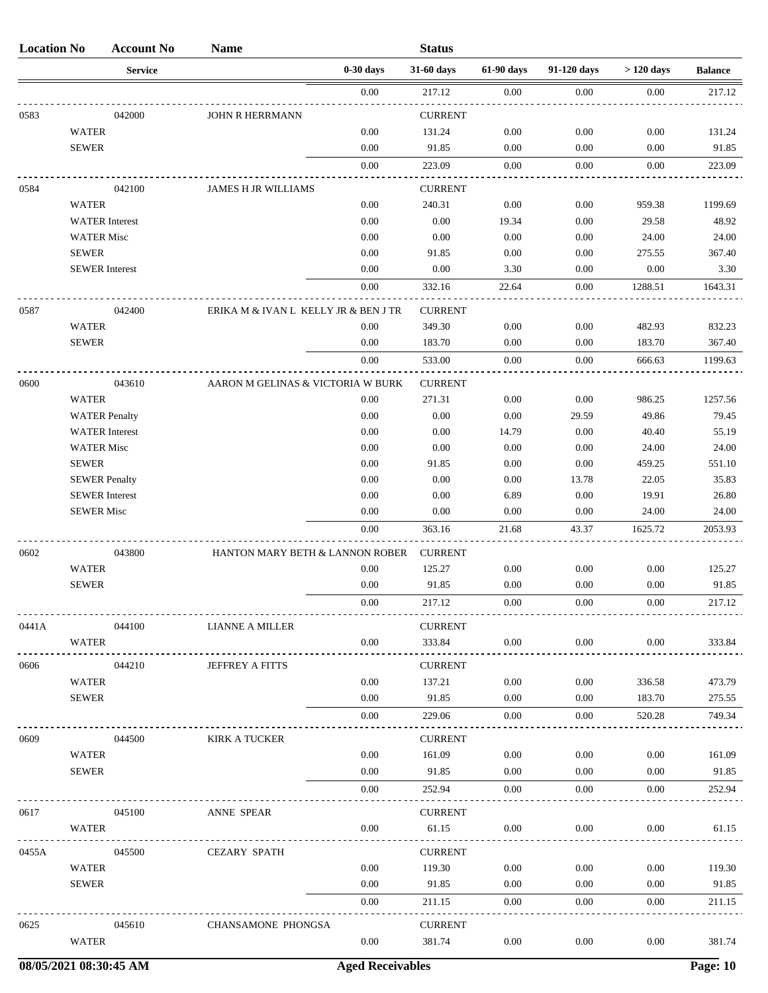| $0-30$ days<br>31-60 days<br>61-90 days<br>91-120 days<br>$>120$ days<br><b>Service</b><br><b>Balance</b><br>$0.00\,$<br>0.00<br>0.00<br>0.00<br>217.12<br>0583<br>042000<br>JOHN R HERRMANN<br><b>CURRENT</b><br>$0.00\,$<br><b>WATER</b><br>0.00<br>131.24<br>0.00<br>0.00<br><b>SEWER</b><br>0.00<br>91.85<br>0.00<br>0.00<br>0.00<br>0.00<br>223.09<br>0.00<br>0.00<br>0.00<br>042100<br><b>CURRENT</b><br>0584<br>JAMES H JR WILLIAMS<br><b>WATER</b><br>240.31<br>0.00<br>0.00<br>959.38<br>0.00<br>0.00<br><b>WATER</b> Interest<br>0.00<br>19.34<br>0.00<br>29.58<br>$0.00\,$<br>0.00<br>0.00<br>0.00<br>24.00<br><b>WATER Misc</b><br><b>SEWER</b><br>0.00<br>91.85<br>0.00<br>0.00<br>275.55<br><b>SEWER</b> Interest<br>0.00<br>0.00<br>3.30<br>0.00<br>0.00<br>$0.00\,$<br>332.16<br>22.64<br>0.00<br>1288.51<br>0587<br>ERIKA M & IVAN L KELLY JR & BEN J TR<br>042400<br><b>CURRENT</b><br><b>WATER</b><br>0.00<br>349.30<br>0.00<br>0.00<br>482.93<br><b>SEWER</b><br>0.00<br>183.70<br>0.00<br>0.00<br>183.70<br>0.00<br>533.00<br>0.00<br>0.00<br>666.63<br>0600<br>AARON M GELINAS & VICTORIA W BURK<br><b>CURRENT</b><br>043610<br><b>WATER</b><br>0.00<br>271.31<br>0.00<br>0.00<br>986.25<br>$0.00\,$<br>49.86<br>0.00<br>0.00<br>29.59<br><b>WATER Penalty</b><br>$0.00\,$<br><b>WATER</b> Interest<br>0.00<br>14.79<br>0.00<br>40.40<br>$0.00\,$<br>0.00<br><b>WATER Misc</b><br>0.00<br>0.00<br>24.00<br><b>SEWER</b><br>0.00<br>91.85<br>0.00<br>0.00<br>459.25<br>0.00<br>0.00<br>0.00<br>13.78<br>22.05<br><b>SEWER Penalty</b><br><b>SEWER</b> Interest<br>0.00<br>0.00<br>6.89<br>0.00<br>19.91<br><b>SEWER Misc</b><br>$0.00\,$<br>0.00<br>0.00<br>0.00<br>24.00<br>0.00<br>1625.72<br>363.16<br>21.68<br>43.37<br>0602<br>043800<br>HANTON MARY BETH & LANNON ROBER<br><b>CURRENT</b><br><b>WATER</b><br>0.00<br>125.27<br>0.00<br>0.00<br>0.00<br><b>SEWER</b><br>0.00<br>91.85<br>0.00<br>0.00<br>0.00<br>0.00<br>217.12<br>0.00<br>0.00<br>0.00<br><b>CURRENT</b><br>0441A<br>044100<br>LIANNE A MILLER<br>0.00<br>$0.00\,$<br>0.00<br>0.00<br>WATER<br>333.84<br>0606<br>044210<br><b>JEFFREY A FITTS</b><br><b>CURRENT</b><br>0.00<br>$0.00\,$<br><b>WATER</b><br>137.21<br>0.00<br>336.58<br>0.00<br><b>SEWER</b><br>91.85<br>0.00<br>0.00<br>183.70<br>0.00<br>229.06<br>$0.00\,$<br>0.00<br>520.28<br>0609<br>044500<br>KIRK A TUCKER<br><b>CURRENT</b><br>0.00<br>161.09<br>$0.00\,$<br>0.00<br><b>WATER</b><br>0.00<br><b>SEWER</b><br>0.00<br>91.85<br>0.00<br>0.00<br>0.00<br>0.00<br>252.94<br>$0.00\,$<br>$0.00\,$<br>0.00<br><b>CURRENT</b><br>0617<br>045100<br>ANNE SPEAR<br>0.00<br>61.15<br>$0.00\,$<br>$0.00\,$<br>0.00<br>WATER<br>0455A<br>045500<br><b>CURRENT</b><br><b>CEZARY SPATH</b><br><b>WATER</b><br>0.00<br>119.30<br>$0.00\,$<br>0.00<br>0.00<br>0.00<br>91.85<br><b>SEWER</b><br>0.00<br>0.00<br>0.00<br>0.00<br>211.15<br>$0.00\,$<br>0.00<br>0.00<br>0625<br>045610<br>CHANSAMONE PHONGSA<br><b>CURRENT</b><br><b>WATER</b><br>0.00<br>381.74<br>$0.00\,$<br>0.00<br>0.00 | <b>Location No</b> | <b>Account No</b> | <b>Name</b> | <b>Status</b> |  |         |
|----------------------------------------------------------------------------------------------------------------------------------------------------------------------------------------------------------------------------------------------------------------------------------------------------------------------------------------------------------------------------------------------------------------------------------------------------------------------------------------------------------------------------------------------------------------------------------------------------------------------------------------------------------------------------------------------------------------------------------------------------------------------------------------------------------------------------------------------------------------------------------------------------------------------------------------------------------------------------------------------------------------------------------------------------------------------------------------------------------------------------------------------------------------------------------------------------------------------------------------------------------------------------------------------------------------------------------------------------------------------------------------------------------------------------------------------------------------------------------------------------------------------------------------------------------------------------------------------------------------------------------------------------------------------------------------------------------------------------------------------------------------------------------------------------------------------------------------------------------------------------------------------------------------------------------------------------------------------------------------------------------------------------------------------------------------------------------------------------------------------------------------------------------------------------------------------------------------------------------------------------------------------------------------------------------------------------------------------------------------------------------------------------------------------------------------------------------------------------------------------------------------------------------------------------------------------------------------------------------------------------------------------------------------------------------------------------------------------------------------------------------------------------------------------------------------------------------------------------------------------------------------------------------------------------------------------------------------------------------------------------------------------------------------------|--------------------|-------------------|-------------|---------------|--|---------|
|                                                                                                                                                                                                                                                                                                                                                                                                                                                                                                                                                                                                                                                                                                                                                                                                                                                                                                                                                                                                                                                                                                                                                                                                                                                                                                                                                                                                                                                                                                                                                                                                                                                                                                                                                                                                                                                                                                                                                                                                                                                                                                                                                                                                                                                                                                                                                                                                                                                                                                                                                                                                                                                                                                                                                                                                                                                                                                                                                                                                                                              |                    |                   |             |               |  |         |
|                                                                                                                                                                                                                                                                                                                                                                                                                                                                                                                                                                                                                                                                                                                                                                                                                                                                                                                                                                                                                                                                                                                                                                                                                                                                                                                                                                                                                                                                                                                                                                                                                                                                                                                                                                                                                                                                                                                                                                                                                                                                                                                                                                                                                                                                                                                                                                                                                                                                                                                                                                                                                                                                                                                                                                                                                                                                                                                                                                                                                                              |                    |                   |             |               |  | 217.12  |
|                                                                                                                                                                                                                                                                                                                                                                                                                                                                                                                                                                                                                                                                                                                                                                                                                                                                                                                                                                                                                                                                                                                                                                                                                                                                                                                                                                                                                                                                                                                                                                                                                                                                                                                                                                                                                                                                                                                                                                                                                                                                                                                                                                                                                                                                                                                                                                                                                                                                                                                                                                                                                                                                                                                                                                                                                                                                                                                                                                                                                                              |                    |                   |             |               |  |         |
|                                                                                                                                                                                                                                                                                                                                                                                                                                                                                                                                                                                                                                                                                                                                                                                                                                                                                                                                                                                                                                                                                                                                                                                                                                                                                                                                                                                                                                                                                                                                                                                                                                                                                                                                                                                                                                                                                                                                                                                                                                                                                                                                                                                                                                                                                                                                                                                                                                                                                                                                                                                                                                                                                                                                                                                                                                                                                                                                                                                                                                              |                    |                   |             |               |  | 131.24  |
|                                                                                                                                                                                                                                                                                                                                                                                                                                                                                                                                                                                                                                                                                                                                                                                                                                                                                                                                                                                                                                                                                                                                                                                                                                                                                                                                                                                                                                                                                                                                                                                                                                                                                                                                                                                                                                                                                                                                                                                                                                                                                                                                                                                                                                                                                                                                                                                                                                                                                                                                                                                                                                                                                                                                                                                                                                                                                                                                                                                                                                              |                    |                   |             |               |  | 91.85   |
|                                                                                                                                                                                                                                                                                                                                                                                                                                                                                                                                                                                                                                                                                                                                                                                                                                                                                                                                                                                                                                                                                                                                                                                                                                                                                                                                                                                                                                                                                                                                                                                                                                                                                                                                                                                                                                                                                                                                                                                                                                                                                                                                                                                                                                                                                                                                                                                                                                                                                                                                                                                                                                                                                                                                                                                                                                                                                                                                                                                                                                              |                    |                   |             |               |  | 223.09  |
|                                                                                                                                                                                                                                                                                                                                                                                                                                                                                                                                                                                                                                                                                                                                                                                                                                                                                                                                                                                                                                                                                                                                                                                                                                                                                                                                                                                                                                                                                                                                                                                                                                                                                                                                                                                                                                                                                                                                                                                                                                                                                                                                                                                                                                                                                                                                                                                                                                                                                                                                                                                                                                                                                                                                                                                                                                                                                                                                                                                                                                              |                    |                   |             |               |  |         |
|                                                                                                                                                                                                                                                                                                                                                                                                                                                                                                                                                                                                                                                                                                                                                                                                                                                                                                                                                                                                                                                                                                                                                                                                                                                                                                                                                                                                                                                                                                                                                                                                                                                                                                                                                                                                                                                                                                                                                                                                                                                                                                                                                                                                                                                                                                                                                                                                                                                                                                                                                                                                                                                                                                                                                                                                                                                                                                                                                                                                                                              |                    |                   |             |               |  | 1199.69 |
|                                                                                                                                                                                                                                                                                                                                                                                                                                                                                                                                                                                                                                                                                                                                                                                                                                                                                                                                                                                                                                                                                                                                                                                                                                                                                                                                                                                                                                                                                                                                                                                                                                                                                                                                                                                                                                                                                                                                                                                                                                                                                                                                                                                                                                                                                                                                                                                                                                                                                                                                                                                                                                                                                                                                                                                                                                                                                                                                                                                                                                              |                    |                   |             |               |  | 48.92   |
|                                                                                                                                                                                                                                                                                                                                                                                                                                                                                                                                                                                                                                                                                                                                                                                                                                                                                                                                                                                                                                                                                                                                                                                                                                                                                                                                                                                                                                                                                                                                                                                                                                                                                                                                                                                                                                                                                                                                                                                                                                                                                                                                                                                                                                                                                                                                                                                                                                                                                                                                                                                                                                                                                                                                                                                                                                                                                                                                                                                                                                              |                    |                   |             |               |  | 24.00   |
|                                                                                                                                                                                                                                                                                                                                                                                                                                                                                                                                                                                                                                                                                                                                                                                                                                                                                                                                                                                                                                                                                                                                                                                                                                                                                                                                                                                                                                                                                                                                                                                                                                                                                                                                                                                                                                                                                                                                                                                                                                                                                                                                                                                                                                                                                                                                                                                                                                                                                                                                                                                                                                                                                                                                                                                                                                                                                                                                                                                                                                              |                    |                   |             |               |  | 367.40  |
|                                                                                                                                                                                                                                                                                                                                                                                                                                                                                                                                                                                                                                                                                                                                                                                                                                                                                                                                                                                                                                                                                                                                                                                                                                                                                                                                                                                                                                                                                                                                                                                                                                                                                                                                                                                                                                                                                                                                                                                                                                                                                                                                                                                                                                                                                                                                                                                                                                                                                                                                                                                                                                                                                                                                                                                                                                                                                                                                                                                                                                              |                    |                   |             |               |  | 3.30    |
|                                                                                                                                                                                                                                                                                                                                                                                                                                                                                                                                                                                                                                                                                                                                                                                                                                                                                                                                                                                                                                                                                                                                                                                                                                                                                                                                                                                                                                                                                                                                                                                                                                                                                                                                                                                                                                                                                                                                                                                                                                                                                                                                                                                                                                                                                                                                                                                                                                                                                                                                                                                                                                                                                                                                                                                                                                                                                                                                                                                                                                              |                    |                   |             |               |  | 1643.31 |
|                                                                                                                                                                                                                                                                                                                                                                                                                                                                                                                                                                                                                                                                                                                                                                                                                                                                                                                                                                                                                                                                                                                                                                                                                                                                                                                                                                                                                                                                                                                                                                                                                                                                                                                                                                                                                                                                                                                                                                                                                                                                                                                                                                                                                                                                                                                                                                                                                                                                                                                                                                                                                                                                                                                                                                                                                                                                                                                                                                                                                                              |                    |                   |             |               |  |         |
|                                                                                                                                                                                                                                                                                                                                                                                                                                                                                                                                                                                                                                                                                                                                                                                                                                                                                                                                                                                                                                                                                                                                                                                                                                                                                                                                                                                                                                                                                                                                                                                                                                                                                                                                                                                                                                                                                                                                                                                                                                                                                                                                                                                                                                                                                                                                                                                                                                                                                                                                                                                                                                                                                                                                                                                                                                                                                                                                                                                                                                              |                    |                   |             |               |  | 832.23  |
|                                                                                                                                                                                                                                                                                                                                                                                                                                                                                                                                                                                                                                                                                                                                                                                                                                                                                                                                                                                                                                                                                                                                                                                                                                                                                                                                                                                                                                                                                                                                                                                                                                                                                                                                                                                                                                                                                                                                                                                                                                                                                                                                                                                                                                                                                                                                                                                                                                                                                                                                                                                                                                                                                                                                                                                                                                                                                                                                                                                                                                              |                    |                   |             |               |  | 367.40  |
|                                                                                                                                                                                                                                                                                                                                                                                                                                                                                                                                                                                                                                                                                                                                                                                                                                                                                                                                                                                                                                                                                                                                                                                                                                                                                                                                                                                                                                                                                                                                                                                                                                                                                                                                                                                                                                                                                                                                                                                                                                                                                                                                                                                                                                                                                                                                                                                                                                                                                                                                                                                                                                                                                                                                                                                                                                                                                                                                                                                                                                              |                    |                   |             |               |  | 1199.63 |
|                                                                                                                                                                                                                                                                                                                                                                                                                                                                                                                                                                                                                                                                                                                                                                                                                                                                                                                                                                                                                                                                                                                                                                                                                                                                                                                                                                                                                                                                                                                                                                                                                                                                                                                                                                                                                                                                                                                                                                                                                                                                                                                                                                                                                                                                                                                                                                                                                                                                                                                                                                                                                                                                                                                                                                                                                                                                                                                                                                                                                                              |                    |                   |             |               |  |         |
|                                                                                                                                                                                                                                                                                                                                                                                                                                                                                                                                                                                                                                                                                                                                                                                                                                                                                                                                                                                                                                                                                                                                                                                                                                                                                                                                                                                                                                                                                                                                                                                                                                                                                                                                                                                                                                                                                                                                                                                                                                                                                                                                                                                                                                                                                                                                                                                                                                                                                                                                                                                                                                                                                                                                                                                                                                                                                                                                                                                                                                              |                    |                   |             |               |  | 1257.56 |
|                                                                                                                                                                                                                                                                                                                                                                                                                                                                                                                                                                                                                                                                                                                                                                                                                                                                                                                                                                                                                                                                                                                                                                                                                                                                                                                                                                                                                                                                                                                                                                                                                                                                                                                                                                                                                                                                                                                                                                                                                                                                                                                                                                                                                                                                                                                                                                                                                                                                                                                                                                                                                                                                                                                                                                                                                                                                                                                                                                                                                                              |                    |                   |             |               |  | 79.45   |
|                                                                                                                                                                                                                                                                                                                                                                                                                                                                                                                                                                                                                                                                                                                                                                                                                                                                                                                                                                                                                                                                                                                                                                                                                                                                                                                                                                                                                                                                                                                                                                                                                                                                                                                                                                                                                                                                                                                                                                                                                                                                                                                                                                                                                                                                                                                                                                                                                                                                                                                                                                                                                                                                                                                                                                                                                                                                                                                                                                                                                                              |                    |                   |             |               |  | 55.19   |
|                                                                                                                                                                                                                                                                                                                                                                                                                                                                                                                                                                                                                                                                                                                                                                                                                                                                                                                                                                                                                                                                                                                                                                                                                                                                                                                                                                                                                                                                                                                                                                                                                                                                                                                                                                                                                                                                                                                                                                                                                                                                                                                                                                                                                                                                                                                                                                                                                                                                                                                                                                                                                                                                                                                                                                                                                                                                                                                                                                                                                                              |                    |                   |             |               |  | 24.00   |
|                                                                                                                                                                                                                                                                                                                                                                                                                                                                                                                                                                                                                                                                                                                                                                                                                                                                                                                                                                                                                                                                                                                                                                                                                                                                                                                                                                                                                                                                                                                                                                                                                                                                                                                                                                                                                                                                                                                                                                                                                                                                                                                                                                                                                                                                                                                                                                                                                                                                                                                                                                                                                                                                                                                                                                                                                                                                                                                                                                                                                                              |                    |                   |             |               |  | 551.10  |
|                                                                                                                                                                                                                                                                                                                                                                                                                                                                                                                                                                                                                                                                                                                                                                                                                                                                                                                                                                                                                                                                                                                                                                                                                                                                                                                                                                                                                                                                                                                                                                                                                                                                                                                                                                                                                                                                                                                                                                                                                                                                                                                                                                                                                                                                                                                                                                                                                                                                                                                                                                                                                                                                                                                                                                                                                                                                                                                                                                                                                                              |                    |                   |             |               |  | 35.83   |
|                                                                                                                                                                                                                                                                                                                                                                                                                                                                                                                                                                                                                                                                                                                                                                                                                                                                                                                                                                                                                                                                                                                                                                                                                                                                                                                                                                                                                                                                                                                                                                                                                                                                                                                                                                                                                                                                                                                                                                                                                                                                                                                                                                                                                                                                                                                                                                                                                                                                                                                                                                                                                                                                                                                                                                                                                                                                                                                                                                                                                                              |                    |                   |             |               |  | 26.80   |
|                                                                                                                                                                                                                                                                                                                                                                                                                                                                                                                                                                                                                                                                                                                                                                                                                                                                                                                                                                                                                                                                                                                                                                                                                                                                                                                                                                                                                                                                                                                                                                                                                                                                                                                                                                                                                                                                                                                                                                                                                                                                                                                                                                                                                                                                                                                                                                                                                                                                                                                                                                                                                                                                                                                                                                                                                                                                                                                                                                                                                                              |                    |                   |             |               |  | 24.00   |
|                                                                                                                                                                                                                                                                                                                                                                                                                                                                                                                                                                                                                                                                                                                                                                                                                                                                                                                                                                                                                                                                                                                                                                                                                                                                                                                                                                                                                                                                                                                                                                                                                                                                                                                                                                                                                                                                                                                                                                                                                                                                                                                                                                                                                                                                                                                                                                                                                                                                                                                                                                                                                                                                                                                                                                                                                                                                                                                                                                                                                                              |                    |                   |             |               |  | 2053.93 |
|                                                                                                                                                                                                                                                                                                                                                                                                                                                                                                                                                                                                                                                                                                                                                                                                                                                                                                                                                                                                                                                                                                                                                                                                                                                                                                                                                                                                                                                                                                                                                                                                                                                                                                                                                                                                                                                                                                                                                                                                                                                                                                                                                                                                                                                                                                                                                                                                                                                                                                                                                                                                                                                                                                                                                                                                                                                                                                                                                                                                                                              |                    |                   |             |               |  |         |
|                                                                                                                                                                                                                                                                                                                                                                                                                                                                                                                                                                                                                                                                                                                                                                                                                                                                                                                                                                                                                                                                                                                                                                                                                                                                                                                                                                                                                                                                                                                                                                                                                                                                                                                                                                                                                                                                                                                                                                                                                                                                                                                                                                                                                                                                                                                                                                                                                                                                                                                                                                                                                                                                                                                                                                                                                                                                                                                                                                                                                                              |                    |                   |             |               |  | 125.27  |
|                                                                                                                                                                                                                                                                                                                                                                                                                                                                                                                                                                                                                                                                                                                                                                                                                                                                                                                                                                                                                                                                                                                                                                                                                                                                                                                                                                                                                                                                                                                                                                                                                                                                                                                                                                                                                                                                                                                                                                                                                                                                                                                                                                                                                                                                                                                                                                                                                                                                                                                                                                                                                                                                                                                                                                                                                                                                                                                                                                                                                                              |                    |                   |             |               |  | 91.85   |
|                                                                                                                                                                                                                                                                                                                                                                                                                                                                                                                                                                                                                                                                                                                                                                                                                                                                                                                                                                                                                                                                                                                                                                                                                                                                                                                                                                                                                                                                                                                                                                                                                                                                                                                                                                                                                                                                                                                                                                                                                                                                                                                                                                                                                                                                                                                                                                                                                                                                                                                                                                                                                                                                                                                                                                                                                                                                                                                                                                                                                                              |                    |                   |             |               |  | 217.12  |
|                                                                                                                                                                                                                                                                                                                                                                                                                                                                                                                                                                                                                                                                                                                                                                                                                                                                                                                                                                                                                                                                                                                                                                                                                                                                                                                                                                                                                                                                                                                                                                                                                                                                                                                                                                                                                                                                                                                                                                                                                                                                                                                                                                                                                                                                                                                                                                                                                                                                                                                                                                                                                                                                                                                                                                                                                                                                                                                                                                                                                                              |                    |                   |             |               |  |         |
|                                                                                                                                                                                                                                                                                                                                                                                                                                                                                                                                                                                                                                                                                                                                                                                                                                                                                                                                                                                                                                                                                                                                                                                                                                                                                                                                                                                                                                                                                                                                                                                                                                                                                                                                                                                                                                                                                                                                                                                                                                                                                                                                                                                                                                                                                                                                                                                                                                                                                                                                                                                                                                                                                                                                                                                                                                                                                                                                                                                                                                              |                    |                   |             |               |  | 333.84  |
|                                                                                                                                                                                                                                                                                                                                                                                                                                                                                                                                                                                                                                                                                                                                                                                                                                                                                                                                                                                                                                                                                                                                                                                                                                                                                                                                                                                                                                                                                                                                                                                                                                                                                                                                                                                                                                                                                                                                                                                                                                                                                                                                                                                                                                                                                                                                                                                                                                                                                                                                                                                                                                                                                                                                                                                                                                                                                                                                                                                                                                              |                    |                   |             |               |  |         |
|                                                                                                                                                                                                                                                                                                                                                                                                                                                                                                                                                                                                                                                                                                                                                                                                                                                                                                                                                                                                                                                                                                                                                                                                                                                                                                                                                                                                                                                                                                                                                                                                                                                                                                                                                                                                                                                                                                                                                                                                                                                                                                                                                                                                                                                                                                                                                                                                                                                                                                                                                                                                                                                                                                                                                                                                                                                                                                                                                                                                                                              |                    |                   |             |               |  | 473.79  |
|                                                                                                                                                                                                                                                                                                                                                                                                                                                                                                                                                                                                                                                                                                                                                                                                                                                                                                                                                                                                                                                                                                                                                                                                                                                                                                                                                                                                                                                                                                                                                                                                                                                                                                                                                                                                                                                                                                                                                                                                                                                                                                                                                                                                                                                                                                                                                                                                                                                                                                                                                                                                                                                                                                                                                                                                                                                                                                                                                                                                                                              |                    |                   |             |               |  | 275.55  |
|                                                                                                                                                                                                                                                                                                                                                                                                                                                                                                                                                                                                                                                                                                                                                                                                                                                                                                                                                                                                                                                                                                                                                                                                                                                                                                                                                                                                                                                                                                                                                                                                                                                                                                                                                                                                                                                                                                                                                                                                                                                                                                                                                                                                                                                                                                                                                                                                                                                                                                                                                                                                                                                                                                                                                                                                                                                                                                                                                                                                                                              |                    |                   |             |               |  | 749.34  |
|                                                                                                                                                                                                                                                                                                                                                                                                                                                                                                                                                                                                                                                                                                                                                                                                                                                                                                                                                                                                                                                                                                                                                                                                                                                                                                                                                                                                                                                                                                                                                                                                                                                                                                                                                                                                                                                                                                                                                                                                                                                                                                                                                                                                                                                                                                                                                                                                                                                                                                                                                                                                                                                                                                                                                                                                                                                                                                                                                                                                                                              |                    |                   |             |               |  |         |
|                                                                                                                                                                                                                                                                                                                                                                                                                                                                                                                                                                                                                                                                                                                                                                                                                                                                                                                                                                                                                                                                                                                                                                                                                                                                                                                                                                                                                                                                                                                                                                                                                                                                                                                                                                                                                                                                                                                                                                                                                                                                                                                                                                                                                                                                                                                                                                                                                                                                                                                                                                                                                                                                                                                                                                                                                                                                                                                                                                                                                                              |                    |                   |             |               |  | 161.09  |
|                                                                                                                                                                                                                                                                                                                                                                                                                                                                                                                                                                                                                                                                                                                                                                                                                                                                                                                                                                                                                                                                                                                                                                                                                                                                                                                                                                                                                                                                                                                                                                                                                                                                                                                                                                                                                                                                                                                                                                                                                                                                                                                                                                                                                                                                                                                                                                                                                                                                                                                                                                                                                                                                                                                                                                                                                                                                                                                                                                                                                                              |                    |                   |             |               |  | 91.85   |
|                                                                                                                                                                                                                                                                                                                                                                                                                                                                                                                                                                                                                                                                                                                                                                                                                                                                                                                                                                                                                                                                                                                                                                                                                                                                                                                                                                                                                                                                                                                                                                                                                                                                                                                                                                                                                                                                                                                                                                                                                                                                                                                                                                                                                                                                                                                                                                                                                                                                                                                                                                                                                                                                                                                                                                                                                                                                                                                                                                                                                                              |                    |                   |             |               |  | 252.94  |
|                                                                                                                                                                                                                                                                                                                                                                                                                                                                                                                                                                                                                                                                                                                                                                                                                                                                                                                                                                                                                                                                                                                                                                                                                                                                                                                                                                                                                                                                                                                                                                                                                                                                                                                                                                                                                                                                                                                                                                                                                                                                                                                                                                                                                                                                                                                                                                                                                                                                                                                                                                                                                                                                                                                                                                                                                                                                                                                                                                                                                                              |                    |                   |             |               |  |         |
|                                                                                                                                                                                                                                                                                                                                                                                                                                                                                                                                                                                                                                                                                                                                                                                                                                                                                                                                                                                                                                                                                                                                                                                                                                                                                                                                                                                                                                                                                                                                                                                                                                                                                                                                                                                                                                                                                                                                                                                                                                                                                                                                                                                                                                                                                                                                                                                                                                                                                                                                                                                                                                                                                                                                                                                                                                                                                                                                                                                                                                              |                    |                   |             |               |  | 61.15   |
|                                                                                                                                                                                                                                                                                                                                                                                                                                                                                                                                                                                                                                                                                                                                                                                                                                                                                                                                                                                                                                                                                                                                                                                                                                                                                                                                                                                                                                                                                                                                                                                                                                                                                                                                                                                                                                                                                                                                                                                                                                                                                                                                                                                                                                                                                                                                                                                                                                                                                                                                                                                                                                                                                                                                                                                                                                                                                                                                                                                                                                              |                    |                   |             |               |  |         |
|                                                                                                                                                                                                                                                                                                                                                                                                                                                                                                                                                                                                                                                                                                                                                                                                                                                                                                                                                                                                                                                                                                                                                                                                                                                                                                                                                                                                                                                                                                                                                                                                                                                                                                                                                                                                                                                                                                                                                                                                                                                                                                                                                                                                                                                                                                                                                                                                                                                                                                                                                                                                                                                                                                                                                                                                                                                                                                                                                                                                                                              |                    |                   |             |               |  | 119.30  |
|                                                                                                                                                                                                                                                                                                                                                                                                                                                                                                                                                                                                                                                                                                                                                                                                                                                                                                                                                                                                                                                                                                                                                                                                                                                                                                                                                                                                                                                                                                                                                                                                                                                                                                                                                                                                                                                                                                                                                                                                                                                                                                                                                                                                                                                                                                                                                                                                                                                                                                                                                                                                                                                                                                                                                                                                                                                                                                                                                                                                                                              |                    |                   |             |               |  | 91.85   |
|                                                                                                                                                                                                                                                                                                                                                                                                                                                                                                                                                                                                                                                                                                                                                                                                                                                                                                                                                                                                                                                                                                                                                                                                                                                                                                                                                                                                                                                                                                                                                                                                                                                                                                                                                                                                                                                                                                                                                                                                                                                                                                                                                                                                                                                                                                                                                                                                                                                                                                                                                                                                                                                                                                                                                                                                                                                                                                                                                                                                                                              |                    |                   |             |               |  | 211.15  |
|                                                                                                                                                                                                                                                                                                                                                                                                                                                                                                                                                                                                                                                                                                                                                                                                                                                                                                                                                                                                                                                                                                                                                                                                                                                                                                                                                                                                                                                                                                                                                                                                                                                                                                                                                                                                                                                                                                                                                                                                                                                                                                                                                                                                                                                                                                                                                                                                                                                                                                                                                                                                                                                                                                                                                                                                                                                                                                                                                                                                                                              |                    |                   |             |               |  |         |
|                                                                                                                                                                                                                                                                                                                                                                                                                                                                                                                                                                                                                                                                                                                                                                                                                                                                                                                                                                                                                                                                                                                                                                                                                                                                                                                                                                                                                                                                                                                                                                                                                                                                                                                                                                                                                                                                                                                                                                                                                                                                                                                                                                                                                                                                                                                                                                                                                                                                                                                                                                                                                                                                                                                                                                                                                                                                                                                                                                                                                                              |                    |                   |             |               |  | 381.74  |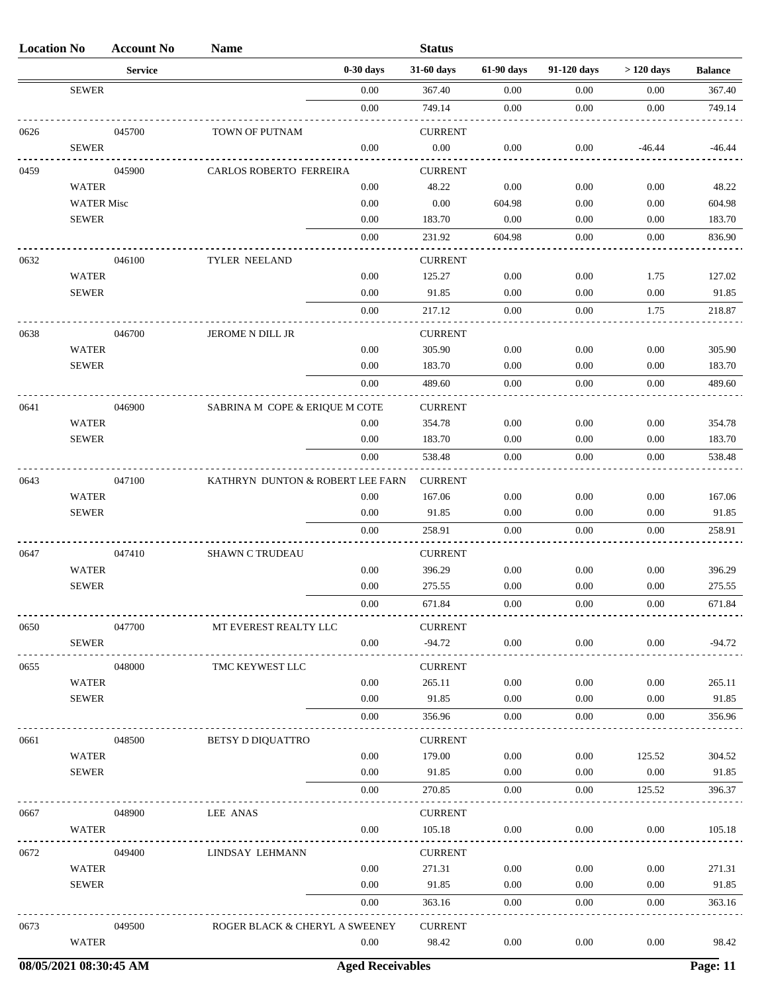| <b>Location No</b> |                              | <b>Account No</b> | <b>Name</b>                      |              | <b>Status</b>            |                      |              |              |                 |
|--------------------|------------------------------|-------------------|----------------------------------|--------------|--------------------------|----------------------|--------------|--------------|-----------------|
|                    |                              | <b>Service</b>    |                                  | $0-30$ days  | 31-60 days               | 61-90 days           | 91-120 days  | $>120$ days  | <b>Balance</b>  |
|                    | <b>SEWER</b>                 |                   |                                  | $0.00\,$     | 367.40                   | 0.00                 | 0.00         | 0.00         | 367.40          |
|                    |                              |                   |                                  | 0.00         | 749.14                   | 0.00                 | 0.00         | 0.00         | 749.14          |
| 0626               |                              | 045700            | TOWN OF PUTNAM                   |              | <b>CURRENT</b>           |                      |              |              |                 |
|                    | <b>SEWER</b>                 |                   |                                  | 0.00         | $0.00\,$                 | 0.00                 | 0.00         | $-46.44$     | $-46.44$        |
| 0459               |                              | 045900            | CARLOS ROBERTO FERREIRA          |              | <b>CURRENT</b>           |                      |              |              |                 |
|                    | WATER                        |                   |                                  | 0.00         | 48.22                    | 0.00                 | 0.00         | 0.00         | 48.22           |
|                    | <b>WATER Misc</b>            |                   |                                  | 0.00         | 0.00                     | 604.98               | 0.00         | 0.00         | 604.98          |
|                    | <b>SEWER</b>                 |                   |                                  | $0.00\,$     | 183.70                   | 0.00                 | 0.00         | 0.00         | 183.70          |
|                    |                              |                   |                                  | 0.00         | 231.92                   | 604.98               | 0.00         | 0.00         | 836.90          |
| 0632               |                              | 046100            | TYLER NEELAND                    |              | <b>CURRENT</b>           |                      |              |              |                 |
|                    | <b>WATER</b>                 |                   |                                  | 0.00         | 125.27                   | 0.00                 | 0.00         | 1.75         | 127.02          |
|                    | <b>SEWER</b>                 |                   |                                  | 0.00         | 91.85                    | 0.00                 | 0.00         | 0.00         | 91.85           |
|                    |                              |                   |                                  | 0.00         | 217.12                   | $0.00\,$             | 0.00         | 1.75         | 218.87          |
| 0638               |                              | 046700            | JEROME N DILL JR                 |              | <b>CURRENT</b>           |                      |              |              |                 |
|                    | <b>WATER</b>                 |                   |                                  | 0.00         | 305.90                   | 0.00                 | 0.00         | 0.00         | 305.90          |
|                    | <b>SEWER</b>                 |                   |                                  | 0.00         | 183.70                   | 0.00                 | 0.00         | 0.00         | 183.70          |
|                    |                              |                   |                                  | 0.00         | 489.60                   | $0.00\,$             | 0.00         | 0.00         | 489.60          |
| 0641               |                              | 046900            | SABRINA M COPE & ERIQUE M COTE   |              | <b>CURRENT</b>           |                      |              |              |                 |
|                    | <b>WATER</b>                 |                   |                                  | 0.00         | 354.78                   | 0.00                 | 0.00         | 0.00         | 354.78          |
|                    | <b>SEWER</b>                 |                   |                                  | 0.00         | 183.70                   | 0.00                 | 0.00         | 0.00         | 183.70          |
|                    |                              |                   |                                  | 0.00         | 538.48                   | 0.00                 | 0.00         | 0.00         | 538.48          |
| 0643               |                              | 047100            | KATHRYN DUNTON & ROBERT LEE FARN |              | <b>CURRENT</b>           |                      |              |              |                 |
|                    | <b>WATER</b>                 |                   |                                  | 0.00         | 167.06                   | 0.00                 | 0.00         | 0.00         | 167.06          |
|                    | <b>SEWER</b>                 |                   |                                  | 0.00         | 91.85                    | 0.00                 | 0.00         | 0.00         | 91.85           |
|                    |                              |                   |                                  | 0.00         | 258.91                   | 0.00                 | 0.00         | 0.00         | 258.91          |
| 0647               |                              | 047410            | <b>SHAWN C TRUDEAU</b>           |              | <b>CURRENT</b>           |                      |              |              |                 |
|                    | <b>WATER</b>                 |                   |                                  | 0.00         | 396.29                   | 0.00                 | 0.00         | 0.00         | 396.29          |
|                    | <b>SEWER</b>                 |                   |                                  | 0.00         | 275.55                   | 0.00                 | 0.00         | 0.00         | 275.55          |
|                    |                              |                   |                                  | 0.00         | 671.84                   | $0.00^{\circ}$       | 0.00         | 0.00         | 671.84          |
| 0650               |                              | 047700            | MT EVEREST REALTY LLC            |              | <b>CURRENT</b>           |                      |              |              |                 |
|                    | <b>SEWER</b>                 |                   |                                  | 0.00         | $-94.72$                 | $0.00\,$             | 0.00         | 0.00         | $-94.72$        |
|                    |                              |                   |                                  |              |                          |                      |              |              |                 |
| 0655               | <b>WATER</b>                 | 048000            | TMC KEYWEST LLC                  | 0.00         | <b>CURRENT</b><br>265.11 | $0.00\,$             | 0.00         | 0.00         | 265.11          |
|                    | <b>SEWER</b>                 |                   |                                  | 0.00         | 91.85                    | 0.00                 | 0.00         | 0.00         | 91.85           |
|                    |                              |                   |                                  | 0.00         | 356.96                   | $0.00\,$             | 0.00         | 0.00         | 356.96          |
|                    |                              |                   |                                  |              | <b>CURRENT</b>           |                      |              |              |                 |
| 0661               | <b>WATER</b>                 | 048500            | BETSY D DIQUATTRO                | 0.00         | 179.00                   | $0.00\,$             | $0.00\,$     | 125.52       | 304.52          |
|                    | <b>SEWER</b>                 |                   |                                  | 0.00         | 91.85                    | $0.00\,$             | 0.00         | 0.00         | 91.85           |
|                    |                              |                   |                                  | 0.00         | 270.85                   | $0.00\,$             | 0.00         | 125.52       | 396.37          |
|                    |                              |                   |                                  |              |                          |                      |              |              |                 |
| 0667               | <b>WATER</b>                 | 048900            | LEE ANAS                         | 0.00         | <b>CURRENT</b><br>105.18 | $0.00\,$             | 0.00         | 0.00         | 105.18          |
|                    |                              |                   |                                  |              |                          |                      |              |              |                 |
| 0672               |                              | 049400            | LINDSAY LEHMANN                  |              | <b>CURRENT</b>           |                      |              |              |                 |
|                    | <b>WATER</b><br><b>SEWER</b> |                   |                                  | 0.00<br>0.00 | 271.31<br>91.85          | $0.00\,$<br>$0.00\,$ | 0.00<br>0.00 | 0.00<br>0.00 | 271.31<br>91.85 |
|                    |                              |                   |                                  | 0.00         | 363.16                   | $0.00\,$             | 0.00         | 0.00         | 363.16          |
|                    |                              |                   |                                  |              |                          |                      |              |              |                 |
| 0673               |                              | 049500            | ROGER BLACK & CHERYL A SWEENEY   |              | <b>CURRENT</b>           |                      |              |              |                 |
|                    | <b>WATER</b>                 |                   |                                  | 0.00         | 98.42                    | $0.00\,$             | 0.00         | 0.00         | 98.42           |

**08/05/2021 08:30:45 AM Aged Receivables Page: 11**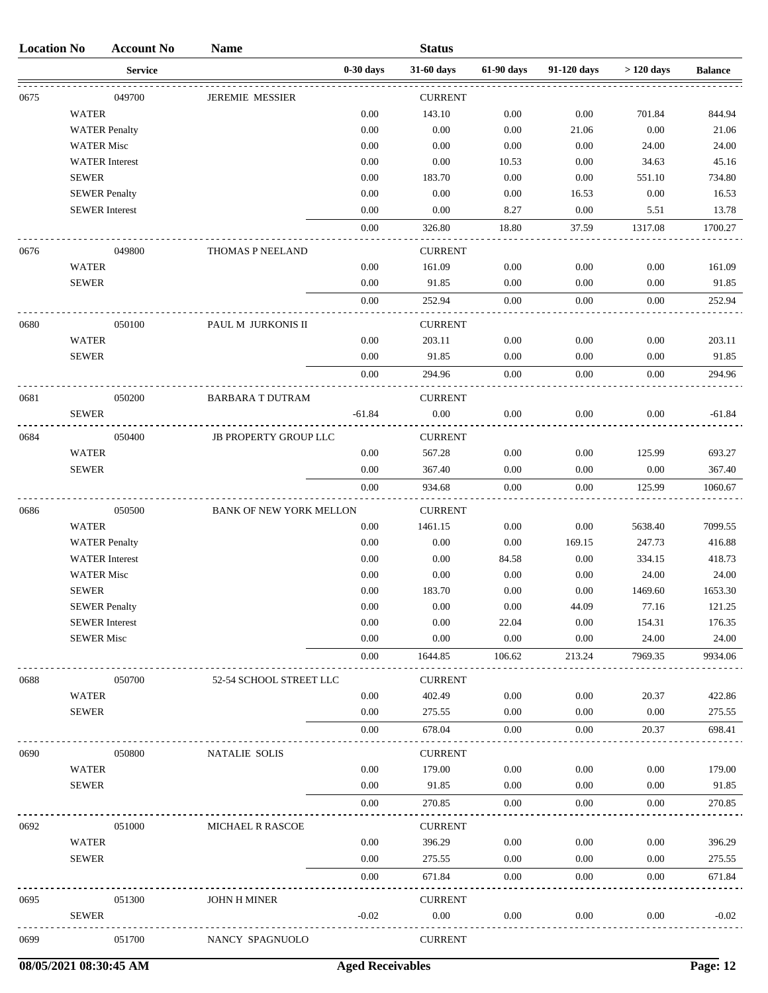| <b>Location No</b> |                   | <b>Account No</b>     | <b>Name</b>                    |             | <b>Status</b>  |            |             |                      |                |
|--------------------|-------------------|-----------------------|--------------------------------|-------------|----------------|------------|-------------|----------------------|----------------|
|                    |                   | <b>Service</b>        |                                | $0-30$ days | 31-60 days     | 61-90 days | 91-120 days | $>120~\mathrm{days}$ | <b>Balance</b> |
| 0675               |                   | 049700                | <b>JEREMIE MESSIER</b>         |             | <b>CURRENT</b> |            |             |                      |                |
|                    | <b>WATER</b>      |                       |                                | 0.00        | 143.10         | 0.00       | 0.00        | 701.84               | 844.94         |
|                    |                   | <b>WATER Penalty</b>  |                                | 0.00        | 0.00           | 0.00       | 21.06       | 0.00                 | 21.06          |
|                    | <b>WATER Misc</b> |                       |                                | 0.00        | 0.00           | 0.00       | 0.00        | 24.00                | 24.00          |
|                    |                   | <b>WATER</b> Interest |                                | 0.00        | 0.00           | 10.53      | 0.00        | 34.63                | 45.16          |
|                    | <b>SEWER</b>      |                       |                                | 0.00        | 183.70         | 0.00       | 0.00        | 551.10               | 734.80         |
|                    |                   | <b>SEWER Penalty</b>  |                                | 0.00        | 0.00           | 0.00       | 16.53       | 0.00                 | 16.53          |
|                    |                   | <b>SEWER Interest</b> |                                | 0.00        | 0.00           | 8.27       | 0.00        | 5.51                 | 13.78          |
|                    |                   |                       |                                | $0.00\,$    | 326.80         | 18.80      | 37.59       | 1317.08              | 1700.27        |
| 0676               |                   | 049800                | THOMAS P NEELAND               |             | <b>CURRENT</b> |            |             |                      |                |
|                    | <b>WATER</b>      |                       |                                | 0.00        | 161.09         | 0.00       | 0.00        | 0.00                 | 161.09         |
|                    | <b>SEWER</b>      |                       |                                | 0.00        | 91.85          | 0.00       | 0.00        | 0.00                 | 91.85          |
|                    |                   |                       |                                | 0.00        | 252.94         | 0.00       | 0.00        | 0.00                 | 252.94         |
| 0680               |                   | 050100                | PAUL M JURKONIS II             |             | <b>CURRENT</b> |            |             |                      |                |
|                    | <b>WATER</b>      |                       |                                | 0.00        | 203.11         | 0.00       | 0.00        | 0.00                 | 203.11         |
|                    | <b>SEWER</b>      |                       |                                | 0.00        | 91.85          | 0.00       | 0.00        | 0.00                 | 91.85          |
|                    |                   |                       |                                | 0.00        | 294.96         | 0.00       | 0.00        | 0.00                 | 294.96         |
| 0681               |                   | 050200                | <b>BARBARA T DUTRAM</b>        |             | <b>CURRENT</b> |            |             |                      |                |
|                    | <b>SEWER</b>      |                       |                                | $-61.84$    | $0.00\,$       | $0.00\,$   | 0.00        | $0.00\,$             | $-61.84$       |
| 0684               |                   | 050400                | <b>JB PROPERTY GROUP LLC</b>   |             | <b>CURRENT</b> |            |             |                      |                |
|                    | <b>WATER</b>      |                       |                                | 0.00        | 567.28         | 0.00       | 0.00        | 125.99               | 693.27         |
|                    | <b>SEWER</b>      |                       |                                | 0.00        | 367.40         | 0.00       | 0.00        | 0.00                 | 367.40         |
|                    |                   |                       |                                | 0.00        | 934.68         | 0.00       | 0.00        | 125.99               | 1060.67        |
| 0686               |                   | 050500                | <b>BANK OF NEW YORK MELLON</b> |             | <b>CURRENT</b> |            |             |                      |                |
|                    | <b>WATER</b>      |                       |                                | 0.00        | 1461.15        | 0.00       | 0.00        | 5638.40              | 7099.55        |
|                    |                   | <b>WATER Penalty</b>  |                                | 0.00        | 0.00           | 0.00       | 169.15      | 247.73               | 416.88         |
|                    |                   | <b>WATER</b> Interest |                                | 0.00        | 0.00           | 84.58      | 0.00        | 334.15               | 418.73         |
|                    | <b>WATER Misc</b> |                       |                                | 0.00        | 0.00           | 0.00       | 0.00        | 24.00                | 24.00          |
|                    | <b>SEWER</b>      |                       |                                | 0.00        | 183.70         | 0.00       | 0.00        | 1469.60              | 1653.30        |
|                    |                   | <b>SEWER Penalty</b>  |                                | 0.00        | 0.00           | 0.00       | 44.09       | 77.16                | 121.25         |
|                    |                   | <b>SEWER</b> Interest |                                | $0.00\,$    | 0.00           | 22.04      | 0.00        | 154.31               | 176.35         |
|                    | <b>SEWER Misc</b> |                       |                                | 0.00        | 0.00           | 0.00       | 0.00        | 24.00                | 24.00          |
|                    |                   |                       |                                | $0.00\,$    | 1644.85        | 106.62     | 213.24      | 7969.35              | 9934.06        |
| 0688               |                   | 050700                | 52-54 SCHOOL STREET LLC        |             | <b>CURRENT</b> |            |             |                      |                |
|                    | <b>WATER</b>      |                       |                                | 0.00        | 402.49         | 0.00       | 0.00        | 20.37                | 422.86         |
|                    | <b>SEWER</b>      |                       |                                | 0.00        | 275.55         | 0.00       | 0.00        | 0.00                 | 275.55         |
|                    |                   |                       |                                | 0.00        | 678.04         | 0.00       | 0.00        | 20.37                | 698.41         |
| 0690               |                   | 050800                | <b>NATALIE SOLIS</b>           |             | <b>CURRENT</b> |            |             |                      |                |
|                    | <b>WATER</b>      |                       |                                | 0.00        | 179.00         | 0.00       | 0.00        | 0.00                 | 179.00         |
|                    | <b>SEWER</b>      |                       |                                | 0.00        | 91.85          | 0.00       | 0.00        | 0.00                 | 91.85          |
|                    |                   |                       |                                | 0.00        | 270.85         | 0.00       | 0.00        | 0.00                 | 270.85         |
| 0692               |                   | 051000                | MICHAEL R RASCOE               |             | <b>CURRENT</b> |            |             |                      |                |
|                    | <b>WATER</b>      |                       |                                | 0.00        | 396.29         | 0.00       | 0.00        | 0.00                 | 396.29         |
|                    | <b>SEWER</b>      |                       |                                | 0.00        | 275.55         | 0.00       | 0.00        | 0.00                 | 275.55         |
|                    |                   |                       |                                | 0.00        | 671.84         | 0.00       | 0.00        | 0.00                 | 671.84         |
| 0695               |                   | 051300                | JOHN H MINER                   |             | <b>CURRENT</b> |            |             |                      |                |
|                    | <b>SEWER</b>      |                       |                                | $-0.02$     | 0.00           | 0.00       | 0.00        | 0.00                 | $-0.02$        |
| 0699               |                   | 051700                | NANCY SPAGNUOLO                |             | <b>CURRENT</b> |            |             |                      |                |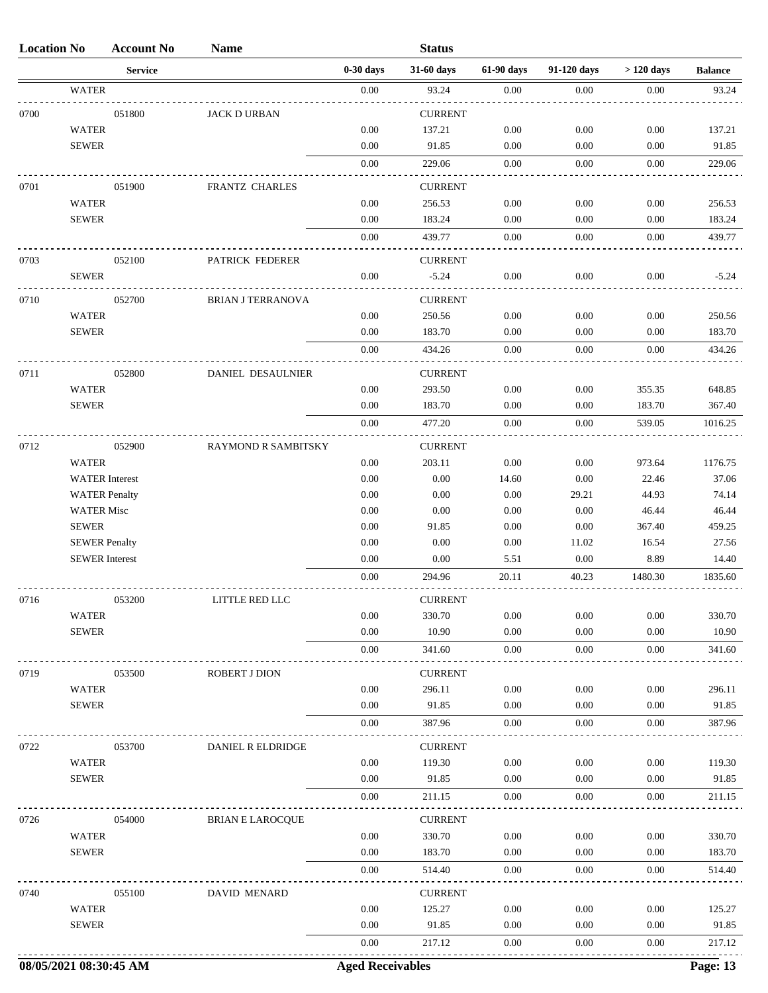| <b>Location No</b> |                                               | <b>Account No</b> | <b>Name</b>                |                         | <b>Status</b>  |              |               |               |                |
|--------------------|-----------------------------------------------|-------------------|----------------------------|-------------------------|----------------|--------------|---------------|---------------|----------------|
|                    |                                               | <b>Service</b>    |                            | $0-30$ days             | 31-60 days     | 61-90 days   | 91-120 days   | $>120$ days   | <b>Balance</b> |
|                    | <b>WATER</b>                                  |                   |                            | $0.00\,$                | 93.24          | 0.00         | 0.00          | 0.00          | 93.24          |
| 0700               |                                               | 051800            | <b>JACK D URBAN</b>        |                         | <b>CURRENT</b> |              |               |               |                |
|                    | <b>WATER</b>                                  |                   |                            | 0.00                    | 137.21         | 0.00         | 0.00          | 0.00          | 137.21         |
|                    | <b>SEWER</b>                                  |                   |                            | 0.00                    | 91.85          | 0.00         | 0.00          | 0.00          | 91.85          |
|                    |                                               |                   |                            | $0.00\,$                | 229.06         | 0.00         | 0.00          | 0.00          | 229.06         |
| 0701               |                                               | 051900            | FRANTZ CHARLES             |                         | <b>CURRENT</b> |              |               |               |                |
|                    | <b>WATER</b>                                  |                   |                            | 0.00                    | 256.53         | 0.00         | 0.00          | 0.00          | 256.53         |
|                    | <b>SEWER</b>                                  |                   |                            | 0.00                    | 183.24         | 0.00         | 0.00          | 0.00          | 183.24         |
|                    |                                               |                   |                            | 0.00                    | 439.77         | 0.00         | 0.00          | 0.00          | 439.77         |
|                    |                                               |                   |                            |                         |                |              |               |               |                |
| 0703               |                                               | 052100            | PATRICK FEDERER            |                         | <b>CURRENT</b> |              |               |               |                |
|                    | <b>SEWER</b>                                  |                   |                            | 0.00                    | $-5.24$        | 0.00         | 0.00          | 0.00          | $-5.24$        |
| 0710               |                                               | 052700            | <b>BRIAN J TERRANOVA</b>   |                         | <b>CURRENT</b> |              |               |               |                |
|                    | <b>WATER</b>                                  |                   |                            | 0.00                    | 250.56         | 0.00         | 0.00          | 0.00          | 250.56         |
|                    | <b>SEWER</b>                                  |                   |                            | 0.00                    | 183.70         | 0.00         | 0.00          | 0.00          | 183.70         |
|                    |                                               |                   |                            | 0.00                    | 434.26         | 0.00         | 0.00          | 0.00          | 434.26         |
| 0711               |                                               | 052800            | DANIEL DESAULNIER          |                         | <b>CURRENT</b> |              |               |               |                |
|                    | <b>WATER</b>                                  |                   |                            | 0.00                    | 293.50         | 0.00         | 0.00          | 355.35        | 648.85         |
|                    | <b>SEWER</b>                                  |                   |                            | 0.00                    | 183.70         | 0.00         | 0.00          | 183.70        | 367.40         |
|                    |                                               |                   |                            | 0.00                    | 477.20         | 0.00         | 0.00          | 539.05        | 1016.25        |
|                    |                                               |                   |                            |                         |                |              |               |               |                |
| 0712               |                                               | 052900            | <b>RAYMOND R SAMBITSKY</b> |                         | <b>CURRENT</b> |              |               |               |                |
|                    | <b>WATER</b>                                  |                   |                            | 0.00                    | 203.11         | 0.00         | 0.00          | 973.64        | 1176.75        |
|                    | <b>WATER</b> Interest                         |                   |                            | 0.00                    | 0.00           | 14.60        | 0.00          | 22.46         | 37.06          |
|                    | <b>WATER Penalty</b>                          |                   |                            | 0.00                    | 0.00           | 0.00         | 29.21         | 44.93         | 74.14          |
|                    | <b>WATER Misc</b>                             |                   |                            | 0.00                    | 0.00           | 0.00         | 0.00          | 46.44         | 46.44          |
|                    | <b>SEWER</b>                                  |                   |                            | 0.00                    | 91.85          | 0.00         | 0.00          | 367.40        | 459.25         |
|                    | <b>SEWER Penalty</b><br><b>SEWER</b> Interest |                   |                            | 0.00<br>0.00            | 0.00<br>0.00   | 0.00<br>5.51 | 11.02<br>0.00 | 16.54<br>8.89 | 27.56<br>14.40 |
|                    |                                               |                   |                            | 0.00                    | 294.96         | 20.11        | 40.23         | 1480.30       | 1835.60        |
|                    |                                               |                   |                            |                         |                |              |               |               |                |
| 0/10               |                                               | 033200            | <b>LITTLE RED LLC</b>      |                         | <b>CURRENI</b> |              |               |               |                |
|                    | <b>WATER</b>                                  |                   |                            | 0.00                    | 330.70         | 0.00         | 0.00          | 0.00          | 330.70         |
|                    | <b>SEWER</b>                                  |                   |                            | 0.00                    | 10.90          | 0.00         | 0.00          | 0.00          | 10.90          |
|                    |                                               |                   |                            | $0.00\,$                | 341.60         | 0.00         | 0.00          | $0.00\,$      | 341.60         |
| 0719               |                                               | 053500            | ROBERT J DION              |                         | <b>CURRENT</b> |              |               |               |                |
|                    | <b>WATER</b>                                  |                   |                            | 0.00                    | 296.11         | 0.00         | 0.00          | 0.00          | 296.11         |
|                    | <b>SEWER</b>                                  |                   |                            | 0.00                    | 91.85          | 0.00         | 0.00          | 0.00          | 91.85          |
|                    |                                               |                   |                            | 0.00                    | 387.96         | 0.00         | 0.00          | 0.00          | 387.96         |
| 0722               |                                               | 053700            | DANIEL R ELDRIDGE          |                         | <b>CURRENT</b> |              |               |               |                |
|                    | <b>WATER</b>                                  |                   |                            | 0.00                    | 119.30         | 0.00         | 0.00          | 0.00          | 119.30         |
|                    | <b>SEWER</b>                                  |                   |                            | 0.00                    | 91.85          | 0.00         | 0.00          | 0.00          | 91.85          |
|                    |                                               |                   |                            | 0.00                    | 211.15         | $0.00\,$     | 0.00          | 0.00          | 211.15         |
|                    |                                               |                   |                            |                         |                |              |               |               |                |
| 0726               |                                               | 054000            | <b>BRIAN E LAROCQUE</b>    |                         | <b>CURRENT</b> |              |               |               |                |
|                    | <b>WATER</b>                                  |                   |                            | 0.00                    | 330.70         | 0.00         | 0.00          | 0.00          | 330.70         |
|                    | <b>SEWER</b>                                  |                   |                            | 0.00                    | 183.70         | 0.00         | 0.00          | 0.00          | 183.70         |
|                    |                                               |                   |                            | 0.00                    | 514.40         | 0.00         | 0.00          | 0.00          | 514.40         |
| 0740               |                                               | 055100            | DAVID MENARD               |                         | <b>CURRENT</b> |              |               |               |                |
|                    | <b>WATER</b>                                  |                   |                            | 0.00                    | 125.27         | 0.00         | 0.00          | 0.00          | 125.27         |
|                    | ${\tt SEWER}$                                 |                   |                            | 0.00                    | 91.85          | 0.00         | 0.00          | 0.00          | 91.85          |
|                    |                                               |                   |                            | 0.00                    | 217.12         | 0.00         | 0.00          | 0.00          | 217.12         |
|                    | 08/05/2021 08:30:45 AM                        |                   |                            | <b>Aged Receivables</b> |                |              |               |               | Page: 13       |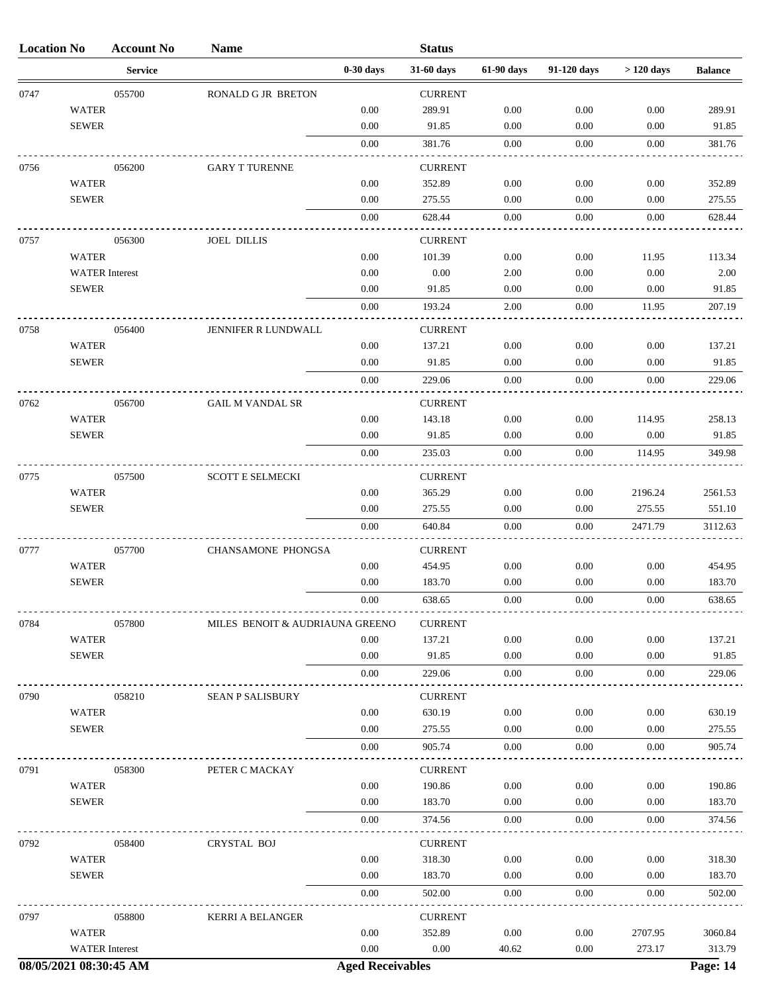| <b>Location No</b>     |                       | <b>Account No</b> | <b>Name</b>                     |                         | <b>Status</b>  |            |             |             |                 |
|------------------------|-----------------------|-------------------|---------------------------------|-------------------------|----------------|------------|-------------|-------------|-----------------|
|                        |                       | <b>Service</b>    |                                 | $0-30$ days             | 31-60 days     | 61-90 days | 91-120 days | $>120$ days | <b>Balance</b>  |
| 0747                   |                       | 055700            | RONALD G JR BRETON              |                         | <b>CURRENT</b> |            |             |             |                 |
|                        | <b>WATER</b>          |                   |                                 | 0.00                    | 289.91         | 0.00       | 0.00        | 0.00        | 289.91          |
|                        | <b>SEWER</b>          |                   |                                 | 0.00                    | 91.85          | 0.00       | 0.00        | 0.00        | 91.85           |
|                        |                       |                   |                                 | 0.00                    | 381.76         | 0.00       | 0.00        | 0.00        | 381.76          |
| 0756                   |                       | 056200            | <b>GARY T TURENNE</b>           |                         | <b>CURRENT</b> |            |             |             |                 |
|                        | <b>WATER</b>          |                   |                                 | 0.00                    | 352.89         | 0.00       | 0.00        | 0.00        | 352.89          |
|                        | <b>SEWER</b>          |                   |                                 | 0.00                    | 275.55         | 0.00       | 0.00        | 0.00        | 275.55          |
|                        |                       |                   |                                 | 0.00                    | 628.44         | 0.00       | 0.00        | 0.00        | 628.44          |
| 0757                   |                       | 056300            | <b>JOEL DILLIS</b>              |                         | <b>CURRENT</b> |            |             |             |                 |
|                        | <b>WATER</b>          |                   |                                 | 0.00                    | 101.39         | 0.00       | 0.00        | 11.95       | 113.34          |
|                        | <b>WATER</b> Interest |                   |                                 | 0.00                    | 0.00           | 2.00       | 0.00        | 0.00        | 2.00            |
|                        | <b>SEWER</b>          |                   |                                 | 0.00                    | 91.85          | 0.00       | 0.00        | 0.00        | 91.85           |
|                        |                       |                   |                                 | 0.00                    | 193.24         | 2.00       | 0.00        | 11.95       | 207.19          |
| 0758                   |                       | 056400            | JENNIFER R LUNDWALL             |                         | <b>CURRENT</b> |            |             |             |                 |
|                        | <b>WATER</b>          |                   |                                 | 0.00                    | 137.21         | 0.00       | 0.00        | 0.00        | 137.21          |
|                        | <b>SEWER</b>          |                   |                                 | 0.00                    | 91.85          | 0.00       | 0.00        | 0.00        | 91.85           |
|                        |                       |                   |                                 | 0.00                    | 229.06         | 0.00       | 0.00        | 0.00        | 229.06          |
| 0762                   |                       | 056700            | <b>GAIL M VANDAL SR</b>         |                         | <b>CURRENT</b> |            |             |             |                 |
|                        | <b>WATER</b>          |                   |                                 | 0.00                    | 143.18         | 0.00       | 0.00        | 114.95      | 258.13          |
|                        | <b>SEWER</b>          |                   |                                 | 0.00                    | 91.85          | 0.00       | 0.00        | 0.00        | 91.85           |
|                        |                       |                   |                                 | 0.00                    | 235.03         | 0.00       | 0.00        | 114.95      | 349.98          |
| 0775                   |                       | 057500            | <b>SCOTT E SELMECKI</b>         |                         | <b>CURRENT</b> |            |             |             |                 |
|                        | <b>WATER</b>          |                   |                                 | 0.00                    | 365.29         | 0.00       | 0.00        | 2196.24     | 2561.53         |
|                        | <b>SEWER</b>          |                   |                                 | 0.00                    | 275.55         | 0.00       | 0.00        | 275.55      | 551.10          |
|                        |                       |                   |                                 | 0.00                    | 640.84         | 0.00       | 0.00        | 2471.79     | 3112.63         |
| 0777                   |                       | 057700            | CHANSAMONE PHONGSA              |                         | <b>CURRENT</b> |            |             |             |                 |
|                        | <b>WATER</b>          |                   |                                 | $0.00\,$                | 454.95         | 0.00       | 0.00        | 0.00        | 454.95          |
|                        | <b>SEWER</b>          |                   |                                 | 0.00                    | 183.70         | 0.00       | 0.00        | 0.00        | 183.70          |
|                        |                       |                   |                                 | 0.00                    | 638.65         | 0.00       | 0.00        | 0.00        | 638.65          |
| 0784                   |                       | 057800            | MILES BENOIT & AUDRIAUNA GREENO |                         | <b>CURRENT</b> |            |             |             |                 |
|                        | <b>WATER</b>          |                   |                                 | 0.00                    | 137.21         | 0.00       | 0.00        | 0.00        | 137.21          |
|                        | <b>SEWER</b>          |                   |                                 | 0.00                    | 91.85          | 0.00       | 0.00        | 0.00        | 91.85           |
|                        |                       |                   |                                 | 0.00                    | 229.06         | 0.00       | 0.00        | 0.00        | 229.06          |
| 0790                   |                       | 058210            | <b>SEAN P SALISBURY</b>         |                         | <b>CURRENT</b> |            |             |             |                 |
|                        | <b>WATER</b>          |                   |                                 | 0.00                    | 630.19         | 0.00       | 0.00        | 0.00        | 630.19          |
|                        | <b>SEWER</b>          |                   |                                 | 0.00                    | 275.55         | 0.00       | 0.00        | 0.00        | 275.55          |
|                        |                       |                   |                                 | 0.00                    | 905.74         | 0.00       | 0.00        | 0.00        | 905.74          |
| 0791                   |                       | 058300            | PETER C MACKAY                  |                         | <b>CURRENT</b> |            |             |             |                 |
|                        | <b>WATER</b>          |                   |                                 | 0.00                    | 190.86         | 0.00       | 0.00        | 0.00        | 190.86          |
|                        | <b>SEWER</b>          |                   |                                 | 0.00                    | 183.70         | 0.00       | 0.00        | 0.00        | 183.70          |
|                        |                       |                   |                                 | 0.00                    | 374.56         | 0.00       | 0.00        | 0.00        | 374.56          |
| 0792                   |                       | 058400            | CRYSTAL BOJ                     |                         | <b>CURRENT</b> |            |             |             |                 |
|                        | <b>WATER</b>          |                   |                                 | $0.00\,$                | 318.30         | 0.00       | $0.00\,$    | 0.00        | 318.30          |
|                        | <b>SEWER</b>          |                   |                                 | 0.00                    | 183.70         | 0.00       | 0.00        | 0.00        | 183.70          |
|                        |                       |                   |                                 | 0.00                    | 502.00         | 0.00       | 0.00        | 0.00        | 502.00          |
| 0797                   |                       | 058800            | <b>KERRI A BELANGER</b>         |                         | <b>CURRENT</b> |            |             |             |                 |
|                        | <b>WATER</b>          |                   |                                 | 0.00                    | 352.89         | 0.00       | 0.00        | 2707.95     | 3060.84         |
|                        | <b>WATER</b> Interest |                   |                                 | $0.00\,$                | 0.00           | 40.62      | 0.00        | 273.17      | 313.79          |
| 08/05/2021 08:30:45 AM |                       |                   |                                 | <b>Aged Receivables</b> |                |            |             |             | <b>Page: 14</b> |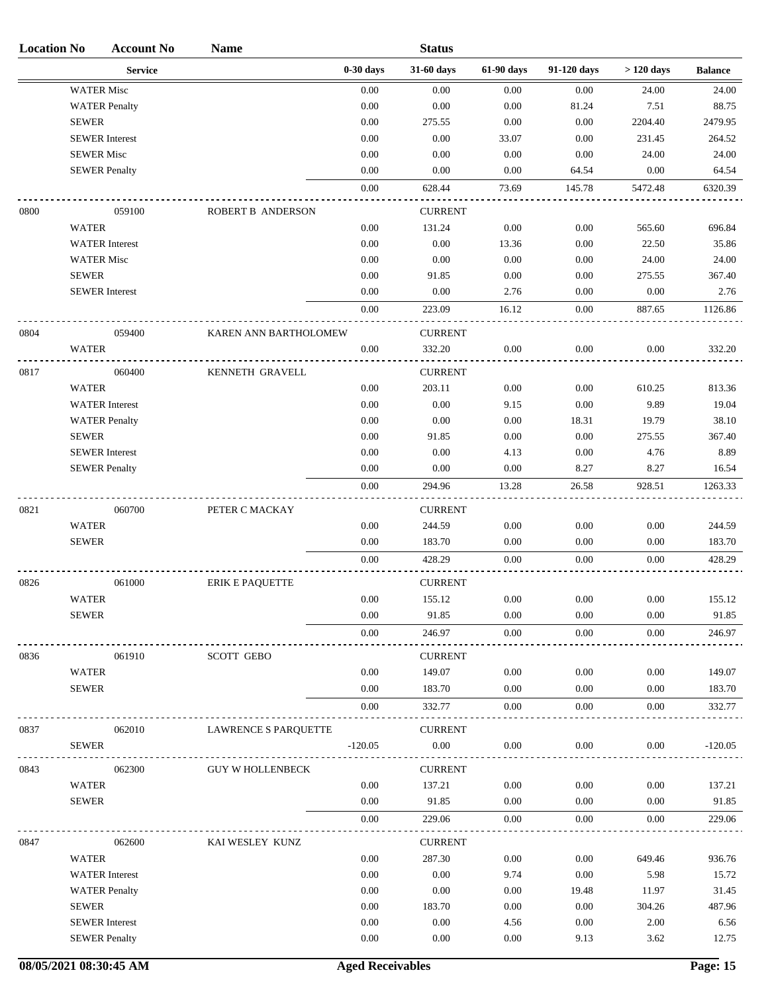| <b>Location No</b> |                   | <b>Account No</b>     | <b>Name</b>             |             | <b>Status</b>  |            |             |             |                |
|--------------------|-------------------|-----------------------|-------------------------|-------------|----------------|------------|-------------|-------------|----------------|
|                    |                   | <b>Service</b>        |                         | $0-30$ days | 31-60 days     | 61-90 days | 91-120 days | $>120$ days | <b>Balance</b> |
|                    |                   | <b>WATER Misc</b>     |                         | $0.00\,$    | 0.00           | 0.00       | 0.00        | 24.00       | 24.00          |
|                    |                   | <b>WATER Penalty</b>  |                         | 0.00        | 0.00           | 0.00       | 81.24       | 7.51        | 88.75          |
|                    | <b>SEWER</b>      |                       |                         | 0.00        | 275.55         | $0.00\,$   | $0.00\,$    | 2204.40     | 2479.95        |
|                    |                   | <b>SEWER</b> Interest |                         | 0.00        | 0.00           | 33.07      | 0.00        | 231.45      | 264.52         |
|                    | <b>SEWER Misc</b> |                       |                         | 0.00        | 0.00           | 0.00       | 0.00        | 24.00       | 24.00          |
|                    |                   | <b>SEWER Penalty</b>  |                         | 0.00        | 0.00           | 0.00       | 64.54       | 0.00        | 64.54          |
|                    |                   |                       |                         | $0.00\,$    | 628.44         | 73.69      | 145.78      | 5472.48     | 6320.39        |
| 0800               |                   | 059100                | ROBERT B ANDERSON       |             | <b>CURRENT</b> |            |             |             |                |
|                    | <b>WATER</b>      |                       |                         | 0.00        | 131.24         | 0.00       | 0.00        | 565.60      | 696.84         |
|                    |                   | <b>WATER</b> Interest |                         | 0.00        | 0.00           | 13.36      | 0.00        | 22.50       | 35.86          |
|                    |                   | <b>WATER Misc</b>     |                         | 0.00        | 0.00           | 0.00       | 0.00        | 24.00       | 24.00          |
|                    | <b>SEWER</b>      |                       |                         | 0.00        | 91.85          | 0.00       | 0.00        | 275.55      | 367.40         |
|                    |                   | <b>SEWER</b> Interest |                         | 0.00        | 0.00           | 2.76       | 0.00        | $0.00\,$    | 2.76           |
|                    |                   |                       |                         | 0.00        | 223.09         | 16.12      | 0.00        | 887.65      | 1126.86        |
| 0804               |                   | 059400                | KAREN ANN BARTHOLOMEW   |             | <b>CURRENT</b> |            |             |             |                |
|                    | <b>WATER</b>      |                       |                         | 0.00        | 332.20         | 0.00       | 0.00        | 0.00        | 332.20         |
| 0817               |                   | 060400                | KENNETH GRAVELL         |             | <b>CURRENT</b> |            |             |             |                |
|                    | <b>WATER</b>      |                       |                         | 0.00        | 203.11         | 0.00       | 0.00        | 610.25      | 813.36         |
|                    |                   | <b>WATER</b> Interest |                         | 0.00        | 0.00           | 9.15       | 0.00        | 9.89        | 19.04          |
|                    |                   | <b>WATER Penalty</b>  |                         | 0.00        | 0.00           | 0.00       | 18.31       | 19.79       | 38.10          |
|                    | <b>SEWER</b>      |                       |                         | 0.00        | 91.85          | 0.00       | 0.00        | 275.55      | 367.40         |
|                    |                   | <b>SEWER</b> Interest |                         | 0.00        | 0.00           | 4.13       | $0.00\,$    | 4.76        | 8.89           |
|                    |                   | <b>SEWER Penalty</b>  |                         | 0.00        | 0.00           | 0.00       | 8.27        | 8.27        | 16.54          |
|                    |                   |                       |                         | 0.00        | 294.96         | 13.28      | 26.58       | 928.51      | 1263.33        |
| 0821               |                   | 060700                | PETER C MACKAY          |             | <b>CURRENT</b> |            |             |             |                |
|                    | <b>WATER</b>      |                       |                         | 0.00        | 244.59         | 0.00       | 0.00        | 0.00        | 244.59         |
|                    | <b>SEWER</b>      |                       |                         | 0.00        | 183.70         | 0.00       | 0.00        | 0.00        | 183.70         |
|                    |                   |                       |                         | 0.00        | 428.29         | 0.00       | 0.00        | 0.00        | 428.29         |
|                    |                   |                       |                         |             |                |            |             |             |                |
| 0826               |                   | 061000                | <b>ERIK E PAQUETTE</b>  |             | <b>CURRENT</b> |            |             |             |                |
|                    | <b>WATER</b>      |                       |                         | $0.00\,$    | 155.12         | 0.00       | 0.00        | $0.00\,$    | 155.12         |
|                    | <b>SEWER</b>      |                       |                         | 0.00        | 91.85          | 0.00       | 0.00        | 0.00        | 91.85          |
|                    |                   |                       |                         | 0.00        | 246.97         | $0.00\,$   | $0.00\,$    | 0.00        | 246.97         |
| 0836               |                   | 061910                | <b>SCOTT GEBO</b>       |             | <b>CURRENT</b> |            |             |             |                |
|                    | <b>WATER</b>      |                       |                         | 0.00        | 149.07         | 0.00       | 0.00        | 0.00        | 149.07         |
|                    | <b>SEWER</b>      |                       |                         | 0.00        | 183.70         | 0.00       | 0.00        | 0.00        | 183.70         |
|                    |                   |                       |                         | 0.00        | 332.77         | 0.00       | 0.00        | 0.00        | 332.77         |
| 0837               |                   | 062010                | LAWRENCE S PARQUETTE    |             | <b>CURRENT</b> |            |             |             |                |
|                    | <b>SEWER</b>      |                       |                         | $-120.05$   | 0.00           | 0.00       | 0.00        | 0.00        | $-120.05$      |
| 0843               |                   | 062300                | <b>GUY W HOLLENBECK</b> |             | <b>CURRENT</b> |            |             |             |                |
|                    | WATER             |                       |                         | 0.00        | 137.21         | 0.00       | 0.00        | 0.00        | 137.21         |
|                    | <b>SEWER</b>      |                       |                         | 0.00        | 91.85          | 0.00       | 0.00        | 0.00        | 91.85          |
|                    |                   |                       |                         | 0.00        | 229.06         | 0.00       | 0.00        | 0.00        | 229.06         |
| 0847               |                   | 062600                | KAI WESLEY KUNZ         |             | <b>CURRENT</b> |            |             |             |                |
|                    | <b>WATER</b>      |                       |                         | 0.00        | 287.30         | 0.00       | 0.00        | 649.46      | 936.76         |
|                    |                   | <b>WATER</b> Interest |                         | 0.00        | 0.00           | 9.74       | 0.00        | 5.98        | 15.72          |
|                    |                   | <b>WATER Penalty</b>  |                         | 0.00        | 0.00           | 0.00       | 19.48       | 11.97       | 31.45          |
|                    | <b>SEWER</b>      |                       |                         | 0.00        | 183.70         | 0.00       | 0.00        | 304.26      | 487.96         |
|                    |                   | <b>SEWER</b> Interest |                         | 0.00        | 0.00           | 4.56       | 0.00        | 2.00        | 6.56           |
|                    |                   | <b>SEWER Penalty</b>  |                         | 0.00        | 0.00           | $0.00\,$   | 9.13        | 3.62        | 12.75          |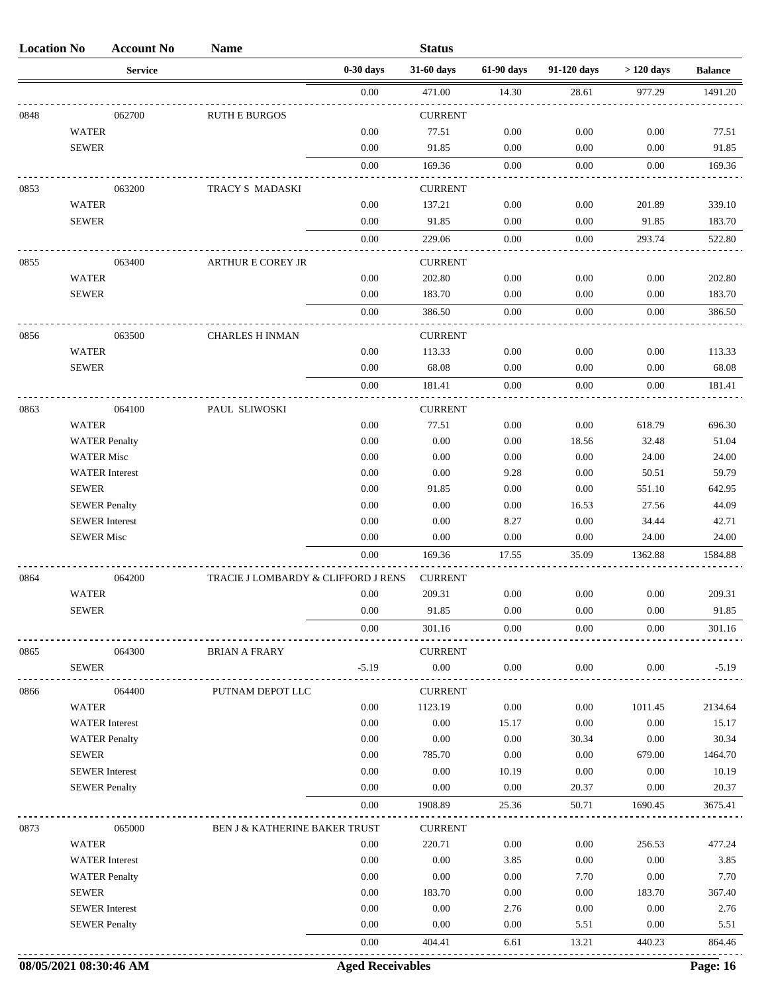| <b>Location No</b> |                       | <b>Account No</b> | <b>Name</b>                         |              | <b>Status</b>              |               |               |              |                  |
|--------------------|-----------------------|-------------------|-------------------------------------|--------------|----------------------------|---------------|---------------|--------------|------------------|
|                    |                       | <b>Service</b>    |                                     | $0-30$ days  | 31-60 days                 | 61-90 days    | 91-120 days   | $>120$ days  | <b>Balance</b>   |
|                    |                       |                   |                                     | 0.00         | 471.00                     | 14.30         | 28.61         | 977.29       | 1491.20          |
| 0848               |                       | 062700            | <b>RUTH E BURGOS</b>                |              | <b>CURRENT</b>             |               |               |              |                  |
|                    | <b>WATER</b>          |                   |                                     | 0.00         | 77.51                      | 0.00          | 0.00          | 0.00         | 77.51            |
|                    | <b>SEWER</b>          |                   |                                     | 0.00         | 91.85                      | 0.00          | 0.00          | 0.00         | 91.85            |
|                    |                       |                   |                                     | 0.00         | 169.36                     | 0.00          | 0.00          | 0.00         | 169.36           |
| 0853               |                       | 063200            | TRACY S MADASKI                     |              | <b>CURRENT</b>             |               |               |              |                  |
|                    | <b>WATER</b>          |                   |                                     | 0.00         | 137.21                     | 0.00          | 0.00          | 201.89       | 339.10           |
|                    | <b>SEWER</b>          |                   |                                     | 0.00         | 91.85                      | 0.00          | 0.00          | 91.85        | 183.70           |
|                    |                       |                   |                                     |              |                            | 0.00          |               |              |                  |
|                    |                       |                   |                                     | 0.00         | 229.06                     |               | 0.00          | 293.74       | 522.80           |
| 0855               |                       | 063400            | <b>ARTHUR E COREY JR</b>            |              | <b>CURRENT</b>             |               |               |              |                  |
|                    | <b>WATER</b>          |                   |                                     | 0.00         | 202.80                     | 0.00          | 0.00          | 0.00         | 202.80           |
|                    | <b>SEWER</b>          |                   |                                     | 0.00         | 183.70                     | 0.00          | 0.00          | 0.00         | 183.70           |
|                    |                       |                   |                                     | 0.00         | 386.50                     | 0.00          | 0.00          | 0.00         | 386.50           |
| 0856               |                       | 063500            | <b>CHARLES H INMAN</b>              |              | <b>CURRENT</b>             |               |               |              |                  |
|                    | <b>WATER</b>          |                   |                                     | 0.00         | 113.33                     | 0.00          | 0.00          | 0.00         | 113.33           |
|                    | <b>SEWER</b>          |                   |                                     | 0.00         | 68.08                      | 0.00          | 0.00          | 0.00         | 68.08            |
|                    |                       |                   |                                     | 0.00         | 181.41                     | 0.00          | 0.00          | 0.00         | 181.41           |
| 0863               |                       | 064100            | PAUL SLIWOSKI                       |              | <b>CURRENT</b>             |               |               |              |                  |
|                    | <b>WATER</b>          |                   |                                     | 0.00         | 77.51                      | 0.00          | 0.00          | 618.79       | 696.30           |
|                    | <b>WATER Penalty</b>  |                   |                                     | 0.00         | 0.00                       | 0.00          | 18.56         | 32.48        | 51.04            |
|                    | <b>WATER Misc</b>     |                   |                                     | 0.00         | 0.00                       | 0.00          | 0.00          | 24.00        | 24.00            |
|                    | <b>WATER</b> Interest |                   |                                     | 0.00         | 0.00                       | 9.28          | 0.00          | 50.51        | 59.79            |
|                    | <b>SEWER</b>          |                   |                                     | 0.00         | 91.85                      | 0.00          | 0.00          | 551.10       | 642.95           |
|                    | <b>SEWER Penalty</b>  |                   |                                     | 0.00         | 0.00                       | 0.00          | 16.53         | 27.56        | 44.09            |
|                    | <b>SEWER</b> Interest |                   |                                     | 0.00         | 0.00                       | 8.27          | 0.00          | 34.44        | 42.71            |
|                    | <b>SEWER Misc</b>     |                   |                                     | 0.00         | 0.00                       | 0.00          | 0.00          | 24.00        | 24.00            |
|                    |                       |                   |                                     | 0.00         | 169.36                     | 17.55         | 35.09         | 1362.88      | 1584.88          |
| 0864               |                       | 064200            | TRACIE J LOMBARDY & CLIFFORD J RENS |              | <b>CURRENT</b>             |               |               |              |                  |
|                    | <b>WATER</b>          |                   |                                     | 0.00         | 209.31                     | 0.00          | 0.00          | 0.00         | 209.31           |
|                    | <b>SEWER</b>          |                   |                                     | 0.00         | 91.85                      | 0.00          | 0.00          | 0.00         | 91.85            |
|                    |                       |                   |                                     | 0.00         | 301.16                     | 0.00          | 0.00          | 0.00         | 301.16           |
|                    |                       |                   |                                     |              |                            |               |               |              |                  |
| 0865               | <b>SEWER</b>          | 064300            | <b>BRIAN A FRARY</b>                | $-5.19$      | <b>CURRENT</b><br>$0.00\,$ | 0.00          | 0.00          | 0.00         | $-5.19$          |
|                    |                       |                   |                                     |              |                            |               |               |              |                  |
| 0866               |                       | 064400            | PUTNAM DEPOT LLC                    |              | <b>CURRENT</b>             |               |               |              |                  |
|                    | <b>WATER</b>          |                   |                                     | 0.00         | 1123.19                    | 0.00          | 0.00          | 1011.45      | 2134.64          |
|                    | <b>WATER</b> Interest |                   |                                     | 0.00         | 0.00                       | 15.17         | $0.00\,$      | 0.00         | 15.17            |
|                    | <b>WATER Penalty</b>  |                   |                                     | 0.00         | 0.00                       | 0.00          | 30.34         | 0.00         | 30.34<br>1464.70 |
|                    | <b>SEWER</b>          |                   |                                     | 0.00         | 785.70                     | 0.00          | 0.00          | 679.00       |                  |
|                    | <b>SEWER</b> Interest |                   |                                     | 0.00<br>0.00 | 0.00<br>0.00               | 10.19<br>0.00 | 0.00<br>20.37 | 0.00<br>0.00 | 10.19<br>20.37   |
|                    | <b>SEWER Penalty</b>  |                   |                                     | 0.00         | 1908.89                    | 25.36         | 50.71         | 1690.45      | 3675.41          |
|                    |                       |                   |                                     |              |                            |               |               |              |                  |
| 0873               |                       | 065000            | BEN J & KATHERINE BAKER TRUST       |              | <b>CURRENT</b>             |               |               |              |                  |
|                    | <b>WATER</b>          |                   |                                     | 0.00         | 220.71                     | 0.00          | 0.00          | 256.53       | 477.24           |
|                    | <b>WATER</b> Interest |                   |                                     | 0.00         | 0.00                       | 3.85          | 0.00          | 0.00         | 3.85             |
|                    | <b>WATER Penalty</b>  |                   |                                     | 0.00         | 0.00                       | 0.00          | 7.70          | 0.00         | 7.70             |
|                    | <b>SEWER</b>          |                   |                                     | 0.00         | 183.70                     | 0.00          | 0.00          | 183.70       | 367.40           |
|                    | <b>SEWER</b> Interest |                   |                                     | 0.00         | 0.00                       | 2.76          | 0.00          | 0.00         | 2.76             |
|                    | <b>SEWER Penalty</b>  |                   |                                     | 0.00         | 0.00                       | 0.00          | 5.51          | 0.00         | 5.51             |
|                    |                       |                   |                                     | 0.00         | 404.41                     | 6.61          | 13.21         | 440.23       | 864.46           |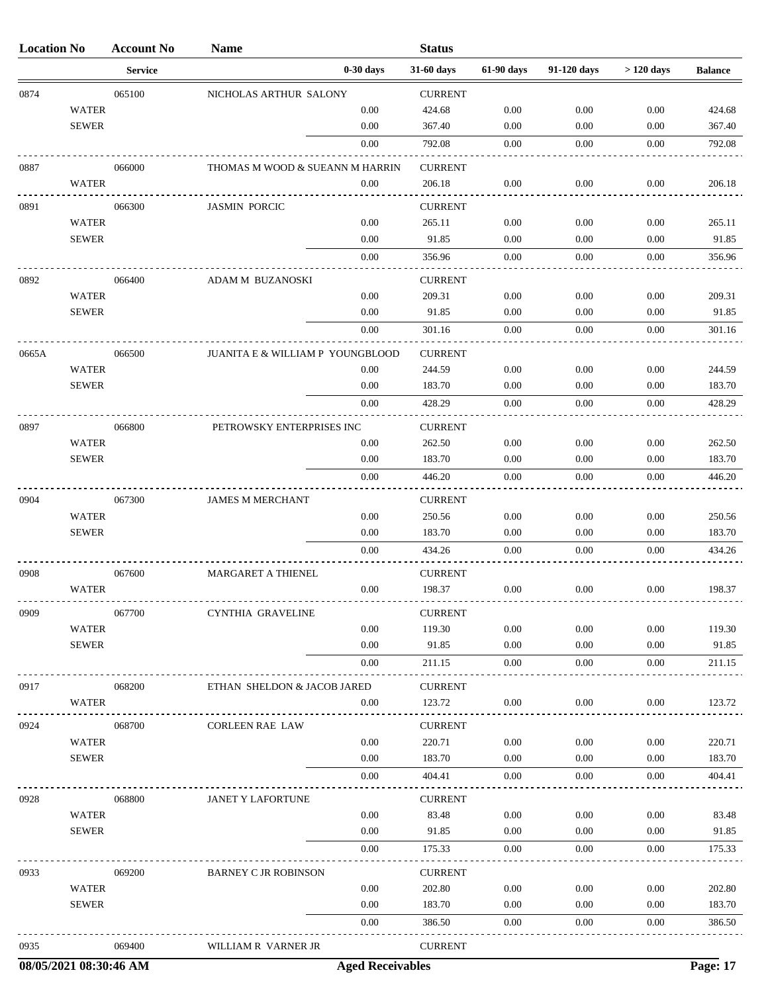| <b>Location No</b> |                              | <b>Account No</b> | <b>Name</b>                      |              | <b>Status</b>            |              |              |              |                  |
|--------------------|------------------------------|-------------------|----------------------------------|--------------|--------------------------|--------------|--------------|--------------|------------------|
|                    |                              | <b>Service</b>    |                                  | $0-30$ days  | 31-60 days               | 61-90 days   | 91-120 days  | $>120$ days  | <b>Balance</b>   |
| 0874               |                              | 065100            | NICHOLAS ARTHUR SALONY           |              | <b>CURRENT</b>           |              |              |              |                  |
|                    | <b>WATER</b>                 |                   |                                  | 0.00         | 424.68                   | 0.00         | 0.00         | 0.00         | 424.68           |
|                    | <b>SEWER</b>                 |                   |                                  | 0.00         | 367.40                   | 0.00         | 0.00         | 0.00         | 367.40           |
|                    |                              |                   |                                  | 0.00         | 792.08                   | 0.00         | 0.00         | 0.00         | 792.08           |
| 0887               |                              | 066000            | THOMAS M WOOD & SUEANN M HARRIN  |              | <b>CURRENT</b>           |              |              |              |                  |
|                    | WATER                        |                   |                                  | 0.00         | 206.18                   | 0.00         | 0.00         | 0.00         | 206.18           |
| 0891               |                              | 066300            | <b>JASMIN PORCIC</b>             |              | <b>CURRENT</b>           |              |              |              |                  |
|                    | <b>WATER</b>                 |                   |                                  | 0.00         | 265.11                   | 0.00         | 0.00         | 0.00         | 265.11           |
|                    | <b>SEWER</b>                 |                   |                                  | 0.00         | 91.85                    | 0.00         | 0.00         | 0.00         | 91.85            |
|                    |                              |                   |                                  | 0.00         | 356.96                   | 0.00         | 0.00         | 0.00         | 356.96           |
| 0892               |                              | 066400            | ADAM M BUZANOSKI                 |              | <b>CURRENT</b>           |              |              |              |                  |
|                    | <b>WATER</b>                 |                   |                                  | 0.00         | 209.31                   | 0.00         | 0.00         | 0.00         | 209.31           |
|                    | <b>SEWER</b>                 |                   |                                  | 0.00         | 91.85                    | 0.00         | 0.00         | 0.00         | 91.85            |
|                    |                              |                   |                                  | 0.00         | 301.16                   | 0.00         | 0.00         | 0.00         | 301.16           |
| 0665A              |                              | 066500            | JUANITA E & WILLIAM P YOUNGBLOOD |              | <b>CURRENT</b>           |              |              |              |                  |
|                    | <b>WATER</b>                 |                   |                                  | 0.00         | 244.59                   | 0.00         | 0.00         | 0.00         | 244.59           |
|                    | <b>SEWER</b>                 |                   |                                  | 0.00         | 183.70                   | 0.00         | 0.00         | 0.00         | 183.70           |
|                    |                              |                   |                                  | 0.00         | 428.29                   | 0.00         | 0.00         | 0.00         | 428.29           |
|                    |                              |                   |                                  |              |                          |              |              |              |                  |
| 0897               | <b>WATER</b>                 | 066800            | PETROWSKY ENTERPRISES INC        | 0.00         | <b>CURRENT</b><br>262.50 | 0.00         | 0.00         | 0.00         | 262.50           |
|                    | <b>SEWER</b>                 |                   |                                  | 0.00         | 183.70                   | 0.00         | 0.00         | 0.00         | 183.70           |
|                    |                              |                   |                                  | 0.00         | 446.20                   | 0.00         | 0.00         | 0.00         | 446.20           |
|                    |                              |                   |                                  |              |                          |              |              |              |                  |
| 0904               |                              | 067300            | <b>JAMES M MERCHANT</b>          |              | <b>CURRENT</b>           |              |              |              |                  |
|                    | <b>WATER</b><br><b>SEWER</b> |                   |                                  | 0.00<br>0.00 | 250.56<br>183.70         | 0.00<br>0.00 | 0.00<br>0.00 | 0.00<br>0.00 | 250.56<br>183.70 |
|                    |                              |                   |                                  | 0.00         | 434.26                   | 0.00         | 0.00         | 0.00         | 434.26           |
|                    |                              |                   |                                  |              |                          |              |              |              |                  |
| 0908               |                              | 067600            | MARGARET A THIENEL               |              | <b>CURRENT</b>           |              |              |              |                  |
|                    | <b>WATER</b>                 |                   |                                  | 0.00         | 198.37                   | 0.00         | 0.00         | 0.00         | 198.37           |
| 0909               |                              | 067700            | CYNTHIA GRAVELINE                |              | <b>CURRENT</b>           |              |              |              |                  |
|                    | WATER                        |                   |                                  | 0.00         | 119.30                   | 0.00         | 0.00         | 0.00         | 119.30           |
|                    | <b>SEWER</b>                 |                   |                                  | 0.00         | 91.85                    | 0.00         | 0.00         | 0.00         | 91.85            |
|                    |                              |                   |                                  | 0.00         | 211.15                   | 0.00         | 0.00         | 0.00         | 211.15           |
| 0917               |                              | 068200            | ETHAN SHELDON & JACOB JARED      |              | <b>CURRENT</b>           |              |              |              |                  |
|                    | WATER                        |                   |                                  | 0.00         | 123.72                   | 0.00         | 0.00         | 0.00         | 123.72           |
| 0924               |                              | 068700            | <b>CORLEEN RAE LAW</b>           |              | <b>CURRENT</b>           |              |              |              |                  |
|                    | <b>WATER</b>                 |                   |                                  | 0.00         | 220.71                   | 0.00         | 0.00         | 0.00         | 220.71           |
|                    | <b>SEWER</b>                 |                   |                                  | 0.00         | 183.70                   | 0.00         | 0.00         | 0.00         | 183.70           |
|                    |                              |                   |                                  | 0.00         | 404.41                   | 0.00         | 0.00         | 0.00         | 404.41           |
| 0928               |                              | 068800            | JANET Y LAFORTUNE                |              | <b>CURRENT</b>           |              |              |              |                  |
|                    | <b>WATER</b>                 |                   |                                  | 0.00         | 83.48                    | 0.00         | 0.00         | 0.00         | 83.48            |
|                    | <b>SEWER</b>                 |                   |                                  | 0.00         | 91.85                    | 0.00         | 0.00         | 0.00         | 91.85            |
|                    |                              |                   |                                  | 0.00         | 175.33                   | 0.00         | 0.00         | 0.00         | 175.33           |
| 0933               |                              | 069200            | <b>BARNEY C JR ROBINSON</b>      |              | <b>CURRENT</b>           |              |              |              |                  |
|                    | <b>WATER</b>                 |                   |                                  | 0.00         | 202.80                   | 0.00         | 0.00         | 0.00         | 202.80           |
|                    | <b>SEWER</b>                 |                   |                                  | $0.00\,$     | 183.70                   | 0.00         | 0.00         | 0.00         | 183.70           |
|                    |                              |                   |                                  | 0.00         | 386.50                   | 0.00         | 0.00         | 0.00         | 386.50           |
|                    |                              |                   |                                  |              |                          |              |              |              |                  |
| 0935               |                              | 069400            | WILLIAM R VARNER JR              |              | <b>CURRENT</b>           |              |              |              |                  |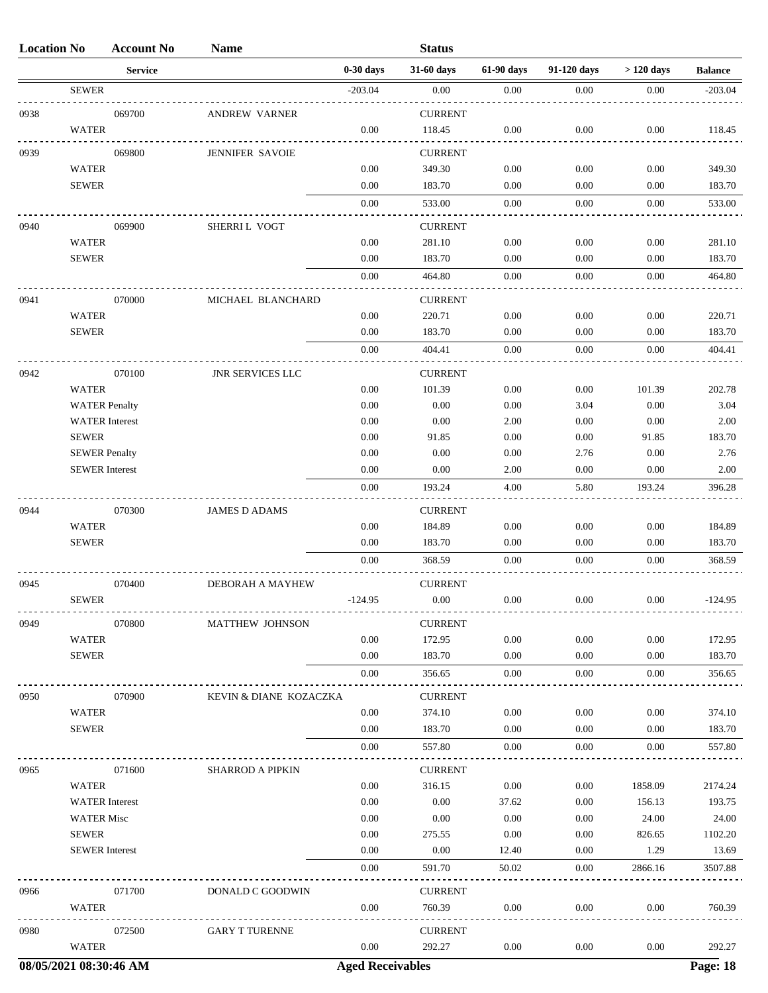| <b>Location No</b>     |                       | <b>Account No</b> | <b>Name</b>             |                         | <b>Status</b>  |            |             |             |                |
|------------------------|-----------------------|-------------------|-------------------------|-------------------------|----------------|------------|-------------|-------------|----------------|
|                        |                       | <b>Service</b>    |                         | $0-30$ days             | 31-60 days     | 61-90 days | 91-120 days | $>120$ days | <b>Balance</b> |
|                        | <b>SEWER</b>          |                   |                         | $-203.04$               | $0.00\,$       | 0.00       | 0.00        | 0.00        | $-203.04$      |
| 0938                   |                       | 069700            | ANDREW VARNER           |                         | <b>CURRENT</b> |            |             |             |                |
|                        | <b>WATER</b>          |                   |                         | 0.00                    | 118.45         | 0.00       | 0.00        | 0.00        | 118.45         |
| 0939                   |                       | 069800            | <b>JENNIFER SAVOIE</b>  |                         | <b>CURRENT</b> |            |             |             |                |
|                        | <b>WATER</b>          |                   |                         | 0.00                    | 349.30         | 0.00       | 0.00        | 0.00        | 349.30         |
|                        | <b>SEWER</b>          |                   |                         | 0.00                    | 183.70         | 0.00       | 0.00        | 0.00        | 183.70         |
|                        |                       |                   |                         | 0.00                    | 533.00         | 0.00       | 0.00        | 0.00        | 533.00         |
| 0940                   |                       | 069900            | SHERRI L VOGT           |                         | <b>CURRENT</b> |            |             |             |                |
|                        | <b>WATER</b>          |                   |                         | 0.00                    | 281.10         | 0.00       | 0.00        | 0.00        | 281.10         |
|                        | <b>SEWER</b>          |                   |                         | 0.00                    | 183.70         | 0.00       | 0.00        | 0.00        | 183.70         |
|                        |                       |                   |                         | 0.00                    | 464.80         | 0.00       | 0.00        | 0.00        | 464.80         |
| 0941                   |                       | 070000            | MICHAEL BLANCHARD       |                         | <b>CURRENT</b> |            |             |             |                |
|                        | <b>WATER</b>          |                   |                         | 0.00                    | 220.71         | 0.00       | 0.00        | 0.00        | 220.71         |
|                        | <b>SEWER</b>          |                   |                         | 0.00                    | 183.70         | 0.00       | 0.00        | 0.00        | 183.70         |
|                        |                       |                   |                         | 0.00                    | 404.41         | 0.00       | 0.00        | 0.00        | 404.41         |
| 0942                   |                       | 070100            | <b>JNR SERVICES LLC</b> |                         | <b>CURRENT</b> |            |             |             |                |
|                        | <b>WATER</b>          |                   |                         | 0.00                    | 101.39         | 0.00       | 0.00        | 101.39      | 202.78         |
|                        | <b>WATER Penalty</b>  |                   |                         | 0.00                    | 0.00           | 0.00       | 3.04        | 0.00        | 3.04           |
|                        | <b>WATER</b> Interest |                   |                         | 0.00                    | 0.00           | 2.00       | 0.00        | 0.00        | 2.00           |
|                        | <b>SEWER</b>          |                   |                         | 0.00                    | 91.85          | 0.00       | 0.00        | 91.85       | 183.70         |
|                        | <b>SEWER Penalty</b>  |                   |                         | 0.00                    | 0.00           | 0.00       | 2.76        | 0.00        | 2.76           |
|                        | <b>SEWER</b> Interest |                   |                         | 0.00                    | 0.00           | 2.00       | 0.00        | 0.00        | 2.00           |
|                        |                       |                   |                         | 0.00                    | 193.24         | 4.00       | 5.80        | 193.24      | 396.28         |
| 0944                   |                       | 070300            | <b>JAMES D ADAMS</b>    |                         | <b>CURRENT</b> |            |             |             |                |
|                        | <b>WATER</b>          |                   |                         | 0.00                    | 184.89         | 0.00       | 0.00        | 0.00        | 184.89         |
|                        | <b>SEWER</b>          |                   |                         | 0.00                    | 183.70         | 0.00       | 0.00        | 0.00        | 183.70         |
|                        |                       |                   |                         | 0.00                    | 368.59         | 0.00       | 0.00        | 0.00        | 368.59         |
| 0945                   |                       | 070400            | <b>DEBORAH A MAYHEW</b> |                         | <b>CURRENT</b> |            |             |             |                |
|                        | <b>SEWER</b>          |                   |                         | $-124.95$               | $0.00\,$       | 0.00       | 0.00        | 0.00        | $-124.95$      |
| 0949                   |                       | 070800            | <b>MATTHEW JOHNSON</b>  |                         | <b>CURRENT</b> |            |             |             |                |
|                        | <b>WATER</b>          |                   |                         | 0.00                    | 172.95         | 0.00       | 0.00        | 0.00        | 172.95         |
|                        | <b>SEWER</b>          |                   |                         | 0.00                    | 183.70         | 0.00       | 0.00        | 0.00        | 183.70         |
|                        |                       |                   |                         | 0.00                    | 356.65         | 0.00       | 0.00        | 0.00        | 356.65         |
| 0950                   |                       | 070900            | KEVIN & DIANE KOZACZKA  |                         | <b>CURRENT</b> |            |             |             |                |
|                        | <b>WATER</b>          |                   |                         | 0.00                    | 374.10         | 0.00       | 0.00        | 0.00        | 374.10         |
|                        | <b>SEWER</b>          |                   |                         | 0.00                    | 183.70         | 0.00       | 0.00        | 0.00        | 183.70         |
|                        |                       |                   |                         | 0.00                    | 557.80         | 0.00       | 0.00        | 0.00        | 557.80         |
| 0965                   |                       | 071600            | <b>SHARROD A PIPKIN</b> |                         | <b>CURRENT</b> |            |             |             |                |
|                        | <b>WATER</b>          |                   |                         | 0.00                    | 316.15         | 0.00       | 0.00        | 1858.09     | 2174.24        |
|                        | <b>WATER</b> Interest |                   |                         | 0.00                    | 0.00           | 37.62      | 0.00        | 156.13      | 193.75         |
|                        | <b>WATER Misc</b>     |                   |                         | 0.00                    | 0.00           | 0.00       | 0.00        | 24.00       | 24.00          |
|                        | <b>SEWER</b>          |                   |                         | 0.00                    | 275.55         | 0.00       | 0.00        | 826.65      | 1102.20        |
|                        | <b>SEWER</b> Interest |                   |                         | 0.00                    | 0.00           | 12.40      | 0.00        | 1.29        | 13.69          |
|                        |                       |                   |                         | 0.00                    | 591.70         | 50.02      | 0.00        | 2866.16     | 3507.88        |
| 0966                   |                       | 071700            | DONALD C GOODWIN        |                         | <b>CURRENT</b> |            |             |             |                |
|                        | <b>WATER</b>          |                   |                         | 0.00                    | 760.39         | 0.00       | 0.00        | 0.00        | 760.39         |
| 0980                   |                       | 072500            | <b>GARY T TURENNE</b>   |                         | <b>CURRENT</b> |            |             |             |                |
|                        | <b>WATER</b>          |                   |                         | $0.00\,$                | 292.27         | 0.00       | 0.00        | 0.00        | 292.27         |
| 08/05/2021 08:30:46 AM |                       |                   |                         | <b>Aged Receivables</b> |                |            |             |             | Page: 18       |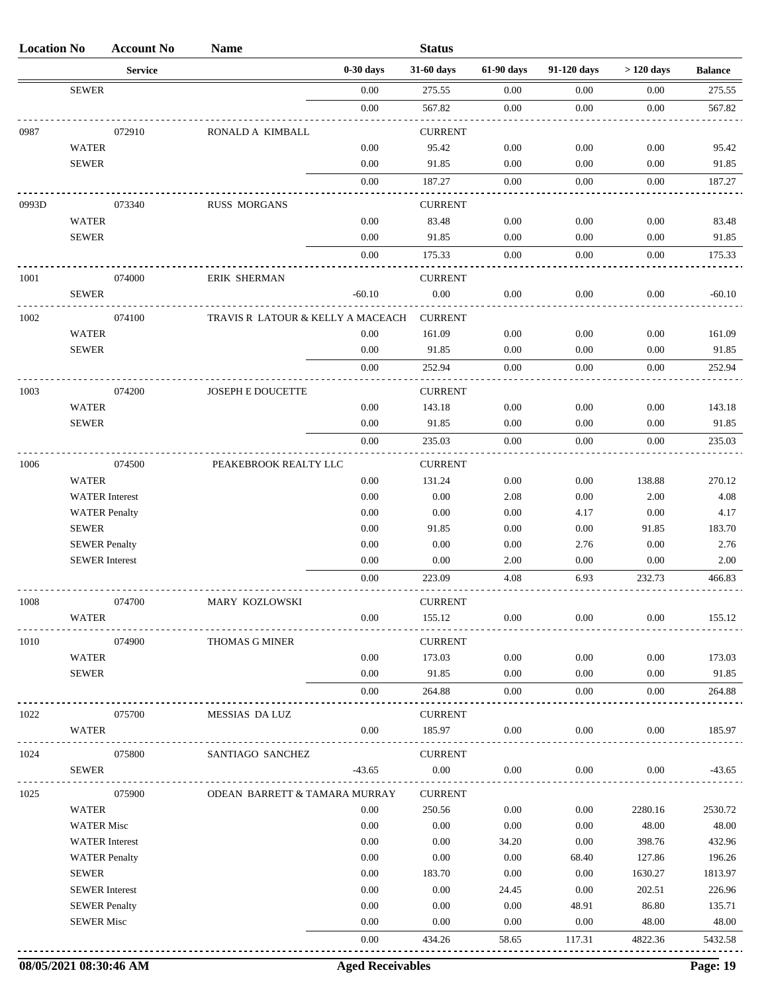| <b>Location No</b> |                       | <b>Account No</b> | <b>Name</b>                       |             | <b>Status</b>  |            |             |             |                |
|--------------------|-----------------------|-------------------|-----------------------------------|-------------|----------------|------------|-------------|-------------|----------------|
|                    |                       | <b>Service</b>    |                                   | $0-30$ days | 31-60 days     | 61-90 days | 91-120 days | $>120$ days | <b>Balance</b> |
|                    | <b>SEWER</b>          |                   |                                   | 0.00        | 275.55         | 0.00       | 0.00        | 0.00        | 275.55         |
|                    |                       |                   |                                   | $0.00\,$    | 567.82         | 0.00       | 0.00        | 0.00        | 567.82         |
| 0987               |                       | 072910            | RONALD A KIMBALL                  |             | <b>CURRENT</b> |            |             |             |                |
|                    | <b>WATER</b>          |                   |                                   | 0.00        | 95.42          | 0.00       | 0.00        | 0.00        | 95.42          |
|                    | <b>SEWER</b>          |                   |                                   | 0.00        | 91.85          | 0.00       | 0.00        | 0.00        | 91.85          |
|                    |                       |                   |                                   | 0.00        | 187.27         | 0.00       | 0.00        | 0.00        | 187.27         |
| 0993D              |                       | 073340            | <b>RUSS MORGANS</b>               |             | <b>CURRENT</b> |            |             |             |                |
|                    | <b>WATER</b>          |                   |                                   | 0.00        | 83.48          | 0.00       | 0.00        | 0.00        | 83.48          |
|                    | <b>SEWER</b>          |                   |                                   | 0.00        | 91.85          | 0.00       | 0.00        | 0.00        | 91.85          |
|                    |                       |                   |                                   | 0.00        | 175.33         | 0.00       | 0.00        | 0.00        | 175.33         |
| 1001               |                       | 074000            | <b>ERIK SHERMAN</b>               |             | <b>CURRENT</b> |            |             |             |                |
|                    | <b>SEWER</b>          |                   |                                   | $-60.10$    | 0.00           | 0.00       | 0.00        | 0.00        | $-60.10$       |
|                    |                       |                   |                                   |             |                |            |             |             |                |
| 1002               |                       | 074100            | TRAVIS R LATOUR & KELLY A MACEACH |             | <b>CURRENT</b> |            |             |             |                |
|                    | <b>WATER</b>          |                   |                                   | 0.00        | 161.09         | 0.00       | 0.00        | 0.00        | 161.09         |
|                    | <b>SEWER</b>          |                   |                                   | 0.00        | 91.85          | 0.00       | 0.00        | 0.00        | 91.85          |
|                    |                       |                   |                                   | 0.00        | 252.94         | 0.00       | 0.00        | 0.00        | 252.94         |
| 1003               |                       | 074200            | JOSEPH E DOUCETTE                 |             | <b>CURRENT</b> |            |             |             |                |
|                    | <b>WATER</b>          |                   |                                   | 0.00        | 143.18         | 0.00       | 0.00        | 0.00        | 143.18         |
|                    | <b>SEWER</b>          |                   |                                   | 0.00        | 91.85          | 0.00       | 0.00        | 0.00        | 91.85          |
|                    |                       |                   |                                   | 0.00        | 235.03         | 0.00       | 0.00        | 0.00        | 235.03         |
| 1006               |                       | 074500            | PEAKEBROOK REALTY LLC             |             | <b>CURRENT</b> |            |             |             |                |
|                    | <b>WATER</b>          |                   |                                   | 0.00        | 131.24         | 0.00       | 0.00        | 138.88      | 270.12         |
|                    | <b>WATER</b> Interest |                   |                                   | 0.00        | 0.00           | 2.08       | 0.00        | 2.00        | 4.08           |
|                    | <b>WATER Penalty</b>  |                   |                                   | 0.00        | 0.00           | 0.00       | 4.17        | 0.00        | 4.17           |
|                    | <b>SEWER</b>          |                   |                                   | 0.00        | 91.85          | 0.00       | 0.00        | 91.85       | 183.70         |
|                    | <b>SEWER Penalty</b>  |                   |                                   | 0.00        | 0.00           | 0.00       | 2.76        | 0.00        | 2.76           |
|                    | <b>SEWER</b> Interest |                   |                                   | 0.00        | 0.00           | 2.00       | 0.00        | 0.00        | 2.00           |
|                    |                       |                   |                                   | 0.00        | 223.09         | 4.08       | 6.93        | 232.73      | 466.83         |
| 1008               |                       | 074700            | MARY KOZLOWSKI                    |             | <b>CURRENT</b> |            |             |             |                |
|                    | <b>WATER</b>          |                   |                                   | 0.00        | 155.12         | 0.00       | 0.00        | 0.00        | 155.12         |
| 1010               |                       | 074900            | THOMAS G MINER                    |             | <b>CURRENT</b> |            |             |             |                |
|                    | <b>WATER</b>          |                   |                                   | 0.00        | 173.03         | 0.00       | 0.00        | 0.00        | 173.03         |
|                    | <b>SEWER</b>          |                   |                                   | 0.00        | 91.85          | 0.00       | 0.00        | 0.00        | 91.85          |
|                    |                       |                   |                                   | 0.00        | 264.88         | 0.00       | 0.00        | 0.00        | 264.88         |
|                    |                       |                   |                                   |             |                |            |             |             |                |
| 1022               |                       | 075700            | MESSIAS DA LUZ                    |             | <b>CURRENT</b> |            |             |             |                |
|                    | <b>WATER</b>          |                   |                                   | 0.00        | 185.97         | 0.00       | 0.00        | 0.00        | 185.97         |
| 1024               |                       | 075800            | SANTIAGO SANCHEZ                  |             | <b>CURRENT</b> |            |             |             |                |
|                    | <b>SEWER</b>          |                   |                                   | $-43.65$    | $0.00\,$       | 0.00       | 0.00        | 0.00        | $-43.65$       |
| 1025               |                       | 075900            | ODEAN BARRETT & TAMARA MURRAY     |             | <b>CURRENT</b> |            |             |             |                |
|                    | <b>WATER</b>          |                   |                                   | 0.00        | 250.56         | 0.00       | 0.00        | 2280.16     | 2530.72        |
|                    | <b>WATER Misc</b>     |                   |                                   | 0.00        | 0.00           | 0.00       | 0.00        | 48.00       | 48.00          |
|                    | <b>WATER</b> Interest |                   |                                   | 0.00        | 0.00           | 34.20      | 0.00        | 398.76      | 432.96         |
|                    | <b>WATER Penalty</b>  |                   |                                   | 0.00        | 0.00           | 0.00       | 68.40       | 127.86      | 196.26         |
|                    | <b>SEWER</b>          |                   |                                   | 0.00        | 183.70         | 0.00       | 0.00        | 1630.27     | 1813.97        |
|                    | <b>SEWER</b> Interest |                   |                                   | 0.00        | 0.00           | 24.45      | 0.00        | 202.51      | 226.96         |
|                    | <b>SEWER Penalty</b>  |                   |                                   | 0.00        | 0.00           | 0.00       | 48.91       | 86.80       | 135.71         |
|                    | <b>SEWER Misc</b>     |                   |                                   | 0.00        | 0.00           | 0.00       | 0.00        | 48.00       | 48.00          |
|                    |                       |                   |                                   | 0.00        | 434.26         | 58.65      | 117.31      | 4822.36     | 5432.58        |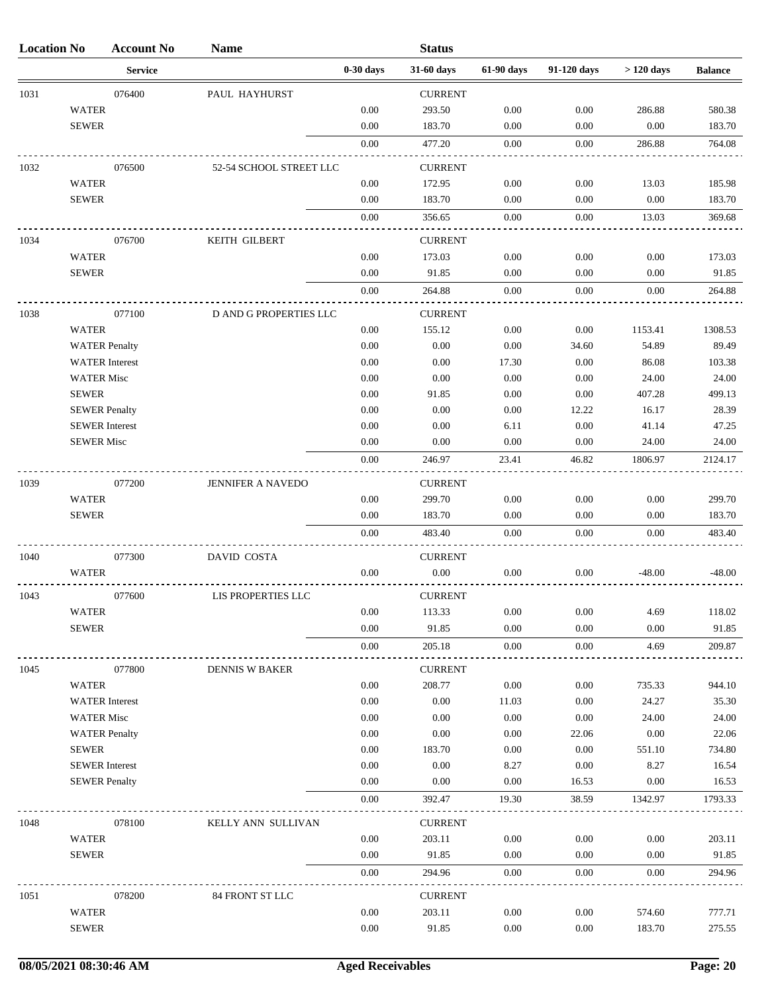| <b>Location No</b> |                   | <b>Account No</b>     | <b>Name</b>             |              | <b>Status</b>   |              |              |              |                 |
|--------------------|-------------------|-----------------------|-------------------------|--------------|-----------------|--------------|--------------|--------------|-----------------|
|                    |                   | <b>Service</b>        |                         | $0-30$ days  | 31-60 days      | 61-90 days   | 91-120 days  | $>120$ days  | <b>Balance</b>  |
| 1031               |                   | 076400                | PAUL HAYHURST           |              | <b>CURRENT</b>  |              |              |              |                 |
|                    | <b>WATER</b>      |                       |                         | 0.00         | 293.50          | 0.00         | 0.00         | 286.88       | 580.38          |
|                    | <b>SEWER</b>      |                       |                         | 0.00         | 183.70          | 0.00         | 0.00         | $0.00\,$     | 183.70          |
|                    |                   |                       |                         | 0.00         | 477.20          | 0.00         | 0.00         | 286.88       | 764.08          |
| 1032               |                   | 076500                | 52-54 SCHOOL STREET LLC |              | <b>CURRENT</b>  |              |              |              |                 |
|                    | <b>WATER</b>      |                       |                         | 0.00         | 172.95          | 0.00         | 0.00         | 13.03        | 185.98          |
|                    | <b>SEWER</b>      |                       |                         | 0.00         | 183.70          | 0.00         | 0.00         | 0.00         | 183.70          |
|                    |                   |                       |                         | 0.00         | 356.65          | 0.00         | 0.00         | 13.03        | 369.68          |
| 1034               |                   | 076700                | KEITH GILBERT           |              | <b>CURRENT</b>  |              |              |              |                 |
|                    | <b>WATER</b>      |                       |                         | 0.00         | 173.03          | 0.00         | 0.00         | 0.00         | 173.03          |
|                    | <b>SEWER</b>      |                       |                         | 0.00         | 91.85           | 0.00         | 0.00         | 0.00         | 91.85           |
|                    |                   |                       |                         | 0.00         | 264.88          | 0.00         | 0.00         | 0.00         | 264.88          |
|                    |                   |                       |                         |              |                 |              |              |              |                 |
| 1038               |                   | 077100                | D AND G PROPERTIES LLC  |              | <b>CURRENT</b>  |              |              |              |                 |
|                    | <b>WATER</b>      |                       |                         | 0.00         | 155.12          | 0.00         | 0.00         | 1153.41      | 1308.53         |
|                    |                   | <b>WATER Penalty</b>  |                         | 0.00         | 0.00            | 0.00         | 34.60        | 54.89        | 89.49           |
|                    |                   | <b>WATER</b> Interest |                         | 0.00         | 0.00            | 17.30        | 0.00         | 86.08        | 103.38          |
|                    | <b>WATER Misc</b> |                       |                         | 0.00         | 0.00            | 0.00         | $0.00\,$     | 24.00        | 24.00           |
|                    | <b>SEWER</b>      |                       |                         | 0.00         | 91.85           | 0.00         | 0.00         | 407.28       | 499.13          |
|                    |                   | <b>SEWER Penalty</b>  |                         | 0.00         | 0.00            | 0.00         | 12.22        | 16.17        | 28.39           |
|                    |                   | <b>SEWER</b> Interest |                         | 0.00         | 0.00            | 6.11         | 0.00         | 41.14        | 47.25           |
|                    | <b>SEWER Misc</b> |                       |                         | 0.00         | 0.00            | 0.00         | 0.00         | 24.00        | 24.00           |
|                    |                   |                       |                         | 0.00         | 246.97          | 23.41        | 46.82        | 1806.97      | 2124.17         |
| 1039               |                   | 077200                | JENNIFER A NAVEDO       |              | <b>CURRENT</b>  |              |              |              |                 |
|                    | <b>WATER</b>      |                       |                         | 0.00         | 299.70          | 0.00         | 0.00         | 0.00         | 299.70          |
|                    | <b>SEWER</b>      |                       |                         | 0.00         | 183.70          | 0.00         | 0.00         | 0.00         | 183.70          |
|                    |                   |                       |                         | 0.00         | 483.40          | 0.00         | 0.00         | 0.00         | 483.40          |
| 1040               |                   | 077300                | DAVID COSTA             |              | <b>CURRENT</b>  |              |              |              |                 |
|                    | <b>WATER</b>      |                       |                         | 0.00         | 0.00            | 0.00         | 0.00         | $-48.00$     | $-48.00$        |
| 1043               |                   | 077600                | LIS PROPERTIES LLC      |              | <b>CURRENT</b>  |              |              |              |                 |
|                    | <b>WATER</b>      |                       |                         | 0.00         | 113.33          | 0.00         | 0.00         | 4.69         | 118.02          |
|                    | <b>SEWER</b>      |                       |                         | 0.00         | 91.85           | 0.00         | 0.00         | 0.00         | 91.85           |
|                    |                   |                       |                         | 0.00         | 205.18          | 0.00         | 0.00         | 4.69         | 209.87          |
| 1045               |                   | 077800                | <b>DENNIS W BAKER</b>   |              | <b>CURRENT</b>  |              |              |              |                 |
|                    | <b>WATER</b>      |                       |                         | 0.00         | 208.77          | 0.00         | 0.00         | 735.33       | 944.10          |
|                    |                   | <b>WATER</b> Interest |                         | 0.00         | 0.00            | 11.03        | 0.00         | 24.27        | 35.30           |
|                    | <b>WATER Misc</b> |                       |                         | 0.00         | 0.00            | 0.00         | 0.00         | 24.00        | 24.00           |
|                    |                   | <b>WATER Penalty</b>  |                         | 0.00         | 0.00            | 0.00         | 22.06        | 0.00         | 22.06           |
|                    | <b>SEWER</b>      |                       |                         | 0.00         | 183.70          | 0.00         | 0.00         | 551.10       | 734.80          |
|                    |                   | <b>SEWER</b> Interest |                         | 0.00         | 0.00            | 8.27         | 0.00         | 8.27         | 16.54           |
|                    |                   | <b>SEWER Penalty</b>  |                         | 0.00         | $0.00\,$        | 0.00         | 16.53        | 0.00         | 16.53           |
|                    |                   |                       |                         | 0.00         | 392.47          | 19.30        | 38.59        | 1342.97      | 1793.33         |
|                    |                   |                       |                         |              |                 |              |              |              |                 |
| 1048               |                   | 078100                | KELLY ANN SULLIVAN      |              | <b>CURRENT</b>  |              |              |              |                 |
|                    | <b>WATER</b>      |                       |                         | 0.00         | 203.11          | 0.00         | 0.00         | 0.00         | 203.11          |
|                    | <b>SEWER</b>      |                       |                         | 0.00<br>0.00 | 91.85<br>294.96 | 0.00<br>0.00 | 0.00<br>0.00 | 0.00<br>0.00 | 91.85<br>294.96 |
|                    |                   |                       |                         |              |                 |              |              |              |                 |
| 1051               |                   | 078200                | 84 FRONT ST LLC         |              | <b>CURRENT</b>  |              |              |              |                 |
|                    | <b>WATER</b>      |                       |                         | 0.00         | 203.11          | 0.00         | 0.00         | 574.60       | 777.71          |
|                    | <b>SEWER</b>      |                       |                         | 0.00         | 91.85           | 0.00         | 0.00         | 183.70       | 275.55          |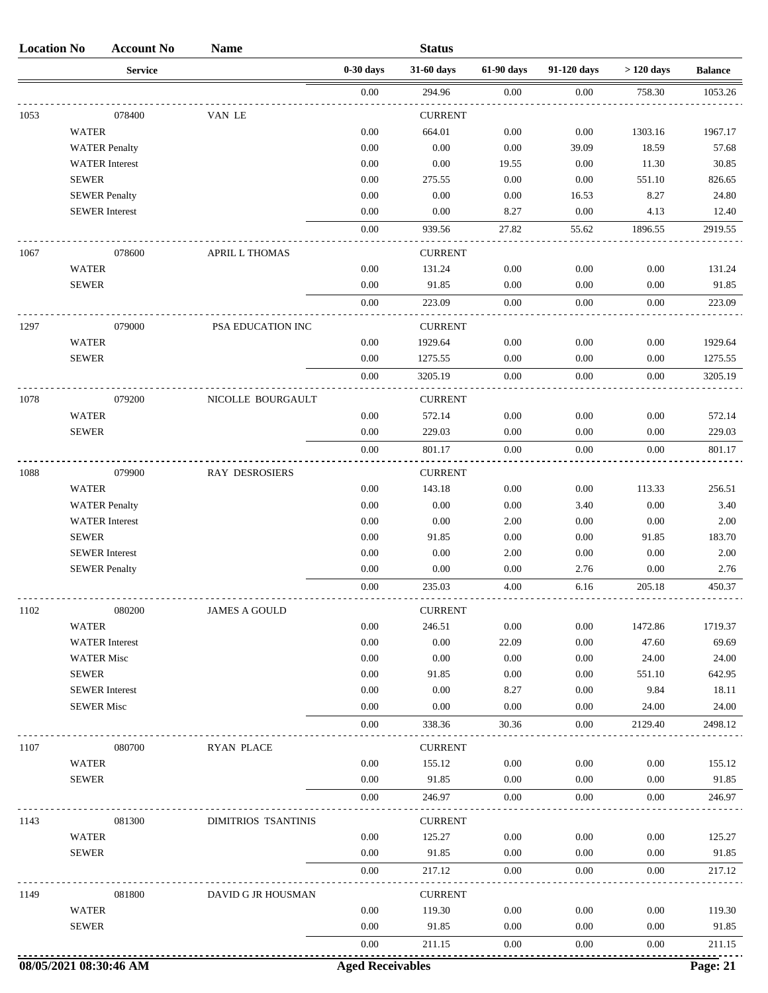| <b>Location No</b> |                       | <b>Account No</b>     | <b>Name</b>           |             | <b>Status</b>  |            |             |             |                |
|--------------------|-----------------------|-----------------------|-----------------------|-------------|----------------|------------|-------------|-------------|----------------|
|                    |                       | <b>Service</b>        |                       | $0-30$ days | 31-60 days     | 61-90 days | 91-120 days | $>120$ days | <b>Balance</b> |
|                    |                       |                       |                       | $0.00\,$    | 294.96         | 0.00       | 0.00        | 758.30      | 1053.26        |
| 1053               |                       | 078400                | VAN LE                |             | <b>CURRENT</b> |            |             |             |                |
|                    | <b>WATER</b>          |                       |                       | 0.00        | 664.01         | 0.00       | 0.00        | 1303.16     | 1967.17        |
|                    |                       | <b>WATER Penalty</b>  |                       | 0.00        | 0.00           | 0.00       | 39.09       | 18.59       | 57.68          |
|                    |                       | <b>WATER</b> Interest |                       | 0.00        | 0.00           | 19.55      | 0.00        | 11.30       | 30.85          |
|                    | <b>SEWER</b>          |                       |                       | 0.00        | 275.55         | 0.00       | 0.00        | 551.10      | 826.65         |
|                    | <b>SEWER Penalty</b>  |                       |                       | 0.00        | 0.00           | 0.00       | 16.53       | 8.27        | 24.80          |
|                    | <b>SEWER</b> Interest |                       |                       | 0.00        | 0.00           | 8.27       | 0.00        | 4.13        | 12.40          |
|                    |                       |                       |                       | 0.00        | 939.56         | 27.82      | 55.62       | 1896.55     | 2919.55        |
| 1067               |                       | 078600                | <b>APRIL L THOMAS</b> |             | <b>CURRENT</b> |            |             |             |                |
|                    | <b>WATER</b>          |                       |                       | 0.00        | 131.24         | 0.00       | 0.00        | 0.00        | 131.24         |
|                    | <b>SEWER</b>          |                       |                       | 0.00        | 91.85          | 0.00       | 0.00        | 0.00        | 91.85          |
|                    |                       |                       |                       | 0.00        | 223.09         | 0.00       | 0.00        | 0.00        | 223.09         |
| 1297               |                       | 079000                | PSA EDUCATION INC     |             | <b>CURRENT</b> |            |             |             |                |
|                    | <b>WATER</b>          |                       |                       | 0.00        | 1929.64        | 0.00       | 0.00        | 0.00        | 1929.64        |
|                    | <b>SEWER</b>          |                       |                       | 0.00        | 1275.55        | 0.00       | 0.00        | 0.00        | 1275.55        |
|                    |                       |                       |                       | 0.00        | 3205.19        | 0.00       | 0.00        | 0.00        | 3205.19        |
| 1078               |                       | 079200                | NICOLLE BOURGAULT     |             | <b>CURRENT</b> |            |             |             |                |
|                    | <b>WATER</b>          |                       |                       | 0.00        | 572.14         | 0.00       | 0.00        | 0.00        | 572.14         |
|                    | <b>SEWER</b>          |                       |                       | 0.00        | 229.03         | 0.00       | 0.00        | 0.00        | 229.03         |
|                    |                       |                       |                       | 0.00        | 801.17         | 0.00       | 0.00        | 0.00        | 801.17         |
| 1088               |                       | 079900                | <b>RAY DESROSIERS</b> |             | <b>CURRENT</b> |            |             |             |                |
|                    | <b>WATER</b>          |                       |                       | 0.00        | 143.18         | 0.00       | 0.00        | 113.33      | 256.51         |
|                    |                       | <b>WATER Penalty</b>  |                       | 0.00        | 0.00           | 0.00       | 3.40        | 0.00        | 3.40           |
|                    |                       | <b>WATER</b> Interest |                       | 0.00        | 0.00           | 2.00       | 0.00        | 0.00        | 2.00           |
|                    | <b>SEWER</b>          |                       |                       | 0.00        | 91.85          | 0.00       | 0.00        | 91.85       | 183.70         |
|                    | <b>SEWER</b> Interest |                       |                       | 0.00        | 0.00           | 2.00       | 0.00        | 0.00        | 2.00           |
|                    | <b>SEWER Penalty</b>  |                       |                       | 0.00        | 0.00           | 0.00       | 2.76        | 0.00        | 2.76           |
|                    |                       |                       |                       | 0.00        | 235.03         | 4.00       | 6.16        | 205.18      | 450.37         |
| 1102               |                       | 080200                | <b>JAMES A GOULD</b>  |             | <b>CURRENT</b> |            |             |             |                |
|                    | WATER                 |                       |                       | 0.00        | 246.51         | 0.00       | 0.00        | 1472.86     | 1719.37        |
|                    |                       | <b>WATER</b> Interest |                       | 0.00        | 0.00           | 22.09      | 0.00        | 47.60       | 69.69          |
|                    | <b>WATER Misc</b>     |                       |                       | 0.00        | 0.00           | 0.00       | 0.00        | 24.00       | 24.00          |
|                    | <b>SEWER</b>          |                       |                       | 0.00        | 91.85          | 0.00       | 0.00        | 551.10      | 642.95         |
|                    | <b>SEWER</b> Interest |                       |                       | 0.00        | 0.00           | 8.27       | 0.00        | 9.84        | 18.11          |
|                    | <b>SEWER Misc</b>     |                       |                       | 0.00        | 0.00           | 0.00       | 0.00        | 24.00       | 24.00          |
|                    |                       |                       |                       | 0.00        | 338.36         | 30.36      | 0.00        | 2129.40     | 2498.12        |
| 1107               |                       | 080700                | <b>RYAN PLACE</b>     |             | <b>CURRENT</b> |            |             |             |                |
|                    | <b>WATER</b>          |                       |                       | 0.00        | 155.12         | 0.00       | 0.00        | 0.00        | 155.12         |
|                    | <b>SEWER</b>          |                       |                       | 0.00        | 91.85          | 0.00       | 0.00        | 0.00        | 91.85          |
|                    |                       |                       |                       | 0.00        | 246.97         | 0.00       | 0.00        | 0.00        | 246.97         |
| 1143               |                       | 081300                | DIMITRIOS TSANTINIS   |             | <b>CURRENT</b> |            |             |             |                |
|                    | <b>WATER</b>          |                       |                       | 0.00        | 125.27         | 0.00       | 0.00        | 0.00        | 125.27         |
|                    | <b>SEWER</b>          |                       |                       | 0.00        | 91.85          | 0.00       | 0.00        | 0.00        | 91.85          |
|                    |                       |                       |                       | 0.00        | 217.12         | 0.00       | 0.00        | 0.00        | 217.12         |
| 1149               |                       | 081800                | DAVID G JR HOUSMAN    |             | <b>CURRENT</b> |            |             |             |                |
|                    | <b>WATER</b>          |                       |                       | 0.00        | 119.30         | 0.00       | 0.00        | 0.00        | 119.30         |
|                    | <b>SEWER</b>          |                       |                       | 0.00        | 91.85          | 0.00       | 0.00        | 0.00        | 91.85          |
|                    |                       |                       |                       | 0.00        | 211.15         | 0.00       | 0.00        | 0.00        | 211.15         |
|                    |                       |                       |                       |             |                |            |             |             |                |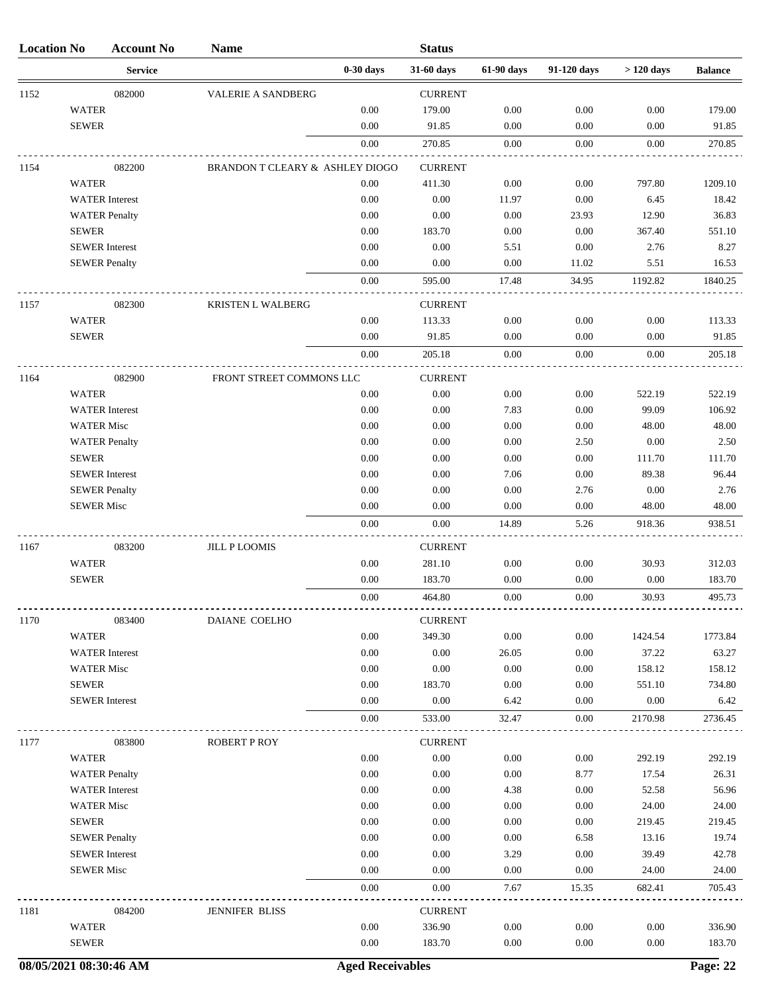| <b>Location No</b> |                   | <b>Account No</b>     | <b>Name</b>                     |             | <b>Status</b>  |            |             |             |                |
|--------------------|-------------------|-----------------------|---------------------------------|-------------|----------------|------------|-------------|-------------|----------------|
|                    |                   | <b>Service</b>        |                                 | $0-30$ days | 31-60 days     | 61-90 days | 91-120 days | $>120$ days | <b>Balance</b> |
| 1152               |                   | 082000                | <b>VALERIE A SANDBERG</b>       |             | <b>CURRENT</b> |            |             |             |                |
|                    | <b>WATER</b>      |                       |                                 | 0.00        | 179.00         | 0.00       | 0.00        | 0.00        | 179.00         |
|                    | <b>SEWER</b>      |                       |                                 | 0.00        | 91.85          | 0.00       | 0.00        | 0.00        | 91.85          |
|                    |                   |                       |                                 | 0.00        | 270.85         | 0.00       | 0.00        | 0.00        | 270.85         |
| 1154               |                   | 082200                | BRANDON T CLEARY & ASHLEY DIOGO |             | <b>CURRENT</b> |            |             |             |                |
|                    | <b>WATER</b>      |                       |                                 | 0.00        | 411.30         | 0.00       | 0.00        | 797.80      | 1209.10        |
|                    |                   | <b>WATER</b> Interest |                                 | 0.00        | 0.00           | 11.97      | 0.00        | 6.45        | 18.42          |
|                    |                   | <b>WATER Penalty</b>  |                                 | 0.00        | 0.00           | 0.00       | 23.93       | 12.90       | 36.83          |
|                    | <b>SEWER</b>      |                       |                                 | 0.00        | 183.70         | 0.00       | 0.00        | 367.40      | 551.10         |
|                    |                   | <b>SEWER</b> Interest |                                 | 0.00        | 0.00           | 5.51       | 0.00        | 2.76        | 8.27           |
|                    |                   | <b>SEWER Penalty</b>  |                                 | 0.00        | 0.00           | 0.00       | 11.02       | 5.51        | 16.53          |
|                    |                   |                       |                                 | 0.00        | 595.00         | 17.48      | 34.95       | 1192.82     | 1840.25        |
| 1157               |                   | 082300                | <b>KRISTEN L WALBERG</b>        |             | <b>CURRENT</b> |            |             |             |                |
|                    | <b>WATER</b>      |                       |                                 | 0.00        | 113.33         | 0.00       | 0.00        | 0.00        | 113.33         |
|                    | <b>SEWER</b>      |                       |                                 | 0.00        | 91.85          | 0.00       | 0.00        | 0.00        | 91.85          |
|                    |                   |                       |                                 | 0.00        | 205.18         | 0.00       | 0.00        | 0.00        | 205.18         |
| 1164               |                   | 082900                | FRONT STREET COMMONS LLC        |             | <b>CURRENT</b> |            |             |             |                |
|                    | <b>WATER</b>      |                       |                                 | 0.00        | 0.00           | 0.00       | 0.00        | 522.19      | 522.19         |
|                    |                   | <b>WATER</b> Interest |                                 | 0.00        | 0.00           | 7.83       | 0.00        | 99.09       | 106.92         |
|                    | <b>WATER Misc</b> |                       |                                 | 0.00        | 0.00           | 0.00       | 0.00        | 48.00       | 48.00          |
|                    |                   | <b>WATER Penalty</b>  |                                 | 0.00        | 0.00           | 0.00       | 2.50        | 0.00        | 2.50           |
|                    | <b>SEWER</b>      |                       |                                 | 0.00        | 0.00           | 0.00       | 0.00        | 111.70      | 111.70         |
|                    |                   | <b>SEWER</b> Interest |                                 | 0.00        | 0.00           | 7.06       | 0.00        | 89.38       | 96.44          |
|                    |                   | <b>SEWER Penalty</b>  |                                 | 0.00        | 0.00           | 0.00       | 2.76        | 0.00        | 2.76           |
|                    | <b>SEWER Misc</b> |                       |                                 | 0.00        | 0.00           | 0.00       | 0.00        | 48.00       | 48.00          |
|                    |                   |                       |                                 | 0.00        | 0.00           | 14.89      | 5.26        | 918.36      | 938.51         |
| 1167               |                   | 083200                | <b>JILL P LOOMIS</b>            |             | <b>CURRENT</b> |            |             |             |                |
|                    | <b>WATER</b>      |                       |                                 | 0.00        | 281.10         | 0.00       | 0.00        | 30.93       | 312.03         |
|                    | <b>SEWER</b>      |                       |                                 | $0.00\,$    | 183.70         | 0.00       | $0.00\,$    | $0.00\,$    | 183.70         |
|                    |                   |                       |                                 | 0.00        | 464.80         | 0.00       | 0.00        | 30.93       | 495.73         |
| 1170               |                   | 083400                | DAIANE COELHO                   |             | <b>CURRENT</b> |            |             |             |                |
|                    | <b>WATER</b>      |                       |                                 | 0.00        | 349.30         | 0.00       | 0.00        | 1424.54     | 1773.84        |
|                    |                   | <b>WATER</b> Interest |                                 | 0.00        | 0.00           | 26.05      | 0.00        | 37.22       | 63.27          |
|                    | <b>WATER Misc</b> |                       |                                 | 0.00        | 0.00           | 0.00       | 0.00        | 158.12      | 158.12         |
|                    | <b>SEWER</b>      |                       |                                 | 0.00        | 183.70         | 0.00       | 0.00        | 551.10      | 734.80         |
|                    |                   | <b>SEWER</b> Interest |                                 | 0.00        | 0.00           | 6.42       | 0.00        | 0.00        | 6.42           |
|                    |                   |                       |                                 | 0.00        | 533.00         | 32.47      | 0.00        | 2170.98     | 2736.45        |
| 1177               |                   | 083800                | <b>ROBERT P ROY</b>             |             | <b>CURRENT</b> |            |             |             |                |
|                    | <b>WATER</b>      |                       |                                 | 0.00        | 0.00           | 0.00       | 0.00        | 292.19      | 292.19         |
|                    |                   | <b>WATER Penalty</b>  |                                 | 0.00        | 0.00           | 0.00       | 8.77        | 17.54       | 26.31          |
|                    |                   | <b>WATER</b> Interest |                                 | 0.00        | 0.00           | 4.38       | 0.00        | 52.58       | 56.96          |
|                    | <b>WATER Misc</b> |                       |                                 | 0.00        | 0.00           | 0.00       | 0.00        | 24.00       | 24.00          |
|                    | <b>SEWER</b>      |                       |                                 | 0.00        | 0.00           | 0.00       | 0.00        | 219.45      | 219.45         |
|                    |                   | <b>SEWER Penalty</b>  |                                 | 0.00        | 0.00           | 0.00       | 6.58        | 13.16       | 19.74          |
|                    |                   | <b>SEWER</b> Interest |                                 | 0.00        | 0.00           | 3.29       | 0.00        | 39.49       | 42.78          |
|                    | <b>SEWER Misc</b> |                       |                                 | 0.00        | 0.00           | 0.00       | 0.00        | 24.00       | 24.00          |
|                    |                   |                       |                                 | 0.00        | 0.00           | 7.67       | 15.35       | 682.41      | 705.43         |
| 1181               |                   | 084200                | JENNIFER BLISS                  |             | <b>CURRENT</b> |            |             |             |                |
|                    | <b>WATER</b>      |                       |                                 | 0.00        | 336.90         | 0.00       | 0.00        | 0.00        | 336.90         |
|                    | <b>SEWER</b>      |                       |                                 | 0.00        | 183.70         | 0.00       | 0.00        | $0.00\,$    | 183.70         |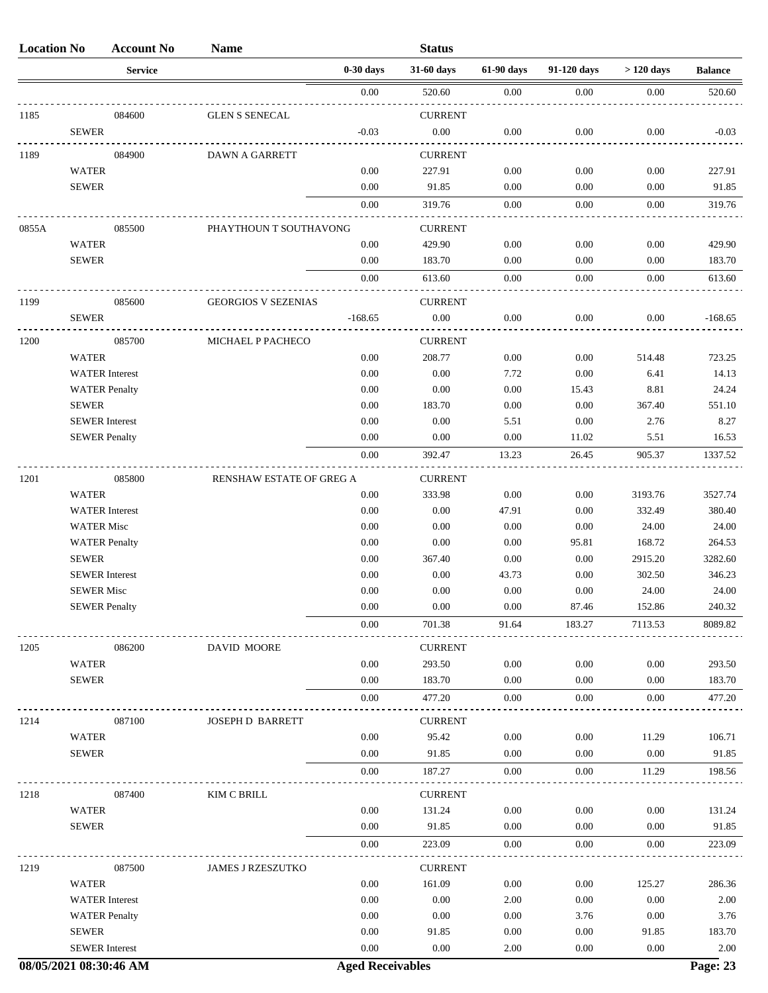| <b>Location No</b> |                       | <b>Account No</b> | <b>Name</b>                |             | <b>Status</b>  |            |             |             |                |
|--------------------|-----------------------|-------------------|----------------------------|-------------|----------------|------------|-------------|-------------|----------------|
|                    |                       | <b>Service</b>    |                            | $0-30$ days | 31-60 days     | 61-90 days | 91-120 days | $>120$ days | <b>Balance</b> |
|                    |                       |                   |                            | 0.00        | 520.60         | 0.00       | 0.00        | 0.00        | 520.60         |
| 1185               |                       | 084600            | <b>GLEN S SENECAL</b>      |             | <b>CURRENT</b> |            |             |             |                |
|                    | <b>SEWER</b>          |                   |                            | $-0.03$     | $0.00\,$       | $0.00\,$   | 0.00        | $0.00\,$    | $-0.03$        |
| 1189               |                       | 084900            | <b>DAWN A GARRETT</b>      |             | <b>CURRENT</b> |            |             |             |                |
|                    | <b>WATER</b>          |                   |                            | 0.00        | 227.91         | 0.00       | 0.00        | 0.00        | 227.91         |
|                    | <b>SEWER</b>          |                   |                            | 0.00        | 91.85          | 0.00       | 0.00        | 0.00        | 91.85          |
|                    |                       |                   |                            | 0.00        | 319.76         | 0.00       | 0.00        | 0.00        | 319.76         |
| 0855A              |                       | 085500            | PHAYTHOUN T SOUTHAVONG     |             | <b>CURRENT</b> |            |             |             |                |
|                    | <b>WATER</b>          |                   |                            | 0.00        | 429.90         | 0.00       | 0.00        | 0.00        | 429.90         |
|                    | <b>SEWER</b>          |                   |                            | 0.00        | 183.70         | 0.00       | 0.00        | 0.00        | 183.70         |
|                    |                       |                   |                            | 0.00        | 613.60         | $0.00\,$   | 0.00        | 0.00        | 613.60         |
| 1199               |                       | 085600            | <b>GEORGIOS V SEZENIAS</b> |             | <b>CURRENT</b> |            |             |             |                |
|                    | <b>SEWER</b>          |                   |                            | $-168.65$   | $0.00\,$       | 0.00       | 0.00        | 0.00        | $-168.65$      |
| 1200               |                       | 085700            | MICHAEL P PACHECO          |             | <b>CURRENT</b> |            |             |             |                |
|                    | <b>WATER</b>          |                   |                            | 0.00        | 208.77         | 0.00       | 0.00        | 514.48      | 723.25         |
|                    | <b>WATER</b> Interest |                   |                            | 0.00        | 0.00           | 7.72       | 0.00        | 6.41        | 14.13          |
|                    | <b>WATER Penalty</b>  |                   |                            | 0.00        | 0.00           | $0.00\,$   | 15.43       | 8.81        | 24.24          |
|                    | <b>SEWER</b>          |                   |                            | 0.00        | 183.70         | 0.00       | 0.00        | 367.40      | 551.10         |
|                    | <b>SEWER</b> Interest |                   |                            | 0.00        | 0.00           | 5.51       | 0.00        | 2.76        | 8.27           |
|                    | <b>SEWER Penalty</b>  |                   |                            | 0.00        | 0.00           | 0.00       | 11.02       | 5.51        | 16.53          |
|                    |                       |                   |                            | 0.00        | 392.47         | 13.23      | 26.45       | 905.37      | 1337.52        |
| 1201               |                       | 085800            |                            |             | <b>CURRENT</b> |            |             |             |                |
|                    | <b>WATER</b>          |                   | RENSHAW ESTATE OF GREG A   | 0.00        | 333.98         | 0.00       | 0.00        | 3193.76     | 3527.74        |
|                    | <b>WATER</b> Interest |                   |                            | 0.00        | 0.00           | 47.91      | 0.00        | 332.49      | 380.40         |
|                    | <b>WATER Misc</b>     |                   |                            | 0.00        | 0.00           | 0.00       | 0.00        | 24.00       | 24.00          |
|                    | <b>WATER Penalty</b>  |                   |                            | 0.00        | 0.00           | 0.00       | 95.81       | 168.72      | 264.53         |
|                    | <b>SEWER</b>          |                   |                            | 0.00        | 367.40         | 0.00       | 0.00        | 2915.20     | 3282.60        |
|                    | <b>SEWER</b> Interest |                   |                            | 0.00        | 0.00           | 43.73      | 0.00        | 302.50      | 346.23         |
|                    | <b>SEWER Misc</b>     |                   |                            | 0.00        | 0.00           | 0.00       | 0.00        | 24.00       | 24.00          |
|                    | <b>SEWER Penalty</b>  |                   |                            | 0.00        | 0.00           | 0.00       | 87.46       | 152.86      | 240.32         |
|                    |                       |                   |                            | 0.00        | 701.38         | 91.64      | 183.27      | 7113.53     | 8089.82        |
| 1205               |                       | 086200            | DAVID MOORE                |             | <b>CURRENT</b> |            |             |             |                |
|                    | <b>WATER</b>          |                   |                            | 0.00        | 293.50         | 0.00       | 0.00        | 0.00        | 293.50         |
|                    | <b>SEWER</b>          |                   |                            | 0.00        | 183.70         | 0.00       | 0.00        | 0.00        | 183.70         |
|                    |                       |                   |                            | 0.00        | 477.20         | 0.00       | 0.00        | 0.00        | 477.20         |
| 1214               |                       | 087100            | <b>JOSEPH D BARRETT</b>    |             | <b>CURRENT</b> |            |             |             |                |
|                    | <b>WATER</b>          |                   |                            | 0.00        | 95.42          | 0.00       | 0.00        | 11.29       | 106.71         |
|                    | <b>SEWER</b>          |                   |                            | 0.00        | 91.85          | 0.00       | 0.00        | 0.00        | 91.85          |
|                    |                       |                   |                            | 0.00        | 187.27         | 0.00       | 0.00        | 11.29       | 198.56         |
| 1218               |                       | 087400            | KIM C BRILL                |             | <b>CURRENT</b> |            |             |             |                |
|                    | <b>WATER</b>          |                   |                            | 0.00        | 131.24         | 0.00       | 0.00        | 0.00        | 131.24         |
|                    | <b>SEWER</b>          |                   |                            | 0.00        | 91.85          | 0.00       | 0.00        | 0.00        | 91.85          |
|                    |                       |                   |                            | 0.00        | 223.09         | 0.00       | 0.00        | 0.00        | 223.09         |
| 1219               |                       | 087500            | <b>JAMES J RZESZUTKO</b>   |             | <b>CURRENT</b> |            |             |             |                |
|                    | <b>WATER</b>          |                   |                            | 0.00        | 161.09         | 0.00       | 0.00        | 125.27      | 286.36         |
|                    | <b>WATER</b> Interest |                   |                            | 0.00        | 0.00           | 2.00       | 0.00        | 0.00        | 2.00           |
|                    | <b>WATER Penalty</b>  |                   |                            | 0.00        | 0.00           | 0.00       | 3.76        | 0.00        | 3.76           |
|                    | <b>SEWER</b>          |                   |                            | 0.00        | 91.85          | 0.00       | 0.00        | 91.85       | 183.70         |
|                    | <b>SEWER</b> Interest |                   |                            | 0.00        | 0.00           | 2.00       | 0.00        | 0.00        | 2.00           |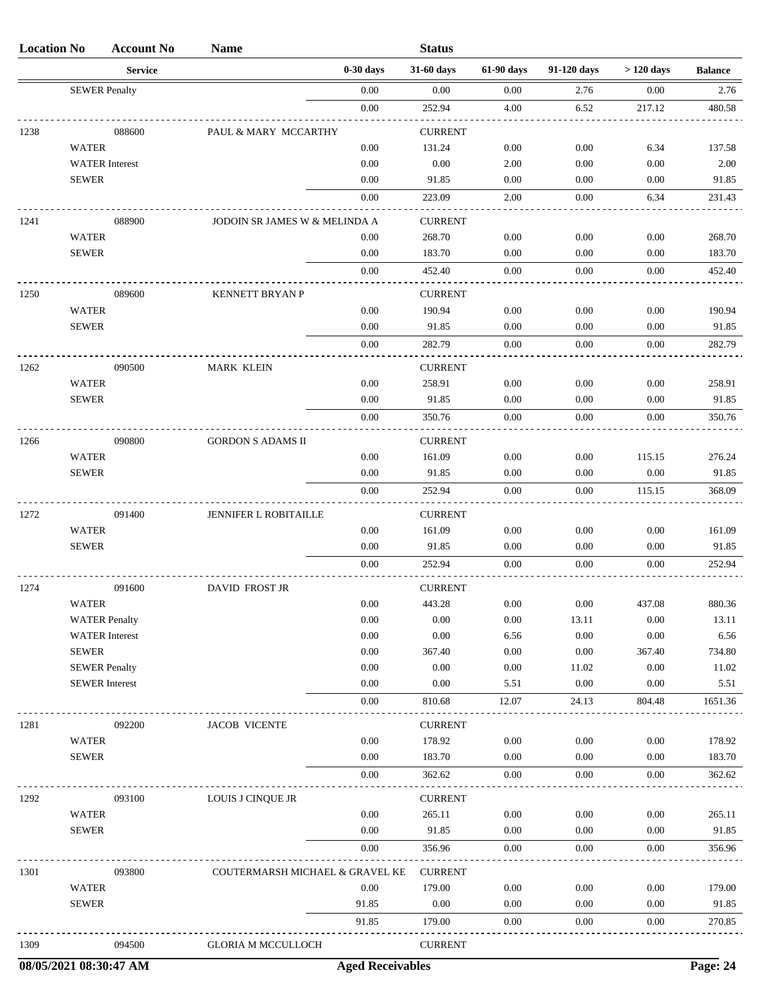| <b>Location No</b> |                              | <b>Account No</b>     | <b>Name</b>                     |               | <b>Status</b>            |              |              |              |                 |
|--------------------|------------------------------|-----------------------|---------------------------------|---------------|--------------------------|--------------|--------------|--------------|-----------------|
|                    |                              | <b>Service</b>        |                                 | $0-30$ days   | 31-60 days               | 61-90 days   | 91-120 days  | $>120$ days  | <b>Balance</b>  |
|                    | <b>SEWER Penalty</b>         |                       |                                 | 0.00          | 0.00                     | 0.00         | 2.76         | 0.00         | 2.76            |
|                    |                              |                       |                                 | 0.00          | 252.94                   | 4.00         | 6.52         | 217.12       | 480.58          |
| 1238               |                              | 088600                | PAUL & MARY MCCARTHY            |               | <b>CURRENT</b>           |              |              |              |                 |
|                    | <b>WATER</b>                 |                       |                                 | 0.00          | 131.24                   | 0.00         | 0.00         | 6.34         | 137.58          |
|                    |                              | <b>WATER</b> Interest |                                 | 0.00          | 0.00                     | 2.00         | 0.00         | 0.00         | 2.00            |
|                    | <b>SEWER</b>                 |                       |                                 | 0.00          | 91.85                    | 0.00         | 0.00         | 0.00         | 91.85           |
|                    |                              |                       |                                 | 0.00          | 223.09                   | 2.00         | 0.00         | 6.34         | 231.43          |
| 1241               |                              | 088900                | JODOIN SR JAMES W & MELINDA A   |               | <b>CURRENT</b>           |              |              |              |                 |
|                    | <b>WATER</b>                 |                       |                                 | 0.00          | 268.70                   | 0.00         | 0.00         | 0.00         | 268.70          |
|                    | <b>SEWER</b>                 |                       |                                 | 0.00          | 183.70                   | 0.00         | 0.00         | 0.00         | 183.70          |
|                    |                              |                       |                                 | 0.00          | 452.40                   | 0.00         | 0.00         | 0.00         | 452.40          |
|                    |                              |                       |                                 |               |                          |              |              |              |                 |
| 1250               | <b>WATER</b>                 | 089600                | <b>KENNETT BRYAN P</b>          | 0.00          | <b>CURRENT</b><br>190.94 | 0.00         | 0.00         | 0.00         | 190.94          |
|                    | <b>SEWER</b>                 |                       |                                 | 0.00          | 91.85                    | 0.00         | 0.00         | 0.00         | 91.85           |
|                    |                              |                       |                                 | 0.00          | 282.79                   | 0.00         | 0.00         | 0.00         | 282.79          |
|                    |                              |                       |                                 |               |                          |              |              |              |                 |
| 1262               |                              | 090500                | <b>MARK KLEIN</b>               |               | <b>CURRENT</b>           |              |              |              |                 |
|                    | <b>WATER</b>                 |                       |                                 | 0.00          | 258.91                   | 0.00         | 0.00         | 0.00         | 258.91          |
|                    | <b>SEWER</b>                 |                       |                                 | 0.00          | 91.85                    | 0.00         | 0.00         | 0.00         | 91.85           |
|                    |                              |                       |                                 | 0.00          | 350.76                   | 0.00         | 0.00         | 0.00         | 350.76          |
| 1266               |                              | 090800                | <b>GORDON S ADAMS II</b>        |               | <b>CURRENT</b>           |              |              |              |                 |
|                    | <b>WATER</b>                 |                       |                                 | 0.00          | 161.09                   | 0.00         | 0.00         | 115.15       | 276.24          |
|                    | <b>SEWER</b>                 |                       |                                 | 0.00          | 91.85                    | 0.00         | 0.00         | 0.00         | 91.85           |
|                    |                              |                       |                                 | 0.00          | 252.94                   | 0.00         | 0.00         | 115.15       | 368.09          |
| 1272               |                              | 091400                | JENNIFER L ROBITAILLE           |               | <b>CURRENT</b>           |              |              |              |                 |
|                    | <b>WATER</b>                 |                       |                                 | 0.00          | 161.09                   | 0.00         | 0.00         | 0.00         | 161.09          |
|                    | <b>SEWER</b>                 |                       |                                 | 0.00          | 91.85                    | 0.00         | 0.00         | 0.00         | 91.85           |
|                    |                              |                       |                                 | 0.00          | 252.94                   | 0.00         | 0.00         | 0.00         | 252.94          |
| 1274               |                              | 091600                | <b>DAVID FROST JR</b>           |               | <b>CURRENT</b>           |              |              |              |                 |
|                    | WATER                        |                       |                                 | 0.00          | 443.28                   | 0.00         | 0.00         | 437.08       | 880.36          |
|                    |                              | <b>WATER Penalty</b>  |                                 | 0.00          | 0.00                     | 0.00         | 13.11        | 0.00         | 13.11           |
|                    |                              | <b>WATER</b> Interest |                                 | 0.00          | $0.00\,$                 | 6.56         | 0.00         | 0.00         | 6.56            |
|                    | <b>SEWER</b>                 |                       |                                 | 0.00          | 367.40                   | $0.00\,$     | 0.00         | 367.40       | 734.80          |
|                    |                              | <b>SEWER Penalty</b>  |                                 | 0.00          | 0.00                     | 0.00         | 11.02        | 0.00         | 11.02           |
|                    |                              | <b>SEWER</b> Interest |                                 | 0.00          | 0.00                     | 5.51         | 0.00         | 0.00         | 5.51            |
|                    |                              |                       |                                 | 0.00          | 810.68                   | 12.07        | 24.13        | 804.48       | 1651.36         |
| 1281               |                              | 092200                | <b>JACOB VICENTE</b>            |               | <b>CURRENT</b>           |              |              |              |                 |
|                    | <b>WATER</b>                 |                       |                                 | 0.00          | 178.92                   | 0.00         | 0.00         | 0.00         | 178.92          |
|                    | <b>SEWER</b>                 |                       |                                 | 0.00          | 183.70                   | 0.00         | 0.00         | 0.00         | 183.70          |
|                    |                              |                       |                                 | 0.00          | 362.62                   | 0.00         | 0.00         | 0.00         | 362.62          |
| 1292               |                              | 093100                | LOUIS J CINQUE JR               |               | <b>CURRENT</b>           |              |              |              |                 |
|                    | <b>WATER</b>                 |                       |                                 | 0.00          | 265.11                   | 0.00         | 0.00         | 0.00         | 265.11          |
|                    | <b>SEWER</b>                 |                       |                                 | 0.00          | 91.85                    | 0.00         | 0.00         | 0.00         | 91.85           |
|                    |                              |                       |                                 | 0.00          | 356.96                   | 0.00         | 0.00         | 0.00         | 356.96          |
|                    |                              |                       |                                 |               |                          |              |              |              |                 |
| 1301               |                              | 093800                | COUTERMARSH MICHAEL & GRAVEL KE |               | <b>CURRENT</b>           |              |              |              |                 |
|                    | <b>WATER</b><br><b>SEWER</b> |                       |                                 | 0.00<br>91.85 | 179.00<br>0.00           | 0.00<br>0.00 | 0.00<br>0.00 | 0.00<br>0.00 | 179.00<br>91.85 |
|                    |                              |                       |                                 | 91.85         |                          |              |              |              |                 |
|                    |                              |                       |                                 |               | 179.00                   | 0.00         | 0.00         | 0.00         | 270.85          |
| 1309               |                              | 094500                | <b>GLORIA M MCCULLOCH</b>       |               | <b>CURRENT</b>           |              |              |              |                 |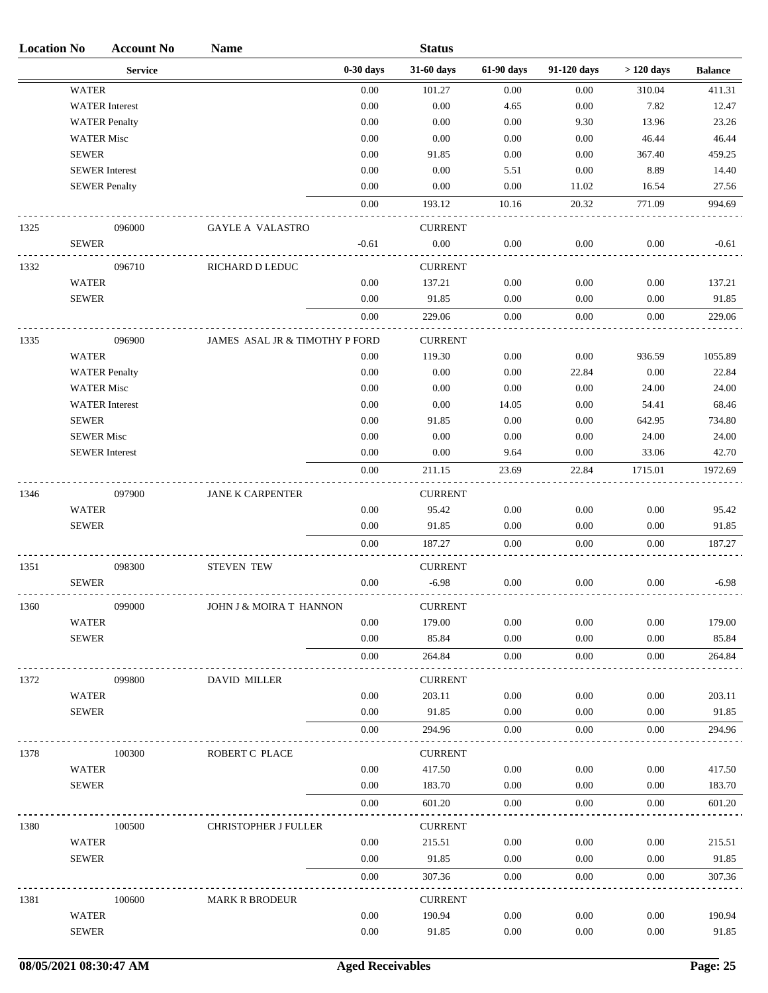| <b>Location No</b> |                       | <b>Account No</b>     | <b>Name</b>                    |             | <b>Status</b>  |            |             |             |                |
|--------------------|-----------------------|-----------------------|--------------------------------|-------------|----------------|------------|-------------|-------------|----------------|
|                    |                       | <b>Service</b>        |                                | $0-30$ days | 31-60 days     | 61-90 days | 91-120 days | $>120$ days | <b>Balance</b> |
|                    | <b>WATER</b>          |                       |                                | 0.00        | 101.27         | 0.00       | 0.00        | 310.04      | 411.31         |
|                    |                       | <b>WATER</b> Interest |                                | 0.00        | 0.00           | 4.65       | 0.00        | 7.82        | 12.47          |
|                    |                       | <b>WATER Penalty</b>  |                                | 0.00        | 0.00           | 0.00       | 9.30        | 13.96       | 23.26          |
|                    | <b>WATER Misc</b>     |                       |                                | 0.00        | 0.00           | 0.00       | 0.00        | 46.44       | 46.44          |
|                    | <b>SEWER</b>          |                       |                                | 0.00        | 91.85          | 0.00       | 0.00        | 367.40      | 459.25         |
|                    | <b>SEWER</b> Interest |                       |                                | 0.00        | 0.00           | 5.51       | 0.00        | 8.89        | 14.40          |
|                    | <b>SEWER Penalty</b>  |                       |                                | 0.00        | 0.00           | 0.00       | 11.02       | 16.54       | 27.56          |
|                    |                       |                       |                                | 0.00        | 193.12         | 10.16      | 20.32       | 771.09      | 994.69         |
| 1325               |                       | 096000                | <b>GAYLE A VALASTRO</b>        |             | <b>CURRENT</b> |            |             |             |                |
|                    | <b>SEWER</b>          |                       |                                | $-0.61$     | 0.00           | 0.00       | 0.00        | 0.00        | $-0.61$        |
| 1332               |                       | 096710                | RICHARD D LEDUC                |             | <b>CURRENT</b> |            |             |             |                |
|                    | <b>WATER</b>          |                       |                                | 0.00        | 137.21         | 0.00       | 0.00        | 0.00        | 137.21         |
|                    | <b>SEWER</b>          |                       |                                | 0.00        | 91.85          | 0.00       | 0.00        | 0.00        | 91.85          |
|                    |                       |                       |                                | 0.00        | 229.06         | 0.00       | 0.00        | 0.00        | 229.06         |
| 1335               |                       | 096900                | JAMES ASAL JR & TIMOTHY P FORD |             | <b>CURRENT</b> |            |             |             |                |
|                    | <b>WATER</b>          |                       |                                | 0.00        | 119.30         | 0.00       | 0.00        | 936.59      | 1055.89        |
|                    |                       | <b>WATER Penalty</b>  |                                | 0.00        | 0.00           | 0.00       | 22.84       | 0.00        | 22.84          |
|                    | <b>WATER Misc</b>     |                       |                                | 0.00        | 0.00           | 0.00       | 0.00        | 24.00       | 24.00          |
|                    |                       | <b>WATER</b> Interest |                                | 0.00        | 0.00           | 14.05      | 0.00        | 54.41       | 68.46          |
|                    | <b>SEWER</b>          |                       |                                | 0.00        | 91.85          | 0.00       | 0.00        | 642.95      | 734.80         |
|                    | <b>SEWER Misc</b>     |                       |                                | 0.00        | 0.00           | 0.00       | 0.00        | 24.00       | 24.00          |
|                    | <b>SEWER</b> Interest |                       |                                | 0.00        | 0.00           | 9.64       | 0.00        | 33.06       | 42.70          |
|                    |                       |                       |                                | 0.00        | 211.15         | 23.69      | 22.84       | 1715.01     | 1972.69        |
| 1346               |                       | 097900                | <b>JANE K CARPENTER</b>        |             | <b>CURRENT</b> |            |             |             |                |
|                    | WATER                 |                       |                                | 0.00        | 95.42          | 0.00       | 0.00        | 0.00        | 95.42          |
|                    | <b>SEWER</b>          |                       |                                | 0.00        | 91.85          | 0.00       | 0.00        | 0.00        | 91.85          |
|                    |                       |                       |                                | 0.00        | 187.27         | 0.00       | 0.00        | 0.00        | 187.27         |
| 1351               |                       | 098300                | <b>STEVEN TEW</b>              |             | <b>CURRENT</b> |            |             |             |                |
|                    | <b>SEWER</b>          |                       |                                | 0.00        | $-6.98$        | 0.00       | 0.00        | 0.00        | $-6.98$        |
| 1360               |                       | 099000                | JOHN J & MOIRA T HANNON        |             | <b>CURRENT</b> |            |             |             |                |
|                    | WATER                 |                       |                                | 0.00        | 179.00         | 0.00       | 0.00        | 0.00        | 179.00         |
|                    | <b>SEWER</b>          |                       |                                | 0.00        | 85.84          | 0.00       | 0.00        | 0.00        | 85.84          |
|                    |                       |                       |                                | 0.00        | 264.84         | 0.00       | 0.00        | 0.00        | 264.84         |
| 1372               |                       | 099800                | <b>DAVID MILLER</b>            |             | <b>CURRENT</b> |            |             |             |                |
|                    | WATER                 |                       |                                | 0.00        | 203.11         | 0.00       | 0.00        | 0.00        | 203.11         |
|                    | <b>SEWER</b>          |                       |                                | 0.00        | 91.85          | 0.00       | 0.00        | 0.00        | 91.85          |
|                    |                       |                       |                                | 0.00        | 294.96         | 0.00       | $0.00\,$    | 0.00        | 294.96         |
| 1378               |                       | 100300                | ROBERT C PLACE                 |             | <b>CURRENT</b> |            |             |             |                |
|                    | WATER                 |                       |                                | 0.00        | 417.50         | 0.00       | 0.00        | 0.00        | 417.50         |
|                    | <b>SEWER</b>          |                       |                                | 0.00        | 183.70         | 0.00       | 0.00        | 0.00        | 183.70         |
|                    |                       |                       |                                | 0.00        | 601.20         | 0.00       | 0.00        | 0.00        | 601.20         |
| 1380               |                       | 100500                | CHRISTOPHER J FULLER           |             | <b>CURRENT</b> |            |             |             |                |
|                    | WATER                 |                       |                                | 0.00        | 215.51         | 0.00       | 0.00        | 0.00        | 215.51         |
|                    | <b>SEWER</b>          |                       |                                | 0.00        | 91.85          | 0.00       | 0.00        | 0.00        | 91.85          |
|                    |                       |                       |                                | 0.00        | 307.36         | $0.00\,$   | 0.00        | 0.00        | 307.36         |
| 1381               |                       | 100600                | <b>MARK R BRODEUR</b>          |             | <b>CURRENT</b> |            |             |             |                |
|                    | WATER                 |                       |                                | 0.00        | 190.94         | 0.00       | 0.00        | 0.00        | 190.94         |
|                    | <b>SEWER</b>          |                       |                                | 0.00        | 91.85          | 0.00       | 0.00        | 0.00        | 91.85          |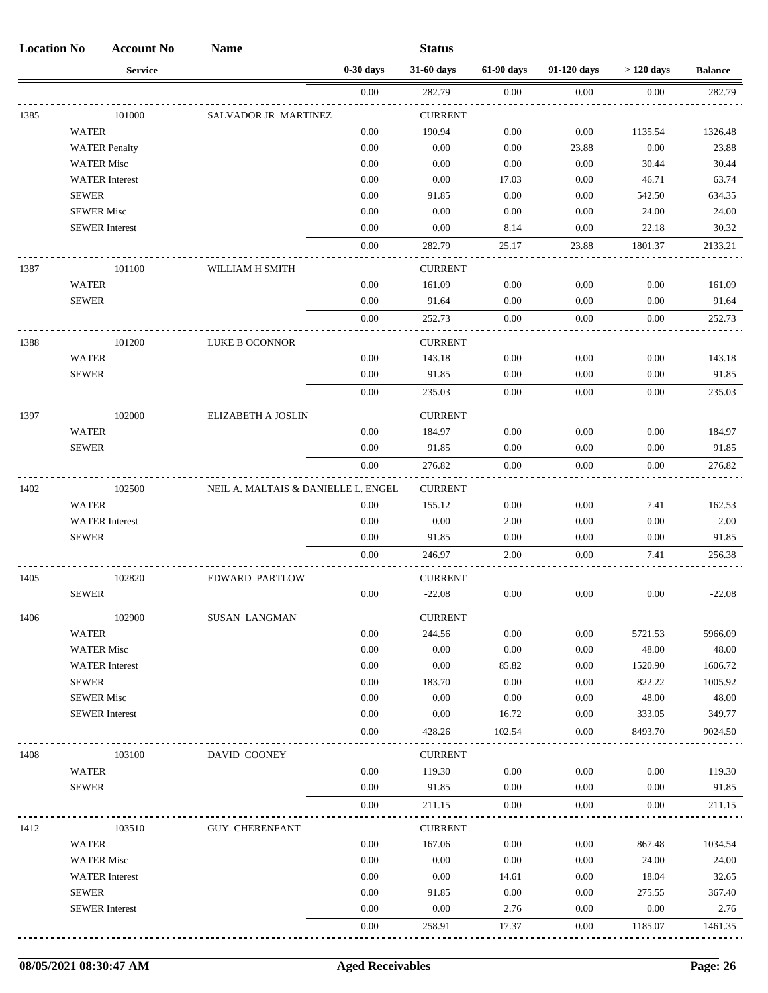| <b>Location No</b> |                   | <b>Account No</b>     | <b>Name</b>                         |             | <b>Status</b>  |            |             |             |                |
|--------------------|-------------------|-----------------------|-------------------------------------|-------------|----------------|------------|-------------|-------------|----------------|
|                    |                   | <b>Service</b>        |                                     | $0-30$ days | 31-60 days     | 61-90 days | 91-120 days | $>120$ days | <b>Balance</b> |
|                    |                   |                       |                                     | $0.00\,$    | 282.79         | 0.00       | 0.00        | 0.00        | 282.79         |
| 1385               |                   | 101000                | SALVADOR JR MARTINEZ                |             | <b>CURRENT</b> |            |             |             |                |
|                    | <b>WATER</b>      |                       |                                     | 0.00        | 190.94         | 0.00       | $0.00\,$    | 1135.54     | 1326.48        |
|                    |                   | <b>WATER Penalty</b>  |                                     | 0.00        | 0.00           | 0.00       | 23.88       | 0.00        | 23.88          |
|                    | <b>WATER Misc</b> |                       |                                     | 0.00        | 0.00           | 0.00       | 0.00        | 30.44       | 30.44          |
|                    |                   | <b>WATER</b> Interest |                                     | 0.00        | 0.00           | 17.03      | 0.00        | 46.71       | 63.74          |
|                    | <b>SEWER</b>      |                       |                                     | 0.00        | 91.85          | 0.00       | 0.00        | 542.50      | 634.35         |
|                    | <b>SEWER Misc</b> |                       |                                     | 0.00        | 0.00           | 0.00       | 0.00        | 24.00       | 24.00          |
|                    |                   | <b>SEWER</b> Interest |                                     | 0.00        | 0.00           | 8.14       | 0.00        | 22.18       | 30.32          |
|                    |                   |                       |                                     | 0.00        | 282.79         | 25.17      | 23.88       | 1801.37     | 2133.21        |
| 1387               |                   | 101100                | WILLIAM H SMITH                     |             | <b>CURRENT</b> |            |             |             |                |
|                    | <b>WATER</b>      |                       |                                     | 0.00        | 161.09         | 0.00       | 0.00        | 0.00        | 161.09         |
|                    | <b>SEWER</b>      |                       |                                     | 0.00        | 91.64          | 0.00       | 0.00        | 0.00        | 91.64          |
|                    |                   |                       |                                     | 0.00        | 252.73         | 0.00       | 0.00        | 0.00        | 252.73         |
| 1388               |                   | 101200                | LUKE B OCONNOR                      |             | <b>CURRENT</b> |            |             |             |                |
|                    | <b>WATER</b>      |                       |                                     | 0.00        | 143.18         | 0.00       | 0.00        | 0.00        | 143.18         |
|                    | <b>SEWER</b>      |                       |                                     | 0.00        | 91.85          | 0.00       | 0.00        | 0.00        | 91.85          |
|                    |                   |                       |                                     | 0.00        | 235.03         | 0.00       | 0.00        | 0.00        | 235.03         |
| 1397               |                   | 102000                | ELIZABETH A JOSLIN                  |             | <b>CURRENT</b> |            |             |             |                |
|                    | <b>WATER</b>      |                       |                                     | 0.00        | 184.97         | 0.00       | 0.00        | 0.00        | 184.97         |
|                    | <b>SEWER</b>      |                       |                                     | 0.00        | 91.85          | 0.00       | 0.00        | 0.00        | 91.85          |
|                    |                   |                       |                                     | 0.00        | 276.82         | 0.00       | 0.00        | 0.00        | 276.82         |
| 1402               |                   | 102500                | NEIL A. MALTAIS & DANIELLE L. ENGEL |             | <b>CURRENT</b> |            |             |             |                |
|                    | <b>WATER</b>      |                       |                                     | 0.00        | 155.12         | 0.00       | 0.00        | 7.41        | 162.53         |
|                    |                   | <b>WATER</b> Interest |                                     | 0.00        | 0.00           | 2.00       | 0.00        | 0.00        | 2.00           |
|                    | <b>SEWER</b>      |                       |                                     | 0.00        | 91.85          | 0.00       | 0.00        | 0.00        | 91.85          |
|                    |                   |                       |                                     | 0.00        | 246.97         | 2.00       | 0.00        | 7.41        | 256.38         |
| 1405               |                   | 102820                | <b>EDWARD PARTLOW</b>               |             | <b>CURRENT</b> |            |             |             |                |
|                    | <b>SEWER</b>      |                       |                                     | 0.00        | $-22.08$       | 0.00       | 0.00        | 0.00        | $-22.08$       |
| 1406               |                   | 102900                | <b>SUSAN LANGMAN</b>                |             | <b>CURRENT</b> |            |             |             |                |
|                    | <b>WATER</b>      |                       |                                     | 0.00        | 244.56         | 0.00       | 0.00        | 5721.53     | 5966.09        |
|                    | <b>WATER Misc</b> |                       |                                     | 0.00        | 0.00           | 0.00       | 0.00        | 48.00       | 48.00          |
|                    |                   | <b>WATER</b> Interest |                                     | 0.00        | 0.00           | 85.82      | 0.00        | 1520.90     | 1606.72        |
|                    | <b>SEWER</b>      |                       |                                     | 0.00        | 183.70         | 0.00       | 0.00        | 822.22      | 1005.92        |
|                    | <b>SEWER Misc</b> |                       |                                     | 0.00        | 0.00           | 0.00       | 0.00        | 48.00       | 48.00          |
|                    |                   | <b>SEWER</b> Interest |                                     | 0.00        | 0.00           | 16.72      | 0.00        | 333.05      | 349.77         |
|                    |                   |                       |                                     | 0.00        | 428.26         | 102.54     | 0.00        | 8493.70     | 9024.50        |
| 1408               |                   | 103100                | DAVID COONEY                        |             | <b>CURRENT</b> |            |             |             |                |
|                    | <b>WATER</b>      |                       |                                     | 0.00        | 119.30         | 0.00       | 0.00        | 0.00        | 119.30         |
|                    | <b>SEWER</b>      |                       |                                     | 0.00        | 91.85          | 0.00       | 0.00        | 0.00        | 91.85          |
|                    |                   |                       |                                     | 0.00        | 211.15         | 0.00       | 0.00        | 0.00        | 211.15         |
| 1412               |                   | 103510                | <b>GUY CHERENFANT</b>               |             | <b>CURRENT</b> |            |             |             |                |
|                    | WATER             |                       |                                     | 0.00        | 167.06         | 0.00       | 0.00        | 867.48      | 1034.54        |
|                    | <b>WATER Misc</b> |                       |                                     | 0.00        | 0.00           | 0.00       | 0.00        | 24.00       | 24.00          |
|                    |                   | <b>WATER</b> Interest |                                     | 0.00        | 0.00           | 14.61      | 0.00        | 18.04       | 32.65          |
|                    | <b>SEWER</b>      |                       |                                     | 0.00        | 91.85          | 0.00       | 0.00        | 275.55      | 367.40         |
|                    |                   | <b>SEWER</b> Interest |                                     | 0.00        | 0.00           | 2.76       | 0.00        | 0.00        | 2.76           |
|                    |                   |                       |                                     | 0.00        | 258.91         | 17.37      | 0.00        | 1185.07     | 1461.35        |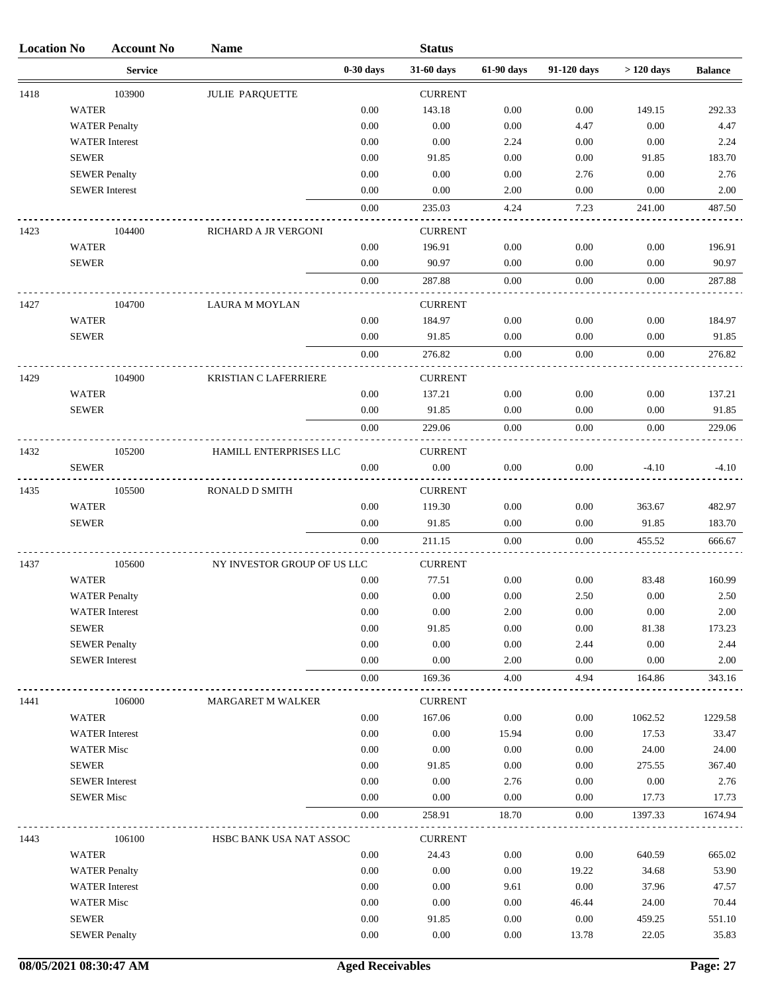| <b>Location No</b> |                   | <b>Account No</b>     | <b>Name</b>                 |             | <b>Status</b>  |            |             |             |                |
|--------------------|-------------------|-----------------------|-----------------------------|-------------|----------------|------------|-------------|-------------|----------------|
|                    |                   | <b>Service</b>        |                             | $0-30$ days | 31-60 days     | 61-90 days | 91-120 days | $>120$ days | <b>Balance</b> |
| 1418               |                   | 103900                | <b>JULIE PARQUETTE</b>      |             | <b>CURRENT</b> |            |             |             |                |
|                    | <b>WATER</b>      |                       |                             | 0.00        | 143.18         | 0.00       | 0.00        | 149.15      | 292.33         |
|                    |                   | <b>WATER Penalty</b>  |                             | 0.00        | 0.00           | $0.00\,$   | 4.47        | $0.00\,$    | 4.47           |
|                    |                   | <b>WATER</b> Interest |                             | 0.00        | 0.00           | 2.24       | 0.00        | 0.00        | 2.24           |
|                    | <b>SEWER</b>      |                       |                             | 0.00        | 91.85          | 0.00       | 0.00        | 91.85       | 183.70         |
|                    |                   | <b>SEWER Penalty</b>  |                             | 0.00        | 0.00           | 0.00       | 2.76        | 0.00        | 2.76           |
|                    |                   | <b>SEWER</b> Interest |                             | 0.00        | 0.00           | 2.00       | 0.00        | 0.00        | 2.00           |
|                    |                   |                       |                             | 0.00        | 235.03         | 4.24       | 7.23        | 241.00      | 487.50         |
| 1423               |                   | 104400                | RICHARD A JR VERGONI        |             | <b>CURRENT</b> |            |             |             |                |
|                    | <b>WATER</b>      |                       |                             | 0.00        | 196.91         | 0.00       | 0.00        | 0.00        | 196.91         |
|                    | <b>SEWER</b>      |                       |                             | 0.00        | 90.97          | 0.00       | 0.00        | 0.00        | 90.97          |
|                    |                   |                       |                             | 0.00        | 287.88         | 0.00       | 0.00        | 0.00        | 287.88         |
| 1427               |                   | 104700                | <b>LAURA M MOYLAN</b>       |             | <b>CURRENT</b> |            |             |             |                |
|                    | <b>WATER</b>      |                       |                             | 0.00        | 184.97         | 0.00       | 0.00        | 0.00        | 184.97         |
|                    | <b>SEWER</b>      |                       |                             | 0.00        | 91.85          | 0.00       | 0.00        | 0.00        | 91.85          |
|                    |                   |                       |                             | 0.00        | 276.82         | 0.00       | 0.00        | 0.00        | 276.82         |
| 1429               |                   | 104900                | KRISTIAN C LAFERRIERE       |             | <b>CURRENT</b> |            |             |             |                |
|                    | <b>WATER</b>      |                       |                             | 0.00        | 137.21         | 0.00       | 0.00        | 0.00        | 137.21         |
|                    | <b>SEWER</b>      |                       |                             | 0.00        | 91.85          | 0.00       | 0.00        | 0.00        | 91.85          |
|                    |                   |                       |                             | 0.00        | 229.06         | 0.00       | 0.00        | 0.00        | 229.06         |
| 1432               |                   | 105200                | HAMILL ENTERPRISES LLC      |             | <b>CURRENT</b> |            |             |             |                |
|                    | <b>SEWER</b>      |                       |                             | 0.00        | 0.00           | 0.00       | 0.00        | $-4.10$     | $-4.10$        |
| 1435               |                   | 105500                | RONALD D SMITH              |             | <b>CURRENT</b> |            |             |             |                |
|                    | <b>WATER</b>      |                       |                             | 0.00        | 119.30         | 0.00       | 0.00        | 363.67      | 482.97         |
|                    | <b>SEWER</b>      |                       |                             | 0.00        | 91.85          | 0.00       | 0.00        | 91.85       | 183.70         |
|                    |                   |                       |                             | 0.00        | 211.15         | 0.00       | 0.00        | 455.52      | 666.67         |
| 1437               |                   | 105600                | NY INVESTOR GROUP OF US LLC |             | <b>CURRENT</b> |            |             |             |                |
|                    | <b>WATER</b>      |                       |                             | 0.00        | 77.51          | 0.00       | 0.00        | 83.48       | 160.99         |
|                    |                   | <b>WATER Penalty</b>  |                             | 0.00        | 0.00           | 0.00       | 2.50        | 0.00        | 2.50           |
|                    |                   | <b>WATER</b> Interest |                             | 0.00        | 0.00           | 2.00       | 0.00        | 0.00        | 2.00           |
|                    | <b>SEWER</b>      |                       |                             | 0.00        | 91.85          | 0.00       | 0.00        | 81.38       | 173.23         |
|                    |                   | <b>SEWER Penalty</b>  |                             | 0.00        | 0.00           | 0.00       | 2.44        | 0.00        | 2.44           |
|                    |                   | <b>SEWER</b> Interest |                             | 0.00        | 0.00           | 2.00       | 0.00        | 0.00        | 2.00           |
|                    |                   |                       |                             | 0.00        | 169.36         | 4.00       | 4.94        | 164.86      | 343.16         |
| 1441               |                   | 106000                | MARGARET M WALKER           |             | <b>CURRENT</b> |            |             |             |                |
|                    | <b>WATER</b>      |                       |                             | 0.00        | 167.06         | 0.00       | 0.00        | 1062.52     | 1229.58        |
|                    |                   | <b>WATER</b> Interest |                             | 0.00        | 0.00           | 15.94      | 0.00        | 17.53       | 33.47          |
|                    | <b>WATER Misc</b> |                       |                             | 0.00        | 0.00           | 0.00       | 0.00        | 24.00       | 24.00          |
|                    | <b>SEWER</b>      |                       |                             | 0.00        | 91.85          | 0.00       | 0.00        | 275.55      | 367.40         |
|                    |                   | <b>SEWER</b> Interest |                             | 0.00        | 0.00           | 2.76       | 0.00        | 0.00        | 2.76           |
|                    | <b>SEWER Misc</b> |                       |                             | 0.00        | 0.00           | 0.00       | 0.00        | 17.73       | 17.73          |
|                    |                   |                       |                             | 0.00        | 258.91         | 18.70      | 0.00        | 1397.33     | 1674.94        |
| 1443               |                   | 106100                | HSBC BANK USA NAT ASSOC     |             | <b>CURRENT</b> |            |             |             |                |
|                    | <b>WATER</b>      |                       |                             | 0.00        | 24.43          | 0.00       | 0.00        | 640.59      | 665.02         |
|                    |                   | <b>WATER Penalty</b>  |                             | 0.00        | 0.00           | 0.00       | 19.22       | 34.68       | 53.90          |
|                    |                   | <b>WATER</b> Interest |                             | 0.00        | 0.00           | 9.61       | 0.00        | 37.96       | 47.57          |
|                    | <b>WATER Misc</b> |                       |                             | 0.00        | 0.00           | 0.00       | 46.44       | 24.00       | 70.44          |
|                    | <b>SEWER</b>      |                       |                             | 0.00        | 91.85          | 0.00       | 0.00        | 459.25      | 551.10         |
|                    |                   | <b>SEWER Penalty</b>  |                             | 0.00        | 0.00           | 0.00       | 13.78       | 22.05       | 35.83          |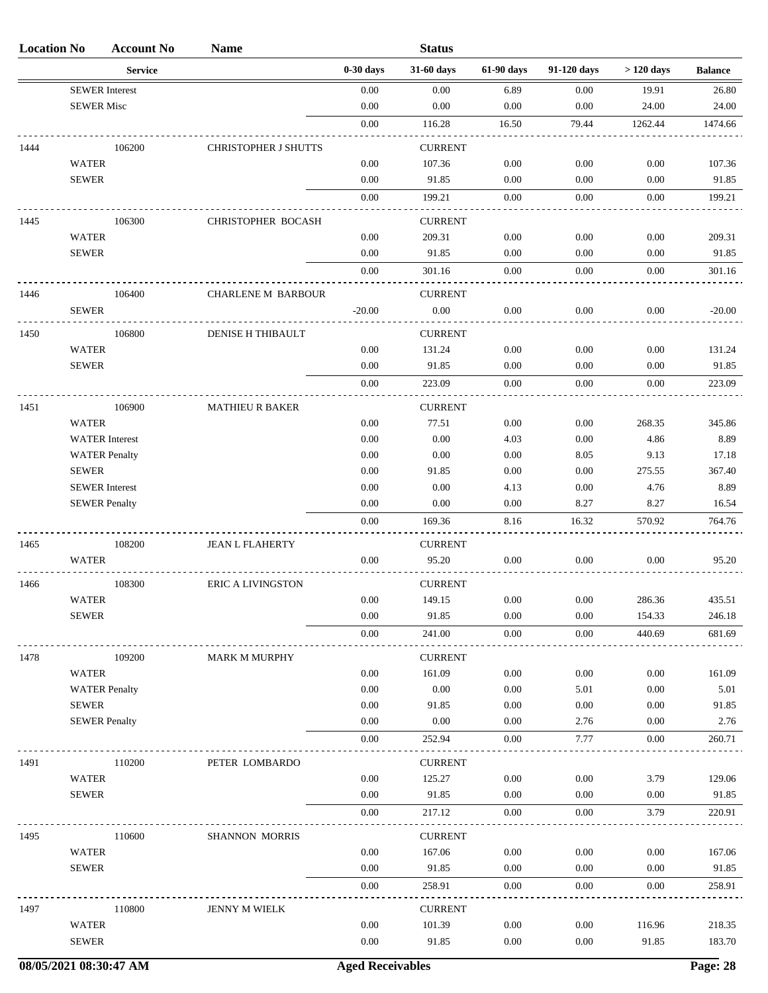| <b>Location No</b> |                              | <b>Account No</b>     | <b>Name</b>               |              | <b>Status</b>   |              |              |                 |                  |
|--------------------|------------------------------|-----------------------|---------------------------|--------------|-----------------|--------------|--------------|-----------------|------------------|
|                    |                              | <b>Service</b>        |                           | $0-30$ days  | 31-60 days      | 61-90 days   | 91-120 days  | $>120$ days     | <b>Balance</b>   |
|                    | <b>SEWER</b> Interest        |                       |                           | 0.00         | $0.00\,$        | 6.89         | 0.00         | 19.91           | 26.80            |
|                    | <b>SEWER Misc</b>            |                       |                           | 0.00         | 0.00            | 0.00         | 0.00         | 24.00           | 24.00            |
|                    |                              |                       |                           | $0.00\,$     | 116.28          | 16.50        | 79.44        | 1262.44         | 1474.66          |
| 1444               |                              | 106200                | CHRISTOPHER J SHUTTS      |              | <b>CURRENT</b>  |              |              |                 |                  |
|                    | <b>WATER</b>                 |                       |                           | 0.00         | 107.36          | 0.00         | 0.00         | 0.00            | 107.36           |
|                    | <b>SEWER</b>                 |                       |                           | 0.00         | 91.85           | 0.00         | 0.00         | 0.00            | 91.85            |
|                    |                              |                       |                           | 0.00         | 199.21          | 0.00         | 0.00         | 0.00            | 199.21           |
|                    |                              |                       |                           |              |                 |              |              |                 |                  |
| 1445               |                              | 106300                | CHRISTOPHER BOCASH        |              | <b>CURRENT</b>  |              |              |                 |                  |
|                    | <b>WATER</b><br><b>SEWER</b> |                       |                           | 0.00<br>0.00 | 209.31<br>91.85 | 0.00<br>0.00 | 0.00<br>0.00 | 0.00<br>0.00    | 209.31<br>91.85  |
|                    |                              |                       |                           |              |                 |              |              |                 |                  |
|                    |                              |                       |                           | 0.00         | 301.16          | 0.00         | 0.00         | 0.00            | 301.16           |
| 1446               |                              | 106400                | <b>CHARLENE M BARBOUR</b> |              | <b>CURRENT</b>  |              |              |                 |                  |
|                    | <b>SEWER</b>                 |                       |                           | $-20.00$     | $0.00\,$        | 0.00         | 0.00         | 0.00            | $-20.00$         |
| 1450               |                              | 106800                | DENISE H THIBAULT         |              | <b>CURRENT</b>  |              |              |                 |                  |
|                    | <b>WATER</b>                 |                       |                           | 0.00         | 131.24          | 0.00         | 0.00         | 0.00            | 131.24           |
|                    | <b>SEWER</b>                 |                       |                           | 0.00         | 91.85           | 0.00         | 0.00         | 0.00            | 91.85            |
|                    |                              |                       |                           | $0.00\,$     | 223.09          | 0.00         | $0.00\,$     | 0.00            | 223.09           |
| 1451               |                              | 106900                | <b>MATHIEU R BAKER</b>    |              | <b>CURRENT</b>  |              |              |                 |                  |
|                    | <b>WATER</b>                 |                       |                           | 0.00         | 77.51           | 0.00         | $0.00\,$     | 268.35          | 345.86           |
|                    |                              | <b>WATER</b> Interest |                           | 0.00         | 0.00            | 4.03         | 0.00         | 4.86            | 8.89             |
|                    |                              | <b>WATER Penalty</b>  |                           | 0.00         | 0.00            | 0.00         | 8.05         | 9.13            | 17.18            |
|                    | <b>SEWER</b>                 |                       |                           | 0.00         | 91.85           | 0.00         | 0.00         | 275.55          | 367.40           |
|                    | <b>SEWER</b> Interest        |                       |                           | 0.00         | 0.00            | 4.13         | 0.00         | 4.76            | 8.89             |
|                    | <b>SEWER Penalty</b>         |                       |                           | 0.00         | 0.00            | 0.00         | 8.27         | 8.27            | 16.54            |
|                    |                              |                       |                           | 0.00         | 169.36          | 8.16         | 16.32        | 570.92          | 764.76           |
| 1465               |                              | 108200                | <b>JEAN L FLAHERTY</b>    |              | <b>CURRENT</b>  |              |              |                 |                  |
|                    | <b>WATER</b>                 |                       |                           | 0.00         | 95.20           | 0.00         | 0.00         | 0.00            | 95.20            |
|                    |                              |                       |                           |              |                 |              |              |                 |                  |
| 1466               |                              | 108300                | <b>ERIC A LIVINGSTON</b>  |              | <b>CURRENT</b>  |              |              |                 |                  |
|                    | <b>WATER</b>                 |                       |                           | $0.00\,$     | 149.15          | $0.00\,$     | $0.00\,$     | 286.36          | 435.51           |
|                    | <b>SEWER</b>                 |                       |                           | 0.00         | 91.85           | 0.00         | $0.00\,$     | 154.33          | 246.18           |
|                    |                              |                       |                           | 0.00         | 241.00          | $0.00\,$     | 0.00         | 440.69          | 681.69           |
| 1478               |                              | 109200                | <b>MARK M MURPHY</b>      |              | <b>CURRENT</b>  |              |              |                 |                  |
|                    | <b>WATER</b>                 |                       |                           | 0.00         | 161.09          | 0.00         | 0.00         | 0.00            | 161.09           |
|                    |                              | <b>WATER Penalty</b>  |                           | 0.00         | $0.00\,$        | 0.00         | 5.01         | 0.00            | 5.01             |
|                    | <b>SEWER</b>                 |                       |                           | 0.00         | 91.85           | 0.00         | 0.00         | 0.00            | 91.85            |
|                    | <b>SEWER Penalty</b>         |                       |                           | 0.00         | 0.00            | 0.00         | 2.76         | 0.00            | 2.76             |
|                    |                              |                       |                           | 0.00         | 252.94          | 0.00         | 7.77         | 0.00            | 260.71           |
| 1491               |                              | 110200                | PETER LOMBARDO            |              | <b>CURRENT</b>  |              |              |                 |                  |
|                    | <b>WATER</b>                 |                       |                           | 0.00         | 125.27          | $0.00\,$     | 0.00         | 3.79            | 129.06           |
|                    | <b>SEWER</b>                 |                       |                           | 0.00         | 91.85           | 0.00         | 0.00         | 0.00            | 91.85            |
|                    |                              |                       |                           | $0.00\,$     | 217.12          | 0.00         | $0.00\,$     | 3.79            | 220.91           |
| 1495               |                              | 110600                | SHANNON MORRIS            |              | <b>CURRENT</b>  |              |              |                 |                  |
|                    | <b>WATER</b>                 |                       |                           | 0.00         | 167.06          | $0.00\,$     | 0.00         | 0.00            | 167.06           |
|                    | <b>SEWER</b>                 |                       |                           | 0.00         | 91.85           | $0.00\,$     | 0.00         | 0.00            | 91.85            |
|                    |                              |                       |                           | 0.00         | 258.91          | 0.00         | 0.00         | 0.00            | 258.91           |
|                    |                              |                       |                           |              |                 |              |              |                 |                  |
| 1497               |                              | 110800                | JENNY M WIELK             |              | <b>CURRENT</b>  |              |              |                 |                  |
|                    | <b>WATER</b><br><b>SEWER</b> |                       |                           | 0.00<br>0.00 | 101.39<br>91.85 | 0.00<br>0.00 | 0.00<br>0.00 | 116.96<br>91.85 | 218.35<br>183.70 |
|                    |                              |                       |                           |              |                 |              |              |                 |                  |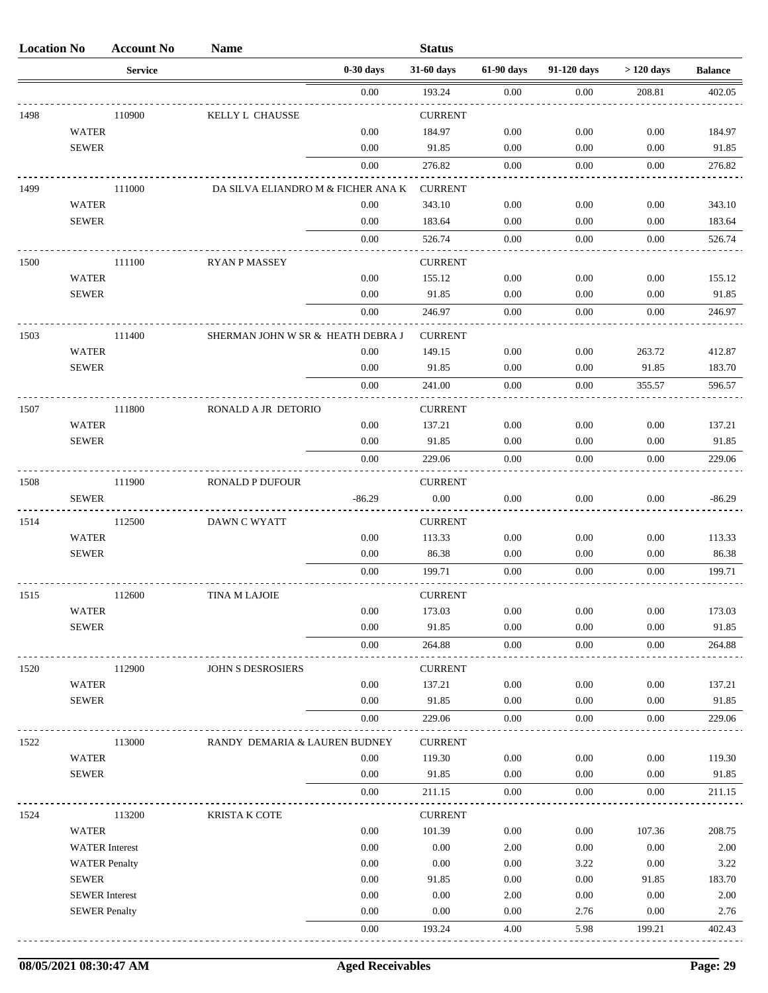| <b>Location No</b> |                       | <b>Account No</b> | <b>Name</b>                        |             | <b>Status</b>            |            |             |             |                |
|--------------------|-----------------------|-------------------|------------------------------------|-------------|--------------------------|------------|-------------|-------------|----------------|
|                    |                       | <b>Service</b>    |                                    | $0-30$ days | 31-60 days               | 61-90 days | 91-120 days | $>120$ days | <b>Balance</b> |
|                    |                       |                   |                                    | 0.00        | 193.24                   | 0.00       | 0.00        | 208.81      | 402.05         |
| 1498               |                       | 110900            | KELLY L CHAUSSE                    |             | <b>CURRENT</b>           |            |             |             |                |
|                    | <b>WATER</b>          |                   |                                    | 0.00        | 184.97                   | 0.00       | 0.00        | 0.00        | 184.97         |
|                    | <b>SEWER</b>          |                   |                                    | 0.00        | 91.85                    | 0.00       | 0.00        | 0.00        | 91.85          |
|                    |                       |                   |                                    | 0.00        | 276.82                   | 0.00       | 0.00        | 0.00        | 276.82         |
| 1499               |                       | 111000            | DA SILVA ELIANDRO M & FICHER ANA K |             | <b>CURRENT</b>           |            |             |             |                |
|                    | <b>WATER</b>          |                   |                                    | 0.00        | 343.10                   | 0.00       | 0.00        | 0.00        | 343.10         |
|                    | <b>SEWER</b>          |                   |                                    | 0.00        | 183.64                   | 0.00       | 0.00        | 0.00        | 183.64         |
|                    |                       |                   |                                    | 0.00        | 526.74                   | 0.00       | 0.00        | 0.00        | 526.74         |
| 1500               |                       | 111100            | <b>RYAN P MASSEY</b>               |             | <b>CURRENT</b>           |            |             |             |                |
|                    | <b>WATER</b>          |                   |                                    | 0.00        | 155.12                   | 0.00       | 0.00        | 0.00        | 155.12         |
|                    | <b>SEWER</b>          |                   |                                    | 0.00        | 91.85                    | 0.00       | 0.00        | 0.00        | 91.85          |
|                    |                       |                   |                                    | 0.00        | 246.97                   | 0.00       | 0.00        | 0.00        | 246.97         |
| 1503               |                       | 111400            | SHERMAN JOHN W SR & HEATH DEBRA J  |             | <b>CURRENT</b>           |            |             |             |                |
|                    | <b>WATER</b>          |                   |                                    | 0.00        | 149.15                   | 0.00       | 0.00        | 263.72      | 412.87         |
|                    | <b>SEWER</b>          |                   |                                    | 0.00        | 91.85                    | 0.00       | 0.00        | 91.85       | 183.70         |
|                    |                       |                   |                                    | 0.00        | 241.00                   | 0.00       | 0.00        | 355.57      | 596.57         |
| 1507               |                       | 111800            | RONALD A JR DETORIO                |             | <b>CURRENT</b>           |            |             |             |                |
|                    | <b>WATER</b>          |                   |                                    | 0.00        | 137.21                   | 0.00       | 0.00        | 0.00        | 137.21         |
|                    | <b>SEWER</b>          |                   |                                    | 0.00        | 91.85                    | 0.00       | 0.00        | 0.00        | 91.85          |
|                    |                       |                   |                                    | 0.00        | 229.06                   | 0.00       | 0.00        | 0.00        | 229.06         |
| 1508               |                       | 111900            | RONALD P DUFOUR                    |             | <b>CURRENT</b>           |            |             |             |                |
|                    | <b>SEWER</b>          |                   |                                    | $-86.29$    | 0.00                     | 0.00       | 0.00        | 0.00        | $-86.29$       |
| 1514               |                       | 112500            | DAWN C WYATT                       |             | <b>CURRENT</b>           |            |             |             |                |
|                    | <b>WATER</b>          |                   |                                    | 0.00        | 113.33                   | 0.00       | 0.00        | 0.00        | 113.33         |
|                    | <b>SEWER</b>          |                   |                                    | 0.00        | 86.38                    | 0.00       | 0.00        | 0.00        | 86.38          |
|                    |                       |                   |                                    | 0.00        | 199.71                   | 0.00       | 0.00        | 0.00        | 199.71         |
| 1515               |                       | 112600            |                                    |             | <b>CURRENT</b>           |            |             |             |                |
|                    | <b>WATER</b>          |                   | TINA M LAJOIE                      | $0.00\,$    | 173.03                   | 0.00       | 0.00        | 0.00        | 173.03         |
|                    | <b>SEWER</b>          |                   |                                    | $0.00\,$    | 91.85                    | 0.00       | 0.00        | 0.00        | 91.85          |
|                    |                       |                   |                                    | 0.00        | 264.88                   | 0.00       | 0.00        | 0.00        | 264.88         |
| 1520               |                       | 112900            | JOHN S DESROSIERS                  |             | <b>CURRENT</b>           |            |             |             |                |
|                    | <b>WATER</b>          |                   |                                    | 0.00        | 137.21                   | 0.00       | 0.00        | 0.00        | 137.21         |
|                    | <b>SEWER</b>          |                   |                                    | 0.00        | 91.85                    | 0.00       | 0.00        | 0.00        | 91.85          |
|                    |                       |                   |                                    | 0.00        | 229.06                   | 0.00       | 0.00        | 0.00        | 229.06         |
| 1522               |                       | 113000            | RANDY DEMARIA & LAUREN BUDNEY      |             | <b>CURRENT</b>           |            |             |             |                |
|                    | <b>WATER</b>          |                   |                                    | 0.00        | 119.30                   | 0.00       | 0.00        | 0.00        | 119.30         |
|                    | <b>SEWER</b>          |                   |                                    | 0.00        | 91.85                    | 0.00       | 0.00        | 0.00        | 91.85          |
|                    |                       |                   |                                    | 0.00        | 211.15                   | 0.00       | 0.00        | 0.00        | 211.15         |
|                    |                       |                   |                                    |             |                          |            |             |             |                |
| 1524               | <b>WATER</b>          | 113200            | <b>KRISTA K COTE</b>               | 0.00        | <b>CURRENT</b><br>101.39 | 0.00       | 0.00        | 107.36      | 208.75         |
|                    | <b>WATER</b> Interest |                   |                                    | 0.00        | 0.00                     | 2.00       | 0.00        | $0.00\,$    | 2.00           |
|                    | <b>WATER Penalty</b>  |                   |                                    | 0.00        | 0.00                     | 0.00       | 3.22        | 0.00        | 3.22           |
|                    | <b>SEWER</b>          |                   |                                    | 0.00        | 91.85                    | 0.00       | 0.00        | 91.85       | 183.70         |
|                    | <b>SEWER</b> Interest |                   |                                    | $0.00\,$    | 0.00                     | 2.00       | $0.00\,$    | 0.00        | 2.00           |
|                    | <b>SEWER Penalty</b>  |                   |                                    | 0.00        | 0.00                     | 0.00       | 2.76        | 0.00        | 2.76           |
|                    |                       |                   |                                    | 0.00        | 193.24                   | 4.00       | 5.98        | 199.21      | 402.43         |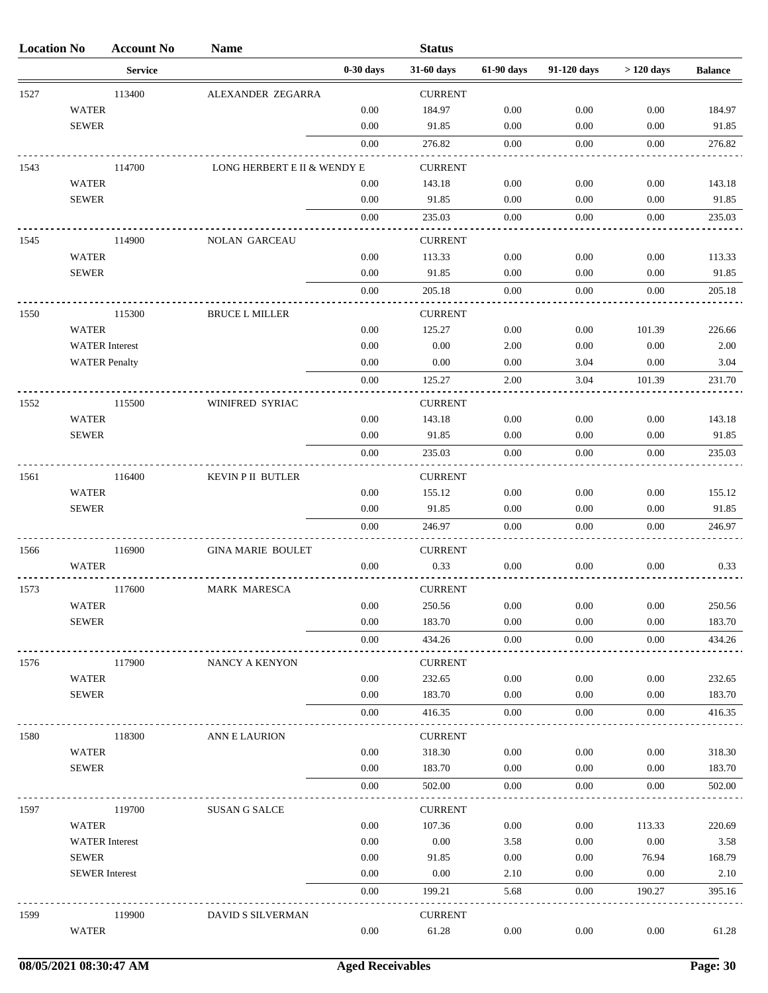| <b>Location No</b> |                       | <b>Account No</b> | <b>Name</b>                 |             | <b>Status</b>            |            |             |             |                |
|--------------------|-----------------------|-------------------|-----------------------------|-------------|--------------------------|------------|-------------|-------------|----------------|
|                    |                       | <b>Service</b>    |                             | $0-30$ days | 31-60 days               | 61-90 days | 91-120 days | $>120$ days | <b>Balance</b> |
| 1527               |                       | 113400            | ALEXANDER ZEGARRA           |             | <b>CURRENT</b>           |            |             |             |                |
|                    | <b>WATER</b>          |                   |                             | 0.00        | 184.97                   | 0.00       | 0.00        | 0.00        | 184.97         |
|                    | <b>SEWER</b>          |                   |                             | 0.00        | 91.85                    | 0.00       | 0.00        | 0.00        | 91.85          |
|                    |                       |                   |                             | 0.00        | 276.82                   | 0.00       | 0.00        | 0.00        | 276.82         |
| 1543               |                       | 114700            | LONG HERBERT E II & WENDY E |             | <b>CURRENT</b>           |            |             |             |                |
|                    | <b>WATER</b>          |                   |                             | 0.00        | 143.18                   | 0.00       | 0.00        | 0.00        | 143.18         |
|                    | <b>SEWER</b>          |                   |                             | 0.00        | 91.85                    | 0.00       | 0.00        | 0.00        | 91.85          |
|                    |                       |                   |                             | 0.00        | 235.03                   | 0.00       | 0.00        | 0.00        | 235.03         |
| 1545               |                       | 114900            | <b>NOLAN GARCEAU</b>        |             | <b>CURRENT</b>           |            |             |             |                |
|                    | <b>WATER</b>          |                   |                             | 0.00        | 113.33                   | 0.00       | 0.00        | 0.00        | 113.33         |
|                    | <b>SEWER</b>          |                   |                             | 0.00        | 91.85                    | 0.00       | 0.00        | 0.00        | 91.85          |
|                    |                       |                   |                             | 0.00        | 205.18                   | 0.00       | 0.00        | 0.00        | 205.18         |
| 1550               |                       | 115300            | <b>BRUCE L MILLER</b>       |             | <b>CURRENT</b>           |            |             |             |                |
|                    | <b>WATER</b>          |                   |                             | 0.00        | 125.27                   | 0.00       | 0.00        | 101.39      | 226.66         |
|                    | <b>WATER</b> Interest |                   |                             | 0.00        | 0.00                     | 2.00       | 0.00        | 0.00        | 2.00           |
|                    | <b>WATER Penalty</b>  |                   |                             | 0.00        | 0.00                     | 0.00       | 3.04        | 0.00        | 3.04           |
|                    |                       |                   |                             | $0.00\,$    | 125.27                   | 2.00       | 3.04        | 101.39      | 231.70         |
| 1552               |                       | 115500            | WINIFRED SYRIAC             |             | <b>CURRENT</b>           |            |             |             |                |
|                    | <b>WATER</b>          |                   |                             | 0.00        | 143.18                   | 0.00       | 0.00        | 0.00        | 143.18         |
|                    | <b>SEWER</b>          |                   |                             | 0.00        | 91.85                    | 0.00       | 0.00        | 0.00        | 91.85          |
|                    |                       |                   |                             | 0.00        | 235.03                   | 0.00       | 0.00        | 0.00        | 235.03         |
|                    |                       |                   |                             |             |                          |            |             |             |                |
| 1561               | <b>WATER</b>          | 116400            | KEVIN P II BUTLER           | 0.00        | <b>CURRENT</b><br>155.12 | 0.00       | 0.00        | 0.00        | 155.12         |
|                    | <b>SEWER</b>          |                   |                             | 0.00        | 91.85                    | 0.00       | 0.00        | 0.00        | 91.85          |
|                    |                       |                   |                             | 0.00        | 246.97                   | 0.00       | 0.00        | 0.00        | 246.97         |
|                    |                       |                   |                             |             |                          |            |             |             |                |
| 1566               | <b>WATER</b>          | 116900            | <b>GINA MARIE BOULET</b>    | 0.00        | <b>CURRENT</b><br>0.33   | 0.00       | 0.00        | 0.00        | 0.33           |
|                    |                       |                   |                             |             |                          |            |             |             |                |
| 1573               |                       | 117600            | <b>MARK MARESCA</b>         |             | <b>CURRENT</b>           |            |             |             |                |
|                    | <b>WATER</b>          |                   |                             | $0.00\,$    | 250.56                   | 0.00       | 0.00        | 0.00        | 250.56         |
|                    | <b>SEWER</b>          |                   |                             | 0.00        | 183.70                   | 0.00       | 0.00        | 0.00        | 183.70         |
|                    |                       |                   |                             | 0.00        | 434.26                   | 0.00       | 0.00        | 0.00        | 434.26         |
| 1576               |                       | 117900            | NANCY A KENYON              |             | <b>CURRENT</b>           |            |             |             |                |
|                    | <b>WATER</b>          |                   |                             | 0.00        | 232.65                   | 0.00       | 0.00        | 0.00        | 232.65         |
|                    | <b>SEWER</b>          |                   |                             | 0.00        | 183.70                   | 0.00       | 0.00        | 0.00        | 183.70         |
|                    |                       |                   |                             | 0.00        | 416.35                   | 0.00       | 0.00        | 0.00        | 416.35         |
| 1580               |                       | 118300            | ANN E LAURION               |             | <b>CURRENT</b>           |            |             |             |                |
|                    | <b>WATER</b>          |                   |                             | 0.00        | 318.30                   | 0.00       | 0.00        | 0.00        | 318.30         |
|                    | <b>SEWER</b>          |                   |                             | 0.00        | 183.70                   | 0.00       | 0.00        | 0.00        | 183.70         |
|                    |                       |                   |                             | 0.00        | 502.00                   | 0.00       | 0.00        | 0.00        | 502.00         |
| 1597               |                       | 119700            | <b>SUSAN G SALCE</b>        |             | <b>CURRENT</b>           |            |             |             |                |
|                    | <b>WATER</b>          |                   |                             | 0.00        | 107.36                   | 0.00       | 0.00        | 113.33      | 220.69         |
|                    | <b>WATER</b> Interest |                   |                             | 0.00        | 0.00                     | 3.58       | 0.00        | 0.00        | 3.58           |
|                    | <b>SEWER</b>          |                   |                             | 0.00        | 91.85                    | 0.00       | 0.00        | 76.94       | 168.79         |
|                    | <b>SEWER</b> Interest |                   |                             | 0.00        | 0.00                     | 2.10       | 0.00        | 0.00        | 2.10           |
|                    |                       |                   |                             | 0.00        | 199.21                   | 5.68       | 0.00        | 190.27      | 395.16         |
| 1599               |                       | 119900            | DAVID S SILVERMAN           |             | <b>CURRENT</b>           |            |             |             |                |
|                    | <b>WATER</b>          |                   |                             | 0.00        | 61.28                    | 0.00       | 0.00        | 0.00        | 61.28          |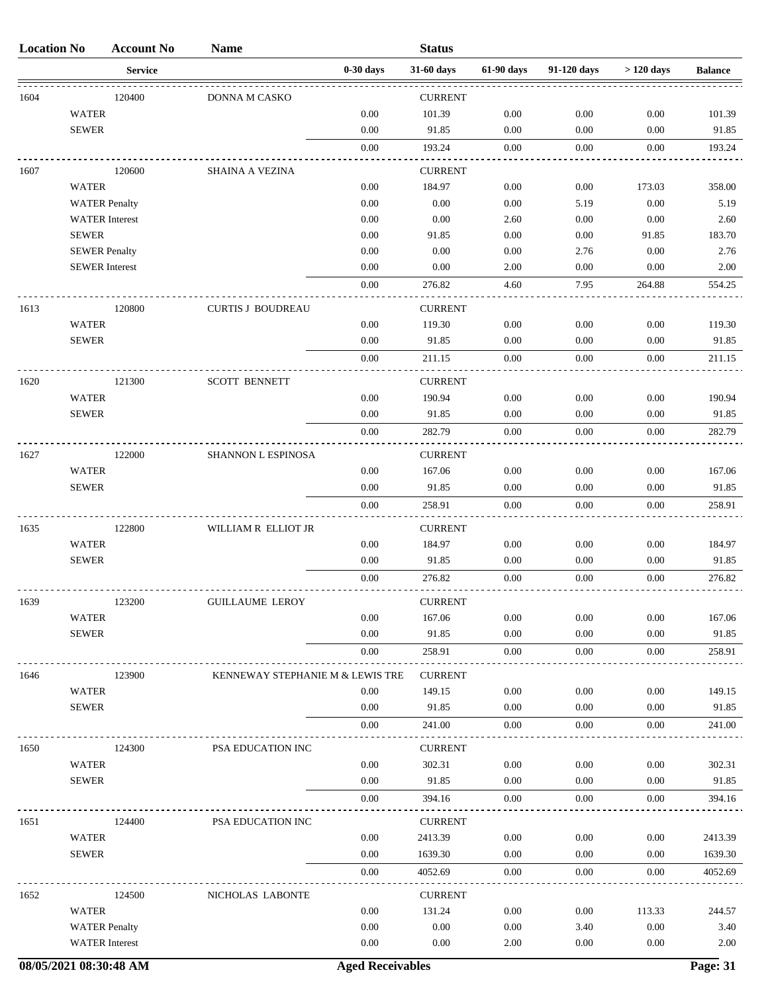| <b>Location No</b> |                       | <b>Account No</b> | <b>Name</b>                      |             | <b>Status</b>  |            |             |             |                |
|--------------------|-----------------------|-------------------|----------------------------------|-------------|----------------|------------|-------------|-------------|----------------|
|                    |                       | <b>Service</b>    |                                  | $0-30$ days | 31-60 days     | 61-90 days | 91-120 days | $>120$ days | <b>Balance</b> |
| 1604               |                       | 120400            | DONNA M CASKO                    |             | <b>CURRENT</b> |            |             |             |                |
|                    | <b>WATER</b>          |                   |                                  | 0.00        | 101.39         | 0.00       | 0.00        | 0.00        | 101.39         |
|                    | <b>SEWER</b>          |                   |                                  | 0.00        | 91.85          | 0.00       | 0.00        | 0.00        | 91.85          |
|                    |                       |                   |                                  | 0.00        | 193.24         | $0.00\,$   | 0.00        | 0.00        | 193.24         |
| 1607               |                       | 120600            | <b>SHAINA A VEZINA</b>           |             | <b>CURRENT</b> |            |             |             |                |
|                    | <b>WATER</b>          |                   |                                  | 0.00        | 184.97         | 0.00       | 0.00        | 173.03      | 358.00         |
|                    | <b>WATER Penalty</b>  |                   |                                  | 0.00        | $0.00\,$       | 0.00       | 5.19        | $0.00\,$    | 5.19           |
|                    | <b>WATER</b> Interest |                   |                                  | 0.00        | 0.00           | 2.60       | 0.00        | 0.00        | 2.60           |
|                    | <b>SEWER</b>          |                   |                                  | 0.00        | 91.85          | 0.00       | 0.00        | 91.85       | 183.70         |
|                    | <b>SEWER Penalty</b>  |                   |                                  | 0.00        | 0.00           | 0.00       | 2.76        | 0.00        | 2.76           |
|                    | <b>SEWER</b> Interest |                   |                                  | 0.00        | 0.00           | 2.00       | 0.00        | 0.00        | 2.00           |
|                    |                       |                   |                                  | 0.00        | 276.82         | 4.60       | 7.95        | 264.88      | 554.25         |
| 1613               |                       | 120800            | <b>CURTIS J BOUDREAU</b>         |             | <b>CURRENT</b> |            |             |             |                |
|                    | <b>WATER</b>          |                   |                                  | 0.00        | 119.30         | 0.00       | 0.00        | 0.00        | 119.30         |
|                    | <b>SEWER</b>          |                   |                                  | 0.00        | 91.85          | 0.00       | 0.00        | 0.00        | 91.85          |
|                    |                       |                   |                                  | 0.00        | 211.15         | 0.00       | 0.00        | 0.00        | 211.15         |
| 1620               |                       | 121300            | <b>SCOTT BENNETT</b>             |             | <b>CURRENT</b> |            |             |             |                |
|                    | <b>WATER</b>          |                   |                                  | 0.00        | 190.94         | 0.00       | 0.00        | 0.00        | 190.94         |
|                    | <b>SEWER</b>          |                   |                                  | 0.00        | 91.85          | 0.00       | 0.00        | 0.00        | 91.85          |
|                    |                       |                   |                                  | 0.00        | 282.79         | 0.00       | 0.00        | 0.00        | 282.79         |
| 1627               |                       | 122000            | SHANNON L ESPINOSA               |             | <b>CURRENT</b> |            |             |             |                |
|                    | <b>WATER</b>          |                   |                                  | 0.00        | 167.06         | 0.00       | 0.00        | 0.00        | 167.06         |
|                    | <b>SEWER</b>          |                   |                                  | 0.00        | 91.85          | 0.00       | 0.00        | 0.00        | 91.85          |
|                    |                       |                   |                                  | 0.00        | 258.91         | $0.00\,$   | 0.00        | 0.00        | 258.91         |
| 1635               |                       | 122800            | WILLIAM R ELLIOT JR              |             | <b>CURRENT</b> |            |             |             |                |
|                    | <b>WATER</b>          |                   |                                  | 0.00        | 184.97         | 0.00       | 0.00        | 0.00        | 184.97         |
|                    | <b>SEWER</b>          |                   |                                  | 0.00        | 91.85          | 0.00       | 0.00        | 0.00        | 91.85          |
|                    |                       |                   |                                  | 0.00        | 276.82         | 0.00       | 0.00        | 0.00        | 276.82         |
| 1639               |                       | 123200            | <b>GUILLAUME LEROY</b>           |             | <b>CURRENT</b> |            |             |             |                |
|                    | <b>WATER</b>          |                   |                                  | 0.00        | 167.06         | 0.00       | 0.00        | 0.00        | 167.06         |
|                    | <b>SEWER</b>          |                   |                                  | 0.00        | 91.85          | 0.00       | 0.00        | 0.00        | 91.85          |
|                    |                       |                   |                                  | 0.00        | 258.91         | $0.00\,$   | 0.00        | 0.00        | 258.91         |
| 1646               |                       | 123900            | KENNEWAY STEPHANIE M & LEWIS TRE |             | <b>CURRENT</b> |            |             |             |                |
|                    | <b>WATER</b>          |                   |                                  | 0.00        | 149.15         | $0.00\,$   | $0.00\,$    | 0.00        | 149.15         |
|                    | <b>SEWER</b>          |                   |                                  | 0.00        | 91.85          | 0.00       | $0.00\,$    | 0.00        | 91.85          |
|                    |                       |                   |                                  | 0.00        | 241.00         | 0.00       | 0.00        | 0.00        | 241.00         |
| 1650               |                       | 124300            | PSA EDUCATION INC                |             | <b>CURRENT</b> |            |             |             |                |
|                    | <b>WATER</b>          |                   |                                  | 0.00        | 302.31         | 0.00       | 0.00        | 0.00        | 302.31         |
|                    | <b>SEWER</b>          |                   |                                  | 0.00        | 91.85          | 0.00       | 0.00        | 0.00        | 91.85          |
|                    |                       |                   |                                  | 0.00        | 394.16         | $0.00\,$   | 0.00        | 0.00        | 394.16         |
| 1651               |                       | 124400            | PSA EDUCATION INC                |             | <b>CURRENT</b> |            |             |             |                |
|                    | <b>WATER</b>          |                   |                                  | 0.00        | 2413.39        | 0.00       | 0.00        | 0.00        | 2413.39        |
|                    | <b>SEWER</b>          |                   |                                  | 0.00        | 1639.30        | 0.00       | $0.00\,$    | 0.00        | 1639.30        |
|                    |                       |                   |                                  | 0.00        | 4052.69        | 0.00       | 0.00        | 0.00        | 4052.69        |
| 1652               |                       | 124500            | NICHOLAS LABONTE                 |             | <b>CURRENT</b> |            |             |             |                |
|                    | <b>WATER</b>          |                   |                                  | 0.00        | 131.24         | 0.00       | 0.00        | 113.33      | 244.57         |
|                    | <b>WATER Penalty</b>  |                   |                                  | 0.00        | 0.00           | 0.00       | 3.40        | 0.00        | 3.40           |
|                    | <b>WATER</b> Interest |                   |                                  | 0.00        | 0.00           | 2.00       | 0.00        | 0.00        | 2.00           |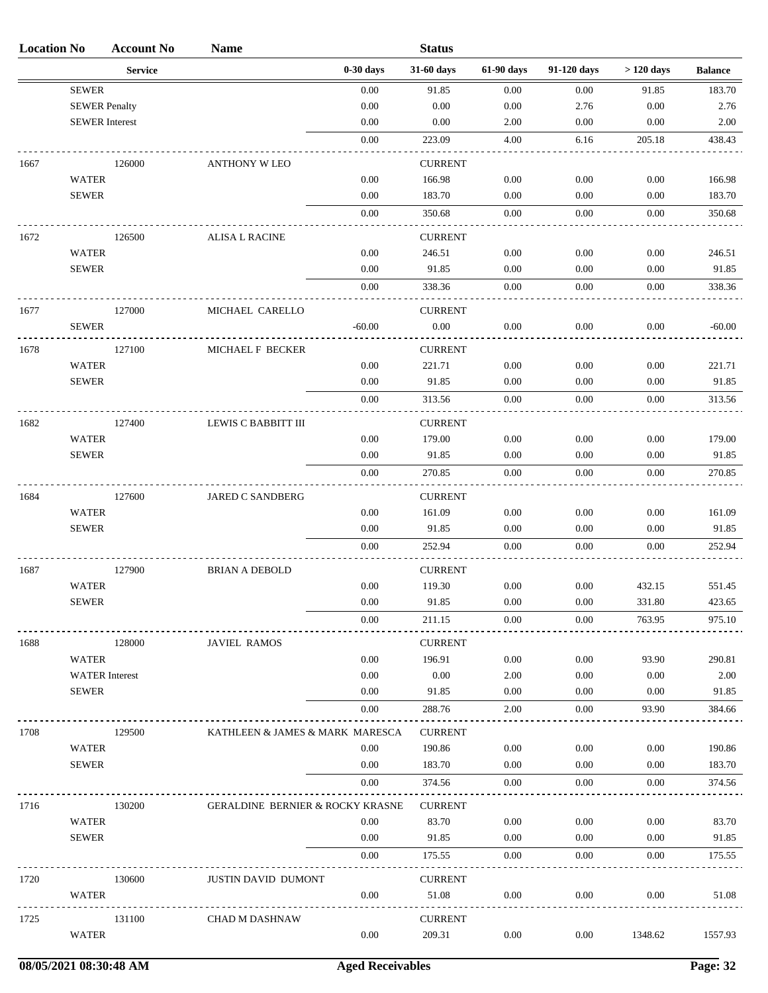| <b>Location No</b> |                              | <b>Account No</b>     | <b>Name</b>                                 |              | <b>Status</b>            |              |              |              |                 |
|--------------------|------------------------------|-----------------------|---------------------------------------------|--------------|--------------------------|--------------|--------------|--------------|-----------------|
|                    |                              | <b>Service</b>        |                                             | $0-30$ days  | 31-60 days               | 61-90 days   | 91-120 days  | $>120$ days  | <b>Balance</b>  |
|                    | <b>SEWER</b>                 |                       |                                             | 0.00         | 91.85                    | 0.00         | 0.00         | 91.85        | 183.70          |
|                    | <b>SEWER Penalty</b>         |                       |                                             | 0.00         | 0.00                     | 0.00         | 2.76         | 0.00         | 2.76            |
|                    | <b>SEWER</b> Interest        |                       |                                             | 0.00         | 0.00                     | 2.00         | 0.00         | 0.00         | 2.00            |
|                    |                              |                       |                                             | 0.00         | 223.09                   | 4.00         | 6.16         | 205.18       | 438.43          |
| 1667               |                              | 126000                | <b>ANTHONY W LEO</b>                        |              | <b>CURRENT</b>           |              |              |              |                 |
|                    | <b>WATER</b>                 |                       |                                             | 0.00         | 166.98                   | 0.00         | 0.00         | 0.00         | 166.98          |
|                    | <b>SEWER</b>                 |                       |                                             | 0.00         | 183.70                   | 0.00         | 0.00         | 0.00         | 183.70          |
|                    |                              |                       |                                             | 0.00         | 350.68                   | $0.00\,$     | 0.00         | 0.00         | 350.68          |
| 1672               |                              | 126500                | <b>ALISA L RACINE</b>                       |              | <b>CURRENT</b>           |              |              |              |                 |
|                    | <b>WATER</b>                 |                       |                                             | 0.00         | 246.51                   | 0.00         | 0.00         | 0.00         | 246.51          |
|                    | <b>SEWER</b>                 |                       |                                             | 0.00         | 91.85                    | 0.00         | 0.00         | 0.00         | 91.85           |
|                    |                              |                       |                                             | 0.00         | 338.36                   | 0.00         | 0.00         | 0.00         | 338.36          |
| 1677               |                              | 127000                | MICHAEL CARELLO                             |              | <b>CURRENT</b>           |              |              |              |                 |
|                    | <b>SEWER</b>                 |                       |                                             | $-60.00$     | 0.00                     | $0.00\,$     | 0.00         | 0.00         | $-60.00$        |
|                    |                              |                       |                                             |              |                          |              |              |              |                 |
| 1678               | <b>WATER</b>                 | 127100                | MICHAEL F BECKER                            | 0.00         | <b>CURRENT</b><br>221.71 | 0.00         | 0.00         | 0.00         | 221.71          |
|                    | <b>SEWER</b>                 |                       |                                             | 0.00         | 91.85                    | 0.00         | 0.00         | 0.00         | 91.85           |
|                    |                              |                       |                                             | 0.00         | 313.56                   | 0.00         | 0.00         | 0.00         | 313.56          |
|                    |                              |                       |                                             |              |                          |              |              |              |                 |
| 1682               |                              | 127400                | LEWIS C BABBITT III                         |              | <b>CURRENT</b>           |              |              |              |                 |
|                    | <b>WATER</b><br><b>SEWER</b> |                       |                                             | 0.00<br>0.00 | 179.00<br>91.85          | 0.00<br>0.00 | 0.00<br>0.00 | 0.00<br>0.00 | 179.00<br>91.85 |
|                    |                              |                       |                                             | 0.00         | 270.85                   | 0.00         | 0.00         | 0.00         | 270.85          |
|                    |                              |                       |                                             |              |                          |              |              |              |                 |
| 1684               |                              | 127600                | JARED C SANDBERG                            |              | <b>CURRENT</b>           |              |              |              |                 |
|                    | <b>WATER</b>                 |                       |                                             | 0.00         | 161.09                   | 0.00         | 0.00         | 0.00         | 161.09          |
|                    | <b>SEWER</b>                 |                       |                                             | 0.00         | 91.85                    | 0.00         | 0.00         | 0.00         | 91.85           |
|                    |                              |                       |                                             | 0.00         | 252.94                   | 0.00         | 0.00         | 0.00         | 252.94          |
| 1687               |                              | 127900                | <b>BRIAN A DEBOLD</b>                       |              | <b>CURRENT</b>           |              |              |              |                 |
|                    | <b>WATER</b>                 |                       |                                             | 0.00         | 119.30                   | 0.00         | 0.00         | 432.15       | 551.45          |
|                    | <b>SEWER</b>                 |                       |                                             | $0.00\,$     | 91.85                    | $0.00\,$     | $0.00\,$     | 331.80       | 423.65          |
|                    |                              |                       |                                             | 0.00         | 211.15                   | 0.00         | 0.00         | 763.95       | 975.10          |
| 1688               |                              | 128000                | <b>JAVIEL RAMOS</b>                         |              | <b>CURRENT</b>           |              |              |              |                 |
|                    | <b>WATER</b>                 |                       |                                             | 0.00         | 196.91                   | 0.00         | 0.00         | 93.90        | 290.81          |
|                    |                              | <b>WATER</b> Interest |                                             | 0.00         | 0.00                     | 2.00         | 0.00         | 0.00         | 2.00            |
|                    | <b>SEWER</b>                 |                       |                                             | 0.00         | 91.85                    | 0.00         | 0.00         | 0.00         | 91.85           |
|                    |                              |                       |                                             | 0.00         | 288.76                   | 2.00         | 0.00         | 93.90        | 384.66          |
| 1708               |                              | 129500                | KATHLEEN & JAMES & MARK MARESCA             |              | <b>CURRENT</b>           |              |              |              |                 |
|                    | <b>WATER</b>                 |                       |                                             | 0.00         | 190.86                   | 0.00         | 0.00         | 0.00         | 190.86          |
|                    | <b>SEWER</b>                 |                       |                                             | 0.00         | 183.70                   | 0.00         | 0.00         | 0.00         | 183.70          |
|                    |                              |                       |                                             | 0.00         | 374.56                   | 0.00         | 0.00         | 0.00         | 374.56          |
| 1716               |                              | 130200                | <b>GERALDINE BERNIER &amp; ROCKY KRASNE</b> |              | <b>CURRENT</b>           |              |              |              |                 |
|                    | <b>WATER</b>                 |                       |                                             | 0.00         | 83.70                    | 0.00         | 0.00         | 0.00         | 83.70           |
|                    | <b>SEWER</b>                 |                       |                                             | 0.00         | 91.85                    | 0.00         | 0.00         | 0.00         | 91.85           |
|                    |                              |                       |                                             | 0.00         | 175.55                   | 0.00         | 0.00         | 0.00         | 175.55          |
| 1720               |                              | 130600                | <b>JUSTIN DAVID DUMONT</b>                  |              | <b>CURRENT</b>           |              |              |              |                 |
|                    | <b>WATER</b>                 |                       |                                             | 0.00         | 51.08                    | 0.00         | 0.00         | 0.00         | 51.08           |
|                    |                              |                       |                                             |              |                          |              |              |              |                 |
| 1725               | <b>WATER</b>                 | 131100                | <b>CHAD M DASHNAW</b>                       | 0.00         | <b>CURRENT</b><br>209.31 | $0.00\,$     | 0.00         | 1348.62      | 1557.93         |
|                    |                              |                       |                                             |              |                          |              |              |              |                 |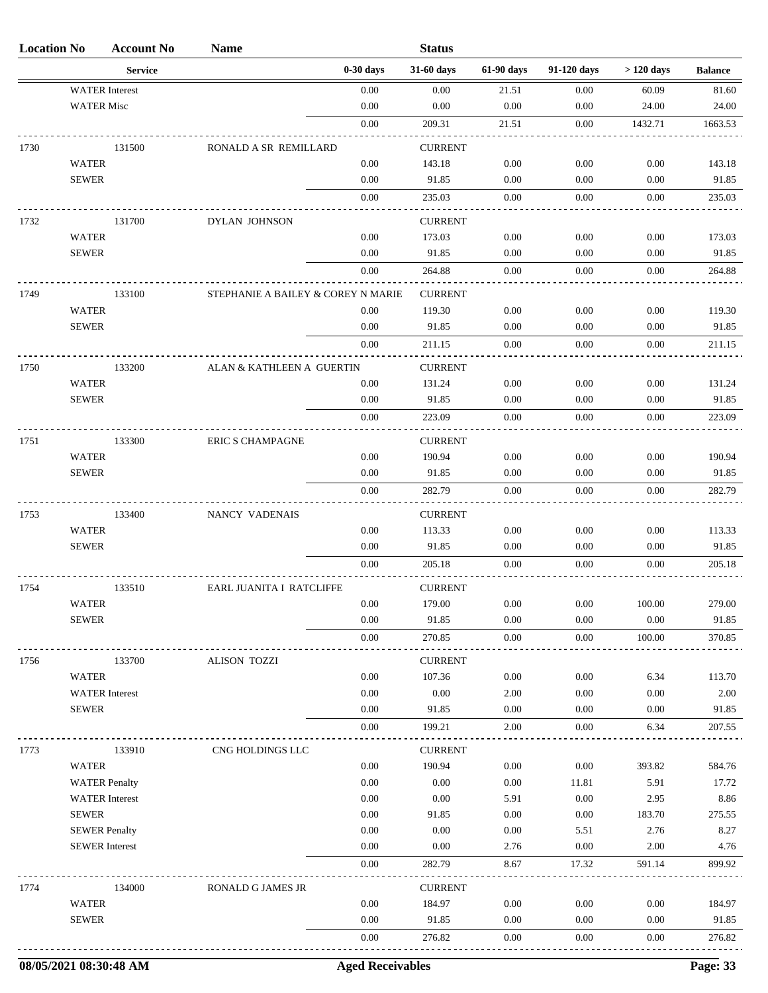| <b>Location No</b> |                       | <b>Account No</b> | <b>Name</b>                        |             | <b>Status</b>  |            |             |             |                |
|--------------------|-----------------------|-------------------|------------------------------------|-------------|----------------|------------|-------------|-------------|----------------|
|                    |                       | <b>Service</b>    |                                    | $0-30$ days | 31-60 days     | 61-90 days | 91-120 days | $>120$ days | <b>Balance</b> |
|                    | <b>WATER</b> Interest |                   |                                    | 0.00        | 0.00           | 21.51      | 0.00        | 60.09       | 81.60          |
|                    | <b>WATER Misc</b>     |                   |                                    | 0.00        | 0.00           | 0.00       | 0.00        | 24.00       | 24.00          |
|                    |                       |                   |                                    | $0.00\,$    | 209.31         | 21.51      | 0.00        | 1432.71     | 1663.53        |
| 1730               |                       | 131500            | RONALD A SR REMILLARD              |             | <b>CURRENT</b> |            |             |             |                |
|                    | <b>WATER</b>          |                   |                                    | 0.00        | 143.18         | 0.00       | 0.00        | 0.00        | 143.18         |
|                    | <b>SEWER</b>          |                   |                                    | 0.00        | 91.85          | 0.00       | 0.00        | 0.00        | 91.85          |
|                    |                       |                   |                                    | 0.00        | 235.03         | $0.00\,$   | 0.00        | 0.00        | 235.03         |
| 1732               |                       | 131700            | DYLAN JOHNSON                      |             | <b>CURRENT</b> |            |             |             |                |
|                    | <b>WATER</b>          |                   |                                    | 0.00        | 173.03         | 0.00       | 0.00        | 0.00        | 173.03         |
|                    | <b>SEWER</b>          |                   |                                    | 0.00        | 91.85          | 0.00       | 0.00        | 0.00        | 91.85          |
|                    |                       |                   |                                    | 0.00        | 264.88         | 0.00       | 0.00        | 0.00        | 264.88         |
| 1749               |                       | 133100            | STEPHANIE A BAILEY & COREY N MARIE |             | <b>CURRENT</b> |            |             |             |                |
|                    | <b>WATER</b>          |                   |                                    | 0.00        | 119.30         | 0.00       | 0.00        | 0.00        | 119.30         |
|                    | <b>SEWER</b>          |                   |                                    | 0.00        | 91.85          | 0.00       | 0.00        | 0.00        | 91.85          |
|                    |                       |                   |                                    | 0.00        | 211.15         | 0.00       | 0.00        | 0.00        | 211.15         |
| 1750               |                       | 133200            | ALAN & KATHLEEN A GUERTIN          |             | <b>CURRENT</b> |            |             |             |                |
|                    | <b>WATER</b>          |                   |                                    | 0.00        | 131.24         | 0.00       | 0.00        | 0.00        | 131.24         |
|                    | <b>SEWER</b>          |                   |                                    | 0.00        | 91.85          | 0.00       | 0.00        | 0.00        | 91.85          |
|                    |                       |                   |                                    | 0.00        | 223.09         | 0.00       | 0.00        | 0.00        | 223.09         |
| 1751               |                       | 133300            | <b>ERIC S CHAMPAGNE</b>            |             | <b>CURRENT</b> |            |             |             |                |
|                    | <b>WATER</b>          |                   |                                    | 0.00        | 190.94         | 0.00       | 0.00        | 0.00        | 190.94         |
|                    | <b>SEWER</b>          |                   |                                    | 0.00        | 91.85          | 0.00       | 0.00        | 0.00        | 91.85          |
|                    |                       |                   |                                    | 0.00        | 282.79         | 0.00       | 0.00        | 0.00        | 282.79         |
| 1753               |                       | 133400            | NANCY VADENAIS                     |             | <b>CURRENT</b> |            |             |             |                |
|                    | <b>WATER</b>          |                   |                                    | 0.00        | 113.33         | 0.00       | 0.00        | 0.00        | 113.33         |
|                    | <b>SEWER</b>          |                   |                                    | 0.00        | 91.85          | 0.00       | 0.00        | 0.00        | 91.85          |
|                    |                       |                   |                                    | 0.00        | 205.18         | 0.00       | 0.00        | 0.00        | 205.18         |
| 1754               |                       | 133510            | EARL JUANITA I RATCLIFFE           |             | <b>CURRENT</b> |            |             |             |                |
|                    | WATER                 |                   |                                    | 0.00        | 179.00         | 0.00       | 0.00        | 100.00      | 279.00         |
|                    | <b>SEWER</b>          |                   |                                    | 0.00        | 91.85          | 0.00       | 0.00        | $0.00\,$    | 91.85          |
|                    |                       |                   |                                    | $0.00\,$    | 270.85         | $0.00\,$   | $0.00\,$    | 100.00      | 370.85         |
| 1756               |                       | 133700            | <b>ALISON TOZZI</b>                |             | <b>CURRENT</b> |            |             |             |                |
|                    | <b>WATER</b>          |                   |                                    | 0.00        | 107.36         | 0.00       | 0.00        | 6.34        | 113.70         |
|                    | <b>WATER</b> Interest |                   |                                    | 0.00        | 0.00           | 2.00       | 0.00        | 0.00        | 2.00           |
|                    | <b>SEWER</b>          |                   |                                    | 0.00        | 91.85          | 0.00       | 0.00        | 0.00        | 91.85          |
|                    |                       |                   |                                    | 0.00        | 199.21         | 2.00       | 0.00        | 6.34        | 207.55         |
| 1773               |                       | 133910            | CNG HOLDINGS LLC                   |             | <b>CURRENT</b> |            |             |             |                |
|                    | <b>WATER</b>          |                   |                                    | 0.00        | 190.94         | 0.00       | 0.00        | 393.82      | 584.76         |
|                    | <b>WATER Penalty</b>  |                   |                                    | 0.00        | 0.00           | 0.00       | 11.81       | 5.91        | 17.72          |
|                    | <b>WATER</b> Interest |                   |                                    | 0.00        | 0.00           | 5.91       | 0.00        | 2.95        | 8.86           |
|                    | <b>SEWER</b>          |                   |                                    | 0.00        | 91.85          | 0.00       | $0.00\,$    | 183.70      | 275.55         |
|                    | <b>SEWER Penalty</b>  |                   |                                    | 0.00        | 0.00           | 0.00       | 5.51        | 2.76        | 8.27           |
|                    | <b>SEWER</b> Interest |                   |                                    | 0.00        | 0.00           | 2.76       | 0.00        | 2.00        | 4.76           |
|                    |                       |                   |                                    | 0.00        | 282.79         | 8.67       | 17.32       | 591.14      | 899.92         |
| 1774               |                       | 134000            | RONALD G JAMES JR                  |             | <b>CURRENT</b> |            |             |             |                |
|                    | <b>WATER</b>          |                   |                                    | 0.00        | 184.97         | 0.00       | 0.00        | 0.00        | 184.97         |
|                    | <b>SEWER</b>          |                   |                                    | 0.00        | 91.85          | 0.00       | 0.00        | 0.00        | 91.85          |
|                    |                       |                   |                                    | 0.00        | 276.82         | 0.00       | 0.00        | 0.00        | 276.82         |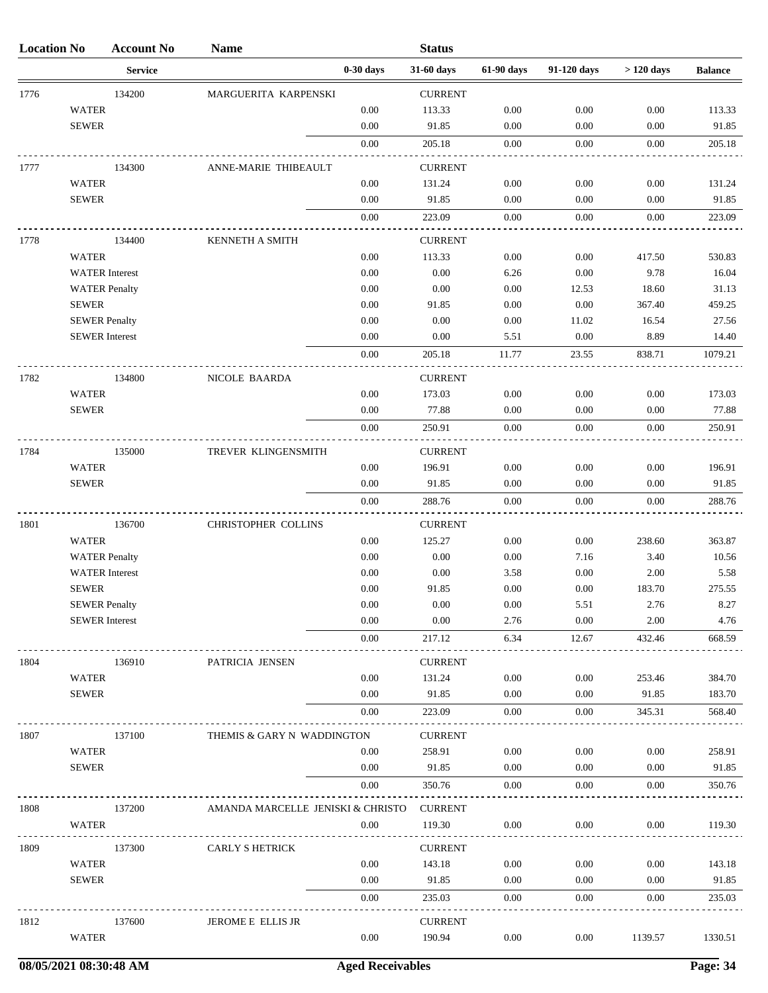| <b>Location No</b> |                      | <b>Account No</b>     | <b>Name</b>                       |             | <b>Status</b>            |            |             |             |                |
|--------------------|----------------------|-----------------------|-----------------------------------|-------------|--------------------------|------------|-------------|-------------|----------------|
|                    |                      | <b>Service</b>        |                                   | $0-30$ days | 31-60 days               | 61-90 days | 91-120 days | $>120$ days | <b>Balance</b> |
| 1776               |                      | 134200                | MARGUERITA KARPENSKI              |             | <b>CURRENT</b>           |            |             |             |                |
|                    | <b>WATER</b>         |                       |                                   | 0.00        | 113.33                   | 0.00       | 0.00        | 0.00        | 113.33         |
|                    | <b>SEWER</b>         |                       |                                   | 0.00        | 91.85                    | 0.00       | 0.00        | 0.00        | 91.85          |
|                    |                      |                       |                                   | 0.00        | 205.18                   | 0.00       | 0.00        | 0.00        | 205.18         |
| 1777               |                      | 134300                | ANNE-MARIE THIBEAULT              |             | <b>CURRENT</b>           |            |             |             |                |
|                    | <b>WATER</b>         |                       |                                   | 0.00        | 131.24                   | 0.00       | $0.00\,$    | 0.00        | 131.24         |
|                    | <b>SEWER</b>         |                       |                                   | 0.00        | 91.85                    | 0.00       | 0.00        | 0.00        | 91.85          |
|                    |                      |                       |                                   | 0.00        | 223.09                   | 0.00       | 0.00        | 0.00        | 223.09         |
| 1778               |                      | 134400                | KENNETH A SMITH                   |             | <b>CURRENT</b>           |            |             |             |                |
|                    | <b>WATER</b>         |                       |                                   | $0.00\,$    | 113.33                   | $0.00\,$   | 0.00        | 417.50      | 530.83         |
|                    |                      | <b>WATER</b> Interest |                                   | 0.00        | 0.00                     | 6.26       | 0.00        | 9.78        | 16.04          |
|                    |                      | <b>WATER Penalty</b>  |                                   | 0.00        | $0.00\,$                 | 0.00       | 12.53       | 18.60       | 31.13          |
|                    | <b>SEWER</b>         |                       |                                   | 0.00        | 91.85                    | 0.00       | 0.00        | 367.40      | 459.25         |
|                    | <b>SEWER Penalty</b> |                       |                                   | 0.00        | 0.00                     | 0.00       | 11.02       | 16.54       | 27.56          |
|                    |                      | <b>SEWER</b> Interest |                                   | 0.00        | 0.00                     | 5.51       | $0.00\,$    | 8.89        | 14.40          |
|                    |                      |                       |                                   | 0.00        | 205.18                   | 11.77      | 23.55       | 838.71      | 1079.21        |
| 1782               |                      | 134800                | NICOLE BAARDA                     |             | <b>CURRENT</b>           |            |             |             |                |
|                    | <b>WATER</b>         |                       |                                   | 0.00        | 173.03                   | 0.00       | 0.00        | 0.00        | 173.03         |
|                    | <b>SEWER</b>         |                       |                                   | 0.00        | 77.88                    | 0.00       | 0.00        | 0.00        | 77.88          |
|                    |                      |                       |                                   | 0.00        | 250.91                   | 0.00       | 0.00        | 0.00        | 250.91         |
| 1784               |                      | 135000                | TREVER KLINGENSMITH               |             | <b>CURRENT</b>           |            |             |             |                |
|                    | <b>WATER</b>         |                       |                                   | 0.00        | 196.91                   | 0.00       | 0.00        | 0.00        | 196.91         |
|                    | <b>SEWER</b>         |                       |                                   | 0.00        | 91.85                    | 0.00       | 0.00        | 0.00        | 91.85          |
|                    |                      |                       |                                   | 0.00        | 288.76                   | 0.00       | 0.00        | 0.00        | 288.76         |
|                    |                      |                       | <b>CHRISTOPHER COLLINS</b>        |             |                          |            |             |             |                |
| 1801               | <b>WATER</b>         | 136700                |                                   | 0.00        | <b>CURRENT</b><br>125.27 | 0.00       | $0.00\,$    | 238.60      | 363.87         |
|                    |                      | <b>WATER Penalty</b>  |                                   | 0.00        | 0.00                     | 0.00       | 7.16        | 3.40        | 10.56          |
|                    |                      | <b>WATER</b> Interest |                                   | 0.00        | 0.00                     | 3.58       | 0.00        | 2.00        | 5.58           |
|                    | <b>SEWER</b>         |                       |                                   | 0.00        | 91.85                    | $0.00\,$   | $0.00\,$    | 183.70      | 275.55         |
|                    | <b>SEWER Penalty</b> |                       |                                   | 0.00        | 0.00                     | 0.00       | 5.51        | 2.76        | 8.27           |
|                    |                      | <b>SEWER</b> Interest |                                   | 0.00        | 0.00                     | 2.76       | 0.00        | 2.00        | 4.76           |
|                    |                      |                       |                                   | 0.00        | 217.12                   | 6.34       | 12.67       | 432.46      | 668.59         |
| 1804               |                      | 136910                | PATRICIA JENSEN                   |             | <b>CURRENT</b>           |            |             |             |                |
|                    | <b>WATER</b>         |                       |                                   | 0.00        | 131.24                   | $0.00\,$   | 0.00        | 253.46      | 384.70         |
|                    | <b>SEWER</b>         |                       |                                   | 0.00        | 91.85                    | 0.00       | 0.00        | 91.85       | 183.70         |
|                    |                      |                       |                                   | 0.00        | 223.09                   | 0.00       | 0.00        | 345.31      | 568.40         |
| 1807               |                      | 137100                | THEMIS & GARY N WADDINGTON        |             | <b>CURRENT</b>           |            |             |             |                |
|                    | <b>WATER</b>         |                       |                                   | 0.00        | 258.91                   | 0.00       | 0.00        | 0.00        | 258.91         |
|                    | <b>SEWER</b>         |                       |                                   | 0.00        | 91.85                    | 0.00       | 0.00        | 0.00        | 91.85          |
|                    |                      |                       |                                   | 0.00        | 350.76                   | 0.00       | 0.00        | 0.00        | 350.76         |
|                    |                      |                       |                                   |             |                          |            |             |             |                |
| 1808               |                      | 137200                | AMANDA MARCELLE JENISKI & CHRISTO |             | <b>CURRENT</b>           |            |             |             |                |
|                    | WATER                |                       |                                   | 0.00        | 119.30                   | 0.00       | 0.00        | 0.00        | 119.30         |
| 1809               |                      | 137300                | CARLY S HETRICK                   |             | <b>CURRENT</b>           |            |             |             |                |
|                    | <b>WATER</b>         |                       |                                   | 0.00        | 143.18                   | 0.00       | 0.00        | 0.00        | 143.18         |
|                    | <b>SEWER</b>         |                       |                                   | 0.00        | 91.85                    | 0.00       | 0.00        | 0.00        | 91.85          |
|                    |                      |                       |                                   | 0.00        | 235.03                   | 0.00       | 0.00        | 0.00        | 235.03         |
| 1812               |                      | 137600                | JEROME E ELLIS JR                 |             | <b>CURRENT</b>           |            |             |             |                |
|                    | <b>WATER</b>         |                       |                                   | 0.00        | 190.94                   | 0.00       | 0.00        | 1139.57     | 1330.51        |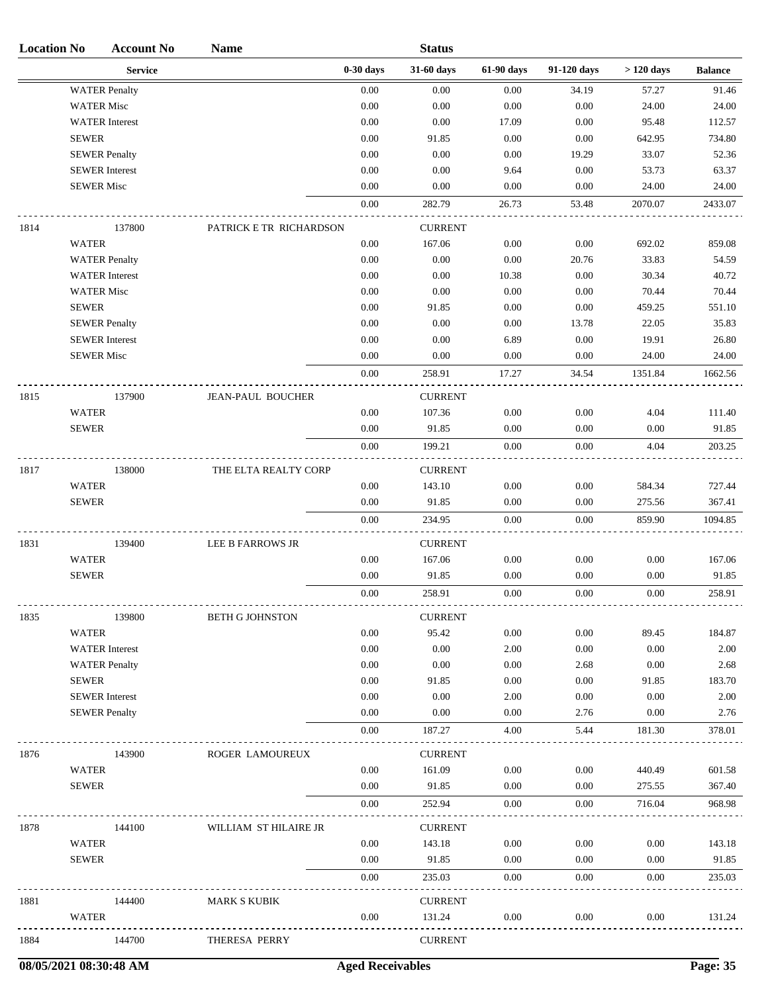| <b>Location No</b> | <b>Account No</b>                             | <b>Name</b>              |              | <b>Status</b>  |              |              |              |                |
|--------------------|-----------------------------------------------|--------------------------|--------------|----------------|--------------|--------------|--------------|----------------|
|                    | <b>Service</b>                                |                          | $0-30$ days  | 31-60 days     | 61-90 days   | 91-120 days  | $>120$ days  | <b>Balance</b> |
|                    | <b>WATER Penalty</b>                          |                          | 0.00         | 0.00           | 0.00         | 34.19        | 57.27        | 91.46          |
|                    | <b>WATER Misc</b>                             |                          | 0.00         | 0.00           | $0.00\,$     | 0.00         | 24.00        | 24.00          |
|                    | <b>WATER</b> Interest                         |                          | 0.00         | 0.00           | 17.09        | 0.00         | 95.48        | 112.57         |
|                    | <b>SEWER</b>                                  |                          | 0.00         | 91.85          | $0.00\,$     | 0.00         | 642.95       | 734.80         |
|                    | <b>SEWER Penalty</b>                          |                          | 0.00         | 0.00           | 0.00         | 19.29        | 33.07        | 52.36          |
|                    | <b>SEWER</b> Interest                         |                          | 0.00         | 0.00           | 9.64         | 0.00         | 53.73        | 63.37          |
|                    | <b>SEWER Misc</b>                             |                          | 0.00         | 0.00           | 0.00         | 0.00         | 24.00        | 24.00          |
|                    |                                               |                          | $0.00\,$     | 282.79         | 26.73        | 53.48        | 2070.07      | 2433.07        |
| 1814               | 137800                                        | PATRICK E TR RICHARDSON  |              | <b>CURRENT</b> |              |              |              |                |
|                    | <b>WATER</b>                                  |                          | 0.00         | 167.06         | 0.00         | 0.00         | 692.02       | 859.08         |
|                    | <b>WATER Penalty</b>                          |                          | 0.00         | 0.00           | 0.00         | 20.76        | 33.83        | 54.59          |
|                    | <b>WATER</b> Interest                         |                          | 0.00         | 0.00           | 10.38        | 0.00         | 30.34        | 40.72          |
|                    | <b>WATER Misc</b>                             |                          | 0.00         | 0.00           | $0.00\,$     | 0.00         | 70.44        | 70.44          |
|                    | <b>SEWER</b>                                  |                          | $0.00\,$     | 91.85          | $0.00\,$     | 0.00         | 459.25       | 551.10         |
|                    | <b>SEWER Penalty</b>                          |                          | 0.00         | 0.00           | 0.00         | 13.78        | 22.05        | 35.83          |
|                    | <b>SEWER</b> Interest                         |                          | 0.00         | 0.00           | 6.89         | 0.00         | 19.91        | 26.80          |
|                    | <b>SEWER Misc</b>                             |                          | 0.00         | 0.00           | 0.00         | 0.00         | 24.00        | 24.00          |
|                    |                                               |                          | $0.00\,$     | 258.91         | 17.27        | 34.54        | 1351.84      | 1662.56        |
| 1815               | 137900                                        | <b>JEAN-PAUL BOUCHER</b> |              | <b>CURRENT</b> |              |              |              |                |
|                    | <b>WATER</b>                                  |                          | 0.00         | 107.36         | 0.00         | 0.00         | 4.04         | 111.40         |
|                    | <b>SEWER</b>                                  |                          | 0.00         | 91.85          | 0.00         | 0.00         | 0.00         | 91.85          |
|                    |                                               |                          | 0.00         | 199.21         | $0.00\,$     | 0.00         | 4.04         | 203.25         |
| 1817               | 138000                                        | THE ELTA REALTY CORP     |              | <b>CURRENT</b> |              |              |              |                |
|                    | <b>WATER</b>                                  |                          | 0.00         | 143.10         | 0.00         | 0.00         | 584.34       | 727.44         |
|                    | <b>SEWER</b>                                  |                          | 0.00         | 91.85          | 0.00         | 0.00         | 275.56       | 367.41         |
|                    |                                               |                          | $0.00\,$     | 234.95         | 0.00         | $0.00\,$     | 859.90       | 1094.85        |
| 1831               | 139400                                        | LEE B FARROWS JR         |              | <b>CURRENT</b> |              |              |              |                |
|                    | <b>WATER</b>                                  |                          | 0.00         | 167.06         | 0.00         | 0.00         | 0.00         | 167.06         |
|                    | <b>SEWER</b>                                  |                          | 0.00         | 91.85          | 0.00         | 0.00         | 0.00         | 91.85          |
|                    |                                               |                          | 0.00         | 258.91         | 0.00         | 0.00         | 0.00         | 258.91         |
|                    |                                               |                          |              |                |              |              |              |                |
| 1835               | 139800                                        | <b>BETH G JOHNSTON</b>   |              | <b>CURRENT</b> |              |              |              |                |
|                    | <b>WATER</b>                                  |                          | 0.00         | 95.42          | 0.00         | 0.00         | 89.45        | 184.87         |
|                    | <b>WATER</b> Interest                         |                          | 0.00         | 0.00           | 2.00         | 0.00         | 0.00         | 2.00           |
|                    | <b>WATER Penalty</b>                          |                          | 0.00         | 0.00           | 0.00         | 2.68         | 0.00         | 2.68           |
|                    | <b>SEWER</b>                                  |                          | 0.00         | 91.85          | 0.00         | 0.00         | 91.85        | 183.70         |
|                    | <b>SEWER</b> Interest<br><b>SEWER Penalty</b> |                          | 0.00<br>0.00 | 0.00<br>0.00   | 2.00<br>0.00 | 0.00<br>2.76 | 0.00<br>0.00 | 2.00<br>2.76   |
|                    |                                               |                          | 0.00         | 187.27         | 4.00         | 5.44         | 181.30       | 378.01         |
|                    |                                               |                          |              |                |              |              |              |                |
| 1876               | 143900                                        | ROGER LAMOUREUX          |              | <b>CURRENT</b> |              |              |              |                |
|                    | <b>WATER</b>                                  |                          | $0.00\,$     | 161.09         | 0.00         | 0.00         | 440.49       | 601.58         |
|                    | <b>SEWER</b>                                  |                          | 0.00         | 91.85          | 0.00         | 0.00         | 275.55       | 367.40         |
|                    |                                               |                          | 0.00         | 252.94         | 0.00         | 0.00         | 716.04       | 968.98         |
| 1878               | 144100                                        | WILLIAM ST HILAIRE JR    |              | <b>CURRENT</b> |              |              |              |                |
|                    | <b>WATER</b>                                  |                          | $0.00\,$     | 143.18         | 0.00         | 0.00         | 0.00         | 143.18         |
|                    | <b>SEWER</b>                                  |                          | 0.00         | 91.85          | 0.00         | 0.00         | 0.00         | 91.85          |
|                    |                                               |                          | 0.00         | 235.03         | 0.00         | 0.00         | 0.00         | 235.03         |
| 1881               | 144400                                        | <b>MARK S KUBIK</b>      |              | <b>CURRENT</b> |              |              |              |                |
|                    | <b>WATER</b>                                  |                          | 0.00         | 131.24         | 0.00         | 0.00         | 0.00         | 131.24         |
| 1884               | 144700                                        | THERESA PERRY            |              | <b>CURRENT</b> |              |              |              |                |
|                    |                                               |                          |              |                |              |              |              |                |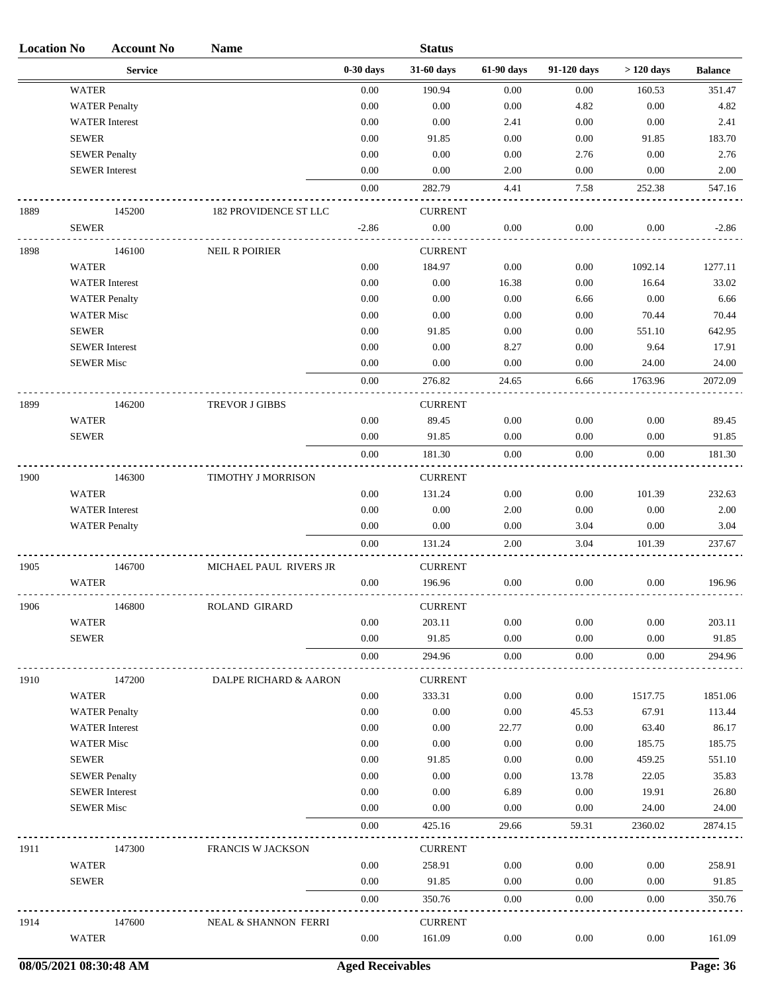| <b>Location No</b> | <b>Account No</b>     | <b>Name</b>              |             | <b>Status</b>  |            |             |             |                |
|--------------------|-----------------------|--------------------------|-------------|----------------|------------|-------------|-------------|----------------|
|                    | <b>Service</b>        |                          | $0-30$ days | 31-60 days     | 61-90 days | 91-120 days | $>120$ days | <b>Balance</b> |
|                    | <b>WATER</b>          |                          | 0.00        | 190.94         | 0.00       | 0.00        | 160.53      | 351.47         |
|                    | <b>WATER Penalty</b>  |                          | 0.00        | 0.00           | 0.00       | 4.82        | 0.00        | 4.82           |
|                    | <b>WATER</b> Interest |                          | 0.00        | 0.00           | 2.41       | 0.00        | 0.00        | 2.41           |
|                    | <b>SEWER</b>          |                          | 0.00        | 91.85          | 0.00       | 0.00        | 91.85       | 183.70         |
|                    | <b>SEWER Penalty</b>  |                          | 0.00        | 0.00           | 0.00       | 2.76        | 0.00        | 2.76           |
|                    | <b>SEWER</b> Interest |                          | 0.00        | 0.00           | 2.00       | 0.00        | 0.00        | 2.00           |
|                    |                       |                          | 0.00        | 282.79         | 4.41       | 7.58        | 252.38      | 547.16         |
| 1889               | 145200                | 182 PROVIDENCE ST LLC    |             | <b>CURRENT</b> |            |             |             |                |
|                    | <b>SEWER</b>          |                          | $-2.86$     | $0.00\,$       | 0.00       | 0.00        | 0.00        | $-2.86$        |
| 1898               | 146100                | <b>NEIL R POIRIER</b>    |             | <b>CURRENT</b> |            |             |             |                |
|                    | <b>WATER</b>          |                          | 0.00        | 184.97         | 0.00       | 0.00        | 1092.14     | 1277.11        |
|                    | <b>WATER</b> Interest |                          | 0.00        | 0.00           | 16.38      | 0.00        | 16.64       | 33.02          |
|                    | <b>WATER Penalty</b>  |                          | 0.00        | 0.00           | $0.00\,$   | 6.66        | 0.00        | 6.66           |
|                    | <b>WATER Misc</b>     |                          | $0.00\,$    | 0.00           | 0.00       | 0.00        | 70.44       | 70.44          |
|                    | <b>SEWER</b>          |                          | 0.00        | 91.85          | 0.00       | 0.00        | 551.10      | 642.95         |
|                    | <b>SEWER</b> Interest |                          | 0.00        | 0.00           | 8.27       | 0.00        | 9.64        | 17.91          |
|                    | <b>SEWER Misc</b>     |                          | 0.00        | 0.00           | 0.00       | 0.00        | 24.00       | 24.00          |
|                    |                       |                          | 0.00        | 276.82         | 24.65      | 6.66        | 1763.96     | 2072.09        |
| 1899               | 146200                | <b>TREVOR J GIBBS</b>    |             | <b>CURRENT</b> |            |             |             |                |
|                    | <b>WATER</b>          |                          | $0.00\,$    | 89.45          | 0.00       | 0.00        | 0.00        | 89.45          |
|                    | <b>SEWER</b>          |                          | 0.00        | 91.85          | 0.00       | 0.00        | 0.00        | 91.85          |
|                    |                       |                          | 0.00        | 181.30         | 0.00       | 0.00        | 0.00        | 181.30         |
| 1900               | 146300                | TIMOTHY J MORRISON       |             | <b>CURRENT</b> |            |             |             |                |
|                    | <b>WATER</b>          |                          | $0.00\,$    | 131.24         | 0.00       | 0.00        | 101.39      | 232.63         |
|                    | <b>WATER</b> Interest |                          | 0.00        | 0.00           | 2.00       | 0.00        | 0.00        | 2.00           |
|                    | <b>WATER Penalty</b>  |                          | 0.00        | 0.00           | 0.00       | 3.04        | 0.00        | 3.04           |
|                    |                       |                          | 0.00        | 131.24         | 2.00       | 3.04        | 101.39      | 237.67         |
| 1905               | 146700                | MICHAEL PAUL RIVERS JR   |             | <b>CURRENT</b> |            |             |             |                |
|                    | <b>WATER</b>          |                          | 0.00        | 196.96         | 0.00       | 0.00        | 0.00        | 196.96         |
| 1906               | 146800                | ROLAND GIRARD            |             | <b>CURRENT</b> |            |             |             |                |
|                    | <b>WATER</b>          |                          | $0.00\,$    | 203.11         | 0.00       | 0.00        | 0.00        | 203.11         |
|                    | <b>SEWER</b>          |                          | 0.00        | 91.85          | 0.00       | 0.00        | 0.00        | 91.85          |
|                    |                       |                          | 0.00        | 294.96         | $0.00\,$   | 0.00        | 0.00        | 294.96         |
| 1910               | 147200                | DALPE RICHARD & AARON    |             | <b>CURRENT</b> |            |             |             |                |
|                    | <b>WATER</b>          |                          | 0.00        | 333.31         | 0.00       | 0.00        | 1517.75     | 1851.06        |
|                    | <b>WATER Penalty</b>  |                          | 0.00        | 0.00           | 0.00       | 45.53       | 67.91       | 113.44         |
|                    | <b>WATER</b> Interest |                          | 0.00        | 0.00           | 22.77      | 0.00        | 63.40       | 86.17          |
|                    | <b>WATER Misc</b>     |                          | 0.00        | 0.00           | 0.00       | 0.00        | 185.75      | 185.75         |
|                    | <b>SEWER</b>          |                          | 0.00        | 91.85          | 0.00       | 0.00        | 459.25      | 551.10         |
|                    | <b>SEWER Penalty</b>  |                          | 0.00        | 0.00           | 0.00       | 13.78       | 22.05       | 35.83          |
|                    | <b>SEWER</b> Interest |                          | 0.00        | 0.00           | 6.89       | 0.00        | 19.91       | 26.80          |
|                    | <b>SEWER Misc</b>     |                          | $0.00\,$    | 0.00           | 0.00       | 0.00        | 24.00       | 24.00          |
|                    |                       |                          | 0.00        | 425.16         | 29.66      | 59.31       | 2360.02     | 2874.15        |
| 1911               | 147300                | <b>FRANCIS W JACKSON</b> |             | <b>CURRENT</b> |            |             |             |                |
|                    | <b>WATER</b>          |                          | 0.00        | 258.91         | 0.00       | 0.00        | 0.00        | 258.91         |
|                    | <b>SEWER</b>          |                          | 0.00        | 91.85          | 0.00       | 0.00        | 0.00        | 91.85          |
|                    |                       |                          | 0.00        | 350.76         | 0.00       | 0.00        | 0.00        | 350.76         |
| 1914               | 147600                | NEAL & SHANNON FERRI     |             | <b>CURRENT</b> |            |             |             |                |
|                    | <b>WATER</b>          |                          | 0.00        | 161.09         | 0.00       | 0.00        | 0.00        | 161.09         |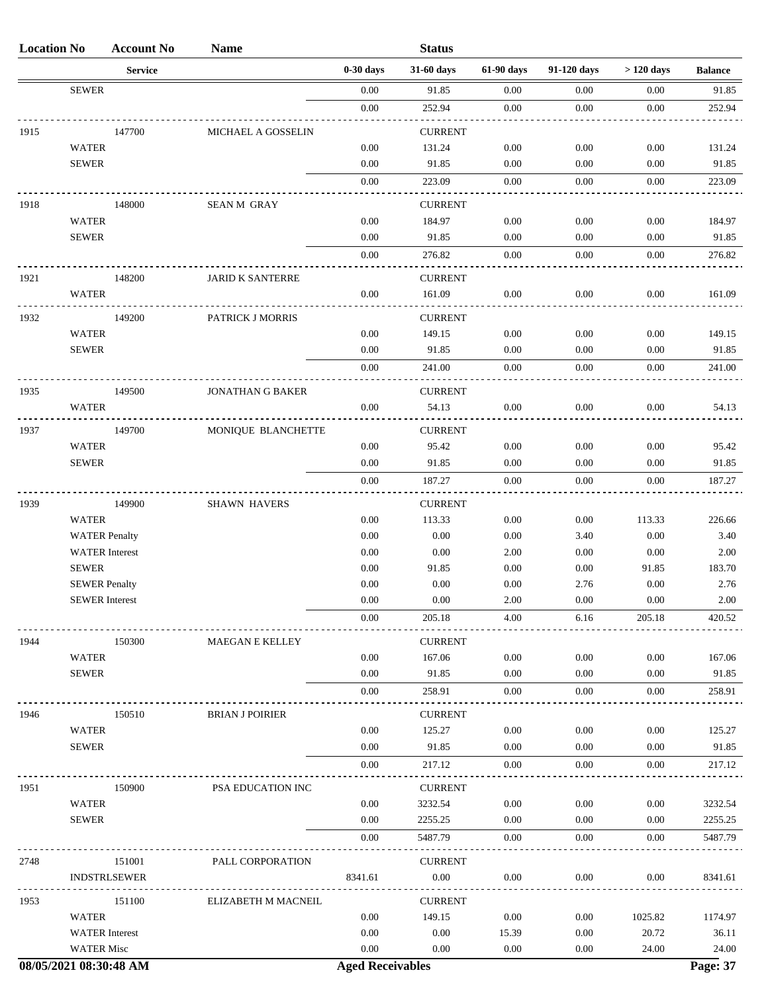| <b>Location No</b> |                       | <b>Account No</b>   | <b>Name</b>             |             | <b>Status</b>            |            |             |             |                |
|--------------------|-----------------------|---------------------|-------------------------|-------------|--------------------------|------------|-------------|-------------|----------------|
|                    |                       | <b>Service</b>      |                         | $0-30$ days | 31-60 days               | 61-90 days | 91-120 days | $>120$ days | <b>Balance</b> |
|                    | <b>SEWER</b>          |                     |                         | 0.00        | 91.85                    | 0.00       | 0.00        | 0.00        | 91.85          |
|                    |                       |                     |                         | $0.00\,$    | 252.94                   | 0.00       | 0.00        | 0.00        | 252.94         |
| 1915               |                       | 147700              | MICHAEL A GOSSELIN      |             | <b>CURRENT</b>           |            |             |             |                |
|                    | <b>WATER</b>          |                     |                         | 0.00        | 131.24                   | 0.00       | 0.00        | 0.00        | 131.24         |
|                    | <b>SEWER</b>          |                     |                         | 0.00        | 91.85                    | 0.00       | 0.00        | 0.00        | 91.85          |
|                    |                       |                     |                         | 0.00        | 223.09                   | 0.00       | 0.00        | 0.00        | 223.09         |
| 1918               |                       | 148000              | <b>SEAN M GRAY</b>      |             | <b>CURRENT</b>           |            |             |             |                |
|                    | <b>WATER</b>          |                     |                         | 0.00        | 184.97                   | 0.00       | 0.00        | 0.00        | 184.97         |
|                    | <b>SEWER</b>          |                     |                         | 0.00        | 91.85                    | 0.00       | 0.00        | 0.00        | 91.85          |
|                    |                       |                     |                         | 0.00        | 276.82                   | 0.00       | 0.00        | 0.00        | 276.82         |
| 1921               |                       | 148200              | <b>JARID K SANTERRE</b> |             | <b>CURRENT</b>           |            |             |             |                |
|                    | <b>WATER</b>          |                     |                         | 0.00        | 161.09                   | 0.00       | 0.00        | 0.00        | 161.09         |
|                    |                       |                     |                         |             |                          |            |             |             |                |
| 1932               | <b>WATER</b>          | 149200              | PATRICK J MORRIS        | 0.00        | <b>CURRENT</b><br>149.15 | 0.00       | 0.00        | 0.00        | 149.15         |
|                    | <b>SEWER</b>          |                     |                         | 0.00        | 91.85                    | 0.00       | 0.00        | 0.00        | 91.85          |
|                    |                       |                     |                         | 0.00        | 241.00                   | 0.00       | 0.00        | 0.00        | 241.00         |
|                    |                       |                     |                         |             |                          |            |             |             |                |
| 1935               |                       | 149500              | <b>JONATHAN G BAKER</b> |             | <b>CURRENT</b>           |            |             |             |                |
|                    | <b>WATER</b>          |                     |                         | 0.00        | 54.13                    | 0.00       | 0.00        | 0.00        | 54.13          |
| 1937               |                       | 149700              | MONIQUE BLANCHETTE      |             | <b>CURRENT</b>           |            |             |             |                |
|                    | <b>WATER</b>          |                     |                         | 0.00        | 95.42                    | 0.00       | 0.00        | 0.00        | 95.42          |
|                    | <b>SEWER</b>          |                     |                         | 0.00        | 91.85                    | 0.00       | 0.00        | 0.00        | 91.85          |
|                    |                       |                     |                         | 0.00        | 187.27                   | 0.00       | 0.00        | 0.00        | 187.27         |
| 1939               |                       | 149900              | <b>SHAWN HAVERS</b>     |             | <b>CURRENT</b>           |            |             |             |                |
|                    | <b>WATER</b>          |                     |                         | 0.00        | 113.33                   | 0.00       | 0.00        | 113.33      | 226.66         |
|                    | <b>WATER Penalty</b>  |                     |                         | 0.00        | 0.00                     | 0.00       | 3.40        | 0.00        | 3.40           |
|                    | <b>WATER</b> Interest |                     |                         | 0.00        | 0.00                     | 2.00       | 0.00        | 0.00        | 2.00           |
|                    | <b>SEWER</b>          |                     |                         | 0.00        | 91.85                    | 0.00       | 0.00        | 91.85       | 183.70         |
|                    | <b>SEWER Penalty</b>  |                     |                         | 0.00        | $0.00\,$                 | 0.00       | 2.76        | 0.00        | 2.76           |
|                    | <b>SEWER</b> Interest |                     |                         | $0.00\,$    | $0.00\,$                 | 2.00       | $0.00\,$    | $0.00\,$    | 2.00           |
|                    |                       |                     |                         | 0.00        | 205.18                   | 4.00       | 6.16        | 205.18      | 420.52         |
| 1944               |                       | 150300              | MAEGAN E KELLEY         |             | <b>CURRENT</b>           |            |             |             |                |
|                    | <b>WATER</b>          |                     |                         | 0.00        | 167.06                   | 0.00       | 0.00        | 0.00        | 167.06         |
|                    | <b>SEWER</b>          |                     |                         | 0.00        | 91.85                    | 0.00       | 0.00        | 0.00        | 91.85          |
|                    |                       |                     |                         | 0.00        | 258.91                   | 0.00       | 0.00        | 0.00        | 258.91         |
| 1946               |                       | 150510              | <b>BRIAN J POIRIER</b>  |             | <b>CURRENT</b>           |            |             |             |                |
|                    | <b>WATER</b>          |                     |                         | 0.00        | 125.27                   | 0.00       | 0.00        | 0.00        | 125.27         |
|                    | <b>SEWER</b>          |                     |                         | 0.00        | 91.85                    | 0.00       | 0.00        | 0.00        | 91.85          |
|                    |                       |                     |                         | 0.00        | 217.12                   | 0.00       | 0.00        | 0.00        | 217.12         |
| 1951               |                       | 150900              | PSA EDUCATION INC       |             | <b>CURRENT</b>           |            |             |             |                |
|                    | <b>WATER</b>          |                     |                         | 0.00        | 3232.54                  | 0.00       | 0.00        | 0.00        | 3232.54        |
|                    | <b>SEWER</b>          |                     |                         | 0.00        | 2255.25                  | 0.00       | 0.00        | 0.00        | 2255.25        |
|                    |                       |                     |                         | 0.00        | 5487.79                  | 0.00       | 0.00        | 0.00        | 5487.79        |
| 2748               |                       | 151001              | PALL CORPORATION        |             | <b>CURRENT</b>           |            |             |             |                |
|                    |                       | <b>INDSTRLSEWER</b> |                         | 8341.61     | $0.00\,$                 | 0.00       | 0.00        | 0.00        | 8341.61        |
| 1953               |                       | 151100              | ELIZABETH M MACNEIL     |             | <b>CURRENT</b>           |            |             |             |                |
|                    | <b>WATER</b>          |                     |                         | 0.00        | 149.15                   | 0.00       | 0.00        | 1025.82     | 1174.97        |
|                    | <b>WATER</b> Interest |                     |                         | 0.00        | $0.00\,$                 | 15.39      | 0.00        | 20.72       | 36.11          |
|                    | <b>WATER Misc</b>     |                     |                         | 0.00        | 0.00                     | 0.00       | 0.00        | 24.00       | 24.00          |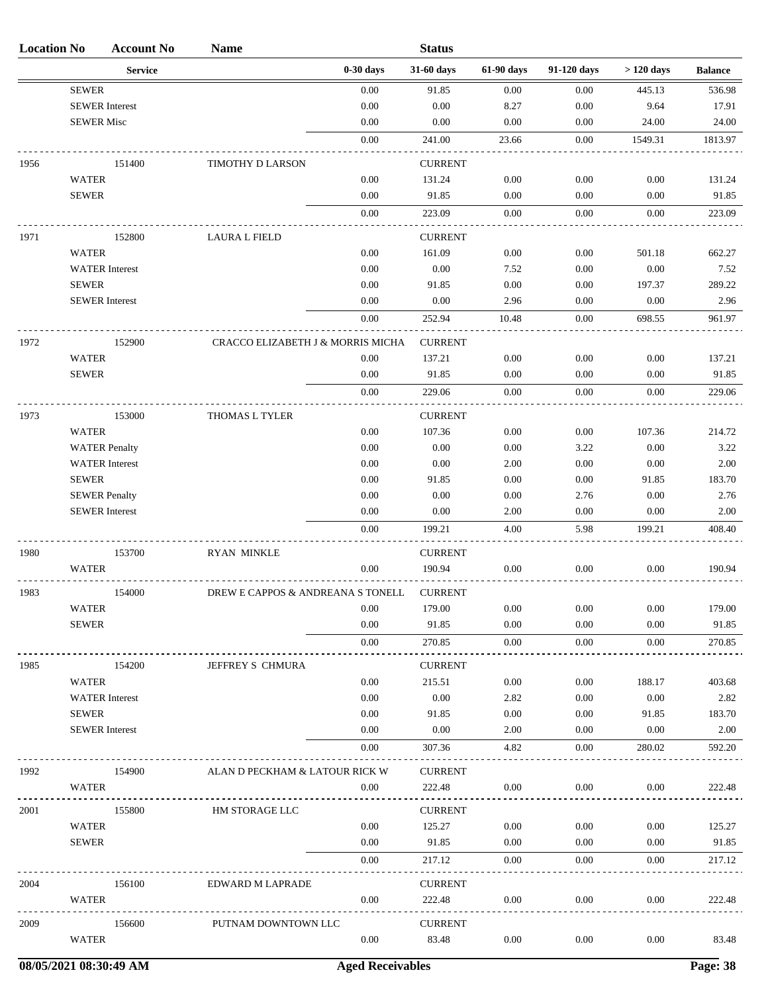| <b>Location No</b> |                       | <b>Account No</b>     | <b>Name</b>                       |             | <b>Status</b>            |            |             |             |                |
|--------------------|-----------------------|-----------------------|-----------------------------------|-------------|--------------------------|------------|-------------|-------------|----------------|
|                    |                       | <b>Service</b>        |                                   | $0-30$ days | 31-60 days               | 61-90 days | 91-120 days | $>120$ days | <b>Balance</b> |
|                    | <b>SEWER</b>          |                       |                                   | 0.00        | 91.85                    | 0.00       | 0.00        | 445.13      | 536.98         |
|                    | <b>SEWER</b> Interest |                       |                                   | 0.00        | 0.00                     | 8.27       | 0.00        | 9.64        | 17.91          |
|                    | <b>SEWER Misc</b>     |                       |                                   | 0.00        | 0.00                     | 0.00       | 0.00        | 24.00       | 24.00          |
|                    |                       |                       |                                   | 0.00        | 241.00                   | 23.66      | 0.00        | 1549.31     | 1813.97        |
| 1956               |                       | 151400                | TIMOTHY D LARSON                  |             | <b>CURRENT</b>           |            |             |             |                |
|                    | <b>WATER</b>          |                       |                                   | 0.00        | 131.24                   | 0.00       | 0.00        | 0.00        | 131.24         |
|                    | <b>SEWER</b>          |                       |                                   | 0.00        | 91.85                    | 0.00       | 0.00        | 0.00        | 91.85          |
|                    |                       |                       |                                   | 0.00        | 223.09                   | 0.00       | 0.00        | 0.00        | 223.09         |
| 1971               |                       | 152800                | <b>LAURA L FIELD</b>              |             | <b>CURRENT</b>           |            |             |             |                |
|                    | <b>WATER</b>          |                       |                                   | 0.00        | 161.09                   | 0.00       | 0.00        | 501.18      | 662.27         |
|                    |                       | <b>WATER</b> Interest |                                   | 0.00        | 0.00                     | 7.52       | 0.00        | 0.00        | 7.52           |
|                    | <b>SEWER</b>          |                       |                                   | 0.00        | 91.85                    | 0.00       | 0.00        | 197.37      | 289.22         |
|                    | <b>SEWER</b> Interest |                       |                                   | 0.00        | 0.00                     | 2.96       | 0.00        | 0.00        | 2.96           |
|                    |                       |                       |                                   | 0.00        | 252.94                   | 10.48      | 0.00        | 698.55      | 961.97         |
| 1972               |                       | 152900                | CRACCO ELIZABETH J & MORRIS MICHA |             | <b>CURRENT</b>           |            |             |             |                |
|                    | <b>WATER</b>          |                       |                                   | 0.00        | 137.21                   | 0.00       | 0.00        | 0.00        | 137.21         |
|                    | <b>SEWER</b>          |                       |                                   | 0.00        | 91.85                    | 0.00       | 0.00        | 0.00        | 91.85          |
|                    |                       |                       |                                   | 0.00        | 229.06                   | 0.00       | 0.00        | 0.00        | 229.06         |
| 1973               |                       | 153000                | THOMAS L TYLER                    |             | <b>CURRENT</b>           |            |             |             |                |
|                    | <b>WATER</b>          |                       |                                   | 0.00        | 107.36                   | 0.00       | 0.00        | 107.36      | 214.72         |
|                    |                       | <b>WATER Penalty</b>  |                                   | 0.00        | 0.00                     | 0.00       | 3.22        | 0.00        | 3.22           |
|                    |                       | <b>WATER</b> Interest |                                   | 0.00        | 0.00                     | 2.00       | 0.00        | 0.00        | 2.00           |
|                    | <b>SEWER</b>          |                       |                                   | 0.00        | 91.85                    | 0.00       | 0.00        | 91.85       | 183.70         |
|                    | <b>SEWER Penalty</b>  |                       |                                   | 0.00        | 0.00                     | 0.00       | 2.76        | 0.00        | 2.76           |
|                    | <b>SEWER</b> Interest |                       |                                   | 0.00        | 0.00                     | 2.00       | 0.00        | 0.00        | 2.00           |
|                    |                       |                       |                                   | 0.00        | 199.21                   | 4.00       | 5.98        | 199.21      | 408.40         |
| 1980               |                       | 153700                | <b>RYAN MINKLE</b>                |             | <b>CURRENT</b>           |            |             |             |                |
|                    | <b>WATER</b>          |                       |                                   | 0.00        | 190.94                   | 0.00       | 0.00        | 0.00        | 190.94         |
| 1983               |                       | 154000                | DREW E CAPPOS & ANDREANA S TONELL |             | <b>CURRENT</b>           |            |             |             |                |
|                    | <b>WATER</b>          |                       |                                   | 0.00        | 179.00                   | 0.00       | 0.00        | 0.00        | 179.00         |
|                    | <b>SEWER</b>          |                       |                                   | 0.00        | 91.85                    | 0.00       | 0.00        | 0.00        | 91.85          |
|                    |                       |                       |                                   | 0.00        | 270.85                   | 0.00       | 0.00        | 0.00        | 270.85         |
| 1985               |                       | 154200                | JEFFREY S CHMURA                  |             | <b>CURRENT</b>           |            |             |             |                |
|                    | <b>WATER</b>          |                       |                                   | 0.00        | 215.51                   | 0.00       | 0.00        | 188.17      | 403.68         |
|                    |                       | <b>WATER</b> Interest |                                   | 0.00        | 0.00                     | 2.82       | 0.00        | 0.00        | 2.82           |
|                    | <b>SEWER</b>          |                       |                                   | 0.00        | 91.85                    | 0.00       | 0.00        | 91.85       | 183.70         |
|                    | <b>SEWER</b> Interest |                       |                                   | 0.00        | 0.00                     | 2.00       | 0.00        | 0.00        | 2.00           |
|                    |                       |                       |                                   | 0.00        | 307.36                   | 4.82       | 0.00        | 280.02      | 592.20         |
| 1992               |                       | 154900                | ALAN D PECKHAM & LATOUR RICK W    |             | <b>CURRENT</b>           |            |             |             |                |
|                    | WATER                 |                       |                                   | 0.00        | 222.48                   | 0.00       | 0.00        | 0.00        | 222.48         |
|                    |                       |                       |                                   |             |                          |            |             |             |                |
| 2001               | <b>WATER</b>          | 155800                | HM STORAGE LLC                    | 0.00        | <b>CURRENT</b><br>125.27 | 0.00       | 0.00        | 0.00        | 125.27         |
|                    | <b>SEWER</b>          |                       |                                   | 0.00        | 91.85                    | 0.00       | 0.00        | 0.00        | 91.85          |
|                    |                       |                       |                                   | 0.00        | 217.12                   | 0.00       | 0.00        | 0.00        | 217.12         |
|                    |                       |                       |                                   |             |                          |            |             |             |                |
| 2004               |                       | 156100                | EDWARD M LAPRADE                  |             | <b>CURRENT</b>           |            |             |             |                |
|                    | WATER                 |                       |                                   | $0.00\,$    | 222.48                   | 0.00       | 0.00        | 0.00        | 222.48         |
| 2009               |                       | 156600                | PUTNAM DOWNTOWN LLC               |             | <b>CURRENT</b>           |            |             |             |                |
|                    | <b>WATER</b>          |                       |                                   | $0.00\,$    | 83.48                    | 0.00       | 0.00        | 0.00        | 83.48          |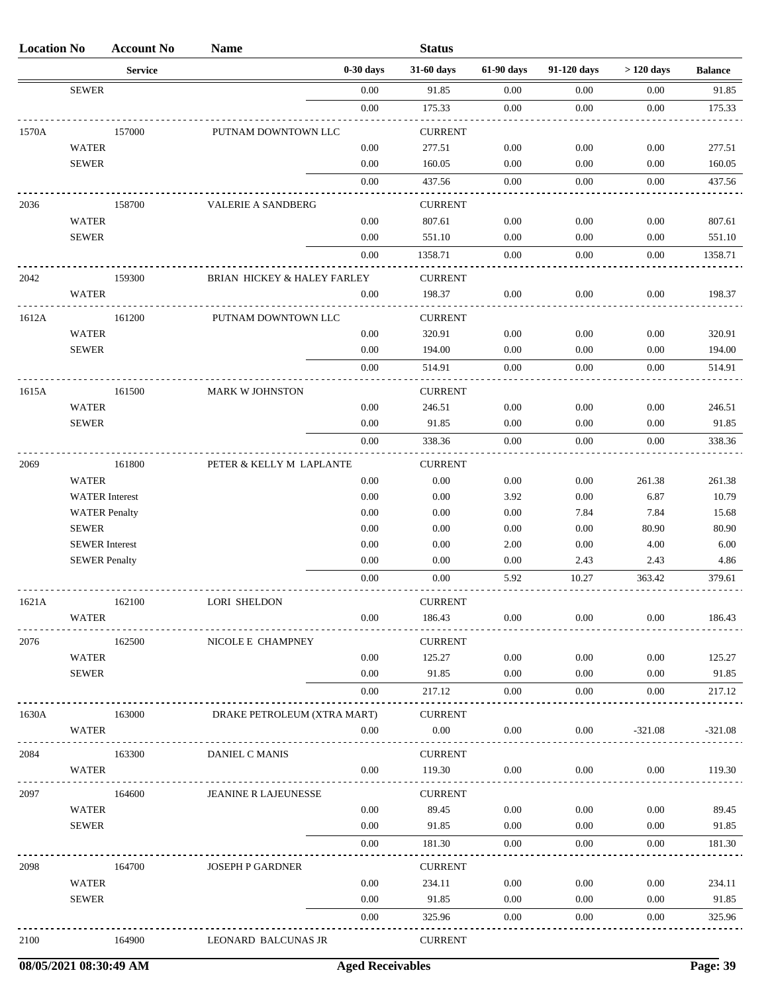| <b>Location No</b> |                                               | <b>Account No</b> | <b>Name</b>                 |              | <b>Status</b>            |              |              |              |                 |
|--------------------|-----------------------------------------------|-------------------|-----------------------------|--------------|--------------------------|--------------|--------------|--------------|-----------------|
|                    |                                               | <b>Service</b>    |                             | $0-30$ days  | 31-60 days               | 61-90 days   | 91-120 days  | $>120$ days  | <b>Balance</b>  |
|                    | <b>SEWER</b>                                  |                   |                             | 0.00         | 91.85                    | 0.00         | 0.00         | 0.00         | 91.85           |
|                    |                                               |                   |                             | $0.00\,$     | 175.33                   | 0.00         | 0.00         | 0.00         | 175.33          |
| 1570A              |                                               | 157000            | PUTNAM DOWNTOWN LLC         |              | <b>CURRENT</b>           |              |              |              |                 |
|                    | <b>WATER</b>                                  |                   |                             | 0.00         | 277.51                   | 0.00         | 0.00         | 0.00         | 277.51          |
|                    | <b>SEWER</b>                                  |                   |                             | 0.00         | 160.05                   | 0.00         | 0.00         | 0.00         | 160.05          |
|                    |                                               |                   |                             | 0.00         | 437.56                   | 0.00         | 0.00         | 0.00         | 437.56          |
| 2036               |                                               | 158700            | <b>VALERIE A SANDBERG</b>   |              | <b>CURRENT</b>           |              |              |              |                 |
|                    | <b>WATER</b>                                  |                   |                             | 0.00         | 807.61                   | 0.00         | 0.00         | 0.00         | 807.61          |
|                    | <b>SEWER</b>                                  |                   |                             | 0.00         | 551.10                   | 0.00         | 0.00         | 0.00         | 551.10          |
|                    |                                               |                   |                             | 0.00         | 1358.71                  | 0.00         | 0.00         | 0.00         | 1358.71         |
| 2042               |                                               | 159300            | BRIAN HICKEY & HALEY FARLEY |              | <b>CURRENT</b>           |              |              |              |                 |
|                    | <b>WATER</b>                                  |                   |                             | 0.00         | 198.37                   | 0.00         | 0.00         | 0.00         | 198.37          |
| 1612A              |                                               | 161200            |                             |              | <b>CURRENT</b>           |              |              |              |                 |
|                    | <b>WATER</b>                                  |                   | PUTNAM DOWNTOWN LLC         | 0.00         | 320.91                   | 0.00         | 0.00         | 0.00         | 320.91          |
|                    | <b>SEWER</b>                                  |                   |                             | 0.00         | 194.00                   | 0.00         | 0.00         | 0.00         | 194.00          |
|                    |                                               |                   |                             | 0.00         | 514.91                   | $0.00\,$     | 0.00         | 0.00         | 514.91          |
|                    |                                               |                   |                             |              |                          |              |              |              |                 |
| 1615A              |                                               | 161500            | <b>MARK W JOHNSTON</b>      |              | <b>CURRENT</b>           |              |              |              |                 |
|                    | <b>WATER</b><br><b>SEWER</b>                  |                   |                             | 0.00<br>0.00 | 246.51<br>91.85          | 0.00<br>0.00 | 0.00<br>0.00 | 0.00<br>0.00 | 246.51<br>91.85 |
|                    |                                               |                   |                             | 0.00         | 338.36                   | 0.00         | 0.00         | 0.00         | 338.36          |
|                    |                                               |                   |                             |              |                          |              |              |              |                 |
| 2069               |                                               | 161800            | PETER & KELLY M LAPLANTE    |              | <b>CURRENT</b>           |              |              |              |                 |
|                    | <b>WATER</b>                                  |                   |                             | 0.00         | 0.00                     | 0.00         | 0.00         | 261.38       | 261.38          |
|                    | <b>WATER</b> Interest<br><b>WATER Penalty</b> |                   |                             | 0.00<br>0.00 | 0.00<br>0.00             | 3.92<br>0.00 | 0.00<br>7.84 | 6.87<br>7.84 | 10.79<br>15.68  |
|                    | <b>SEWER</b>                                  |                   |                             | 0.00         | 0.00                     | 0.00         | 0.00         | 80.90        | 80.90           |
|                    | <b>SEWER</b> Interest                         |                   |                             | 0.00         | 0.00                     | 2.00         | 0.00         | 4.00         | 6.00            |
|                    | <b>SEWER Penalty</b>                          |                   |                             | 0.00         | 0.00                     | 0.00         | 2.43         | 2.43         | 4.86            |
|                    |                                               |                   |                             | 0.00         | 0.00                     | 5.92         | 10.27        | 363.42       | 379.61          |
|                    |                                               |                   |                             |              |                          |              |              |              |                 |
| 1621A              | <b>WATER</b>                                  | 162100            | <b>LORI SHELDON</b>         | 0.00         | <b>CURRENT</b><br>186.43 | $0.00\,$     | 0.00         | 0.00         | 186.43          |
|                    |                                               |                   |                             |              |                          |              |              |              |                 |
| 2076               |                                               | 162500            | NICOLE E CHAMPNEY           |              | <b>CURRENT</b>           |              |              |              |                 |
|                    | <b>WATER</b>                                  |                   |                             | $0.00\,$     | 125.27                   | 0.00         | $0.00\,$     | 0.00         | 125.27          |
|                    | <b>SEWER</b>                                  |                   |                             | 0.00         | 91.85                    | 0.00         | $0.00\,$     | 0.00         | 91.85           |
|                    |                                               |                   |                             | 0.00         | 217.12                   | 0.00         | 0.00         | 0.00         | 217.12          |
| 1630A              |                                               | 163000            | DRAKE PETROLEUM (XTRA MART) |              | <b>CURRENT</b>           |              |              |              |                 |
|                    | <b>WATER</b>                                  |                   |                             | 0.00         | 0.00                     | 0.00         | 0.00         | $-321.08$    | $-321.08$       |
| 2084               |                                               | 163300            | DANIEL C MANIS              |              | <b>CURRENT</b>           |              |              |              |                 |
|                    | <b>WATER</b>                                  |                   |                             | 0.00         | 119.30                   | 0.00         | $0.00\,$     | 0.00         | 119.30          |
| 2097               |                                               | 164600            | <b>JEANINE R LAJEUNESSE</b> |              | <b>CURRENT</b>           |              |              |              |                 |
|                    | <b>WATER</b>                                  |                   |                             | 0.00         | 89.45                    | 0.00         | $0.00\,$     | 0.00         | 89.45           |
|                    | <b>SEWER</b>                                  |                   |                             | 0.00         | 91.85                    | 0.00         | $0.00\,$     | 0.00         | 91.85           |
|                    |                                               |                   |                             | 0.00         | 181.30                   | 0.00         | 0.00         | 0.00         | 181.30          |
| 2098               |                                               | 164700            | JOSEPH P GARDNER            |              | <b>CURRENT</b>           |              |              |              |                 |
|                    | <b>WATER</b>                                  |                   |                             | $0.00\,$     | 234.11                   | 0.00         | $0.00\,$     | 0.00         | 234.11          |
|                    | <b>SEWER</b>                                  |                   |                             | 0.00         | 91.85                    | $0.00\,$     | $0.00\,$     | $0.00\,$     | 91.85           |
|                    |                                               |                   |                             | 0.00         | 325.96                   | 0.00         | 0.00         | 0.00         | 325.96          |
|                    |                                               |                   |                             |              |                          |              |              |              |                 |
| 2100               |                                               | 164900            | LEONARD BALCUNAS JR         |              | <b>CURRENT</b>           |              |              |              |                 |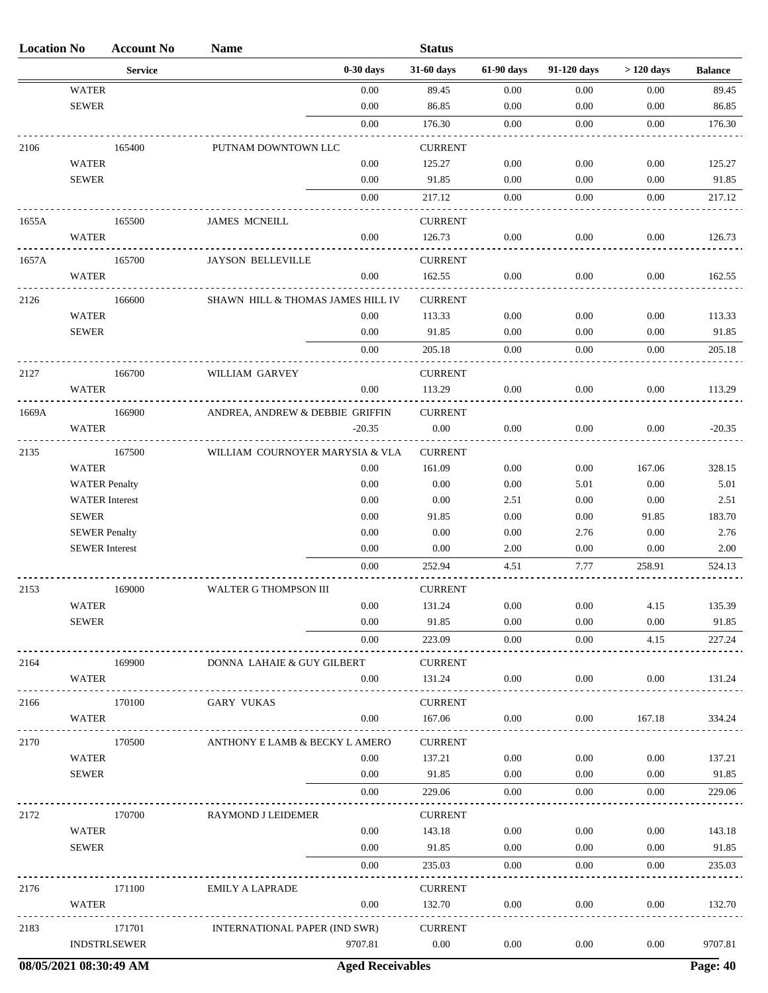| <b>Location No</b> |                                      | <b>Account No</b>   | <b>Name</b>                       |              | <b>Status</b>            |              |              |                |                |
|--------------------|--------------------------------------|---------------------|-----------------------------------|--------------|--------------------------|--------------|--------------|----------------|----------------|
|                    |                                      | <b>Service</b>      |                                   | $0-30$ days  | 31-60 days               | 61-90 days   | 91-120 days  | $>120$ days    | <b>Balance</b> |
|                    | <b>WATER</b>                         |                     |                                   | 0.00         | 89.45                    | 0.00         | 0.00         | 0.00           | 89.45          |
|                    | <b>SEWER</b>                         |                     |                                   | 0.00         | 86.85                    | 0.00         | $0.00\,$     | 0.00           | 86.85          |
|                    |                                      |                     |                                   | 0.00         | 176.30                   | 0.00         | 0.00         | 0.00           | 176.30         |
| 2106               |                                      | 165400              | PUTNAM DOWNTOWN LLC               |              | <b>CURRENT</b>           |              |              |                |                |
|                    | <b>WATER</b>                         |                     |                                   | 0.00         | 125.27                   | 0.00         | 0.00         | 0.00           | 125.27         |
|                    | <b>SEWER</b>                         |                     |                                   | 0.00         | 91.85                    | 0.00         | 0.00         | 0.00           | 91.85          |
|                    |                                      |                     |                                   | 0.00         | 217.12                   | 0.00         | 0.00         | 0.00           | 217.12         |
| 1655A              |                                      | 165500              | <b>JAMES MCNEILL</b>              |              | <b>CURRENT</b>           |              |              |                |                |
|                    | <b>WATER</b>                         |                     |                                   | 0.00         | 126.73                   | 0.00         | 0.00         | 0.00           | 126.73         |
|                    |                                      |                     |                                   |              |                          |              |              |                |                |
| 1657A              | <b>WATER</b>                         | 165700              | <b>JAYSON BELLEVILLE</b>          | 0.00         | <b>CURRENT</b><br>162.55 | 0.00         | 0.00         | 0.00           | 162.55         |
|                    |                                      |                     |                                   |              |                          |              |              |                |                |
| 2126               |                                      | 166600              | SHAWN HILL & THOMAS JAMES HILL IV |              | <b>CURRENT</b>           |              |              |                |                |
|                    | <b>WATER</b>                         |                     |                                   | 0.00         | 113.33                   | 0.00         | 0.00         | 0.00           | 113.33         |
|                    | <b>SEWER</b>                         |                     |                                   | 0.00         | 91.85                    | 0.00         | 0.00         | 0.00           | 91.85          |
|                    |                                      |                     |                                   | 0.00         | 205.18                   | 0.00         | 0.00         | 0.00           | 205.18         |
| 2127               |                                      | 166700              | WILLIAM GARVEY                    |              | <b>CURRENT</b>           |              |              |                |                |
|                    | <b>WATER</b>                         |                     |                                   | 0.00         | 113.29                   | 0.00         | 0.00         | 0.00           | 113.29         |
| 1669A              |                                      | 166900              | ANDREA, ANDREW & DEBBIE GRIFFIN   |              | <b>CURRENT</b>           |              |              |                |                |
|                    | <b>WATER</b>                         |                     |                                   | $-20.35$     | 0.00                     | 0.00         | 0.00         | $0.00\,$       | $-20.35$       |
|                    |                                      |                     |                                   |              |                          |              |              |                |                |
| 2135               |                                      | 167500              | WILLIAM COURNOYER MARYSIA & VLA   |              | <b>CURRENT</b>           |              |              |                |                |
|                    | <b>WATER</b><br><b>WATER Penalty</b> |                     |                                   | 0.00<br>0.00 | 161.09<br>0.00           | 0.00<br>0.00 | 0.00<br>5.01 | 167.06<br>0.00 | 328.15<br>5.01 |
|                    | <b>WATER</b> Interest                |                     |                                   | 0.00         | 0.00                     | 2.51         | 0.00         | 0.00           | 2.51           |
|                    | <b>SEWER</b>                         |                     |                                   | 0.00         | 91.85                    | 0.00         | 0.00         | 91.85          | 183.70         |
|                    | <b>SEWER Penalty</b>                 |                     |                                   | 0.00         | 0.00                     | 0.00         | 2.76         | 0.00           | 2.76           |
|                    | <b>SEWER</b> Interest                |                     |                                   | 0.00         | 0.00                     | 2.00         | 0.00         | 0.00           | 2.00           |
|                    |                                      |                     |                                   | 0.00         | 252.94                   | 4.51         | 7.77         | 258.91         | 524.13         |
|                    |                                      |                     |                                   |              |                          |              |              |                |                |
| 2153               | <b>WATER</b>                         | 169000              | WALTER G THOMPSON III             | $0.00\,$     | <b>CURRENT</b><br>131.24 | $0.00\,$     | 0.00         | 4.15           | 135.39         |
|                    | <b>SEWER</b>                         |                     |                                   | 0.00         | 91.85                    | 0.00         | 0.00         | 0.00           | 91.85          |
|                    |                                      |                     |                                   | 0.00         | 223.09                   | 0.00         | 0.00         | 4.15           | 227.24         |
|                    |                                      |                     |                                   |              |                          |              |              |                |                |
| 2164               |                                      | 169900              | DONNA LAHAIE & GUY GILBERT        |              | <b>CURRENT</b>           |              |              |                |                |
|                    | <b>WATER</b>                         |                     |                                   | 0.00         | 131.24                   | 0.00         | 0.00         | 0.00           | 131.24         |
| 2166               |                                      | 170100              | <b>GARY VUKAS</b>                 |              | <b>CURRENT</b>           |              |              |                |                |
|                    | WATER                                |                     |                                   | 0.00         | 167.06                   | 0.00         | 0.00         | 167.18         | 334.24         |
| 2170               |                                      | 170500              | ANTHONY E LAMB & BECKY L AMERO    |              | <b>CURRENT</b>           |              |              |                |                |
|                    | <b>WATER</b>                         |                     |                                   | 0.00         | 137.21                   | 0.00         | 0.00         | 0.00           | 137.21         |
|                    | <b>SEWER</b>                         |                     |                                   | 0.00         | 91.85                    | 0.00         | $0.00\,$     | $0.00\,$       | 91.85          |
|                    |                                      |                     |                                   | 0.00         | 229.06                   | 0.00         | 0.00         | 0.00           | 229.06         |
| 2172               |                                      | 170700              | RAYMOND J LEIDEMER                |              | <b>CURRENT</b>           |              |              |                |                |
|                    | <b>WATER</b>                         |                     |                                   | 0.00         | 143.18                   | 0.00         | 0.00         | 0.00           | 143.18         |
|                    | <b>SEWER</b>                         |                     |                                   | 0.00         | 91.85                    | 0.00         | $0.00\,$     | 0.00           | 91.85          |
|                    |                                      |                     |                                   | 0.00         | 235.03                   | 0.00         | 0.00         | 0.00           | 235.03         |
|                    |                                      |                     |                                   |              |                          |              |              |                |                |
| 2176               |                                      | 171100              | <b>EMILY A LAPRADE</b>            |              | <b>CURRENT</b><br>132.70 | 0.00         |              | 0.00           |                |
|                    | <b>WATER</b>                         |                     |                                   | 0.00         |                          |              | $0.00\,$     |                | 132.70         |
| 2183               |                                      | 171701              | INTERNATIONAL PAPER (IND SWR)     |              | <b>CURRENT</b>           |              |              |                |                |
|                    |                                      | <b>INDSTRLSEWER</b> |                                   | 9707.81      | 0.00                     | 0.00         | 0.00         | $0.00\,$       | 9707.81        |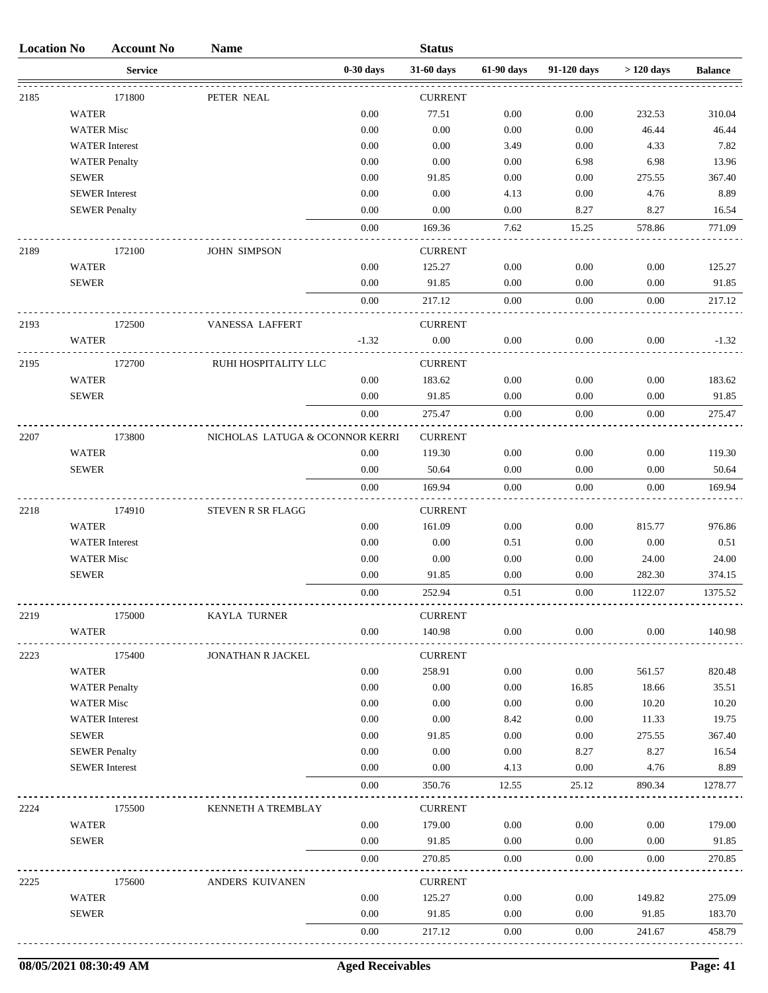| <b>Location No</b> |                   | <b>Account No</b>     | <b>Name</b>                     |              | <b>Status</b>   |              |              |              |                |
|--------------------|-------------------|-----------------------|---------------------------------|--------------|-----------------|--------------|--------------|--------------|----------------|
|                    |                   | <b>Service</b>        |                                 | $0-30$ days  | 31-60 days      | 61-90 days   | 91-120 days  | $>120$ days  | <b>Balance</b> |
| 2185               |                   | 171800                | PETER NEAL                      |              | <b>CURRENT</b>  |              |              |              |                |
|                    | <b>WATER</b>      |                       |                                 | 0.00         | 77.51           | 0.00         | 0.00         | 232.53       | 310.04         |
|                    |                   | <b>WATER Misc</b>     |                                 | 0.00         | 0.00            | 0.00         | 0.00         | 46.44        | 46.44          |
|                    |                   | <b>WATER</b> Interest |                                 | 0.00         | 0.00            | 3.49         | 0.00         | 4.33         | 7.82           |
|                    |                   | <b>WATER Penalty</b>  |                                 | 0.00         | 0.00            | 0.00         | 6.98         | 6.98         | 13.96          |
|                    | <b>SEWER</b>      |                       |                                 | 0.00         | 91.85           | 0.00         | 0.00         | 275.55       | 367.40         |
|                    |                   | <b>SEWER</b> Interest |                                 | 0.00         | 0.00            | 4.13         | 0.00         | 4.76         | 8.89           |
|                    |                   | <b>SEWER Penalty</b>  |                                 | 0.00         | 0.00            | 0.00         | 8.27         | 8.27         | 16.54          |
|                    |                   |                       |                                 | 0.00         | 169.36          | 7.62         | 15.25        | 578.86       | 771.09         |
| 2189               |                   | 172100                | <b>JOHN SIMPSON</b>             |              | <b>CURRENT</b>  |              |              |              |                |
|                    | <b>WATER</b>      |                       |                                 | 0.00         | 125.27          | 0.00         | 0.00         | 0.00         | 125.27         |
|                    | <b>SEWER</b>      |                       |                                 | 0.00         | 91.85           | 0.00         | 0.00         | 0.00         | 91.85          |
|                    |                   |                       |                                 | 0.00         | 217.12          | 0.00         | 0.00         | 0.00         | 217.12         |
| 2193               |                   | 172500                | VANESSA LAFFERT                 |              | <b>CURRENT</b>  |              |              |              |                |
|                    | <b>WATER</b>      |                       |                                 | $-1.32$      | 0.00            | 0.00         | 0.00         | 0.00         | $-1.32$        |
| 2195               |                   | 172700                | RUHI HOSPITALITY LLC            |              | <b>CURRENT</b>  |              |              |              |                |
|                    | <b>WATER</b>      |                       |                                 | 0.00         | 183.62          | 0.00         | 0.00         | 0.00         | 183.62         |
|                    | <b>SEWER</b>      |                       |                                 | 0.00         | 91.85           | 0.00         | 0.00         | 0.00         | 91.85          |
|                    |                   |                       |                                 | 0.00         | 275.47          | 0.00         | 0.00         | 0.00         | 275.47         |
| 2207               |                   | 173800                | NICHOLAS LATUGA & OCONNOR KERRI |              | <b>CURRENT</b>  |              |              |              |                |
|                    | <b>WATER</b>      |                       |                                 | 0.00         | 119.30          | 0.00         | 0.00         | 0.00         | 119.30         |
|                    | <b>SEWER</b>      |                       |                                 | 0.00         | 50.64           | 0.00         | 0.00         | 0.00         | 50.64          |
|                    |                   |                       |                                 | 0.00         | 169.94          | 0.00         | 0.00         | 0.00         | 169.94         |
| 2218               |                   | 174910                | STEVEN R SR FLAGG               |              | <b>CURRENT</b>  |              |              |              |                |
|                    | <b>WATER</b>      |                       |                                 | 0.00         | 161.09          | 0.00         | 0.00         | 815.77       | 976.86         |
|                    |                   | <b>WATER</b> Interest |                                 | 0.00         | 0.00            | 0.51         | 0.00         | 0.00         | 0.51           |
|                    | <b>WATER Misc</b> |                       |                                 | 0.00         | 0.00            | 0.00         | 0.00         | 24.00        | 24.00          |
|                    | <b>SEWER</b>      |                       |                                 | 0.00         | 91.85           | 0.00         | 0.00         | 282.30       | 374.15         |
|                    |                   |                       |                                 | 0.00         | 252.94          | 0.51         | 0.00         | 1122.07      | 1375.52        |
| 2219               |                   | 175000                | KAYLA TURNER                    |              | <b>CURRENT</b>  |              |              |              |                |
|                    | WATER             |                       |                                 | 0.00         | 140.98          | 0.00         | $0.00\,$     | 0.00         | 140.98         |
| 2223               |                   | 175400                | JONATHAN R JACKEL               |              | <b>CURRENT</b>  |              |              |              |                |
|                    | <b>WATER</b>      |                       |                                 | $0.00\,$     | 258.91          | 0.00         | 0.00         | 561.57       | 820.48         |
|                    |                   | <b>WATER Penalty</b>  |                                 | 0.00         | 0.00            | 0.00         | 16.85        | 18.66        | 35.51          |
|                    | <b>WATER Misc</b> |                       |                                 | 0.00         | 0.00            | 0.00         | 0.00         | 10.20        | 10.20          |
|                    |                   | <b>WATER</b> Interest |                                 | 0.00         | $0.00\,$        | 8.42         | $0.00\,$     | 11.33        | 19.75          |
|                    | <b>SEWER</b>      |                       |                                 | 0.00         | 91.85           | 0.00         | $0.00\,$     | 275.55       | 367.40         |
|                    |                   | <b>SEWER Penalty</b>  |                                 | 0.00         | 0.00            | 0.00         | 8.27         | 8.27         | 16.54          |
|                    |                   | <b>SEWER</b> Interest |                                 | 0.00         | 0.00            | 4.13         | 0.00         | 4.76         | 8.89           |
|                    |                   |                       |                                 | $0.00\,$     | 350.76          | 12.55        | 25.12        | 890.34       | 1278.77        |
| 2224               |                   | 175500                | KENNETH A TREMBLAY              |              | <b>CURRENT</b>  |              |              |              |                |
|                    | <b>WATER</b>      |                       |                                 | 0.00         | 179.00          | 0.00         | 0.00         | 0.00         | 179.00         |
|                    | <b>SEWER</b>      |                       |                                 | 0.00<br>0.00 | 91.85<br>270.85 | 0.00<br>0.00 | 0.00<br>0.00 | 0.00<br>0.00 | 91.85          |
|                    |                   |                       |                                 |              |                 |              |              |              | 270.85         |
| 2225               |                   | 175600                | ANDERS KUIVANEN                 |              | <b>CURRENT</b>  |              |              |              |                |
|                    | <b>WATER</b>      |                       |                                 | 0.00         | 125.27          | 0.00         | 0.00         | 149.82       | 275.09         |
|                    | <b>SEWER</b>      |                       |                                 | 0.00         | 91.85           | 0.00         | 0.00         | 91.85        | 183.70         |
|                    |                   |                       |                                 | $0.00\,$     | 217.12          | 0.00         | 0.00         | 241.67       | 458.79         |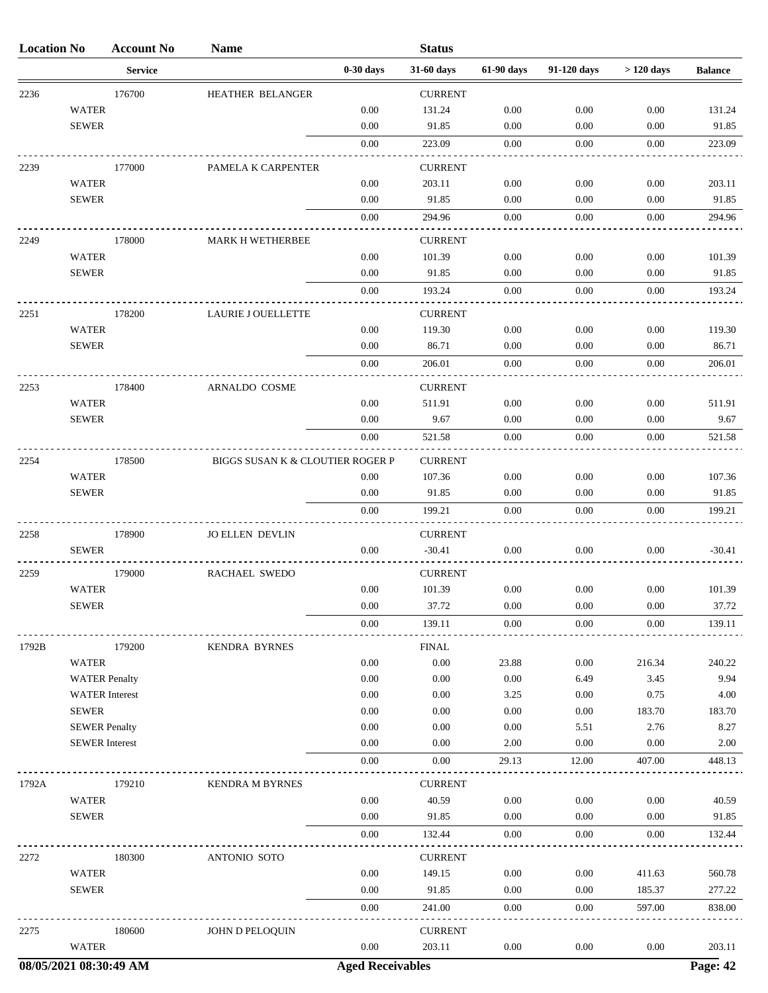| <b>Location No</b> |                                               | <b>Account No</b> | <b>Name</b>                      |                         | <b>Status</b>              |                  |              |                  |                 |
|--------------------|-----------------------------------------------|-------------------|----------------------------------|-------------------------|----------------------------|------------------|--------------|------------------|-----------------|
|                    |                                               | <b>Service</b>    |                                  | $0-30$ days             | 31-60 days                 | 61-90 days       | 91-120 days  | $>120$ days      | <b>Balance</b>  |
| 2236               |                                               | 176700            | HEATHER BELANGER                 |                         | <b>CURRENT</b>             |                  |              |                  |                 |
|                    | <b>WATER</b>                                  |                   |                                  | 0.00                    | 131.24                     | 0.00             | 0.00         | 0.00             | 131.24          |
|                    | <b>SEWER</b>                                  |                   |                                  | 0.00                    | 91.85                      | 0.00             | 0.00         | 0.00             | 91.85           |
|                    |                                               |                   |                                  | 0.00                    | 223.09                     | 0.00             | 0.00         | 0.00             | 223.09          |
| 2239               |                                               | 177000            | PAMELA K CARPENTER               |                         | <b>CURRENT</b>             |                  |              |                  |                 |
|                    | <b>WATER</b>                                  |                   |                                  | 0.00                    | 203.11                     | 0.00             | 0.00         | 0.00             | 203.11          |
|                    | <b>SEWER</b>                                  |                   |                                  | 0.00                    | 91.85                      | 0.00             | 0.00         | 0.00             | 91.85           |
|                    |                                               |                   |                                  | 0.00                    | 294.96                     | 0.00             | 0.00         | 0.00             | 294.96          |
| 2249               |                                               | 178000            | <b>MARK H WETHERBEE</b>          |                         | <b>CURRENT</b>             |                  |              |                  |                 |
|                    | <b>WATER</b>                                  |                   |                                  | 0.00                    | 101.39                     | 0.00             | 0.00         | 0.00             | 101.39          |
|                    | <b>SEWER</b>                                  |                   |                                  | 0.00                    | 91.85                      | 0.00             | 0.00         | 0.00             | 91.85           |
|                    |                                               |                   |                                  | 0.00                    | 193.24                     | 0.00             | 0.00         | 0.00             | 193.24          |
| 2251               |                                               | 178200            | <b>LAURIE J OUELLETTE</b>        |                         | <b>CURRENT</b>             |                  |              |                  |                 |
|                    | <b>WATER</b>                                  |                   |                                  | 0.00                    | 119.30                     | 0.00             | 0.00         | 0.00             | 119.30          |
|                    | <b>SEWER</b>                                  |                   |                                  | 0.00                    | 86.71                      | 0.00             | 0.00         | 0.00             | 86.71           |
|                    |                                               |                   |                                  | 0.00                    | 206.01                     | 0.00             | 0.00         | 0.00             | 206.01          |
| 2253               |                                               | 178400            | ARNALDO COSME                    |                         | <b>CURRENT</b>             |                  |              |                  |                 |
|                    | <b>WATER</b>                                  |                   |                                  | 0.00                    | 511.91                     | 0.00             | 0.00         | 0.00             | 511.91          |
|                    | <b>SEWER</b>                                  |                   |                                  | 0.00                    | 9.67                       | 0.00             | 0.00         | 0.00             | 9.67            |
|                    |                                               |                   |                                  | 0.00                    | 521.58                     | 0.00             | 0.00         | 0.00             | 521.58          |
| 2254               |                                               | 178500            | BIGGS SUSAN K & CLOUTIER ROGER P |                         | <b>CURRENT</b>             |                  |              |                  |                 |
|                    | <b>WATER</b>                                  |                   |                                  | 0.00                    | 107.36                     | 0.00             | 0.00         | 0.00             | 107.36          |
|                    | <b>SEWER</b>                                  |                   |                                  | 0.00                    | 91.85                      | 0.00             | 0.00         | 0.00             | 91.85           |
|                    |                                               |                   |                                  | 0.00                    | 199.21                     | 0.00             | 0.00         | 0.00             | 199.21          |
|                    |                                               |                   |                                  |                         |                            |                  |              |                  |                 |
| 2258               | <b>SEWER</b>                                  | 178900            | <b>JO ELLEN DEVLIN</b>           | 0.00                    | <b>CURRENT</b><br>$-30.41$ | 0.00             | 0.00         | 0.00             | $-30.41$        |
|                    |                                               |                   |                                  |                         |                            |                  |              |                  |                 |
| 2259               |                                               | 179000            | RACHAEL SWEDO                    |                         | <b>CURRENT</b>             |                  |              |                  |                 |
|                    | <b>WATER</b><br><b>SEWER</b>                  |                   |                                  | 0.00<br>0.00            | 101.39<br>37.72            | 0.00<br>$0.00\,$ | 0.00<br>0.00 | 0.00<br>$0.00\,$ | 101.39<br>37.72 |
|                    |                                               |                   |                                  | 0.00                    | 139.11                     | 0.00             | 0.00         | 0.00             | 139.11          |
|                    |                                               |                   |                                  |                         |                            |                  |              |                  |                 |
| 1792B              |                                               | 179200            | <b>KENDRA BYRNES</b>             |                         | <b>FINAL</b>               |                  |              |                  |                 |
|                    | <b>WATER</b>                                  |                   |                                  | 0.00                    | 0.00                       | 23.88            | $0.00\,$     | 216.34           | 240.22          |
|                    | <b>WATER Penalty</b><br><b>WATER</b> Interest |                   |                                  | 0.00<br>0.00            | 0.00<br>0.00               | 0.00<br>3.25     | 6.49<br>0.00 | 3.45<br>0.75     | 9.94<br>4.00    |
|                    | <b>SEWER</b>                                  |                   |                                  | 0.00                    | 0.00                       | 0.00             | 0.00         | 183.70           | 183.70          |
|                    | <b>SEWER Penalty</b>                          |                   |                                  | 0.00                    | 0.00                       | 0.00             | 5.51         | 2.76             | 8.27            |
|                    | <b>SEWER</b> Interest                         |                   |                                  | 0.00                    | 0.00                       | 2.00             | 0.00         | 0.00             | 2.00            |
|                    |                                               |                   |                                  | 0.00                    | 0.00                       | 29.13            | 12.00        | 407.00           | 448.13          |
| 1792A              |                                               | 179210            | KENDRA M BYRNES                  |                         | <b>CURRENT</b>             |                  |              |                  |                 |
|                    | <b>WATER</b>                                  |                   |                                  | 0.00                    | 40.59                      | 0.00             | 0.00         | 0.00             | 40.59           |
|                    | <b>SEWER</b>                                  |                   |                                  | 0.00                    | 91.85                      | 0.00             | 0.00         | 0.00             | 91.85           |
|                    |                                               |                   |                                  | 0.00                    | 132.44                     | 0.00             | 0.00         | 0.00             | 132.44          |
| 2272               |                                               | 180300            | ANTONIO SOTO                     |                         | <b>CURRENT</b>             |                  |              |                  |                 |
|                    | <b>WATER</b>                                  |                   |                                  | 0.00                    | 149.15                     | $0.00\,$         | 0.00         | 411.63           | 560.78          |
|                    | <b>SEWER</b>                                  |                   |                                  | 0.00                    | 91.85                      | 0.00             | 0.00         | 185.37           | 277.22          |
|                    |                                               |                   |                                  | 0.00                    | 241.00                     | 0.00             | 0.00         | 597.00           | 838.00          |
|                    |                                               |                   |                                  |                         |                            |                  |              |                  |                 |
| 2275               | <b>WATER</b>                                  | 180600            | JOHN D PELOQUIN                  | $0.00\,$                | <b>CURRENT</b><br>203.11   | $0.00\,$         | $0.00\,$     | $0.00\,$         | 203.11          |
|                    |                                               |                   |                                  |                         |                            |                  |              |                  |                 |
|                    | 08/05/2021 08:30:49 AM                        |                   |                                  | <b>Aged Receivables</b> |                            |                  |              |                  | <b>Page: 42</b> |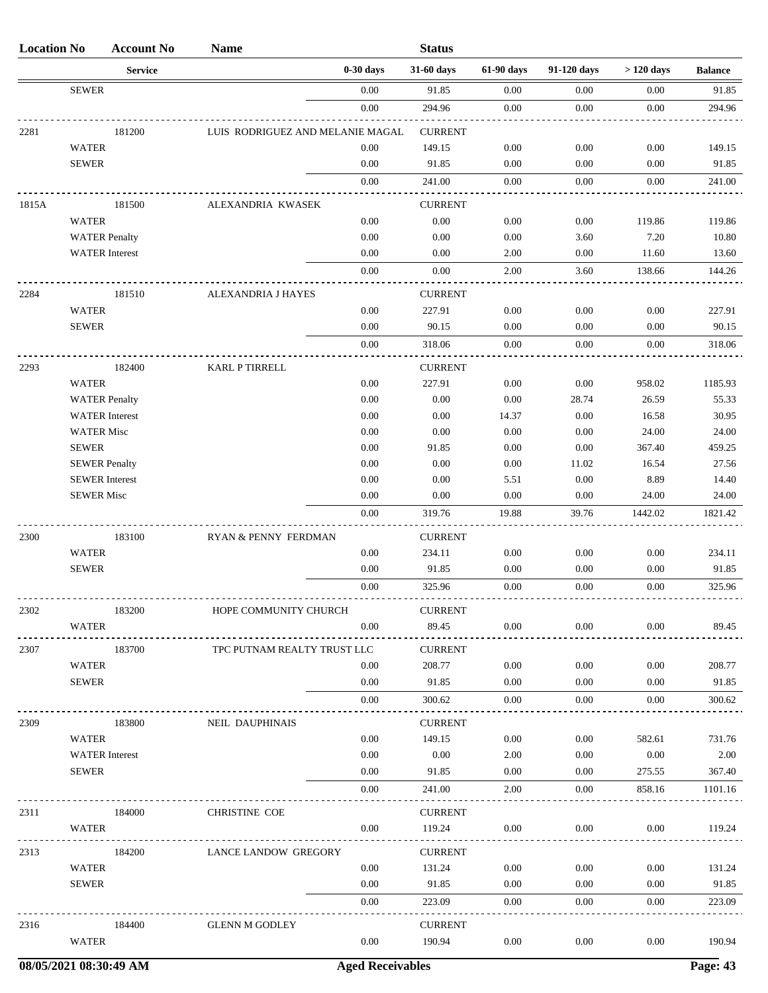| <b>Location No</b> |                      | <b>Account No</b>     | <b>Name</b>                      |             | <b>Status</b>  |            |             |             |                |
|--------------------|----------------------|-----------------------|----------------------------------|-------------|----------------|------------|-------------|-------------|----------------|
|                    |                      | <b>Service</b>        |                                  | $0-30$ days | 31-60 days     | 61-90 days | 91-120 days | $>120$ days | <b>Balance</b> |
|                    | <b>SEWER</b>         |                       |                                  | 0.00        | 91.85          | 0.00       | 0.00        | 0.00        | 91.85          |
|                    |                      |                       |                                  | $0.00\,$    | 294.96         | 0.00       | 0.00        | 0.00        | 294.96         |
| 2281               |                      | 181200                | LUIS RODRIGUEZ AND MELANIE MAGAL |             | <b>CURRENT</b> |            |             |             |                |
|                    | <b>WATER</b>         |                       |                                  | 0.00        | 149.15         | 0.00       | 0.00        | 0.00        | 149.15         |
|                    | <b>SEWER</b>         |                       |                                  | 0.00        | 91.85          | 0.00       | 0.00        | 0.00        | 91.85          |
|                    |                      |                       |                                  | 0.00        | 241.00         | 0.00       | 0.00        | 0.00        | 241.00         |
| 1815A              |                      | 181500                | ALEXANDRIA KWASEK                |             | <b>CURRENT</b> |            |             |             |                |
|                    | <b>WATER</b>         |                       |                                  | 0.00        | 0.00           | 0.00       | 0.00        | 119.86      | 119.86         |
|                    |                      | <b>WATER Penalty</b>  |                                  | 0.00        | 0.00           | 0.00       | 3.60        | 7.20        | 10.80          |
|                    |                      | <b>WATER</b> Interest |                                  | 0.00        | 0.00           | 2.00       | 0.00        | 11.60       | 13.60          |
|                    |                      |                       |                                  | 0.00        | 0.00           | 2.00       | 3.60        | 138.66      | 144.26         |
| 2284               |                      | 181510                | ALEXANDRIA J HAYES               |             | <b>CURRENT</b> |            |             |             |                |
|                    | <b>WATER</b>         |                       |                                  | 0.00        | 227.91         | 0.00       | 0.00        | 0.00        | 227.91         |
|                    | <b>SEWER</b>         |                       |                                  | 0.00        | 90.15          | 0.00       | 0.00        | 0.00        | 90.15          |
|                    |                      |                       |                                  | 0.00        | 318.06         | 0.00       | 0.00        | 0.00        | 318.06         |
| 2293               |                      | 182400                | KARL P TIRRELL                   |             | <b>CURRENT</b> |            |             |             |                |
|                    | <b>WATER</b>         |                       |                                  | 0.00        | 227.91         | 0.00       | 0.00        | 958.02      | 1185.93        |
|                    |                      | <b>WATER Penalty</b>  |                                  | 0.00        | 0.00           | 0.00       | 28.74       | 26.59       | 55.33          |
|                    |                      | <b>WATER</b> Interest |                                  | 0.00        | 0.00           | 14.37      | 0.00        | 16.58       | 30.95          |
|                    | <b>WATER Misc</b>    |                       |                                  | 0.00        | 0.00           | 0.00       | 0.00        | 24.00       | 24.00          |
|                    | <b>SEWER</b>         |                       |                                  | 0.00        | 91.85          | 0.00       | 0.00        | 367.40      | 459.25         |
|                    | <b>SEWER Penalty</b> |                       |                                  | 0.00        | 0.00           | 0.00       | 11.02       | 16.54       | 27.56          |
|                    |                      | <b>SEWER</b> Interest |                                  | 0.00        | 0.00           | 5.51       | 0.00        | 8.89        | 14.40          |
|                    | <b>SEWER Misc</b>    |                       |                                  | 0.00        | 0.00           | 0.00       | 0.00        | 24.00       | 24.00          |
|                    |                      |                       |                                  | 0.00        | 319.76         | 19.88      | 39.76       | 1442.02     | 1821.42        |
| 2300               |                      | 183100                | RYAN & PENNY FERDMAN             |             | <b>CURRENT</b> |            |             |             |                |
|                    | <b>WATER</b>         |                       |                                  | 0.00        | 234.11         | 0.00       | 0.00        | 0.00        | 234.11         |
|                    | <b>SEWER</b>         |                       |                                  | 0.00        | 91.85          | 0.00       | 0.00        | 0.00        | 91.85          |
|                    |                      |                       |                                  | 0.00        | 325.96         | 0.00       | 0.00        | 0.00        | 325.96         |
| 2302               |                      | 183200                | HOPE COMMUNITY CHURCH            |             | <b>CURRENT</b> |            |             |             |                |
|                    | <b>WATER</b>         |                       |                                  | 0.00        | 89.45          | 0.00       | 0.00        | 0.00        | 89.45          |
| 2307               |                      | 183700                | TPC PUTNAM REALTY TRUST LLC      |             | <b>CURRENT</b> |            |             |             |                |
|                    | <b>WATER</b>         |                       |                                  | 0.00        | 208.77         | $0.00\,$   | 0.00        | $0.00\,$    | 208.77         |
|                    | <b>SEWER</b>         |                       |                                  | 0.00        | 91.85          | 0.00       | 0.00        | 0.00        | 91.85          |
|                    |                      |                       |                                  | 0.00        | 300.62         | 0.00       | 0.00        | 0.00        | 300.62         |
| 2309               |                      | 183800                | NEIL DAUPHINAIS                  |             | <b>CURRENT</b> |            |             |             |                |
|                    | <b>WATER</b>         |                       |                                  | 0.00        | 149.15         | 0.00       | 0.00        | 582.61      | 731.76         |
|                    |                      | <b>WATER</b> Interest |                                  | 0.00        | 0.00           | 2.00       | 0.00        | 0.00        | 2.00           |
|                    | <b>SEWER</b>         |                       |                                  | 0.00        | 91.85          | $0.00\,$   | 0.00        | 275.55      | 367.40         |
|                    |                      |                       |                                  | 0.00        | 241.00         | 2.00       | 0.00        | 858.16      | 1101.16        |
| 2311               |                      | 184000                | <b>CHRISTINE COE</b>             |             | <b>CURRENT</b> |            |             |             |                |
|                    | WATER                |                       |                                  | 0.00        | 119.24         | 0.00       | 0.00        | 0.00        | 119.24         |
| 2313               |                      | 184200                | <b>LANCE LANDOW GREGORY</b>      |             | <b>CURRENT</b> |            |             |             |                |
|                    | <b>WATER</b>         |                       |                                  | 0.00        | 131.24         | $0.00\,$   | 0.00        | $0.00\,$    | 131.24         |
|                    | <b>SEWER</b>         |                       |                                  | 0.00        | 91.85          | $0.00\,$   | 0.00        | $0.00\,$    | 91.85          |
|                    |                      |                       |                                  | 0.00        | 223.09         | 0.00       | 0.00        | 0.00        | 223.09         |
| 2316               |                      | 184400                | <b>GLENN M GODLEY</b>            |             | <b>CURRENT</b> |            |             |             |                |
|                    | <b>WATER</b>         |                       |                                  | 0.00        | 190.94         | 0.00       | 0.00        | 0.00        | 190.94         |
|                    |                      |                       |                                  |             |                |            |             |             |                |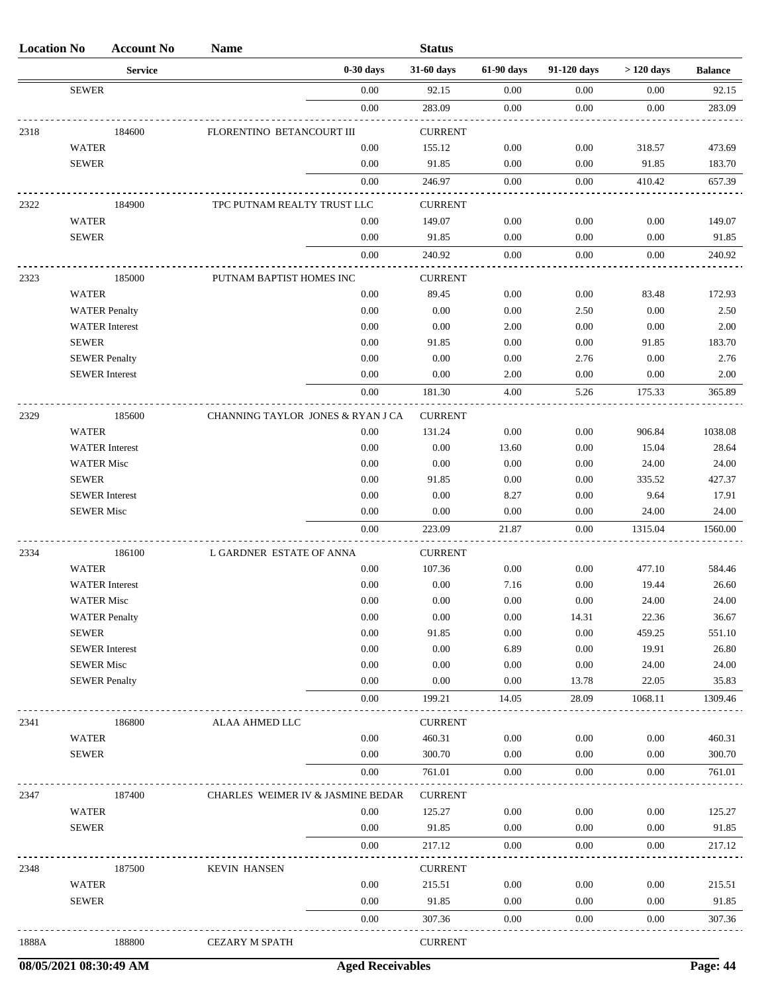| <b>Location No</b> |                              | <b>Account No</b>     | <b>Name</b>                       |              | <b>Status</b>    |              |                  |                 |                  |
|--------------------|------------------------------|-----------------------|-----------------------------------|--------------|------------------|--------------|------------------|-----------------|------------------|
|                    |                              | <b>Service</b>        |                                   | $0-30$ days  | 31-60 days       | 61-90 days   | 91-120 days      | $>120$ days     | <b>Balance</b>   |
|                    | <b>SEWER</b>                 |                       |                                   | 0.00         | 92.15            | 0.00         | 0.00             | 0.00            | 92.15            |
|                    |                              |                       |                                   | 0.00         | 283.09           | 0.00         | 0.00             | 0.00            | 283.09           |
| 2318               |                              | 184600                | FLORENTINO BETANCOURT III         |              | <b>CURRENT</b>   |              |                  |                 |                  |
|                    | <b>WATER</b>                 |                       |                                   | 0.00         | 155.12           | 0.00         | 0.00             | 318.57          | 473.69           |
|                    | <b>SEWER</b>                 |                       |                                   | 0.00         | 91.85            | 0.00         | 0.00             | 91.85           | 183.70           |
|                    |                              |                       |                                   | 0.00         | 246.97           | 0.00         | 0.00             | 410.42          | 657.39           |
| 2322               |                              | 184900                | TPC PUTNAM REALTY TRUST LLC       |              | <b>CURRENT</b>   |              |                  |                 |                  |
|                    | <b>WATER</b>                 |                       |                                   | 0.00         | 149.07           | 0.00         | 0.00             | 0.00            | 149.07           |
|                    | <b>SEWER</b>                 |                       |                                   | 0.00         | 91.85            | 0.00         | 0.00             | 0.00            | 91.85            |
|                    |                              |                       |                                   | 0.00         | 240.92           | 0.00         | 0.00             | 0.00            | 240.92           |
| 2323               |                              | 185000                | PUTNAM BAPTIST HOMES INC          |              | <b>CURRENT</b>   |              |                  |                 |                  |
|                    | <b>WATER</b>                 |                       |                                   | 0.00         | 89.45            | 0.00         | $0.00\,$         | 83.48           | 172.93           |
|                    |                              | <b>WATER Penalty</b>  |                                   | 0.00         | 0.00             | 0.00         | 2.50             | 0.00            | 2.50             |
|                    |                              | <b>WATER</b> Interest |                                   | 0.00         | 0.00             | 2.00         | 0.00             | 0.00            | 2.00             |
|                    | <b>SEWER</b>                 |                       |                                   | 0.00         | 91.85            | 0.00         | 0.00             | 91.85           | 183.70           |
|                    | <b>SEWER Penalty</b>         |                       |                                   | 0.00         | 0.00             | 0.00         | 2.76             | 0.00            | 2.76             |
|                    |                              | <b>SEWER</b> Interest |                                   | 0.00         | 0.00             | 2.00         | 0.00             | 0.00            | 2.00             |
|                    |                              |                       |                                   | 0.00         | 181.30           | 4.00         | 5.26             | 175.33          | 365.89           |
| 2329               |                              | 185600                | CHANNING TAYLOR JONES & RYAN J CA |              | <b>CURRENT</b>   |              |                  |                 |                  |
|                    | <b>WATER</b>                 |                       |                                   | 0.00         | 131.24           | 0.00         | 0.00             | 906.84          | 1038.08          |
|                    |                              | <b>WATER</b> Interest |                                   | 0.00         | 0.00             | 13.60        | 0.00             | 15.04           | 28.64            |
|                    | <b>WATER Misc</b>            |                       |                                   | 0.00         | 0.00             | 0.00         | 0.00             | 24.00           | 24.00            |
|                    | <b>SEWER</b>                 |                       |                                   | 0.00         | 91.85            | 0.00         | 0.00             | 335.52          | 427.37           |
|                    |                              | <b>SEWER</b> Interest |                                   | 0.00         | 0.00             | 8.27         | 0.00             | 9.64            | 17.91            |
|                    | <b>SEWER Misc</b>            |                       |                                   | 0.00         | 0.00             | 0.00         | 0.00             | 24.00           | 24.00            |
|                    |                              |                       |                                   | $0.00\,$     | 223.09           | 21.87        | 0.00             | 1315.04         | 1560.00          |
|                    |                              |                       |                                   |              |                  |              |                  |                 |                  |
| 2334               |                              | 186100                | L GARDNER ESTATE OF ANNA          |              | <b>CURRENT</b>   |              |                  |                 |                  |
|                    | <b>WATER</b>                 |                       |                                   | 0.00         | 107.36           | 0.00         | 0.00             | 477.10          | 584.46           |
|                    |                              | <b>WATER</b> Interest |                                   | 0.00         | 0.00             | 7.16         | 0.00             | 19.44           | 26.60            |
|                    | <b>WATER Misc</b>            |                       |                                   | $0.00\,$     | $0.00\,$         | $0.00\,$     | $0.00\,$         | $24.00\,$       | 24.00            |
|                    |                              | <b>WATER Penalty</b>  |                                   | 0.00         | 0.00             | 0.00         | 14.31            | 22.36           | 36.67            |
|                    | <b>SEWER</b>                 |                       |                                   | 0.00<br>0.00 | 91.85<br>0.00    | 0.00<br>6.89 | $0.00\,$<br>0.00 | 459.25<br>19.91 | 551.10           |
|                    | <b>SEWER Misc</b>            | <b>SEWER</b> Interest |                                   | 0.00         | 0.00             | 0.00         | $0.00\,$         | 24.00           | 26.80<br>24.00   |
|                    | <b>SEWER Penalty</b>         |                       |                                   | 0.00         | 0.00             | 0.00         | 13.78            | 22.05           | 35.83            |
|                    |                              |                       |                                   | 0.00         | 199.21           | 14.05        | 28.09            | 1068.11         | 1309.46          |
|                    |                              |                       |                                   |              |                  |              |                  |                 |                  |
| 2341               |                              | 186800                | ALAA AHMED LLC                    |              | <b>CURRENT</b>   |              |                  |                 |                  |
|                    | <b>WATER</b><br><b>SEWER</b> |                       |                                   | 0.00<br>0.00 | 460.31<br>300.70 | 0.00<br>0.00 | $0.00\,$<br>0.00 | 0.00<br>0.00    | 460.31<br>300.70 |
|                    |                              |                       |                                   | 0.00         | 761.01           | 0.00         | 0.00             | 0.00            | 761.01           |
|                    |                              |                       |                                   |              |                  |              |                  |                 |                  |
| 2347               |                              | 187400                | CHARLES WEIMER IV & JASMINE BEDAR |              | <b>CURRENT</b>   |              |                  |                 |                  |
|                    | <b>WATER</b>                 |                       |                                   | 0.00         | 125.27           | 0.00         | 0.00             | 0.00            | 125.27           |
|                    | <b>SEWER</b>                 |                       |                                   | 0.00         | 91.85            | 0.00         | 0.00             | 0.00            | 91.85            |
|                    |                              |                       |                                   | 0.00         | 217.12           | 0.00         | 0.00             | 0.00            | 217.12           |
| 2348               |                              | 187500                | KEVIN HANSEN                      |              | <b>CURRENT</b>   |              |                  |                 |                  |
|                    | <b>WATER</b>                 |                       |                                   | 0.00         | 215.51           | 0.00         | 0.00             | 0.00            | 215.51           |
|                    | <b>SEWER</b>                 |                       |                                   | 0.00         | 91.85            | 0.00         | 0.00             | 0.00            | 91.85            |
|                    |                              |                       |                                   | 0.00         | 307.36           | 0.00         | 0.00             | 0.00            | 307.36           |
| 1888A              |                              | 188800                | <b>CEZARY M SPATH</b>             |              | <b>CURRENT</b>   |              |                  |                 |                  |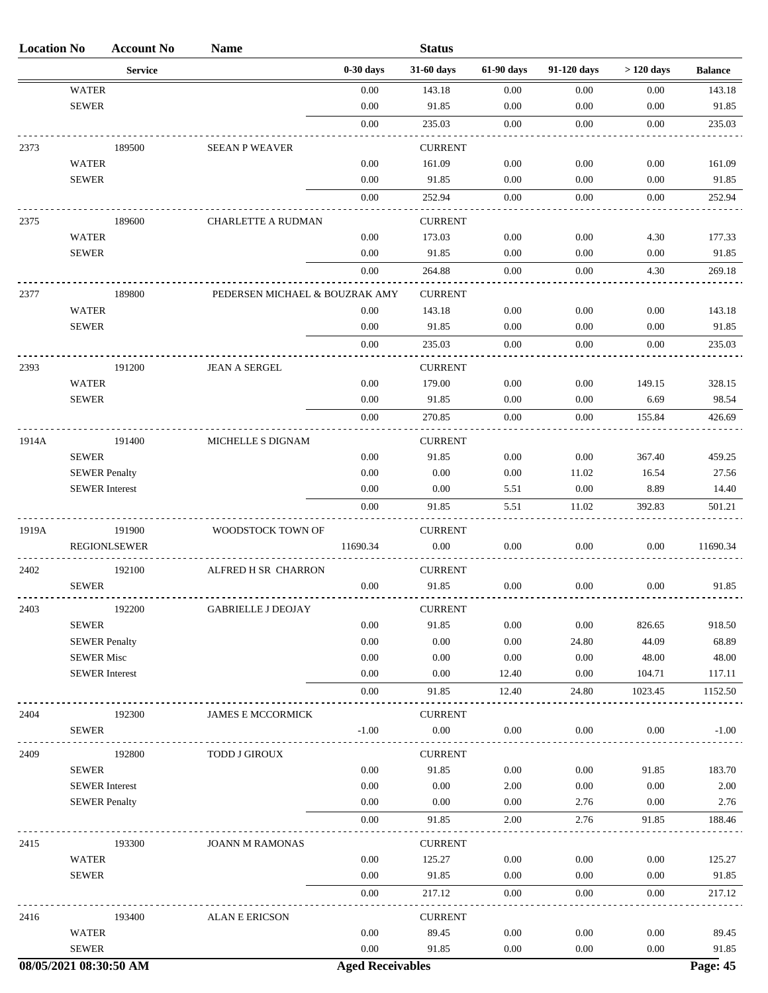| <b>Location No</b> |                       | <b>Account No</b>      | <b>Name</b>                    |                         | <b>Status</b>  |            |             |             |                |
|--------------------|-----------------------|------------------------|--------------------------------|-------------------------|----------------|------------|-------------|-------------|----------------|
|                    |                       | <b>Service</b>         |                                | $0-30$ days             | 31-60 days     | 61-90 days | 91-120 days | $>120$ days | <b>Balance</b> |
|                    | <b>WATER</b>          |                        |                                | 0.00                    | 143.18         | 0.00       | 0.00        | 0.00        | 143.18         |
|                    | <b>SEWER</b>          |                        |                                | 0.00                    | 91.85          | 0.00       | 0.00        | 0.00        | 91.85          |
|                    |                       |                        |                                | 0.00                    | 235.03         | 0.00       | 0.00        | 0.00        | 235.03         |
| 2373               |                       | 189500                 | <b>SEEAN P WEAVER</b>          |                         | <b>CURRENT</b> |            |             |             |                |
|                    | <b>WATER</b>          |                        |                                | 0.00                    | 161.09         | 0.00       | 0.00        | 0.00        | 161.09         |
|                    | <b>SEWER</b>          |                        |                                | 0.00                    | 91.85          | 0.00       | 0.00        | 0.00        | 91.85          |
|                    |                       |                        |                                | $0.00\,$                | 252.94         | 0.00       | 0.00        | 0.00        | 252.94         |
| 2375               |                       | 189600                 | <b>CHARLETTE A RUDMAN</b>      |                         | <b>CURRENT</b> |            |             |             |                |
|                    | <b>WATER</b>          |                        |                                | 0.00                    | 173.03         | 0.00       | 0.00        | 4.30        | 177.33         |
|                    | <b>SEWER</b>          |                        |                                | 0.00                    | 91.85          | 0.00       | 0.00        | 0.00        | 91.85          |
|                    |                       |                        |                                | 0.00                    | 264.88         | 0.00       | 0.00        | 4.30        | 269.18         |
| 2377               |                       | 189800                 | PEDERSEN MICHAEL & BOUZRAK AMY |                         | <b>CURRENT</b> |            |             |             |                |
|                    | <b>WATER</b>          |                        |                                | 0.00                    | 143.18         | 0.00       | 0.00        | 0.00        | 143.18         |
|                    | <b>SEWER</b>          |                        |                                | 0.00                    | 91.85          | 0.00       | 0.00        | 0.00        | 91.85          |
|                    |                       |                        |                                | 0.00                    | 235.03         | 0.00       | 0.00        | 0.00        | 235.03         |
| 2393               |                       | 191200                 | <b>JEAN A SERGEL</b>           |                         | <b>CURRENT</b> |            |             |             |                |
|                    | <b>WATER</b>          |                        |                                | 0.00                    | 179.00         | 0.00       | 0.00        | 149.15      | 328.15         |
|                    | <b>SEWER</b>          |                        |                                | 0.00                    | 91.85          | 0.00       | 0.00        | 6.69        | 98.54          |
|                    |                       |                        |                                | 0.00                    | 270.85         | 0.00       | 0.00        | 155.84      | 426.69         |
| 1914A              |                       | 191400                 | MICHELLE S DIGNAM              |                         | <b>CURRENT</b> |            |             |             |                |
|                    | <b>SEWER</b>          |                        |                                | 0.00                    | 91.85          | 0.00       | 0.00        | 367.40      | 459.25         |
|                    | <b>SEWER Penalty</b>  |                        |                                | 0.00                    | 0.00           | 0.00       | 11.02       | 16.54       | 27.56          |
|                    | <b>SEWER</b> Interest |                        |                                | 0.00                    | 0.00           | 5.51       | 0.00        | 8.89        | 14.40          |
|                    |                       |                        |                                | 0.00                    | 91.85          | 5.51       | 11.02       | 392.83      | 501.21         |
| 1919A              |                       | 191900                 | WOODSTOCK TOWN OF              |                         | <b>CURRENT</b> |            |             |             |                |
|                    |                       | <b>REGIONLSEWER</b>    |                                | 11690.34                | $0.00\,$       | 0.00       | 0.00        | $0.00\,$    | 11690.34       |
| 2402               |                       | 192100                 | ALFRED H SR CHARRON            |                         | <b>CURRENT</b> |            |             |             |                |
|                    | <b>SEWER</b>          |                        |                                | 0.00                    | 91.85          | 0.00       | 0.00        | 0.00        | 91.85          |
| 2403               |                       | 192200                 | <b>GABRIELLE J DEOJAY</b>      |                         | <b>CURRENT</b> |            |             |             |                |
|                    | <b>SEWER</b>          |                        |                                | 0.00                    | 91.85          | 0.00       | 0.00        | 826.65      | 918.50         |
|                    | <b>SEWER Penalty</b>  |                        |                                | 0.00                    | 0.00           | 0.00       | 24.80       | 44.09       | 68.89          |
|                    | <b>SEWER Misc</b>     |                        |                                | 0.00                    | 0.00           | 0.00       | 0.00        | 48.00       | 48.00          |
|                    | <b>SEWER</b> Interest |                        |                                | 0.00                    | 0.00           | 12.40      | 0.00        | 104.71      | 117.11         |
|                    |                       |                        |                                | $0.00\,$                | 91.85          | 12.40      | 24.80       | 1023.45     | 1152.50        |
| 2404               |                       | 192300                 | JAMES E MCCORMICK              |                         | <b>CURRENT</b> |            |             |             |                |
|                    | <b>SEWER</b>          |                        |                                | $-1.00$                 | $0.00\,$       | 0.00       | 0.00        | 0.00        | $-1.00$        |
| 2409               |                       | 192800                 | TODD J GIROUX                  |                         | <b>CURRENT</b> |            |             |             |                |
|                    | <b>SEWER</b>          |                        |                                | 0.00                    | 91.85          | 0.00       | $0.00\,$    | 91.85       | 183.70         |
|                    | <b>SEWER</b> Interest |                        |                                | 0.00                    | 0.00           | 2.00       | 0.00        | 0.00        | 2.00           |
|                    | <b>SEWER Penalty</b>  |                        |                                | 0.00                    | 0.00           | 0.00       | 2.76        | 0.00        | 2.76           |
|                    |                       |                        |                                | 0.00                    | 91.85          | 2.00       | 2.76        | 91.85       | 188.46         |
| 2415               |                       | 193300                 | <b>JOANN M RAMONAS</b>         |                         | <b>CURRENT</b> |            |             |             |                |
|                    | <b>WATER</b>          |                        |                                | 0.00                    | 125.27         | $0.00\,$   | $0.00\,$    | 0.00        | 125.27         |
|                    | <b>SEWER</b>          |                        |                                | 0.00                    | 91.85          | 0.00       | $0.00\,$    | 0.00        | 91.85          |
|                    |                       |                        |                                | 0.00                    | 217.12         | 0.00       | 0.00        | 0.00        | 217.12         |
| 2416               |                       | 193400                 | <b>ALAN E ERICSON</b>          |                         | <b>CURRENT</b> |            |             |             |                |
|                    | <b>WATER</b>          |                        |                                | 0.00                    | 89.45          | 0.00       | $0.00\,$    | 0.00        | 89.45          |
|                    | <b>SEWER</b>          |                        |                                | $0.00\,$                | 91.85          | 0.00       | $0.00\,$    | 0.00        | 91.85          |
|                    |                       | 08/05/2021 08:30:50 AM |                                | <b>Aged Receivables</b> |                |            |             |             | Page: 45       |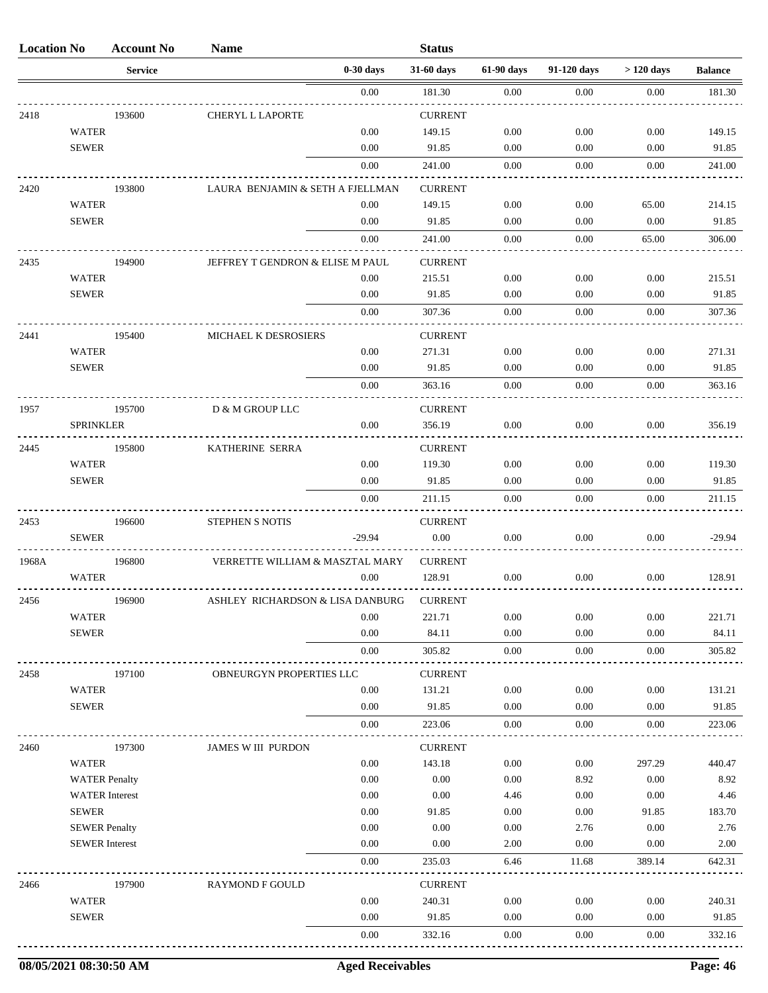| <b>Location No</b> |                                               | <b>Account No</b> | <b>Name</b>                      |              | <b>Status</b>            |                  |              |                |                 |
|--------------------|-----------------------------------------------|-------------------|----------------------------------|--------------|--------------------------|------------------|--------------|----------------|-----------------|
|                    |                                               | <b>Service</b>    |                                  | $0-30$ days  | 31-60 days               | 61-90 days       | 91-120 days  | $>120$ days    | <b>Balance</b>  |
|                    |                                               |                   |                                  | 0.00         | 181.30                   | 0.00             | 0.00         | 0.00           | 181.30          |
| 2418               |                                               | 193600            | <b>CHERYL L LAPORTE</b>          |              | <b>CURRENT</b>           |                  |              |                |                 |
|                    | <b>WATER</b>                                  |                   |                                  | 0.00         | 149.15                   | 0.00             | 0.00         | 0.00           | 149.15          |
|                    | <b>SEWER</b>                                  |                   |                                  | 0.00         | 91.85                    | 0.00             | 0.00         | 0.00           | 91.85           |
|                    |                                               |                   |                                  | $0.00\,$     | 241.00                   | 0.00             | 0.00         | 0.00           | 241.00          |
| 2420               |                                               | 193800            | LAURA BENJAMIN & SETH A FJELLMAN |              | <b>CURRENT</b>           |                  |              |                |                 |
|                    | <b>WATER</b>                                  |                   |                                  | 0.00         | 149.15                   | 0.00             | 0.00         | 65.00          | 214.15          |
|                    | <b>SEWER</b>                                  |                   |                                  | 0.00         | 91.85                    | 0.00             | 0.00         | 0.00           | 91.85           |
|                    |                                               |                   |                                  | 0.00         | 241.00                   | 0.00             | 0.00         | 65.00          | 306.00          |
| 2435               |                                               | 194900            | JEFFREY T GENDRON & ELISE M PAUL |              | <b>CURRENT</b>           |                  |              |                |                 |
|                    | <b>WATER</b>                                  |                   |                                  | 0.00         | 215.51                   | 0.00             | 0.00         | 0.00           | 215.51          |
|                    | <b>SEWER</b>                                  |                   |                                  | 0.00         | 91.85                    | 0.00             | 0.00         | 0.00           | 91.85           |
|                    |                                               |                   |                                  | 0.00         | 307.36                   | 0.00             | 0.00         | 0.00           | 307.36          |
| 2441               |                                               | 195400            | MICHAEL K DESROSIERS             |              | <b>CURRENT</b>           |                  |              |                |                 |
|                    | <b>WATER</b>                                  |                   |                                  | 0.00         | 271.31                   | 0.00             | 0.00         | 0.00           | 271.31          |
|                    | <b>SEWER</b>                                  |                   |                                  | 0.00         | 91.85                    | 0.00             | 0.00         | 0.00           | 91.85           |
|                    |                                               |                   |                                  | 0.00         | 363.16                   | 0.00             | 0.00         | 0.00           | 363.16          |
| 1957               |                                               | 195700            | D & M GROUP LLC                  |              | <b>CURRENT</b>           |                  |              |                |                 |
|                    | <b>SPRINKLER</b>                              |                   |                                  | 0.00         | 356.19                   | 0.00             | 0.00         | 0.00           | 356.19          |
| 2445               |                                               | 195800            | KATHERINE SERRA                  |              | <b>CURRENT</b>           |                  |              |                |                 |
|                    | <b>WATER</b>                                  |                   |                                  | 0.00         | 119.30                   | 0.00             | 0.00         | 0.00           | 119.30          |
|                    | <b>SEWER</b>                                  |                   |                                  | 0.00         | 91.85                    | 0.00             | 0.00         | 0.00           | 91.85           |
|                    |                                               |                   |                                  | 0.00         | 211.15                   | 0.00             | 0.00         | 0.00           | 211.15          |
| 2453               |                                               | 196600            | STEPHEN S NOTIS                  |              | <b>CURRENT</b>           |                  |              |                |                 |
|                    | <b>SEWER</b>                                  |                   |                                  | $-29.94$     | 0.00                     | 0.00             | 0.00         | 0.00           | $-29.94$        |
| 1968A              |                                               | 196800            | VERRETTE WILLIAM & MASZTAL MARY  |              | <b>CURRENT</b>           |                  |              |                |                 |
|                    | <b>WATER</b>                                  |                   |                                  | 0.00         | 128.91                   | 0.00             | 0.00         | 0.00           | 128.91          |
|                    |                                               |                   |                                  |              |                          |                  |              |                |                 |
| 2456               | <b>WATER</b>                                  | 196900            | ASHLEY RICHARDSON & LISA DANBURG | 0.00         | <b>CURRENI</b><br>221.71 | 0.00             | 0.00         | 0.00           | 221.71          |
|                    | <b>SEWER</b>                                  |                   |                                  | 0.00         | 84.11                    | 0.00             | 0.00         | 0.00           | 84.11           |
|                    |                                               |                   |                                  | $0.00\,$     | 305.82                   | $0.00\,$         | 0.00         | 0.00           | 305.82          |
|                    |                                               |                   |                                  |              |                          |                  |              |                |                 |
| 2458               | <b>WATER</b>                                  | 197100            | OBNEURGYN PROPERTIES LLC         | 0.00         | <b>CURRENT</b><br>131.21 | 0.00             | 0.00         | 0.00           | 131.21          |
|                    | <b>SEWER</b>                                  |                   |                                  | 0.00         | 91.85                    | 0.00             | 0.00         | 0.00           | 91.85           |
|                    |                                               |                   |                                  | $0.00\,$     | 223.06                   | 0.00             | 0.00         | 0.00           | 223.06          |
|                    |                                               |                   |                                  |              |                          |                  |              |                |                 |
| 2460               |                                               | 197300            | JAMES W III PURDON               |              | <b>CURRENT</b>           |                  |              |                |                 |
|                    | <b>WATER</b>                                  |                   |                                  | 0.00<br>0.00 | 143.18<br>0.00           | 0.00<br>$0.00\,$ | 0.00         | 297.29<br>0.00 | 440.47<br>8.92  |
|                    | <b>WATER Penalty</b><br><b>WATER</b> Interest |                   |                                  | 0.00         | 0.00                     | 4.46             | 8.92<br>0.00 | 0.00           | 4.46            |
|                    | <b>SEWER</b>                                  |                   |                                  | 0.00         | 91.85                    | 0.00             | $0.00\,$     | 91.85          | 183.70          |
|                    | <b>SEWER Penalty</b>                          |                   |                                  | 0.00         | 0.00                     | 0.00             | 2.76         | 0.00           | 2.76            |
|                    | <b>SEWER</b> Interest                         |                   |                                  | 0.00         | 0.00                     | 2.00             | 0.00         | 0.00           | 2.00            |
|                    |                                               |                   |                                  | 0.00         | 235.03                   | 6.46             | 11.68        | 389.14         | 642.31          |
|                    |                                               |                   |                                  |              |                          |                  |              |                |                 |
| 2466               |                                               | 197900            | <b>RAYMOND F GOULD</b>           |              | <b>CURRENT</b>           |                  |              |                |                 |
|                    | <b>WATER</b>                                  |                   |                                  | 0.00<br>0.00 | 240.31<br>91.85          | 0.00<br>0.00     | 0.00<br>0.00 | 0.00<br>0.00   | 240.31<br>91.85 |
|                    | <b>SEWER</b>                                  |                   |                                  |              |                          |                  |              |                |                 |
|                    |                                               |                   |                                  | 0.00         | 332.16                   | 0.00             | 0.00         | 0.00           | 332.16          |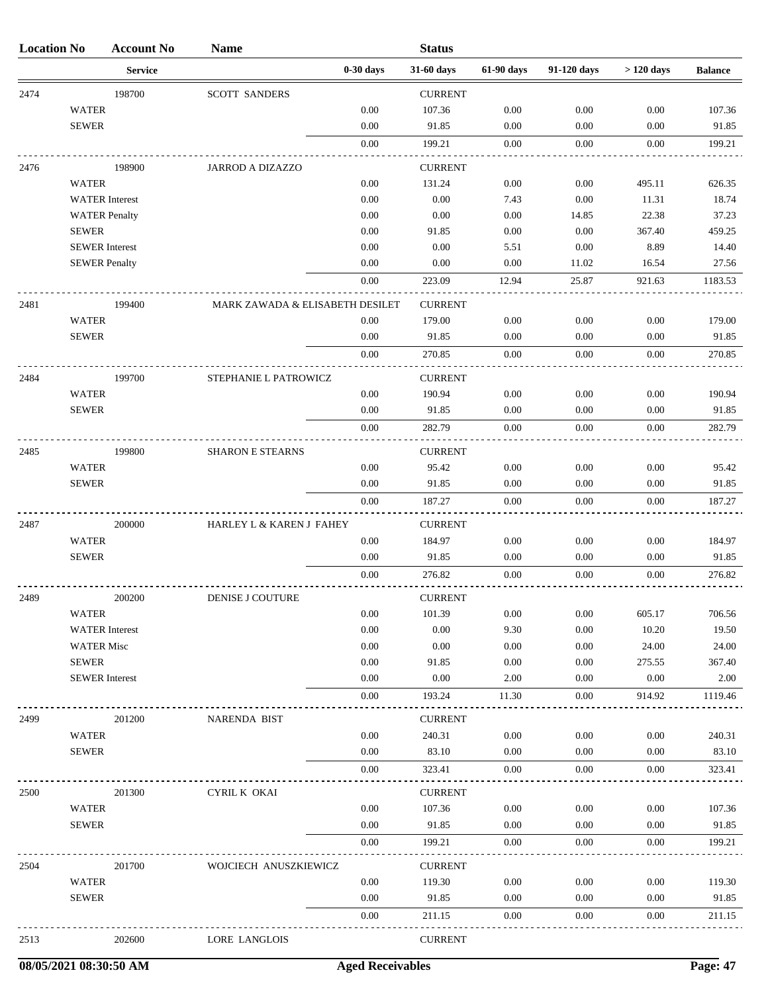| <b>Location No</b> |                      | <b>Account No</b>     | <b>Name</b>                     |             | <b>Status</b>  |            |             |             |                |
|--------------------|----------------------|-----------------------|---------------------------------|-------------|----------------|------------|-------------|-------------|----------------|
|                    |                      | <b>Service</b>        |                                 | $0-30$ days | 31-60 days     | 61-90 days | 91-120 days | $>120$ days | <b>Balance</b> |
| 2474               |                      | 198700                | <b>SCOTT SANDERS</b>            |             | <b>CURRENT</b> |            |             |             |                |
|                    | <b>WATER</b>         |                       |                                 | $0.00\,$    | 107.36         | 0.00       | 0.00        | 0.00        | 107.36         |
|                    | <b>SEWER</b>         |                       |                                 | 0.00        | 91.85          | 0.00       | 0.00        | 0.00        | 91.85          |
|                    |                      |                       |                                 | 0.00        | 199.21         | 0.00       | 0.00        | 0.00        | 199.21         |
| 2476               |                      | 198900                | <b>JARROD A DIZAZZO</b>         |             | <b>CURRENT</b> |            |             |             |                |
|                    | <b>WATER</b>         |                       |                                 | 0.00        | 131.24         | 0.00       | 0.00        | 495.11      | 626.35         |
|                    |                      | <b>WATER</b> Interest |                                 | 0.00        | 0.00           | 7.43       | 0.00        | 11.31       | 18.74          |
|                    |                      | <b>WATER Penalty</b>  |                                 | 0.00        | 0.00           | 0.00       | 14.85       | 22.38       | 37.23          |
|                    | <b>SEWER</b>         |                       |                                 | 0.00        | 91.85          | 0.00       | 0.00        | 367.40      | 459.25         |
|                    |                      | <b>SEWER</b> Interest |                                 | 0.00        | 0.00           | 5.51       | 0.00        | 8.89        | 14.40          |
|                    | <b>SEWER Penalty</b> |                       |                                 | 0.00        | 0.00           | 0.00       | 11.02       | 16.54       | 27.56          |
|                    |                      |                       |                                 | 0.00        | 223.09         | 12.94      | 25.87       | 921.63      | 1183.53        |
| 2481               |                      | 199400                | MARK ZAWADA & ELISABETH DESILET |             | <b>CURRENT</b> |            |             |             |                |
|                    | <b>WATER</b>         |                       |                                 | 0.00        | 179.00         | 0.00       | 0.00        | 0.00        | 179.00         |
|                    | <b>SEWER</b>         |                       |                                 | 0.00        | 91.85          | 0.00       | 0.00        | 0.00        | 91.85          |
|                    |                      |                       |                                 | 0.00        | 270.85         | 0.00       | 0.00        | 0.00        | 270.85         |
| 2484               |                      | 199700                | STEPHANIE L PATROWICZ           |             | <b>CURRENT</b> |            |             |             |                |
|                    | <b>WATER</b>         |                       |                                 | 0.00        | 190.94         | 0.00       | 0.00        | 0.00        | 190.94         |
|                    | <b>SEWER</b>         |                       |                                 | 0.00        | 91.85          | 0.00       | 0.00        | 0.00        | 91.85          |
|                    |                      |                       |                                 | 0.00        | 282.79         | 0.00       | 0.00        | 0.00        | 282.79         |
| 2485               |                      | 199800                | <b>SHARON E STEARNS</b>         |             | <b>CURRENT</b> |            |             |             |                |
|                    | <b>WATER</b>         |                       |                                 | 0.00        | 95.42          | 0.00       | 0.00        | 0.00        | 95.42          |
|                    | <b>SEWER</b>         |                       |                                 | 0.00        | 91.85          | 0.00       | 0.00        | 0.00        | 91.85          |
|                    |                      |                       |                                 | 0.00        | 187.27         | 0.00       | 0.00        | 0.00        | 187.27         |
| 2487               |                      | 200000                | HARLEY L & KAREN J FAHEY        |             | <b>CURRENT</b> |            |             |             |                |
|                    | <b>WATER</b>         |                       |                                 | 0.00        | 184.97         | 0.00       | 0.00        | 0.00        | 184.97         |
|                    | <b>SEWER</b>         |                       |                                 | 0.00        | 91.85          | 0.00       | 0.00        | 0.00        | 91.85          |
|                    |                      |                       |                                 | 0.00        | 276.82         | 0.00       | 0.00        | 0.00        | 276.82         |
| 2489               |                      | 200200                | DENISE J COUTURE                |             | <b>CURRENT</b> |            |             |             |                |
|                    | <b>WATER</b>         |                       |                                 | 0.00        | 101.39         | 0.00       | 0.00        | 605.17      | 706.56         |
|                    |                      | <b>WATER</b> Interest |                                 | 0.00        | 0.00           | 9.30       | 0.00        | 10.20       | 19.50          |
|                    | <b>WATER Misc</b>    |                       |                                 | 0.00        | 0.00           | 0.00       | 0.00        | 24.00       | 24.00          |
|                    | <b>SEWER</b>         |                       |                                 | 0.00        | 91.85          | 0.00       | 0.00        | 275.55      | 367.40         |
|                    |                      | <b>SEWER</b> Interest |                                 | 0.00        | 0.00           | 2.00       | 0.00        | 0.00        | 2.00           |
|                    |                      |                       |                                 | 0.00        | 193.24         | 11.30      | 0.00        | 914.92      | 1119.46        |
| 2499               |                      | 201200                | NARENDA BIST                    |             | <b>CURRENT</b> |            |             |             |                |
|                    | <b>WATER</b>         |                       |                                 | 0.00        | 240.31         | 0.00       | 0.00        | 0.00        | 240.31         |
|                    | <b>SEWER</b>         |                       |                                 | 0.00        | 83.10          | 0.00       | 0.00        | 0.00        | 83.10          |
|                    |                      |                       |                                 | 0.00        | 323.41         | 0.00       | 0.00        | 0.00        | 323.41         |
| 2500               |                      | 201300                | CYRIL K OKAI                    |             | <b>CURRENT</b> |            |             |             |                |
|                    | <b>WATER</b>         |                       |                                 | 0.00        | 107.36         | 0.00       | 0.00        | 0.00        | 107.36         |
|                    | <b>SEWER</b>         |                       |                                 | 0.00        | 91.85          | 0.00       | 0.00        | 0.00        | 91.85          |
|                    |                      |                       |                                 | 0.00        | 199.21         | 0.00       | 0.00        | 0.00        | 199.21         |
| 2504               |                      | 201700                | WOJCIECH ANUSZKIEWICZ           |             | <b>CURRENT</b> |            |             |             |                |
|                    | <b>WATER</b>         |                       |                                 | $0.00\,$    | 119.30         | $0.00\,$   | 0.00        | 0.00        | 119.30         |
|                    | <b>SEWER</b>         |                       |                                 | 0.00        | 91.85          | 0.00       | 0.00        | 0.00        | 91.85          |
|                    |                      |                       |                                 | 0.00        | 211.15         | 0.00       | 0.00        | 0.00        | 211.15         |
| 2513               |                      | 202600                | LORE LANGLOIS                   |             | <b>CURRENT</b> |            |             |             |                |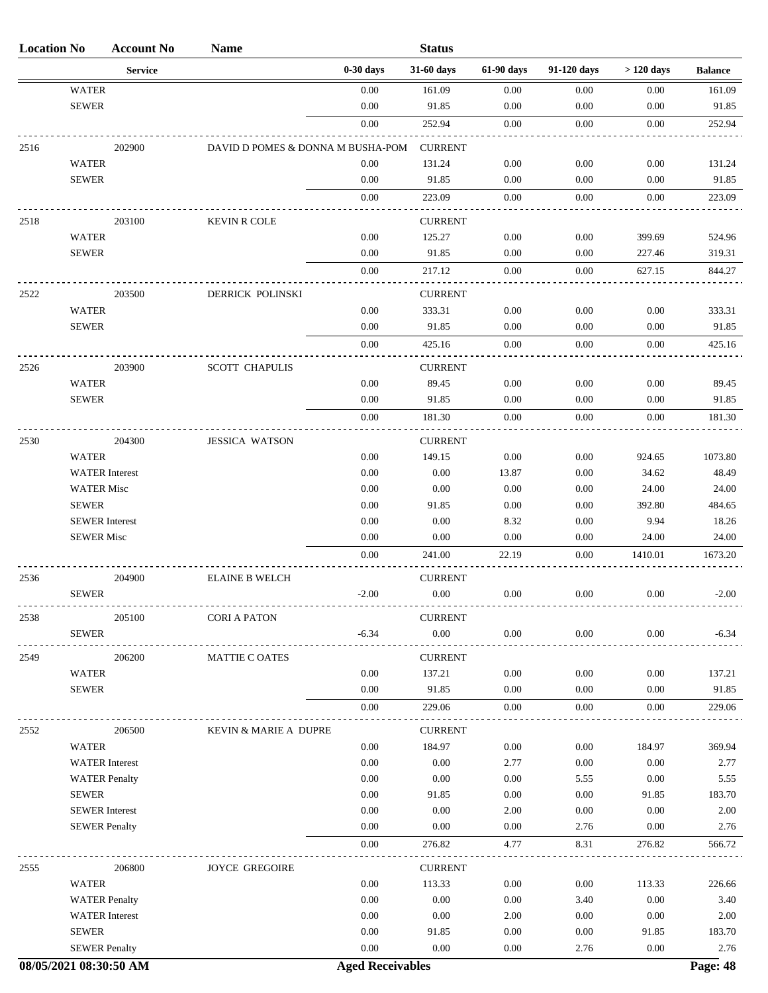| <b>Location No</b> |                                      | <b>Account No</b> | <b>Name</b>                       |              | <b>Status</b>              |              |              |               |                |
|--------------------|--------------------------------------|-------------------|-----------------------------------|--------------|----------------------------|--------------|--------------|---------------|----------------|
|                    |                                      | <b>Service</b>    |                                   | $0-30$ days  | 31-60 days                 | 61-90 days   | 91-120 days  | $>120$ days   | <b>Balance</b> |
|                    | <b>WATER</b>                         |                   |                                   | 0.00         | 161.09                     | 0.00         | 0.00         | 0.00          | 161.09         |
|                    | <b>SEWER</b>                         |                   |                                   | 0.00         | 91.85                      | 0.00         | 0.00         | 0.00          | 91.85          |
|                    |                                      |                   |                                   | 0.00         | 252.94                     | 0.00         | 0.00         | 0.00          | 252.94         |
| 2516               |                                      | 202900            | DAVID D POMES & DONNA M BUSHA-POM |              | <b>CURRENT</b>             |              |              |               |                |
|                    | <b>WATER</b>                         |                   |                                   | 0.00         | 131.24                     | 0.00         | 0.00         | 0.00          | 131.24         |
|                    | <b>SEWER</b>                         |                   |                                   | 0.00         | 91.85                      | 0.00         | 0.00         | 0.00          | 91.85          |
|                    |                                      |                   |                                   | 0.00         | 223.09                     | 0.00         | 0.00         | 0.00          | 223.09         |
| 2518               |                                      | 203100            | <b>KEVIN R COLE</b>               |              | <b>CURRENT</b>             |              |              |               |                |
|                    | <b>WATER</b>                         |                   |                                   | 0.00         | 125.27                     | 0.00         | 0.00         | 399.69        | 524.96         |
|                    | <b>SEWER</b>                         |                   |                                   | 0.00         | 91.85                      | 0.00         | 0.00         | 227.46        | 319.31         |
|                    |                                      |                   |                                   | 0.00         | 217.12                     | 0.00         | 0.00         | 627.15        | 844.27         |
| 2522               |                                      | 203500            | DERRICK POLINSKI                  |              | <b>CURRENT</b>             |              |              |               |                |
|                    | <b>WATER</b>                         |                   |                                   | 0.00         | 333.31                     | 0.00         | 0.00         | 0.00          | 333.31         |
|                    | <b>SEWER</b>                         |                   |                                   | 0.00         | 91.85                      | 0.00         | 0.00         | 0.00          | 91.85          |
|                    |                                      |                   |                                   | 0.00         | 425.16                     | 0.00         | 0.00         | 0.00          | 425.16         |
| 2526               |                                      | 203900            | <b>SCOTT CHAPULIS</b>             |              | <b>CURRENT</b>             |              |              |               |                |
|                    | <b>WATER</b>                         |                   |                                   | 0.00         | 89.45                      | 0.00         | 0.00         | 0.00          | 89.45          |
|                    | <b>SEWER</b>                         |                   |                                   | 0.00         | 91.85                      | 0.00         | 0.00         | 0.00          | 91.85          |
|                    |                                      |                   |                                   | 0.00         | 181.30                     | 0.00         | 0.00         | 0.00          | 181.30         |
|                    |                                      |                   |                                   |              |                            |              |              |               |                |
| 2530               | <b>WATER</b>                         | 204300            | <b>JESSICA WATSON</b>             | 0.00         | <b>CURRENT</b><br>149.15   | 0.00         | 0.00         | 924.65        | 1073.80        |
|                    | <b>WATER</b> Interest                |                   |                                   | 0.00         | 0.00                       | 13.87        | 0.00         | 34.62         | 48.49          |
|                    | <b>WATER Misc</b>                    |                   |                                   | 0.00         | 0.00                       | 0.00         | 0.00         | 24.00         | 24.00          |
|                    | <b>SEWER</b>                         |                   |                                   | 0.00         | 91.85                      | 0.00         | 0.00         | 392.80        | 484.65         |
|                    | <b>SEWER</b> Interest                |                   |                                   | 0.00         | 0.00                       | 8.32         | 0.00         | 9.94          | 18.26          |
|                    | <b>SEWER Misc</b>                    |                   |                                   | 0.00         | 0.00                       | 0.00         | 0.00         | 24.00         | 24.00          |
|                    |                                      |                   |                                   | 0.00         | 241.00                     | 22.19        | 0.00         | 1410.01       | 1673.20        |
| 2536               |                                      | 204900            | <b>ELAINE B WELCH</b>             |              | <b>CURRENT</b>             |              |              |               |                |
|                    | <b>SEWER</b>                         |                   |                                   | $-2.00$      | 0.00                       | 0.00         | 0.00         | 0.00          | $-2.00$        |
|                    |                                      |                   |                                   |              |                            |              |              |               |                |
| 2538               | <b>SEWER</b>                         | 205100            | <b>CORI A PATON</b>               | $-6.34$      | <b>CURRENT</b><br>$0.00\,$ | $0.00\,$     | $0.00\,$     | 0.00          | $-6.34$        |
|                    |                                      |                   |                                   |              |                            |              |              |               |                |
| 2549               |                                      | 206200            | <b>MATTIE C OATES</b>             |              | <b>CURRENT</b>             |              |              |               |                |
|                    | <b>WATER</b>                         |                   |                                   | 0.00         | 137.21                     | 0.00         | 0.00         | 0.00          | 137.21         |
|                    | <b>SEWER</b>                         |                   |                                   | 0.00<br>0.00 | 91.85                      | 0.00<br>0.00 | 0.00<br>0.00 | 0.00<br>0.00  | 91.85          |
|                    |                                      |                   |                                   |              | 229.06                     |              |              |               | 229.06         |
| 2552               |                                      | 206500            | KEVIN & MARIE A DUPRE             |              | <b>CURRENT</b>             |              |              |               |                |
|                    | <b>WATER</b>                         |                   |                                   | 0.00         | 184.97                     | 0.00         | 0.00         | 184.97        | 369.94         |
|                    | <b>WATER</b> Interest                |                   |                                   | 0.00         | 0.00                       | 2.77         | 0.00         | 0.00          | 2.77           |
|                    | <b>WATER Penalty</b><br><b>SEWER</b> |                   |                                   | 0.00<br>0.00 | 0.00<br>91.85              | 0.00<br>0.00 | 5.55<br>0.00 | 0.00<br>91.85 | 5.55<br>183.70 |
|                    | <b>SEWER</b> Interest                |                   |                                   | 0.00         | 0.00                       | 2.00         | 0.00         | 0.00          | 2.00           |
|                    | <b>SEWER Penalty</b>                 |                   |                                   | 0.00         | 0.00                       | 0.00         | 2.76         | 0.00          | 2.76           |
|                    |                                      |                   |                                   | 0.00         | 276.82                     | 4.77         | 8.31         | 276.82        | 566.72         |
|                    |                                      |                   |                                   |              |                            |              |              |               |                |
| 2555               | <b>WATER</b>                         | 206800            | <b>JOYCE GREGOIRE</b>             | 0.00         | <b>CURRENT</b><br>113.33   | 0.00         | 0.00         | 113.33        | 226.66         |
|                    | <b>WATER Penalty</b>                 |                   |                                   | 0.00         | 0.00                       | 0.00         | 3.40         | 0.00          | 3.40           |
|                    | <b>WATER</b> Interest                |                   |                                   | 0.00         | 0.00                       | 2.00         | 0.00         | 0.00          | 2.00           |
|                    | <b>SEWER</b>                         |                   |                                   | 0.00         | 91.85                      | 0.00         | 0.00         | 91.85         | 183.70         |
|                    | <b>SEWER Penalty</b>                 |                   |                                   | 0.00         | 0.00                       | 0.00         | 2.76         | 0.00          | 2.76           |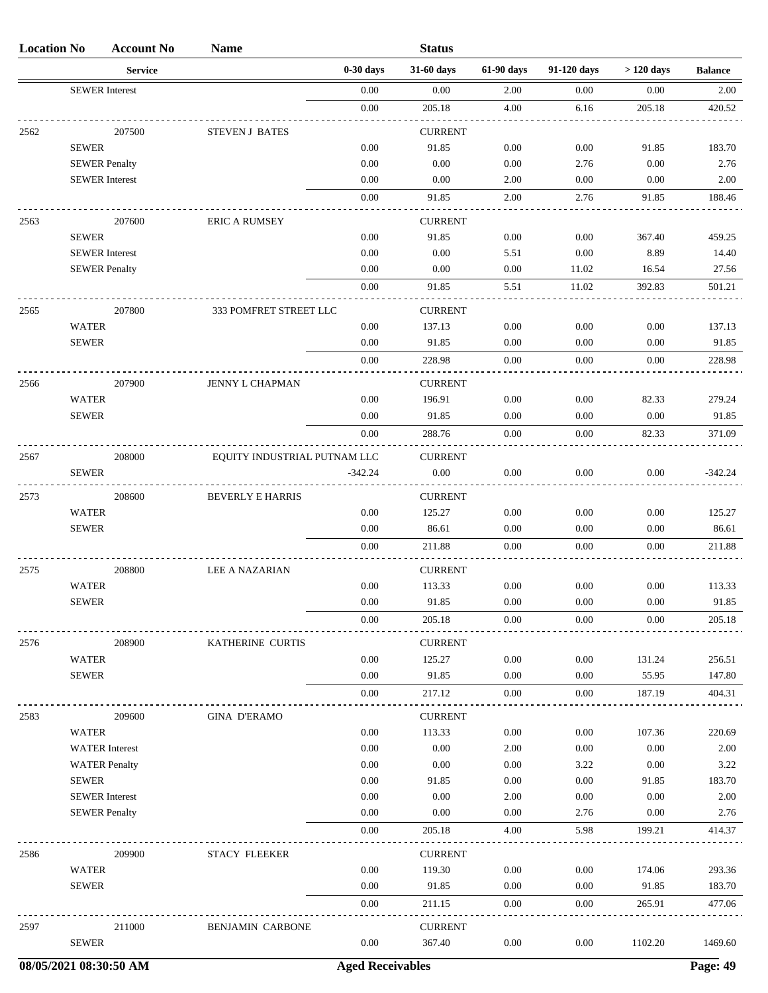| <b>Location No</b> |                              | <b>Account No</b>     | <b>Name</b>                  |              | <b>Status</b>            |              |              |                 |                |
|--------------------|------------------------------|-----------------------|------------------------------|--------------|--------------------------|--------------|--------------|-----------------|----------------|
|                    |                              | <b>Service</b>        |                              | $0-30$ days  | 31-60 days               | 61-90 days   | 91-120 days  | $>120$ days     | <b>Balance</b> |
|                    |                              | <b>SEWER</b> Interest |                              | 0.00         | 0.00                     | 2.00         | 0.00         | 0.00            | 2.00           |
|                    |                              |                       |                              | $0.00\,$     | 205.18                   | 4.00         | 6.16         | 205.18          | 420.52         |
| 2562               |                              | 207500                | <b>STEVEN J BATES</b>        |              | <b>CURRENT</b>           |              |              |                 |                |
|                    | <b>SEWER</b>                 |                       |                              | 0.00         | 91.85                    | 0.00         | 0.00         | 91.85           | 183.70         |
|                    |                              | <b>SEWER Penalty</b>  |                              | 0.00         | 0.00                     | 0.00         | 2.76         | 0.00            | 2.76           |
|                    |                              | <b>SEWER</b> Interest |                              | 0.00         | 0.00                     | 2.00         | 0.00         | 0.00            | 2.00           |
|                    |                              |                       |                              | $0.00\,$     | 91.85                    | 2.00         | 2.76         | 91.85           | 188.46         |
| 2563               |                              | 207600                | <b>ERIC A RUMSEY</b>         |              | <b>CURRENT</b>           |              |              |                 |                |
|                    | <b>SEWER</b>                 |                       |                              | 0.00         | 91.85                    | 0.00         | 0.00         | 367.40          | 459.25         |
|                    |                              | <b>SEWER</b> Interest |                              | 0.00         | 0.00                     | 5.51         | 0.00         | 8.89            | 14.40          |
|                    |                              | <b>SEWER Penalty</b>  |                              | 0.00         | 0.00                     | 0.00         | 11.02        | 16.54           | 27.56          |
|                    |                              |                       |                              | $0.00\,$     | 91.85                    | 5.51         | 11.02        | 392.83          | 501.21         |
| 2565               |                              | 207800                | 333 POMFRET STREET LLC       |              | <b>CURRENT</b>           |              |              |                 |                |
|                    | <b>WATER</b>                 |                       |                              | 0.00         | 137.13                   | 0.00         | 0.00         | 0.00            | 137.13         |
|                    | <b>SEWER</b>                 |                       |                              | 0.00         | 91.85                    | 0.00         | 0.00         | 0.00            | 91.85          |
|                    |                              |                       |                              | 0.00         | 228.98                   | 0.00         | 0.00         | 0.00            | 228.98         |
| 2566               |                              | 207900                | <b>JENNY L CHAPMAN</b>       |              | <b>CURRENT</b>           |              |              |                 |                |
|                    | <b>WATER</b>                 |                       |                              | 0.00         | 196.91                   | 0.00         | 0.00         | 82.33           | 279.24         |
|                    | <b>SEWER</b>                 |                       |                              | 0.00         | 91.85                    | 0.00         | 0.00         | $0.00\,$        | 91.85          |
|                    |                              |                       |                              | 0.00         | 288.76                   | 0.00         | 0.00         | 82.33           | 371.09         |
| 2567               |                              | 208000                | EQUITY INDUSTRIAL PUTNAM LLC |              | <b>CURRENT</b>           |              |              |                 |                |
|                    | <b>SEWER</b>                 |                       |                              | $-342.24$    | 0.00                     | 0.00         | 0.00         | 0.00            | $-342.24$      |
|                    |                              |                       |                              |              |                          |              |              |                 |                |
| 2573               | <b>WATER</b>                 | 208600                | <b>BEVERLY E HARRIS</b>      | 0.00         | <b>CURRENT</b><br>125.27 | 0.00         | 0.00         | 0.00            | 125.27         |
|                    | <b>SEWER</b>                 |                       |                              | 0.00         | 86.61                    | 0.00         | 0.00         | 0.00            | 86.61          |
|                    |                              |                       |                              | 0.00         | 211.88                   | 0.00         | $0.00\,$     | 0.00            | 211.88         |
|                    |                              |                       |                              |              |                          |              |              |                 |                |
| 2575               | <b>WATER</b>                 | 208800                | <b>LEE A NAZARIAN</b>        | 0.00         | <b>CURRENT</b><br>113.33 | 0.00         | 0.00         | 0.00            | 113.33         |
|                    | <b>SEWER</b>                 |                       |                              | $0.00\,$     | 91.85                    | 0.00         | $0.00\,$     | $0.00\,$        | 91.85          |
|                    |                              |                       |                              | 0.00         | 205.18                   | 0.00         | 0.00         | 0.00            | 205.18         |
|                    |                              |                       |                              |              |                          |              |              |                 |                |
| 2576               |                              | 208900                | KATHERINE CURTIS             |              | <b>CURRENT</b>           |              |              |                 |                |
|                    | <b>WATER</b>                 |                       |                              | 0.00         | 125.27                   | 0.00         | 0.00         | 131.24          | 256.51         |
|                    | <b>SEWER</b>                 |                       |                              | 0.00         | 91.85                    | 0.00         | 0.00         | 55.95           | 147.80         |
|                    |                              |                       |                              | 0.00         | 217.12                   | $0.00\,$     | 0.00         | 187.19          | 404.31         |
| 2583               |                              | 209600                | <b>GINA D'ERAMO</b>          |              | <b>CURRENT</b>           |              |              |                 |                |
|                    | <b>WATER</b>                 |                       |                              | 0.00         | 113.33                   | 0.00         | 0.00         | 107.36          | 220.69         |
|                    |                              | <b>WATER</b> Interest |                              | 0.00         | 0.00                     | 2.00         | 0.00         | 0.00            | 2.00           |
|                    |                              | <b>WATER Penalty</b>  |                              | 0.00         | 0.00                     | 0.00         | 3.22         | 0.00            | 3.22           |
|                    | <b>SEWER</b>                 | <b>SEWER</b> Interest |                              | 0.00<br>0.00 | 91.85<br>0.00            | 0.00<br>2.00 | 0.00<br>0.00 | 91.85<br>0.00   | 183.70<br>2.00 |
|                    |                              | <b>SEWER Penalty</b>  |                              | 0.00         | 0.00                     | 0.00         | 2.76         | 0.00            | 2.76           |
|                    |                              |                       |                              | 0.00         | 205.18                   | 4.00         | 5.98         | 199.21          | 414.37         |
|                    |                              |                       |                              |              |                          |              |              |                 |                |
| 2586               |                              | 209900                | <b>STACY FLEEKER</b>         |              | <b>CURRENT</b>           |              |              |                 |                |
|                    | <b>WATER</b><br><b>SEWER</b> |                       |                              | 0.00<br>0.00 | 119.30<br>91.85          | 0.00<br>0.00 | 0.00         | 174.06<br>91.85 | 293.36         |
|                    |                              |                       |                              | 0.00         | 211.15                   | $0.00\,$     | 0.00<br>0.00 | 265.91          | 183.70         |
|                    |                              |                       |                              |              |                          |              |              |                 | 477.06         |
| 2597               |                              | 211000                | BENJAMIN CARBONE             |              | <b>CURRENT</b>           |              |              |                 |                |
|                    | <b>SEWER</b>                 |                       |                              | 0.00         | 367.40                   | $0.00\,$     | $0.00\,$     | 1102.20         | 1469.60        |

**08/05/2021 08:30:50 AM Aged Receivables Page: 49**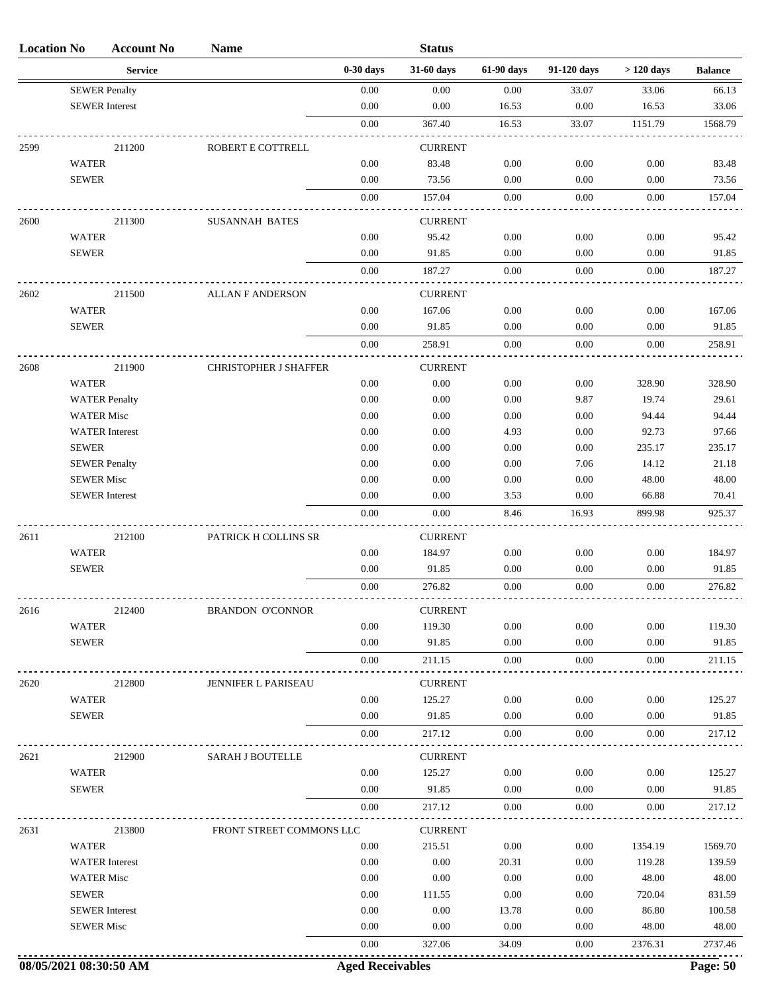| <b>Location No</b> |                              | <b>Account No</b>     | <b>Name</b>                  |              | <b>Status</b>            |              |              |                 |                 |
|--------------------|------------------------------|-----------------------|------------------------------|--------------|--------------------------|--------------|--------------|-----------------|-----------------|
|                    |                              | <b>Service</b>        |                              | $0-30$ days  | 31-60 days               | 61-90 days   | 91-120 days  | $>120$ days     | <b>Balance</b>  |
|                    |                              | <b>SEWER Penalty</b>  |                              | $0.00\,$     | 0.00                     | 0.00         | 33.07        | 33.06           | 66.13           |
|                    |                              | <b>SEWER</b> Interest |                              | 0.00         | 0.00                     | 16.53        | 0.00         | 16.53           | 33.06           |
|                    |                              |                       |                              | 0.00         | 367.40                   | 16.53        | 33.07        | 1151.79         | 1568.79         |
| 2599               |                              | 211200                | ROBERT E COTTRELL            |              | <b>CURRENT</b>           |              |              |                 |                 |
|                    | <b>WATER</b>                 |                       |                              | 0.00         | 83.48                    | 0.00         | 0.00         | $0.00\,$        | 83.48           |
|                    | <b>SEWER</b>                 |                       |                              | 0.00         | 73.56                    | 0.00         | 0.00         | 0.00            | 73.56           |
|                    |                              |                       |                              | $0.00\,$     | 157.04                   | 0.00         | 0.00         | 0.00            | 157.04          |
| 2600               |                              | 211300                | <b>SUSANNAH BATES</b>        |              | <b>CURRENT</b>           |              |              |                 |                 |
|                    | <b>WATER</b>                 |                       |                              | $0.00\,$     | 95.42                    | 0.00         | 0.00         | 0.00            | 95.42           |
|                    | <b>SEWER</b>                 |                       |                              | 0.00         | 91.85                    | 0.00         | 0.00         | 0.00            | 91.85           |
|                    |                              |                       |                              | 0.00         | 187.27                   | 0.00         | 0.00         | 0.00            | 187.27          |
|                    |                              |                       |                              |              |                          |              |              |                 |                 |
| 2602               |                              | 211500                | <b>ALLAN F ANDERSON</b>      |              | <b>CURRENT</b>           |              |              |                 |                 |
|                    | <b>WATER</b>                 |                       |                              | 0.00         | 167.06                   | 0.00         | 0.00         | 0.00            | 167.06          |
|                    | <b>SEWER</b>                 |                       |                              | 0.00         | 91.85                    | 0.00         | 0.00         | 0.00            | 91.85           |
|                    |                              |                       |                              | 0.00         | 258.91                   | 0.00         | 0.00         | 0.00            | 258.91          |
| 2608               |                              | 211900                | <b>CHRISTOPHER J SHAFFER</b> |              | <b>CURRENT</b>           |              |              |                 |                 |
|                    | <b>WATER</b>                 |                       |                              | 0.00         | 0.00                     | 0.00         | 0.00         | 328.90          | 328.90          |
|                    |                              | <b>WATER Penalty</b>  |                              | 0.00         | 0.00                     | 0.00         | 9.87         | 19.74           | 29.61           |
|                    | <b>WATER Misc</b>            |                       |                              | 0.00         | 0.00                     | 0.00         | 0.00         | 94.44           | 94.44           |
|                    | <b>SEWER</b>                 | <b>WATER</b> Interest |                              | 0.00<br>0.00 | 0.00<br>0.00             | 4.93<br>0.00 | 0.00<br>0.00 | 92.73<br>235.17 | 97.66<br>235.17 |
|                    |                              | <b>SEWER Penalty</b>  |                              | 0.00         | 0.00                     | 0.00         | 7.06         | 14.12           | 21.18           |
|                    | <b>SEWER Misc</b>            |                       |                              | 0.00         | 0.00                     | 0.00         | 0.00         | 48.00           | 48.00           |
|                    |                              | <b>SEWER</b> Interest |                              | 0.00         | 0.00                     | 3.53         | 0.00         | 66.88           | 70.41           |
|                    |                              |                       |                              | $0.00\,$     | 0.00                     | 8.46         | 16.93        | 899.98          | 925.37          |
| 2611               |                              | 212100                | PATRICK H COLLINS SR         |              | <b>CURRENT</b>           |              |              |                 |                 |
|                    | <b>WATER</b>                 |                       |                              | 0.00         | 184.97                   | 0.00         | 0.00         | $0.00\,$        | 184.97          |
|                    | <b>SEWER</b>                 |                       |                              | 0.00         | 91.85                    | 0.00         | 0.00         | 0.00            | 91.85           |
|                    |                              |                       |                              | 0.00         | 276.82                   | 0.00         | 0.00         | 0.00            | 276.82          |
|                    |                              |                       |                              |              |                          |              |              |                 |                 |
| 2616               |                              | 212400                | <b>BRANDON O'CONNOR</b>      | 0.00         | <b>CURRENT</b><br>119.30 | 0.00         | 0.00         | 0.00            |                 |
|                    | <b>WATER</b><br><b>SEWER</b> |                       |                              | 0.00         | 91.85                    | 0.00         | 0.00         | 0.00            | 119.30<br>91.85 |
|                    |                              |                       |                              | 0.00         | 211.15                   | 0.00         | 0.00         | 0.00            | 211.15          |
|                    |                              |                       |                              |              |                          |              |              |                 |                 |
| 2620               |                              | 212800                | JENNIFER L PARISEAU          |              | <b>CURRENT</b>           |              |              |                 |                 |
|                    | <b>WATER</b>                 |                       |                              | 0.00         | 125.27                   | 0.00         | 0.00         | 0.00            | 125.27          |
|                    | <b>SEWER</b>                 |                       |                              | 0.00         | 91.85                    | 0.00         | 0.00         | 0.00            | 91.85           |
|                    |                              |                       |                              | 0.00         | 217.12                   | 0.00         | 0.00         | 0.00            | 217.12          |
| 2621               |                              | 212900                | SARAH J BOUTELLE             |              | <b>CURRENT</b>           |              |              |                 |                 |
|                    | <b>WATER</b>                 |                       |                              | 0.00         | 125.27                   | 0.00         | 0.00         | 0.00            | 125.27          |
|                    | <b>SEWER</b>                 |                       |                              | 0.00         | 91.85                    | 0.00         | $0.00\,$     | 0.00            | 91.85           |
|                    |                              |                       |                              | 0.00         | 217.12                   | 0.00         | 0.00         | 0.00            | 217.12          |
| 2631               |                              | 213800                | FRONT STREET COMMONS LLC     |              | <b>CURRENT</b>           |              |              |                 |                 |
|                    | <b>WATER</b>                 |                       |                              | 0.00         | 215.51                   | 0.00         | 0.00         | 1354.19         | 1569.70         |
|                    |                              | <b>WATER</b> Interest |                              | 0.00         | 0.00                     | 20.31        | 0.00         | 119.28          | 139.59          |
|                    | <b>WATER Misc</b>            |                       |                              | 0.00         | 0.00                     | 0.00         | 0.00         | 48.00           | 48.00           |
|                    | <b>SEWER</b>                 |                       |                              | 0.00         | 111.55                   | 0.00         | 0.00         | 720.04          | 831.59          |
|                    |                              | <b>SEWER</b> Interest |                              | 0.00         | 0.00                     | 13.78        | 0.00         | 86.80           | 100.58          |
|                    | <b>SEWER Misc</b>            |                       |                              | 0.00         | 0.00                     | 0.00         | 0.00         | 48.00           | 48.00           |
|                    |                              |                       |                              | 0.00         | 327.06                   | 34.09        | 0.00         | 2376.31         | 2737.46         |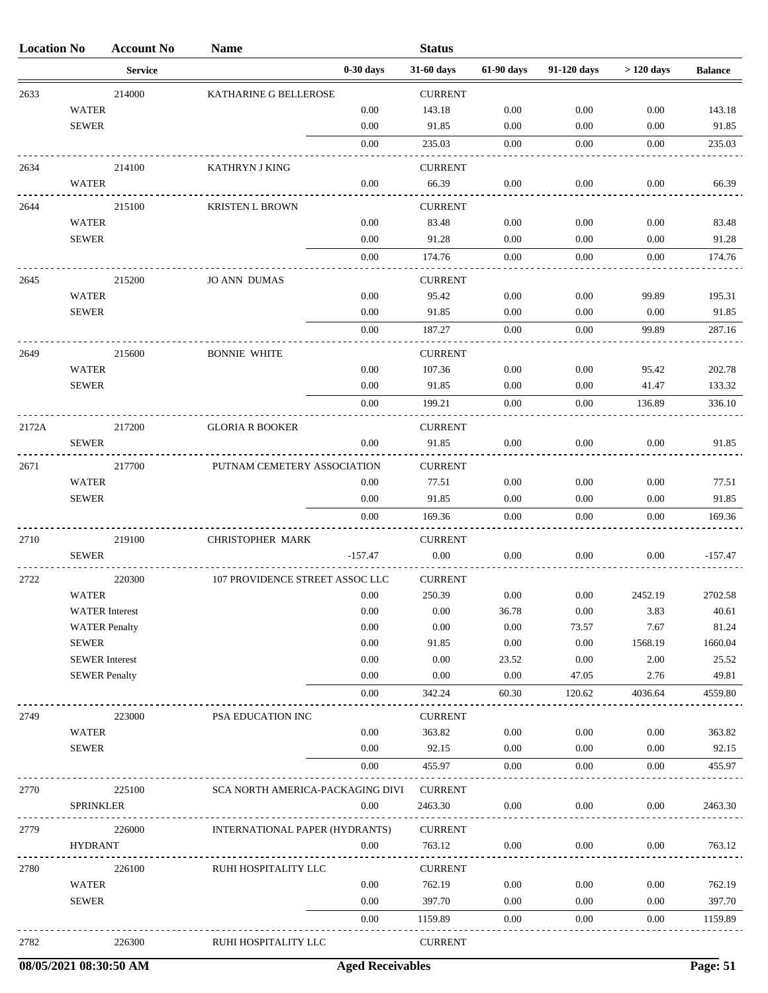| <b>Location No</b> |                       | <b>Account No</b> | <b>Name</b>                      |             | <b>Status</b>  |            |             |             |                |
|--------------------|-----------------------|-------------------|----------------------------------|-------------|----------------|------------|-------------|-------------|----------------|
|                    |                       | <b>Service</b>    |                                  | $0-30$ days | 31-60 days     | 61-90 days | 91-120 days | $>120$ days | <b>Balance</b> |
| 2633               |                       | 214000            | KATHARINE G BELLEROSE            |             | <b>CURRENT</b> |            |             |             |                |
|                    | <b>WATER</b>          |                   |                                  | 0.00        | 143.18         | 0.00       | 0.00        | 0.00        | 143.18         |
|                    | <b>SEWER</b>          |                   |                                  | 0.00        | 91.85          | 0.00       | 0.00        | 0.00        | 91.85          |
|                    |                       |                   |                                  | 0.00        | 235.03         | 0.00       | 0.00        | 0.00        | 235.03         |
| 2634               |                       | 214100            | <b>KATHRYN J KING</b>            |             | <b>CURRENT</b> |            |             |             |                |
|                    | <b>WATER</b>          |                   |                                  | 0.00        | 66.39          | $0.00\,$   | 0.00        | 0.00        | 66.39          |
| 2644               |                       | 215100            | <b>KRISTEN L BROWN</b>           |             | <b>CURRENT</b> |            |             |             |                |
|                    | <b>WATER</b>          |                   |                                  | 0.00        | 83.48          | 0.00       | 0.00        | 0.00        | 83.48          |
|                    | <b>SEWER</b>          |                   |                                  | 0.00        | 91.28          | 0.00       | 0.00        | 0.00        | 91.28          |
|                    |                       |                   |                                  | 0.00        | 174.76         | 0.00       | 0.00        | 0.00        | 174.76         |
| 2645               |                       | 215200            | <b>JO ANN DUMAS</b>              |             | <b>CURRENT</b> |            |             |             |                |
|                    | <b>WATER</b>          |                   |                                  | 0.00        | 95.42          | 0.00       | 0.00        | 99.89       | 195.31         |
|                    | <b>SEWER</b>          |                   |                                  | 0.00        | 91.85          | 0.00       | 0.00        | 0.00        | 91.85          |
|                    |                       |                   |                                  | 0.00        | 187.27         | 0.00       | 0.00        | 99.89       | 287.16         |
| 2649               |                       | 215600            | <b>BONNIE WHITE</b>              |             | <b>CURRENT</b> |            |             |             |                |
|                    | <b>WATER</b>          |                   |                                  | 0.00        | 107.36         | 0.00       | 0.00        | 95.42       | 202.78         |
|                    | <b>SEWER</b>          |                   |                                  | 0.00        | 91.85          | 0.00       | 0.00        | 41.47       | 133.32         |
|                    |                       |                   |                                  | 0.00        | 199.21         | 0.00       | 0.00        | 136.89      | 336.10         |
| 2172A              |                       | 217200            | <b>GLORIA R BOOKER</b>           |             | <b>CURRENT</b> |            |             |             |                |
|                    | <b>SEWER</b>          |                   |                                  | 0.00        | 91.85          | 0.00       | 0.00        | 0.00        | 91.85          |
| 2671               |                       | 217700            | PUTNAM CEMETERY ASSOCIATION      |             | <b>CURRENT</b> |            |             |             |                |
|                    | <b>WATER</b>          |                   |                                  | 0.00        | 77.51          | 0.00       | 0.00        | 0.00        | 77.51          |
|                    | <b>SEWER</b>          |                   |                                  | 0.00        | 91.85          | 0.00       | 0.00        | 0.00        | 91.85          |
|                    |                       |                   |                                  | 0.00        | 169.36         | 0.00       | 0.00        | 0.00        | 169.36         |
| 2710               |                       | 219100            | <b>CHRISTOPHER MARK</b>          |             | <b>CURRENT</b> |            |             |             |                |
|                    | <b>SEWER</b>          |                   |                                  | $-157.47$   | $0.00\,$       | 0.00       | 0.00        | 0.00        | $-157.47$      |
| 2722               |                       | 220300            | 107 PROVIDENCE STREET ASSOC LLC  |             | <b>CURRENT</b> |            |             |             |                |
|                    | <b>WATER</b>          |                   |                                  | 0.00        | 250.39         | $0.00\,$   | 0.00        | 2452.19     | 2702.58        |
|                    | <b>WATER</b> Interest |                   |                                  | $0.00\,$    | 0.00           | 36.78      | 0.00        | 3.83        | 40.61          |
|                    | <b>WATER Penalty</b>  |                   |                                  | 0.00        | 0.00           | $0.00\,$   | 73.57       | 7.67        | 81.24          |
|                    | <b>SEWER</b>          |                   |                                  | 0.00        | 91.85          | 0.00       | 0.00        | 1568.19     | 1660.04        |
|                    | <b>SEWER</b> Interest |                   |                                  | 0.00        | 0.00           | 23.52      | 0.00        | 2.00        | 25.52          |
|                    | <b>SEWER Penalty</b>  |                   |                                  | 0.00        | 0.00           | 0.00       | 47.05       | 2.76        | 49.81          |
|                    |                       |                   |                                  | 0.00        | 342.24         | 60.30      | 120.62      | 4036.64     | 4559.80        |
| 2749               |                       | 223000            | PSA EDUCATION INC                |             | <b>CURRENT</b> |            |             |             |                |
|                    | <b>WATER</b>          |                   |                                  | 0.00        | 363.82         | 0.00       | 0.00        | 0.00        | 363.82         |
|                    | <b>SEWER</b>          |                   |                                  | 0.00        | 92.15          | 0.00       | 0.00        | 0.00        | 92.15          |
|                    |                       |                   |                                  | 0.00        | 455.97         | 0.00       | 0.00        | 0.00        | 455.97         |
| 2770               |                       | 225100            | SCA NORTH AMERICA-PACKAGING DIVI |             | <b>CURRENT</b> |            |             |             |                |
|                    | <b>SPRINKLER</b>      |                   |                                  | 0.00        | 2463.30        | 0.00       | 0.00        | 0.00        | 2463.30        |
| 2779               |                       | 226000            | INTERNATIONAL PAPER (HYDRANTS)   |             | <b>CURRENT</b> |            |             |             |                |
|                    | <b>HYDRANT</b>        |                   |                                  | 0.00        | 763.12         | 0.00       | 0.00        | 0.00        | 763.12         |
| 2780               |                       | 226100            | RUHI HOSPITALITY LLC             |             | <b>CURRENT</b> |            |             |             |                |
|                    | <b>WATER</b>          |                   |                                  | 0.00        | 762.19         | 0.00       | 0.00        | 0.00        | 762.19         |
|                    | <b>SEWER</b>          |                   |                                  | 0.00        | 397.70         | 0.00       | 0.00        | 0.00        | 397.70         |
|                    |                       |                   |                                  | 0.00        | 1159.89        | 0.00       | 0.00        | 0.00        | 1159.89        |
| 2782               |                       | 226300            | RUHI HOSPITALITY LLC             |             | <b>CURRENT</b> |            |             |             |                |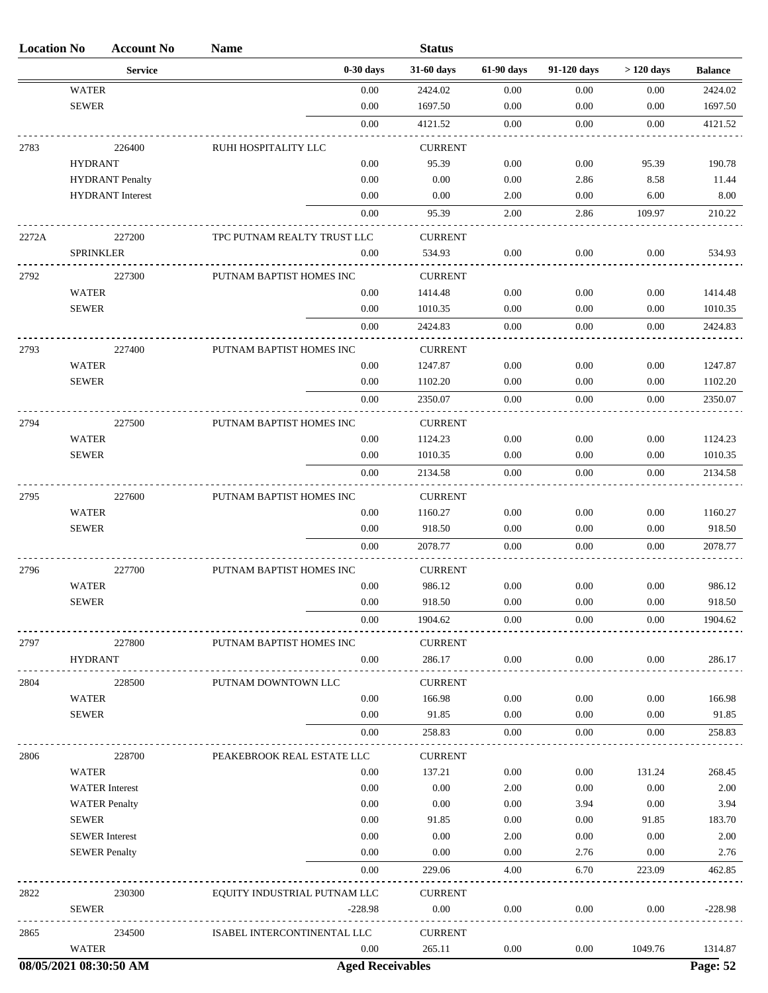| <b>Location No</b> |                  | <b>Account No</b>       | <b>Name</b>                  |                         | <b>Status</b>             |              |              |               |                |
|--------------------|------------------|-------------------------|------------------------------|-------------------------|---------------------------|--------------|--------------|---------------|----------------|
|                    |                  | <b>Service</b>          |                              | $0-30$ days             | 31-60 days                | 61-90 days   | 91-120 days  | $>120$ days   | <b>Balance</b> |
|                    | <b>WATER</b>     |                         |                              | 0.00                    | 2424.02                   | 0.00         | 0.00         | 0.00          | 2424.02        |
|                    | <b>SEWER</b>     |                         |                              | 0.00                    | 1697.50                   | 0.00         | 0.00         | 0.00          | 1697.50        |
|                    |                  |                         |                              | $0.00\,$                | 4121.52                   | 0.00         | $0.00\,$     | 0.00          | 4121.52        |
| 2783               |                  | 226400                  | RUHI HOSPITALITY LLC         |                         | <b>CURRENT</b>            |              |              |               |                |
|                    | <b>HYDRANT</b>   |                         |                              | 0.00                    | 95.39                     | 0.00         | 0.00         | 95.39         | 190.78         |
|                    |                  | <b>HYDRANT</b> Penalty  |                              | 0.00                    | 0.00                      | 0.00         | 2.86         | 8.58          | 11.44          |
|                    |                  | <b>HYDRANT</b> Interest |                              | 0.00                    | 0.00                      | 2.00         | 0.00         | 6.00          | 8.00           |
|                    |                  |                         |                              | 0.00                    | 95.39                     | 2.00         | 2.86         | 109.97        | 210.22         |
| 2272A              |                  | 227200                  | TPC PUTNAM REALTY TRUST LLC  |                         | <b>CURRENT</b>            |              |              |               |                |
|                    | <b>SPRINKLER</b> |                         |                              | 0.00                    | 534.93                    | 0.00         | 0.00         | 0.00          | 534.93         |
|                    |                  |                         |                              |                         |                           |              |              |               |                |
| 2792               | <b>WATER</b>     | 227300                  | PUTNAM BAPTIST HOMES INC     | 0.00                    | <b>CURRENT</b><br>1414.48 | 0.00         | 0.00         | 0.00          | 1414.48        |
|                    | <b>SEWER</b>     |                         |                              | 0.00                    | 1010.35                   | 0.00         | 0.00         | 0.00          | 1010.35        |
|                    |                  |                         |                              | 0.00                    | 2424.83                   | 0.00         | 0.00         | 0.00          | 2424.83        |
|                    |                  |                         |                              |                         |                           |              |              |               |                |
| 2793               |                  | 227400                  | PUTNAM BAPTIST HOMES INC     |                         | <b>CURRENT</b>            |              |              |               |                |
|                    | <b>WATER</b>     |                         |                              | 0.00                    | 1247.87                   | 0.00         | 0.00         | 0.00          | 1247.87        |
|                    | <b>SEWER</b>     |                         |                              | 0.00                    | 1102.20                   | 0.00         | 0.00         | 0.00          | 1102.20        |
|                    |                  |                         |                              | 0.00                    | 2350.07                   | 0.00         | 0.00         | 0.00          | 2350.07        |
| 2794               |                  | 227500                  | PUTNAM BAPTIST HOMES INC     |                         | <b>CURRENT</b>            |              |              |               |                |
|                    | <b>WATER</b>     |                         |                              | 0.00                    | 1124.23                   | 0.00         | 0.00         | 0.00          | 1124.23        |
|                    | <b>SEWER</b>     |                         |                              | 0.00                    | 1010.35                   | 0.00         | 0.00         | 0.00          | 1010.35        |
|                    |                  |                         |                              | 0.00                    | 2134.58                   | $0.00\,$     | 0.00         | 0.00          | 2134.58        |
| 2795               |                  | 227600                  | PUTNAM BAPTIST HOMES INC     |                         | <b>CURRENT</b>            |              |              |               |                |
|                    | <b>WATER</b>     |                         |                              | $0.00\,$                | 1160.27                   | 0.00         | 0.00         | 0.00          | 1160.27        |
|                    | <b>SEWER</b>     |                         |                              | $0.00\,$                | 918.50                    | 0.00         | 0.00         | 0.00          | 918.50         |
|                    |                  |                         |                              | 0.00                    | 2078.77                   | 0.00         | $0.00\,$     | 0.00          | 2078.77        |
| 2796               |                  | 227700                  | PUTNAM BAPTIST HOMES INC     |                         | <b>CURRENT</b>            |              |              |               |                |
|                    | <b>WATER</b>     |                         |                              | 0.00                    | 986.12                    | 0.00         | 0.00         | 0.00          | 986.12         |
|                    | <b>SEWER</b>     |                         |                              | $0.00\,$                | 918.50                    | $0.00\,$     | $0.00\,$     | $0.00\,$      | 918.50         |
|                    |                  |                         |                              | 0.00                    | 1904.62                   | 0.00         | 0.00         | 0.00          | 1904.62        |
| 2797               |                  | 227800                  | PUTNAM BAPTIST HOMES INC     |                         | <b>CURRENT</b>            |              |              |               |                |
|                    | <b>HYDRANT</b>   |                         |                              | 0.00                    | 286.17                    | 0.00         | 0.00         | 0.00          | 286.17         |
|                    |                  |                         |                              |                         |                           |              |              |               |                |
| 2804               | <b>WATER</b>     | 228500                  | PUTNAM DOWNTOWN LLC          | 0.00                    | <b>CURRENT</b><br>166.98  | 0.00         | 0.00         | 0.00          | 166.98         |
|                    | <b>SEWER</b>     |                         |                              | 0.00                    | 91.85                     | 0.00         | 0.00         | 0.00          | 91.85          |
|                    |                  |                         |                              | 0.00                    | 258.83                    | 0.00         | 0.00         | 0.00          | 258.83         |
|                    |                  |                         |                              |                         |                           |              |              |               |                |
| 2806               |                  | 228700                  | PEAKEBROOK REAL ESTATE LLC   |                         | <b>CURRENT</b>            |              |              |               |                |
|                    | <b>WATER</b>     |                         |                              | 0.00                    | 137.21                    | 0.00         | 0.00         | 131.24        | 268.45         |
|                    |                  | <b>WATER</b> Interest   |                              | 0.00                    | $0.00\,$                  | 2.00         | 0.00         | 0.00          | 2.00           |
|                    | <b>SEWER</b>     | <b>WATER Penalty</b>    |                              | 0.00<br>0.00            | 0.00<br>91.85             | 0.00<br>0.00 | 3.94<br>0.00 | 0.00<br>91.85 | 3.94<br>183.70 |
|                    |                  | <b>SEWER</b> Interest   |                              | $0.00\,$                | 0.00                      | 2.00         | $0.00\,$     | 0.00          | 2.00           |
|                    |                  | <b>SEWER Penalty</b>    |                              | 0.00                    | 0.00                      | 0.00         | 2.76         | 0.00          | 2.76           |
|                    |                  |                         |                              | 0.00                    | 229.06                    | 4.00         | 6.70         | 223.09        | 462.85         |
|                    |                  |                         |                              |                         |                           |              |              |               |                |
| 2822               |                  | 230300                  | EQUITY INDUSTRIAL PUTNAM LLC |                         | <b>CURRENT</b>            |              |              |               |                |
|                    | <b>SEWER</b>     |                         |                              | $-228.98$               | $0.00\,$                  | 0.00         | 0.00         | 0.00          | $-228.98$      |
| 2865               |                  | 234500                  | ISABEL INTERCONTINENTAL LLC  |                         | <b>CURRENT</b>            |              |              |               |                |
|                    | <b>WATER</b>     |                         |                              | 0.00                    | 265.11                    | 0.00         | 0.00         | 1049.76       | 1314.87        |
|                    |                  | 08/05/2021 08:30:50 AM  |                              | <b>Aged Receivables</b> |                           |              |              |               | Page: 52       |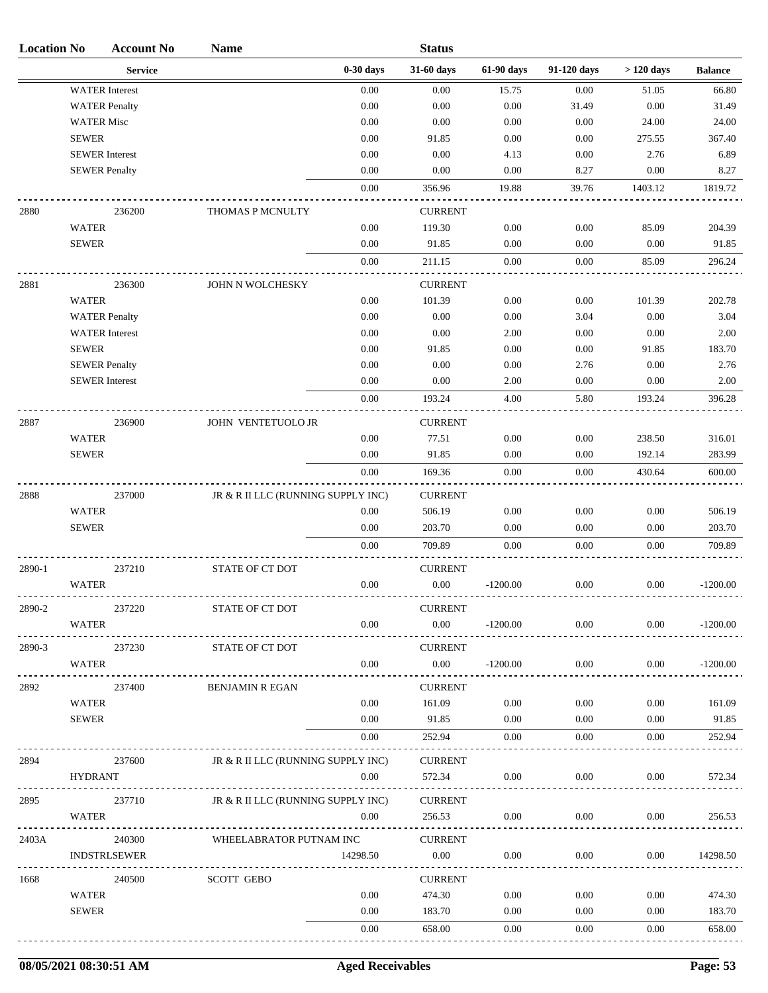| <b>Location No</b> |                   | <b>Account No</b>     | <b>Name</b>                        |             | <b>Status</b>              |            |             |             |                |
|--------------------|-------------------|-----------------------|------------------------------------|-------------|----------------------------|------------|-------------|-------------|----------------|
|                    |                   | <b>Service</b>        |                                    | $0-30$ days | 31-60 days                 | 61-90 days | 91-120 days | $>120$ days | <b>Balance</b> |
|                    |                   | <b>WATER</b> Interest |                                    | 0.00        | 0.00                       | 15.75      | 0.00        | 51.05       | 66.80          |
|                    |                   | <b>WATER Penalty</b>  |                                    | 0.00        | 0.00                       | $0.00\,$   | 31.49       | 0.00        | 31.49          |
|                    | <b>WATER Misc</b> |                       |                                    | 0.00        | 0.00                       | 0.00       | 0.00        | 24.00       | 24.00          |
|                    | <b>SEWER</b>      |                       |                                    | 0.00        | 91.85                      | 0.00       | 0.00        | 275.55      | 367.40         |
|                    |                   | <b>SEWER</b> Interest |                                    | 0.00        | 0.00                       | 4.13       | 0.00        | 2.76        | 6.89           |
|                    |                   | <b>SEWER Penalty</b>  |                                    | 0.00        | 0.00                       | 0.00       | 8.27        | 0.00        | 8.27           |
|                    |                   |                       |                                    | 0.00        | 356.96                     | 19.88      | 39.76       | 1403.12     | 1819.72        |
| 2880               |                   | 236200                | THOMAS P MCNULTY                   |             | <b>CURRENT</b>             |            |             |             |                |
|                    | <b>WATER</b>      |                       |                                    | 0.00        | 119.30                     | 0.00       | 0.00        | 85.09       | 204.39         |
|                    | <b>SEWER</b>      |                       |                                    | 0.00        | 91.85                      | 0.00       | 0.00        | 0.00        | 91.85          |
|                    |                   |                       |                                    | 0.00        | 211.15                     | $0.00\,$   | 0.00        | 85.09       | 296.24         |
| 2881               |                   | 236300                | JOHN N WOLCHESKY                   |             | <b>CURRENT</b>             |            |             |             |                |
|                    | <b>WATER</b>      |                       |                                    | 0.00        | 101.39                     | 0.00       | 0.00        | 101.39      | 202.78         |
|                    |                   | <b>WATER Penalty</b>  |                                    | 0.00        | 0.00                       | $0.00\,$   | 3.04        | 0.00        | 3.04           |
|                    |                   | <b>WATER</b> Interest |                                    | 0.00        | 0.00                       | 2.00       | 0.00        | 0.00        | 2.00           |
|                    | <b>SEWER</b>      |                       |                                    | 0.00        | 91.85                      | 0.00       | 0.00        | 91.85       | 183.70         |
|                    |                   | <b>SEWER Penalty</b>  |                                    | 0.00        | 0.00                       | 0.00       | 2.76        | 0.00        | 2.76           |
|                    |                   | <b>SEWER</b> Interest |                                    | 0.00        | 0.00                       | 2.00       | 0.00        | 0.00        | 2.00           |
|                    |                   |                       |                                    | 0.00        | 193.24                     | 4.00       | 5.80        | 193.24      | 396.28         |
| 2887               |                   | 236900                | JOHN VENTETUOLO JR                 |             | <b>CURRENT</b>             |            |             |             |                |
|                    | <b>WATER</b>      |                       |                                    | 0.00        | 77.51                      | 0.00       | 0.00        | 238.50      | 316.01         |
|                    | <b>SEWER</b>      |                       |                                    | 0.00        | 91.85                      | 0.00       | 0.00        | 192.14      | 283.99         |
|                    |                   |                       |                                    | $0.00\,$    | 169.36                     | 0.00       | 0.00        | 430.64      | 600.00         |
| 2888               |                   | 237000                | JR & R II LLC (RUNNING SUPPLY INC) |             | <b>CURRENT</b>             |            |             |             |                |
|                    | <b>WATER</b>      |                       |                                    | 0.00        | 506.19                     | 0.00       | 0.00        | 0.00        | 506.19         |
|                    | <b>SEWER</b>      |                       |                                    | 0.00        | 203.70                     | 0.00       | 0.00        | 0.00        | 203.70         |
|                    |                   |                       |                                    | 0.00        | 709.89                     | 0.00       | $0.00\,$    | $0.00\,$    | 709.89         |
| 2890-1             |                   | 237210                | STATE OF CT DOT                    |             | <b>CURRENT</b>             |            |             |             |                |
|                    | <b>WATER</b>      |                       |                                    | 0.00        | 0.00                       | $-1200.00$ | 0.00        | 0.00        | $-1200.00$     |
|                    |                   |                       |                                    |             |                            |            |             |             |                |
| 2890-2             |                   | 237220                | STATE OF CT DOT                    |             | <b>CURRENT</b><br>$0.00\,$ |            |             |             |                |
|                    | WATER             |                       |                                    | 0.00        |                            | $-1200.00$ | $0.00\,$    | 0.00        | $-1200.00$     |
| 2890-3             |                   | 237230                | STATE OF CT DOT                    |             | <b>CURRENT</b>             |            |             |             |                |
|                    | WATER             |                       |                                    | 0.00        | $0.00\,$                   | $-1200.00$ | $0.00\,$    | 0.00        | $-1200.00$     |
| 2892               |                   | 237400                | <b>BENJAMIN R EGAN</b>             |             | <b>CURRENT</b>             |            |             |             |                |
|                    | WATER             |                       |                                    | 0.00        | 161.09                     | 0.00       | 0.00        | 0.00        | 161.09         |
|                    | <b>SEWER</b>      |                       |                                    | 0.00        | 91.85                      | 0.00       | 0.00        | 0.00        | 91.85          |
|                    |                   |                       |                                    | 0.00        | 252.94                     | 0.00       | 0.00        | 0.00        | 252.94         |
| 2894               |                   | 237600                | JR & R II LLC (RUNNING SUPPLY INC) |             | <b>CURRENT</b>             |            |             |             |                |
|                    | <b>HYDRANT</b>    |                       |                                    | 0.00        | 572.34                     | 0.00       | $0.00\,$    | 0.00        | 572.34         |
| 2895               |                   | 237710                | JR & R II LLC (RUNNING SUPPLY INC) |             | <b>CURRENT</b>             |            |             |             |                |
|                    | WATER             |                       |                                    | 0.00        | 256.53                     | 0.00       | 0.00        | 0.00        | 256.53         |
| 2403A              |                   | 240300                | WHEELABRATOR PUTNAM INC            |             | <b>CURRENT</b>             |            |             |             |                |
|                    |                   | <b>INDSTRLSEWER</b>   |                                    | 14298.50    | $0.00\,$                   | 0.00       | 0.00        | 0.00        | 14298.50       |
| 1668               |                   | 240500                | <b>SCOTT GEBO</b>                  |             | <b>CURRENT</b>             |            |             |             |                |
|                    | <b>WATER</b>      |                       |                                    | 0.00        | 474.30                     | 0.00       | 0.00        | 0.00        | 474.30         |
|                    | <b>SEWER</b>      |                       |                                    | 0.00        | 183.70                     | 0.00       | 0.00        | 0.00        | 183.70         |
|                    |                   |                       |                                    | 0.00        | 658.00                     | 0.00       | 0.00        | 0.00        | 658.00         |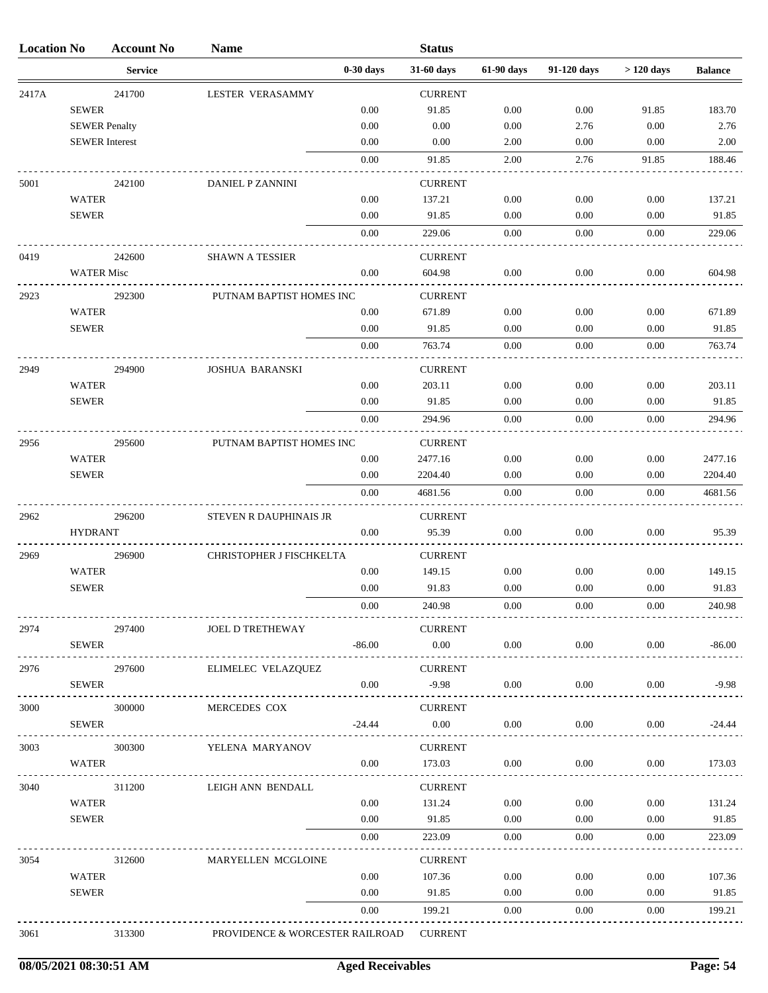| <b>Location No</b> |                       | <b>Account No</b> | <b>Name</b>                     |              | <b>Status</b>      |              |              |              |                    |
|--------------------|-----------------------|-------------------|---------------------------------|--------------|--------------------|--------------|--------------|--------------|--------------------|
|                    |                       | <b>Service</b>    |                                 | $0-30$ days  | 31-60 days         | 61-90 days   | 91-120 days  | $>120$ days  | <b>Balance</b>     |
| 2417A              |                       | 241700            | LESTER VERASAMMY                |              | <b>CURRENT</b>     |              |              |              |                    |
|                    | <b>SEWER</b>          |                   |                                 | 0.00         | 91.85              | 0.00         | 0.00         | 91.85        | 183.70             |
|                    | <b>SEWER Penalty</b>  |                   |                                 | 0.00         | 0.00               | 0.00         | 2.76         | 0.00         | 2.76               |
|                    | <b>SEWER</b> Interest |                   |                                 | 0.00         | 0.00               | 2.00         | 0.00         | 0.00         | 2.00               |
|                    |                       |                   |                                 | 0.00         | 91.85              | 2.00         | 2.76         | 91.85        | 188.46             |
| 5001               |                       | 242100            | DANIEL P ZANNINI                |              | <b>CURRENT</b>     |              |              |              |                    |
|                    | <b>WATER</b>          |                   |                                 | 0.00         | 137.21             | 0.00         | 0.00         | 0.00         | 137.21             |
|                    | <b>SEWER</b>          |                   |                                 | 0.00         | 91.85              | 0.00         | 0.00         | 0.00         | 91.85              |
|                    |                       |                   |                                 | 0.00         | 229.06             | 0.00         | 0.00         | 0.00         | 229.06             |
| 0419               |                       | 242600            | <b>SHAWN A TESSIER</b>          |              | <b>CURRENT</b>     |              |              |              |                    |
|                    | <b>WATER Misc</b>     |                   |                                 | 0.00         | 604.98             | 0.00         | 0.00         | 0.00         | 604.98             |
| 2923               |                       | 292300            | PUTNAM BAPTIST HOMES INC        |              | <b>CURRENT</b>     |              |              |              |                    |
|                    | <b>WATER</b>          |                   |                                 | 0.00         | 671.89             | 0.00         | 0.00         | 0.00         | 671.89             |
|                    | <b>SEWER</b>          |                   |                                 | 0.00         | 91.85              | 0.00         | 0.00         | 0.00         | 91.85              |
|                    |                       |                   |                                 | 0.00         | 763.74             | 0.00         | 0.00         | 0.00         | 763.74             |
| 2949               |                       | 294900            | <b>JOSHUA BARANSKI</b>          |              | <b>CURRENT</b>     |              |              |              |                    |
|                    | <b>WATER</b>          |                   |                                 | 0.00         | 203.11             | 0.00         | 0.00         | 0.00         | 203.11             |
|                    | <b>SEWER</b>          |                   |                                 | 0.00         | 91.85              | 0.00         | 0.00         | 0.00         | 91.85              |
|                    |                       |                   |                                 | 0.00         | 294.96             | 0.00         | 0.00         | 0.00         | 294.96             |
|                    |                       |                   |                                 |              |                    |              |              |              |                    |
| 2956               |                       | 295600            | PUTNAM BAPTIST HOMES INC        |              | <b>CURRENT</b>     |              |              |              |                    |
|                    | <b>WATER</b>          |                   |                                 | 0.00         | 2477.16            | 0.00         | 0.00         | 0.00         | 2477.16            |
|                    | <b>SEWER</b>          |                   |                                 | 0.00<br>0.00 | 2204.40<br>4681.56 | 0.00<br>0.00 | 0.00<br>0.00 | 0.00<br>0.00 | 2204.40<br>4681.56 |
|                    |                       |                   |                                 |              |                    |              |              |              |                    |
| 2962               |                       | 296200            | STEVEN R DAUPHINAIS JR          |              | <b>CURRENT</b>     |              |              |              |                    |
|                    | <b>HYDRANT</b>        |                   |                                 | 0.00         | 95.39              | 0.00         | 0.00         | 0.00         | 95.39              |
| 2969               |                       | 296900            | CHRISTOPHER J FISCHKELTA        |              | <b>CURRENT</b>     |              |              |              |                    |
|                    | <b>WATER</b>          |                   |                                 | 0.00         | 149.15             | 0.00         | 0.00         | 0.00         | 149.15             |
|                    | <b>SEWER</b>          |                   |                                 | 0.00         | 91.83              | 0.00         | 0.00         | 0.00         | 91.83              |
|                    |                       |                   |                                 | 0.00         | 240.98             | 0.00         | 0.00         | 0.00         | 240.98             |
| 2974               |                       | 297400            | JOEL D TRETHEWAY                |              | <b>CURRENT</b>     |              |              |              |                    |
|                    | <b>SEWER</b>          |                   |                                 | $-86.00$     | $0.00\,$           | 0.00         | 0.00         | 0.00         | $-86.00$           |
| 2976               |                       | 297600            | ELIMELEC VELAZQUEZ              |              | <b>CURRENT</b>     |              |              |              |                    |
|                    | <b>SEWER</b>          |                   |                                 | 0.00         | $-9.98$            | $0.00\,$     | 0.00         | 0.00         | $-9.98$            |
| 3000               |                       | 300000            | MERCEDES COX                    |              | <b>CURRENT</b>     |              |              |              |                    |
|                    | <b>SEWER</b>          |                   |                                 | $-24.44$     | $0.00\,$           | $0.00\,$     | 0.00         | 0.00         | -24.44             |
| 3003               |                       | 300300            | YELENA MARYANOV                 |              | <b>CURRENT</b>     |              |              |              |                    |
|                    | WATER                 |                   |                                 | 0.00         | 173.03             | $0.00\,$     | 0.00         | 0.00         | 173.03             |
|                    |                       |                   |                                 |              |                    |              |              |              |                    |
| 3040               |                       | 311200            | LEIGH ANN BENDALL               |              | <b>CURRENT</b>     |              |              |              |                    |
|                    | WATER                 |                   |                                 | 0.00         | 131.24             | 0.00         | $0.00\,$     | 0.00         | 131.24             |
|                    | <b>SEWER</b>          |                   |                                 | 0.00<br>0.00 | 91.85              | 0.00<br>0.00 | 0.00<br>0.00 | 0.00<br>0.00 | 91.85              |
|                    |                       |                   |                                 |              | 223.09             |              |              |              | 223.09             |
| 3054               |                       | 312600            | MARYELLEN MCGLOINE              |              | <b>CURRENT</b>     |              |              |              |                    |
|                    | <b>WATER</b>          |                   |                                 | 0.00         | 107.36             | 0.00         | 0.00         | 0.00         | 107.36             |
|                    | <b>SEWER</b>          |                   |                                 | 0.00         | 91.85              | 0.00         | 0.00         | 0.00         | 91.85              |
|                    |                       |                   |                                 | 0.00         | 199.21             | 0.00         | 0.00         | 0.00         | 199.21             |
| 3061               |                       | 313300            | PROVIDENCE & WORCESTER RAILROAD |              | <b>CURRENT</b>     |              |              |              |                    |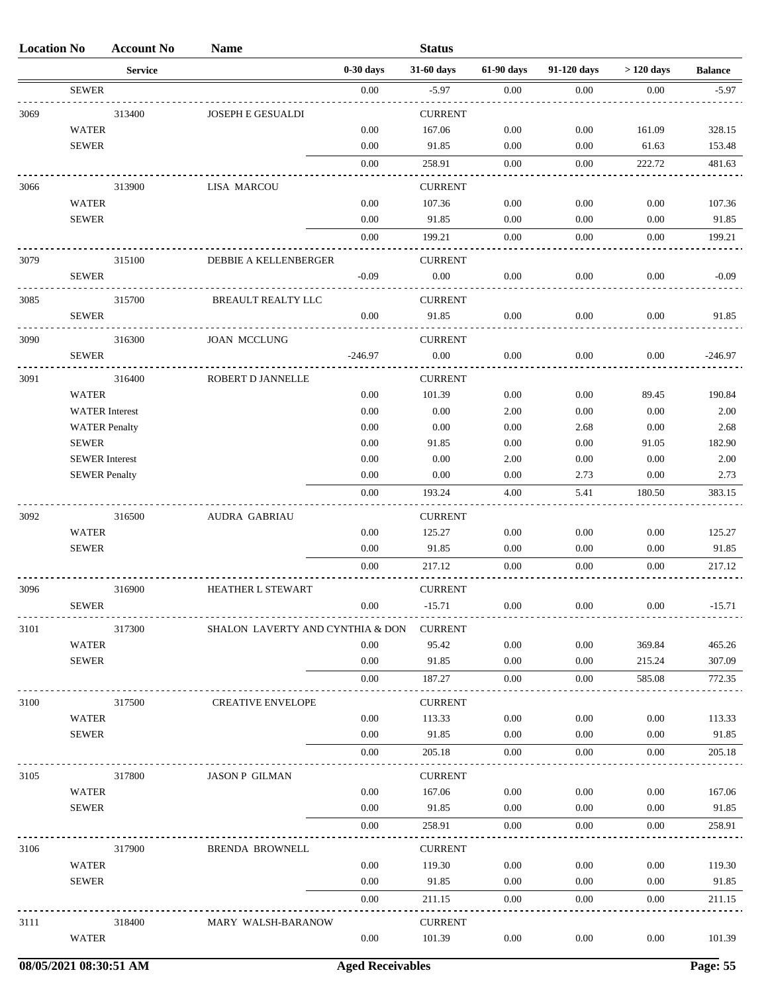| <b>Location No</b> |                       | <b>Account No</b> | <b>Name</b>                      |             | <b>Status</b>  |            |             |             |                |
|--------------------|-----------------------|-------------------|----------------------------------|-------------|----------------|------------|-------------|-------------|----------------|
|                    |                       | <b>Service</b>    |                                  | $0-30$ days | 31-60 days     | 61-90 days | 91-120 days | $>120$ days | <b>Balance</b> |
|                    | <b>SEWER</b>          |                   |                                  | 0.00        | $-5.97$        | 0.00       | 0.00        | 0.00        | $-5.97$        |
| 3069               |                       | 313400            | <b>JOSEPH E GESUALDI</b>         |             | <b>CURRENT</b> |            |             |             |                |
|                    | <b>WATER</b>          |                   |                                  | 0.00        | 167.06         | 0.00       | 0.00        | 161.09      | 328.15         |
|                    | <b>SEWER</b>          |                   |                                  | 0.00        | 91.85          | 0.00       | 0.00        | 61.63       | 153.48         |
|                    |                       |                   |                                  | 0.00        | 258.91         | 0.00       | 0.00        | 222.72      | 481.63         |
| 3066               |                       | 313900            | <b>LISA MARCOU</b>               |             | <b>CURRENT</b> |            |             |             |                |
|                    | <b>WATER</b>          |                   |                                  | 0.00        | 107.36         | 0.00       | 0.00        | 0.00        | 107.36         |
|                    | <b>SEWER</b>          |                   |                                  | 0.00        | 91.85          | 0.00       | 0.00        | 0.00        | 91.85          |
|                    |                       |                   |                                  | 0.00        | 199.21         | 0.00       | 0.00        | 0.00        | 199.21         |
| 3079               |                       | 315100            | DEBBIE A KELLENBERGER            |             | <b>CURRENT</b> |            |             |             |                |
|                    | <b>SEWER</b>          |                   |                                  | $-0.09$     | 0.00           | 0.00       | 0.00        | 0.00        | $-0.09$        |
| 3085               |                       | 315700            | BREAULT REALTY LLC               |             | <b>CURRENT</b> |            |             |             |                |
|                    | <b>SEWER</b>          |                   |                                  | 0.00        | 91.85          | 0.00       | 0.00        | 0.00        | 91.85          |
| 3090               |                       | 316300            | <b>JOAN MCCLUNG</b>              |             | <b>CURRENT</b> |            |             |             |                |
|                    | <b>SEWER</b>          |                   |                                  | $-246.97$   | 0.00           | 0.00       | 0.00        | 0.00        | $-246.97$      |
| 3091               |                       | 316400            | ROBERT D JANNELLE                |             | <b>CURRENT</b> |            |             |             |                |
|                    | <b>WATER</b>          |                   |                                  | 0.00        | 101.39         | 0.00       | 0.00        | 89.45       | 190.84         |
|                    | <b>WATER</b> Interest |                   |                                  | 0.00        | 0.00           | 2.00       | 0.00        | 0.00        | 2.00           |
|                    | <b>WATER Penalty</b>  |                   |                                  | 0.00        | 0.00           | 0.00       | 2.68        | 0.00        | 2.68           |
|                    | <b>SEWER</b>          |                   |                                  | 0.00        | 91.85          | 0.00       | 0.00        | 91.05       | 182.90         |
|                    | <b>SEWER</b> Interest |                   |                                  | 0.00        | 0.00           | 2.00       | 0.00        | 0.00        | 2.00           |
|                    | <b>SEWER Penalty</b>  |                   |                                  | 0.00        | 0.00           | 0.00       | 2.73        | 0.00        | 2.73           |
|                    |                       |                   |                                  | 0.00        | 193.24         | 4.00       | 5.41        | 180.50      | 383.15         |
| 3092               |                       | 316500            | <b>AUDRA GABRIAU</b>             |             | <b>CURRENT</b> |            |             |             |                |
|                    | <b>WATER</b>          |                   |                                  | 0.00        | 125.27         | 0.00       | 0.00        | 0.00        | 125.27         |
|                    | ${\tt SEWER}$         |                   |                                  | 0.00        | 91.85          | 0.00       | $0.00\,$    | 0.00        | 91.85          |
|                    |                       |                   |                                  | 0.00        | 217.12         | 0.00       | 0.00        | 0.00        | 217.12         |
| 3096               |                       | 316900            | <b>HEATHER L STEWART</b>         |             | <b>CURRENT</b> |            |             |             |                |
|                    | <b>SEWER</b>          |                   |                                  | $0.00\,$    | $-15.71$       | 0.00       | 0.00        | 0.00        | $-15.71$       |
| 3101               |                       | 317300            | SHALON LAVERTY AND CYNTHIA & DON |             | <b>CURRENT</b> |            |             |             |                |
|                    | <b>WATER</b>          |                   |                                  | 0.00        | 95.42          | 0.00       | 0.00        | 369.84      | 465.26         |
|                    | <b>SEWER</b>          |                   |                                  | 0.00        | 91.85          | 0.00       | 0.00        | 215.24      | 307.09         |
|                    |                       |                   |                                  | 0.00        | 187.27         | 0.00       | 0.00        | 585.08      | 772.35         |
| 3100               |                       | 317500            | <b>CREATIVE ENVELOPE</b>         |             | <b>CURRENT</b> |            |             |             |                |
|                    | <b>WATER</b>          |                   |                                  | 0.00        | 113.33         | 0.00       | 0.00        | 0.00        | 113.33         |
|                    | <b>SEWER</b>          |                   |                                  | 0.00        | 91.85          | 0.00       | 0.00        | 0.00        | 91.85          |
|                    |                       |                   |                                  | 0.00        | 205.18         | 0.00       | 0.00        | 0.00        | 205.18         |
| 3105               |                       | 317800            | <b>JASON P GILMAN</b>            |             | <b>CURRENT</b> |            |             |             |                |
|                    | <b>WATER</b>          |                   |                                  | 0.00        | 167.06         | 0.00       | 0.00        | 0.00        | 167.06         |
|                    | <b>SEWER</b>          |                   |                                  | 0.00        | 91.85          | 0.00       | 0.00        | 0.00        | 91.85          |
|                    |                       |                   |                                  | 0.00        | 258.91         | 0.00       | 0.00        | 0.00        | 258.91         |
| 3106               |                       | 317900            | BRENDA BROWNELL                  |             | <b>CURRENT</b> |            |             |             |                |
|                    | <b>WATER</b>          |                   |                                  | 0.00        | 119.30         | 0.00       | 0.00        | 0.00        | 119.30         |
|                    | <b>SEWER</b>          |                   |                                  | 0.00        | 91.85          | 0.00       | 0.00        | 0.00        | 91.85          |
|                    |                       |                   |                                  | 0.00        | 211.15         | 0.00       | 0.00        | 0.00        | 211.15         |
|                    |                       |                   |                                  |             |                |            |             |             |                |
| 3111               |                       | 318400            | MARY WALSH-BARANOW               |             | <b>CURRENT</b> |            |             |             |                |
|                    | <b>WATER</b>          |                   |                                  | 0.00        | 101.39         | 0.00       | 0.00        | 0.00        | 101.39         |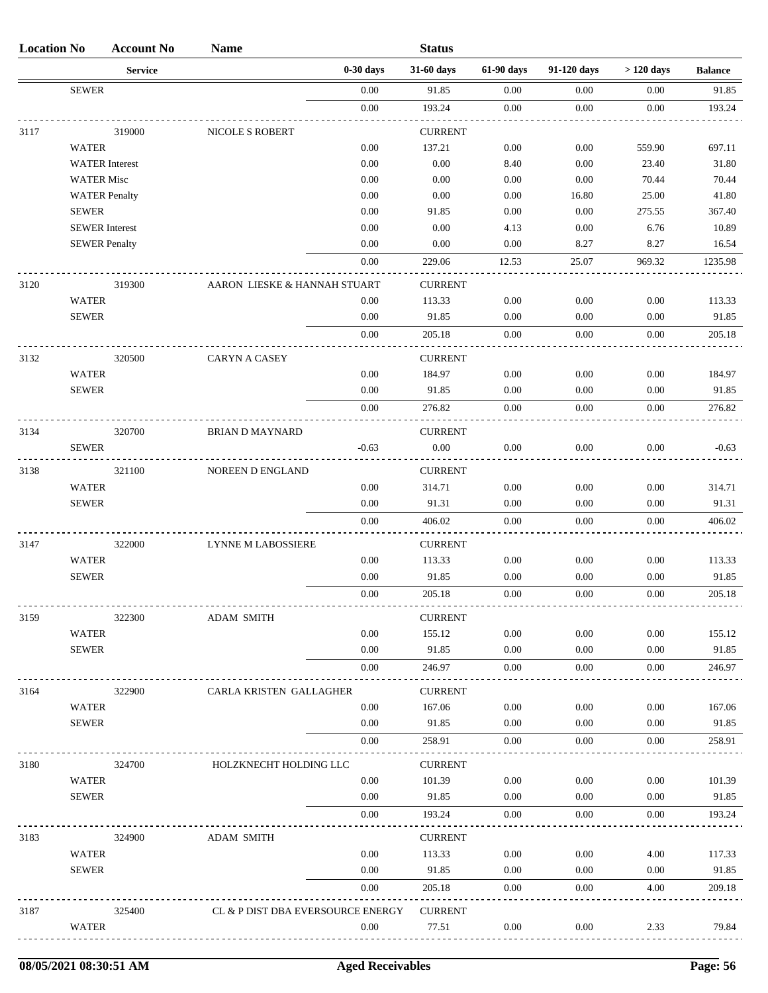| <b>Location No</b> |                              | <b>Account No</b> | <b>Name</b>                       |              | <b>Status</b>            |              |              |              |                 |
|--------------------|------------------------------|-------------------|-----------------------------------|--------------|--------------------------|--------------|--------------|--------------|-----------------|
|                    |                              | <b>Service</b>    |                                   | $0-30$ days  | 31-60 days               | 61-90 days   | 91-120 days  | $>120$ days  | <b>Balance</b>  |
|                    | <b>SEWER</b>                 |                   |                                   | 0.00         | 91.85                    | 0.00         | 0.00         | 0.00         | 91.85           |
|                    |                              |                   |                                   | 0.00         | 193.24                   | 0.00         | 0.00         | 0.00         | 193.24          |
| 3117               |                              | 319000            | NICOLE S ROBERT                   |              | <b>CURRENT</b>           |              |              |              |                 |
|                    | <b>WATER</b>                 |                   |                                   | 0.00         | 137.21                   | 0.00         | 0.00         | 559.90       | 697.11          |
|                    | <b>WATER</b> Interest        |                   |                                   | 0.00         | 0.00                     | 8.40         | 0.00         | 23.40        | 31.80           |
|                    | <b>WATER Misc</b>            |                   |                                   | 0.00         | 0.00                     | 0.00         | 0.00         | 70.44        | 70.44           |
|                    | <b>WATER Penalty</b>         |                   |                                   | 0.00         | 0.00                     | 0.00         | 16.80        | 25.00        | 41.80           |
|                    | <b>SEWER</b>                 |                   |                                   | 0.00         | 91.85                    | 0.00         | 0.00         | 275.55       | 367.40          |
|                    | <b>SEWER</b> Interest        |                   |                                   | 0.00         | 0.00                     | 4.13         | 0.00         | 6.76         | 10.89           |
|                    | <b>SEWER Penalty</b>         |                   |                                   | 0.00         | 0.00                     | 0.00         | 8.27         | 8.27         | 16.54           |
|                    |                              |                   |                                   | 0.00         | 229.06                   | 12.53        | 25.07        | 969.32       | 1235.98         |
| 3120               |                              | 319300            | AARON LIESKE & HANNAH STUART      |              | <b>CURRENT</b>           |              |              |              |                 |
|                    | <b>WATER</b>                 |                   |                                   | 0.00         | 113.33                   | 0.00         | 0.00         | 0.00         | 113.33          |
|                    | <b>SEWER</b>                 |                   |                                   | 0.00         | 91.85                    | 0.00         | 0.00         | 0.00         | 91.85           |
|                    |                              |                   |                                   | 0.00         | 205.18                   | 0.00         | 0.00         | 0.00         | 205.18          |
| 3132               |                              | 320500            | <b>CARYN A CASEY</b>              |              | <b>CURRENT</b>           |              |              |              |                 |
|                    | <b>WATER</b>                 |                   |                                   | 0.00         | 184.97                   | 0.00         | 0.00         | 0.00         | 184.97          |
|                    | <b>SEWER</b>                 |                   |                                   | 0.00         | 91.85                    | 0.00         | 0.00         | 0.00         | 91.85           |
|                    |                              |                   |                                   | 0.00         | 276.82                   | 0.00         | 0.00         | 0.00         | 276.82          |
| 3134               |                              | 320700            | <b>BRIAN D MAYNARD</b>            |              | <b>CURRENT</b>           |              |              |              |                 |
|                    | <b>SEWER</b>                 |                   |                                   | $-0.63$      | $0.00\,$                 | $0.00\,$     | 0.00         | 0.00         | $-0.63$         |
|                    |                              |                   |                                   |              |                          |              |              |              |                 |
| 3138               |                              | 321100            | NOREEN D ENGLAND                  |              | <b>CURRENT</b>           |              |              |              |                 |
|                    | <b>WATER</b><br><b>SEWER</b> |                   |                                   | 0.00<br>0.00 | 314.71<br>91.31          | 0.00<br>0.00 | 0.00<br>0.00 | 0.00<br>0.00 | 314.71<br>91.31 |
|                    |                              |                   |                                   | 0.00         | 406.02                   | 0.00         | 0.00         | 0.00         | 406.02          |
|                    |                              |                   |                                   |              |                          |              |              |              |                 |
| 3147               |                              | 322000            | <b>LYNNE M LABOSSIERE</b>         |              | <b>CURRENT</b>           |              |              |              |                 |
|                    | <b>WATER</b>                 |                   |                                   | 0.00         | 113.33                   | 0.00         | 0.00         | 0.00         | 113.33          |
|                    | <b>SEWER</b>                 |                   |                                   | 0.00         | 91.85                    | 0.00         | 0.00         | 0.00         | 91.85           |
|                    |                              |                   |                                   | 0.00         | 205.18                   | 0.00         | 0.00         | 0.00         | 205.18          |
| 3159               |                              | 322300            | <b>ADAM SMITH</b>                 |              | <b>CURRENT</b>           |              |              |              |                 |
|                    | <b>WATER</b>                 |                   |                                   | 0.00         | 155.12                   | 0.00         | 0.00         | 0.00         | 155.12          |
|                    | <b>SEWER</b>                 |                   |                                   | 0.00         | 91.85                    | 0.00         | $0.00\,$     | 0.00         | 91.85           |
|                    |                              |                   |                                   | 0.00         | 246.97                   | 0.00         | 0.00         | 0.00         | 246.97          |
| 3164               |                              | 322900            | CARLA KRISTEN GALLAGHER           |              | <b>CURRENT</b>           |              |              |              |                 |
|                    | <b>WATER</b>                 |                   |                                   | 0.00         | 167.06                   | 0.00         | 0.00         | 0.00         | 167.06          |
|                    | <b>SEWER</b>                 |                   |                                   | 0.00         | 91.85                    | 0.00         | 0.00         | 0.00         | 91.85           |
|                    |                              |                   |                                   | 0.00         | 258.91                   | 0.00         | 0.00         | 0.00         | 258.91          |
| 3180               |                              | 324700            | HOLZKNECHT HOLDING LLC            |              | <b>CURRENT</b>           |              |              |              |                 |
|                    | <b>WATER</b>                 |                   |                                   | 0.00         | 101.39                   | 0.00         | 0.00         | 0.00         | 101.39          |
|                    | <b>SEWER</b>                 |                   |                                   | 0.00         | 91.85                    | 0.00         | $0.00\,$     | 0.00         | 91.85           |
|                    |                              |                   |                                   | 0.00         | 193.24                   | 0.00         | 0.00         | 0.00         | 193.24          |
|                    |                              |                   |                                   |              |                          |              |              |              |                 |
| 3183               |                              | 324900            | <b>ADAM SMITH</b>                 | 0.00         | <b>CURRENT</b><br>113.33 | 0.00         | 0.00         |              | 117.33          |
|                    | <b>WATER</b><br><b>SEWER</b> |                   |                                   | 0.00         | 91.85                    | 0.00         | $0.00\,$     | 4.00<br>0.00 | 91.85           |
|                    |                              |                   |                                   | 0.00         | 205.18                   | 0.00         | 0.00         | 4.00         | 209.18          |
|                    |                              |                   |                                   |              |                          |              |              |              |                 |
| 3187               |                              | 325400            | CL & P DIST DBA EVERSOURCE ENERGY |              | <b>CURRENT</b>           |              |              |              |                 |
|                    | <b>WATER</b>                 |                   |                                   | 0.00         | 77.51                    | 0.00         | 0.00         | 2.33         | 79.84           |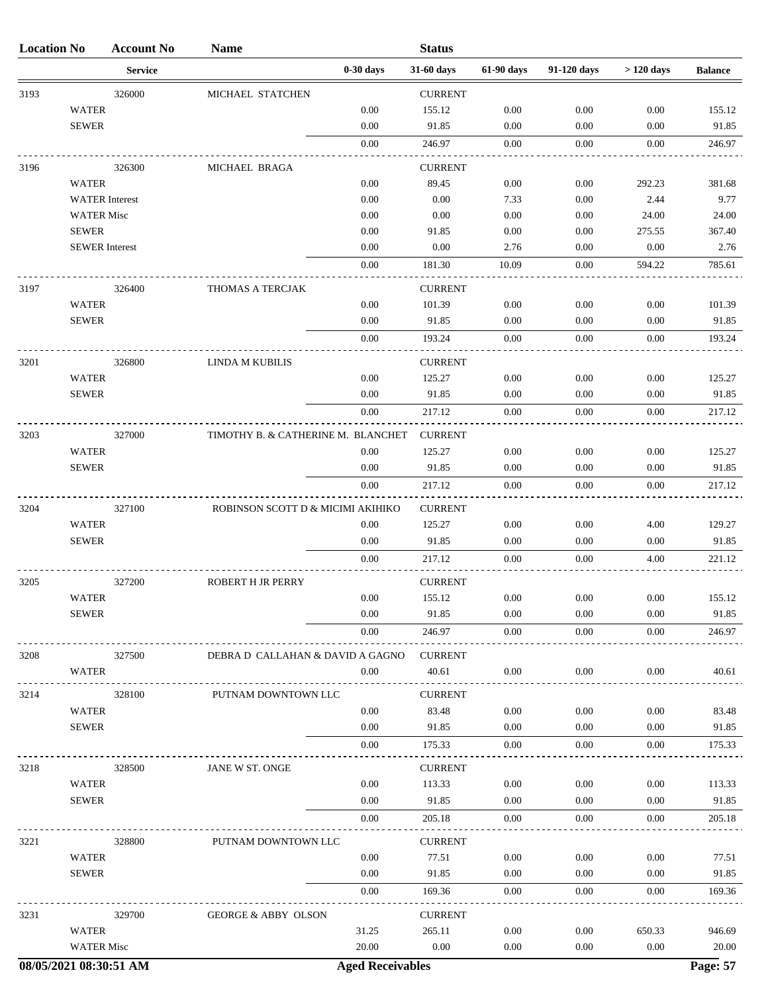| <b>Location No</b> |                              | <b>Account No</b> | <b>Name</b>                        |              | <b>Status</b>   |              |              |                  |                 |
|--------------------|------------------------------|-------------------|------------------------------------|--------------|-----------------|--------------|--------------|------------------|-----------------|
|                    |                              | <b>Service</b>    |                                    | $0-30$ days  | 31-60 days      | 61-90 days   | 91-120 days  | $>120$ days      | <b>Balance</b>  |
| 3193               |                              | 326000            | MICHAEL STATCHEN                   |              | <b>CURRENT</b>  |              |              |                  |                 |
|                    | <b>WATER</b>                 |                   |                                    | 0.00         | 155.12          | 0.00         | 0.00         | 0.00             | 155.12          |
|                    | <b>SEWER</b>                 |                   |                                    | 0.00         | 91.85           | 0.00         | 0.00         | 0.00             | 91.85           |
|                    |                              |                   |                                    | 0.00         | 246.97          | 0.00         | 0.00         | 0.00             | 246.97          |
| 3196               |                              | 326300            | MICHAEL BRAGA                      |              | <b>CURRENT</b>  |              |              |                  |                 |
|                    | <b>WATER</b>                 |                   |                                    | 0.00         | 89.45           | 0.00         | 0.00         | 292.23           | 381.68          |
|                    | <b>WATER</b> Interest        |                   |                                    | 0.00         | 0.00            | 7.33         | 0.00         | 2.44             | 9.77            |
|                    | <b>WATER Misc</b>            |                   |                                    | 0.00         | 0.00            | 0.00         | 0.00         | 24.00            | 24.00           |
|                    | <b>SEWER</b>                 |                   |                                    | 0.00         | 91.85           | 0.00         | 0.00         | 275.55           | 367.40          |
|                    | <b>SEWER</b> Interest        |                   |                                    | 0.00         | 0.00            | 2.76         | 0.00         | 0.00             | 2.76            |
|                    |                              |                   |                                    | 0.00         | 181.30          | 10.09        | 0.00         | 594.22           | 785.61          |
| 3197               |                              | 326400            | THOMAS A TERCJAK                   |              | <b>CURRENT</b>  |              |              |                  |                 |
|                    | <b>WATER</b>                 |                   |                                    | 0.00         | 101.39          | 0.00         | 0.00         | 0.00             | 101.39          |
|                    | <b>SEWER</b>                 |                   |                                    | 0.00         | 91.85           | 0.00         | 0.00         | 0.00             | 91.85           |
|                    |                              |                   |                                    | 0.00         | 193.24          | 0.00         | 0.00         | 0.00             | 193.24          |
| 3201               |                              | 326800            | LINDA M KUBILIS                    |              | <b>CURRENT</b>  |              |              |                  |                 |
|                    | <b>WATER</b>                 |                   |                                    | 0.00         | 125.27          | 0.00         | 0.00         | 0.00             | 125.27          |
|                    | <b>SEWER</b>                 |                   |                                    | 0.00         | 91.85           | 0.00         | 0.00         | 0.00             | 91.85           |
|                    |                              |                   |                                    | 0.00         | 217.12          | 0.00         | 0.00         | 0.00             | 217.12          |
| 3203               |                              | 327000            | TIMOTHY B. & CATHERINE M. BLANCHET |              | <b>CURRENT</b>  |              |              |                  |                 |
|                    | <b>WATER</b>                 |                   |                                    | 0.00         | 125.27          | 0.00         | 0.00         | 0.00             | 125.27          |
|                    | <b>SEWER</b>                 |                   |                                    | 0.00         | 91.85           | 0.00         | 0.00         | 0.00             | 91.85           |
|                    |                              |                   |                                    | 0.00         | 217.12          | 0.00         | 0.00         | 0.00             | 217.12          |
| 3204               |                              | 327100            | ROBINSON SCOTT D & MICIMI AKIHIKO  |              | <b>CURRENT</b>  |              |              |                  |                 |
|                    | <b>WATER</b>                 |                   |                                    | 0.00         | 125.27          | 0.00         | 0.00         | 4.00             | 129.27          |
|                    | <b>SEWER</b>                 |                   |                                    | 0.00         | 91.85           | 0.00         | 0.00         | 0.00             | 91.85           |
|                    |                              |                   |                                    | 0.00         | 217.12          | 0.00         | 0.00         | 4.00             | 221.12          |
|                    |                              |                   |                                    |              |                 |              |              |                  |                 |
| 3205               |                              | 327200            | <b>ROBERT H JR PERRY</b>           |              | <b>CURRENT</b>  |              |              |                  |                 |
|                    | <b>WATER</b><br><b>SEWER</b> |                   |                                    | 0.00<br>0.00 | 155.12<br>91.85 | 0.00<br>0.00 | 0.00<br>0.00 | $0.00\,$<br>0.00 | 155.12<br>91.85 |
|                    |                              |                   |                                    | $0.00\,$     | 246.97          | $0.00\,$     | 0.00         | 0.00             | 246.97          |
|                    |                              |                   |                                    |              |                 |              |              |                  |                 |
| 3208               |                              | 327500            | DEBRA D CALLAHAN & DAVID A GAGNO   |              | <b>CURRENT</b>  |              |              |                  |                 |
|                    | WATER                        |                   |                                    | 0.00         | 40.61           | 0.00         | 0.00         | 0.00             | 40.61           |
| 3214               |                              | 328100            | PUTNAM DOWNTOWN LLC                |              | <b>CURRENT</b>  |              |              |                  |                 |
|                    | <b>WATER</b>                 |                   |                                    | 0.00         | 83.48           | 0.00         | 0.00         | 0.00             | 83.48           |
|                    | <b>SEWER</b>                 |                   |                                    | $0.00\,$     | 91.85           | 0.00         | 0.00         | 0.00             | 91.85           |
|                    |                              |                   |                                    | 0.00         | 175.33          | 0.00         | 0.00         | 0.00             | 175.33          |
| 3218               |                              | 328500            | JANE W ST. ONGE                    |              | <b>CURRENT</b>  |              |              |                  |                 |
|                    | <b>WATER</b>                 |                   |                                    | 0.00         | 113.33          | $0.00\,$     | 0.00         | 0.00             | 113.33          |
|                    | <b>SEWER</b>                 |                   |                                    | $0.00\,$     | 91.85           | 0.00         | 0.00         | 0.00             | 91.85           |
|                    |                              |                   |                                    | 0.00         | 205.18          | 0.00         | 0.00         | 0.00             | 205.18          |
| 3221               |                              | 328800            | PUTNAM DOWNTOWN LLC                |              | <b>CURRENT</b>  |              |              |                  |                 |
|                    | <b>WATER</b>                 |                   |                                    | 0.00         | 77.51           | 0.00         | 0.00         | 0.00             | 77.51           |
|                    | <b>SEWER</b>                 |                   |                                    | $0.00\,$     | 91.85           | 0.00         | 0.00         | 0.00             | 91.85           |
|                    |                              |                   |                                    | 0.00         | 169.36          | 0.00         | 0.00         | 0.00             | 169.36          |
| 3231               |                              | 329700            | <b>GEORGE &amp; ABBY OLSON</b>     |              | <b>CURRENT</b>  |              |              |                  |                 |
|                    | WATER                        |                   |                                    | 31.25        | 265.11          | 0.00         | 0.00         | 650.33           | 946.69          |
|                    | <b>WATER Misc</b>            |                   |                                    | 20.00        | 0.00            | 0.00         | 0.00         | 0.00             | 20.00           |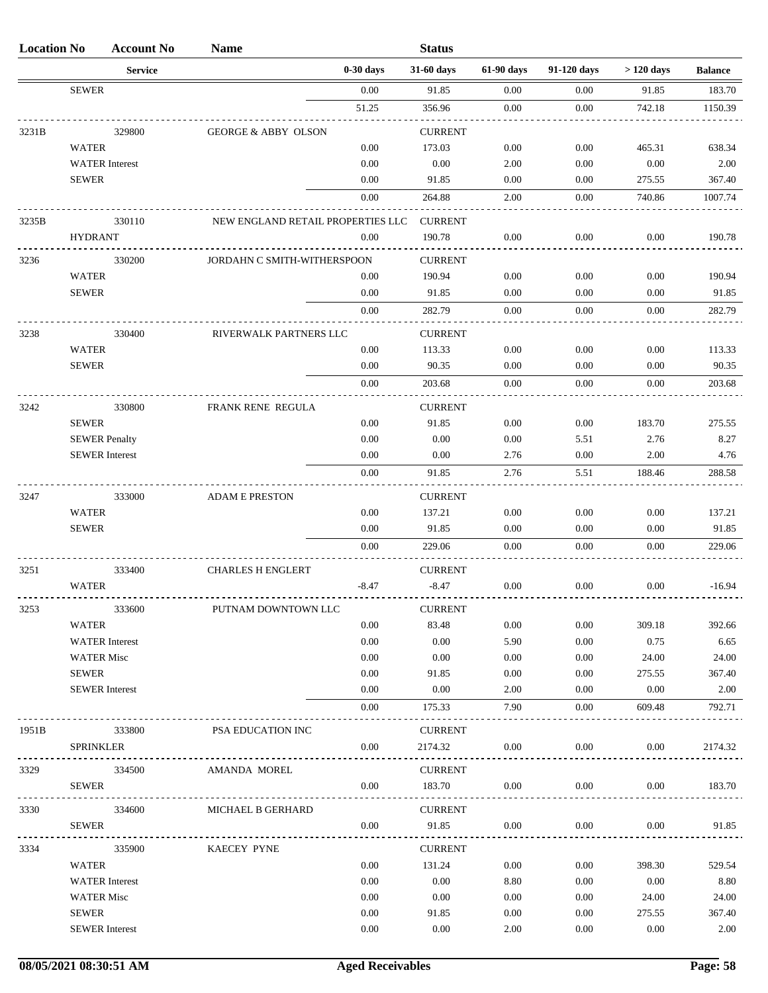| <b>Location No</b> |                   | <b>Account No</b>     | <b>Name</b>                       |             | <b>Status</b>            |            |             |             |                |
|--------------------|-------------------|-----------------------|-----------------------------------|-------------|--------------------------|------------|-------------|-------------|----------------|
|                    |                   | <b>Service</b>        |                                   | $0-30$ days | 31-60 days               | 61-90 days | 91-120 days | $>120$ days | <b>Balance</b> |
|                    | <b>SEWER</b>      |                       |                                   | 0.00        | 91.85                    | 0.00       | 0.00        | 91.85       | 183.70         |
|                    |                   |                       |                                   | 51.25       | 356.96                   | 0.00       | 0.00        | 742.18      | 1150.39        |
| 3231B              |                   | 329800                | <b>GEORGE &amp; ABBY OLSON</b>    |             | <b>CURRENT</b>           |            |             |             |                |
|                    | <b>WATER</b>      |                       |                                   | 0.00        | 173.03                   | 0.00       | 0.00        | 465.31      | 638.34         |
|                    |                   | <b>WATER</b> Interest |                                   | 0.00        | 0.00                     | 2.00       | 0.00        | 0.00        | 2.00           |
|                    | <b>SEWER</b>      |                       |                                   | 0.00        | 91.85                    | 0.00       | 0.00        | 275.55      | 367.40         |
|                    |                   |                       |                                   | 0.00        | 264.88                   | 2.00       | 0.00        | 740.86      | 1007.74        |
| 3235B              |                   | 330110                | NEW ENGLAND RETAIL PROPERTIES LLC |             | <b>CURRENT</b>           |            |             |             |                |
|                    | <b>HYDRANT</b>    |                       |                                   | 0.00        | 190.78                   | 0.00       | 0.00        | 0.00        | 190.78         |
| 3236               |                   | 330200                | JORDAHN C SMITH-WITHERSPOON       |             | <b>CURRENT</b>           |            |             |             |                |
|                    | <b>WATER</b>      |                       |                                   | 0.00        | 190.94                   | 0.00       | 0.00        | 0.00        | 190.94         |
|                    | <b>SEWER</b>      |                       |                                   | 0.00        | 91.85                    | 0.00       | 0.00        | 0.00        | 91.85          |
|                    |                   |                       |                                   | 0.00        | 282.79                   | 0.00       | 0.00        | 0.00        | 282.79         |
| 3238               |                   | 330400                | RIVERWALK PARTNERS LLC            |             | <b>CURRENT</b>           |            |             |             |                |
|                    | <b>WATER</b>      |                       |                                   | 0.00        | 113.33                   | 0.00       | 0.00        | 0.00        | 113.33         |
|                    | <b>SEWER</b>      |                       |                                   | 0.00        | 90.35                    | 0.00       | 0.00        | 0.00        | 90.35          |
|                    |                   |                       |                                   | 0.00        | 203.68                   | 0.00       | 0.00        | 0.00        | 203.68         |
| 3242               |                   | 330800                | FRANK RENE REGULA                 |             | <b>CURRENT</b>           |            |             |             |                |
|                    | <b>SEWER</b>      |                       |                                   | 0.00        | 91.85                    | 0.00       | 0.00        | 183.70      | 275.55         |
|                    |                   | <b>SEWER Penalty</b>  |                                   | 0.00        | 0.00                     | 0.00       | 5.51        | 2.76        | 8.27           |
|                    |                   | <b>SEWER</b> Interest |                                   | 0.00        | 0.00                     | 2.76       | 0.00        | 2.00        | 4.76           |
|                    |                   |                       |                                   | 0.00        | 91.85                    | 2.76       | 5.51        | 188.46      | 288.58         |
| 3247               |                   | 333000                | <b>ADAM E PRESTON</b>             |             | <b>CURRENT</b>           |            |             |             |                |
|                    | <b>WATER</b>      |                       |                                   | 0.00        | 137.21                   | 0.00       | 0.00        | 0.00        | 137.21         |
|                    | <b>SEWER</b>      |                       |                                   | 0.00        | 91.85                    | 0.00       | 0.00        | 0.00        | 91.85          |
|                    |                   |                       |                                   | 0.00        | 229.06                   | 0.00       | 0.00        | 0.00        | 229.06         |
| 3251               |                   | 333400                | <b>CHARLES H ENGLERT</b>          |             | <b>CURRENT</b>           |            |             |             |                |
|                    | <b>WATER</b>      |                       |                                   | $-8.47$     | $-8.47$                  | 0.00       | 0.00        | 0.00        | $-16.94$       |
| 3253               |                   | 333600                | PUTNAM DOWNTOWN LLC               |             | <b>CURRENT</b>           |            |             |             |                |
|                    | WATER             |                       |                                   | 0.00        | 83.48                    | 0.00       | 0.00        | 309.18      | 392.66         |
|                    |                   | <b>WATER</b> Interest |                                   | 0.00        | 0.00                     | 5.90       | 0.00        | 0.75        | 6.65           |
|                    | <b>WATER Misc</b> |                       |                                   | 0.00        | 0.00                     | 0.00       | 0.00        | 24.00       | 24.00          |
|                    | <b>SEWER</b>      |                       |                                   | 0.00        | 91.85                    | $0.00\,$   | 0.00        | 275.55      | 367.40         |
|                    |                   | <b>SEWER</b> Interest |                                   | 0.00        | 0.00                     | 2.00       | 0.00        | 0.00        | 2.00           |
|                    |                   |                       |                                   | 0.00        | 175.33                   | 7.90       | 0.00        | 609.48      | 792.71         |
| 1951B              |                   | 333800                | PSA EDUCATION INC                 |             | <b>CURRENT</b>           |            |             |             |                |
|                    | <b>SPRINKLER</b>  |                       |                                   | $0.00\,$    | 2174.32                  | $0.00\,$   | 0.00        | 0.00        | 2174.32        |
| 3329               |                   | 334500                | AMANDA MOREL                      |             | <b>CURRENT</b>           |            |             |             |                |
|                    | <b>SEWER</b>      |                       |                                   | 0.00        | 183.70                   | $0.00\,$   | 0.00        | 0.00        | 183.70         |
| 3330               |                   | 334600                | MICHAEL B GERHARD                 |             | <b>CURRENT</b>           |            |             |             |                |
|                    | <b>SEWER</b>      |                       |                                   | 0.00        | 91.85                    | 0.00       | 0.00        | 0.00        | 91.85          |
|                    |                   |                       |                                   |             |                          |            |             |             |                |
| 3334               | WATER             | 335900                | KAECEY PYNE                       | 0.00        | <b>CURRENT</b><br>131.24 | $0.00\,$   | $0.00\,$    | 398.30      | 529.54         |
|                    |                   | <b>WATER</b> Interest |                                   | 0.00        | 0.00                     | 8.80       | 0.00        | 0.00        | 8.80           |
|                    | <b>WATER Misc</b> |                       |                                   | 0.00        | 0.00                     | 0.00       | 0.00        | 24.00       | 24.00          |
|                    | <b>SEWER</b>      |                       |                                   | 0.00        | 91.85                    | 0.00       | 0.00        | 275.55      | 367.40         |
|                    |                   | <b>SEWER</b> Interest |                                   | 0.00        | 0.00                     | 2.00       | 0.00        | $0.00\,$    | 2.00           |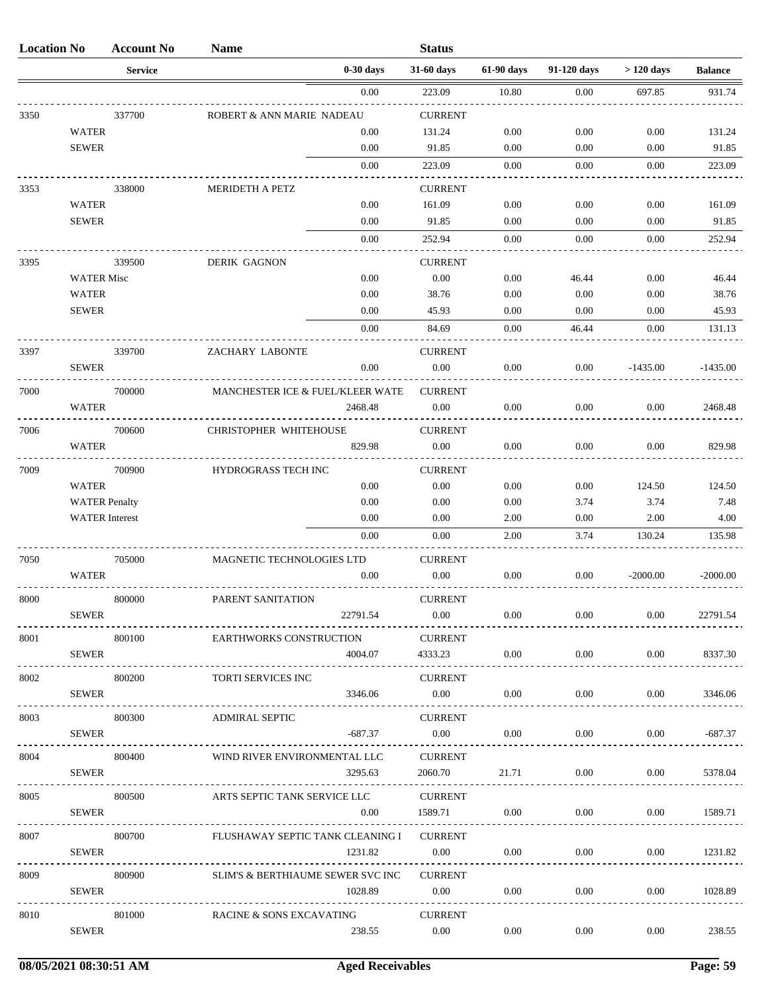| <b>Location No</b> |                       | <b>Account No</b> | <b>Name</b>                       |             | <b>Status</b>              |            |             |             |                |
|--------------------|-----------------------|-------------------|-----------------------------------|-------------|----------------------------|------------|-------------|-------------|----------------|
|                    |                       | <b>Service</b>    |                                   | $0-30$ days | 31-60 days                 | 61-90 days | 91-120 days | $>120$ days | <b>Balance</b> |
|                    |                       |                   |                                   | 0.00        | 223.09                     | 10.80      | 0.00        | 697.85      | 931.74         |
| 3350               |                       | 337700            | ROBERT & ANN MARIE NADEAU         |             | <b>CURRENT</b>             |            |             |             |                |
|                    | <b>WATER</b>          |                   |                                   | 0.00        | 131.24                     | 0.00       | 0.00        | 0.00        | 131.24         |
|                    | <b>SEWER</b>          |                   |                                   | 0.00        | 91.85                      | 0.00       | 0.00        | 0.00        | 91.85          |
|                    |                       |                   |                                   | 0.00        | 223.09                     | 0.00       | 0.00        | 0.00        | 223.09         |
| 3353               |                       | 338000            | MERIDETH A PETZ                   |             | <b>CURRENT</b>             |            |             |             |                |
|                    | <b>WATER</b>          |                   |                                   | 0.00        | 161.09                     | 0.00       | 0.00        | 0.00        | 161.09         |
|                    | <b>SEWER</b>          |                   |                                   | 0.00        | 91.85                      | 0.00       | 0.00        | 0.00        | 91.85          |
|                    |                       |                   |                                   | 0.00        | 252.94                     | 0.00       | 0.00        | 0.00        | 252.94         |
| 3395               |                       | 339500            | <b>DERIK GAGNON</b>               |             | <b>CURRENT</b>             |            |             |             |                |
|                    | <b>WATER Misc</b>     |                   |                                   | 0.00        | 0.00                       | 0.00       | 46.44       | 0.00        | 46.44          |
|                    | <b>WATER</b>          |                   |                                   | 0.00        | 38.76                      | 0.00       | 0.00        | 0.00        | 38.76          |
|                    | <b>SEWER</b>          |                   |                                   | 0.00        | 45.93                      | 0.00       | 0.00        | 0.00        | 45.93          |
|                    |                       |                   |                                   | 0.00        | 84.69                      | 0.00       | 46.44       | 0.00        | 131.13         |
| 3397               |                       | 339700            | ZACHARY LABONTE                   |             | <b>CURRENT</b>             |            |             |             |                |
|                    | <b>SEWER</b>          |                   |                                   | 0.00        | 0.00                       | 0.00       | 0.00        | $-1435.00$  | $-1435.00$     |
| 7000               |                       | 700000            | MANCHESTER ICE & FUEL/KLEER WATE  |             | <b>CURRENT</b>             |            |             |             |                |
|                    | <b>WATER</b>          |                   |                                   | 2468.48     | 0.00                       | 0.00       | 0.00        | 0.00        | 2468.48        |
|                    |                       |                   |                                   |             |                            |            |             |             |                |
| 7006               | <b>WATER</b>          | 700600            | <b>CHRISTOPHER WHITEHOUSE</b>     | 829.98      | <b>CURRENT</b><br>0.00     | 0.00       | 0.00        | 0.00        |                |
|                    |                       |                   |                                   |             |                            |            |             |             | 829.98         |
| 7009               |                       | 700900            | HYDROGRASS TECH INC               |             | <b>CURRENT</b>             |            |             |             |                |
|                    | <b>WATER</b>          |                   |                                   | 0.00        | 0.00                       | 0.00       | 0.00        | 124.50      | 124.50         |
|                    | <b>WATER Penalty</b>  |                   |                                   | 0.00        | 0.00                       | 0.00       | 3.74        | 3.74        | 7.48           |
|                    | <b>WATER</b> Interest |                   |                                   | 0.00        | 0.00                       | 2.00       | 0.00        | 2.00        | 4.00           |
|                    |                       |                   |                                   | 0.00        | 0.00                       | 2.00       | 3.74        | 130.24      | 135.98         |
| 7050               |                       | 705000            | MAGNETIC TECHNOLOGIES LTD         |             | <b>CURRENT</b>             |            |             |             |                |
|                    | <b>WATER</b>          |                   |                                   | 0.00        | 0.00                       | 0.00       | 0.00        | $-2000.00$  | $-2000.00$     |
| 8000               |                       | 800000            | PARENT SANITATION                 |             | <b>CURRENT</b>             |            |             |             |                |
|                    | <b>SEWER</b>          |                   |                                   | 22791.54    | $0.00\,$                   | $0.00\,$   | $0.00\,$    | 0.00        | 22791.54       |
| 8001               |                       | 800100            | <b>EARTHWORKS CONSTRUCTION</b>    |             | <b>CURRENT</b>             |            |             |             |                |
|                    | <b>SEWER</b>          |                   |                                   | 4004.07     | 4333.23                    | $0.00\,$   | $0.00\,$    | 0.00        | 8337.30        |
| 8002               |                       | 800200            | TORTI SERVICES INC                |             | <b>CURRENT</b>             |            |             |             |                |
|                    | <b>SEWER</b>          |                   |                                   | 3346.06     | $0.00\,$                   | $0.00\,$   | $0.00\,$    | 0.00        | 3346.06        |
|                    |                       |                   |                                   |             |                            |            |             |             |                |
| 8003               | <b>SEWER</b>          | 800300            | <b>ADMIRAL SEPTIC</b>             |             | <b>CURRENT</b><br>$0.00\,$ |            |             |             |                |
| .                  |                       |                   |                                   | $-687.37$   |                            | $0.00\,$   | $0.00\,$    | 0.00        | -687.37        |
| 8004               |                       | 800400            | WIND RIVER ENVIRONMENTAL LLC      |             | <b>CURRENT</b>             |            |             |             |                |
|                    | <b>SEWER</b>          |                   |                                   | 3295.63     | 2060.70                    | 21.71      | $0.00\,$    | 0.00        | 5378.04        |
| 8005               |                       | 800500            | ARTS SEPTIC TANK SERVICE LLC      |             | <b>CURRENT</b>             |            |             |             |                |
|                    | <b>SEWER</b>          |                   |                                   | $0.00\,$    | 1589.71                    | $0.00\,$   | $0.00\,$    | $0.00\,$    | 1589.71        |
| 8007               |                       | 800700            | FLUSHAWAY SEPTIC TANK CLEANING I  |             | <b>CURRENT</b>             |            |             |             |                |
|                    | SEWER                 |                   |                                   | 1231.82     | $0.00\,$                   | $0.00\,$   | $0.00\,$    | 0.00        | 1231.82        |
|                    |                       |                   |                                   |             |                            |            |             |             |                |
| 8009               |                       | 800900            | SLIM'S & BERTHIAUME SEWER SVC INC |             | <b>CURRENT</b>             |            |             |             |                |
|                    | <b>SEWER</b>          |                   |                                   | 1028.89     | $0.00\,$                   | 0.00       | $0.00\,$    | 0.00        | 1028.89        |
| 8010               |                       | 801000            | RACINE & SONS EXCAVATING          |             | <b>CURRENT</b>             |            |             |             |                |
|                    | <b>SEWER</b>          |                   |                                   | 238.55      | $0.00\,$                   | $0.00\,$   | $0.00\,$    | $0.00\,$    | 238.55         |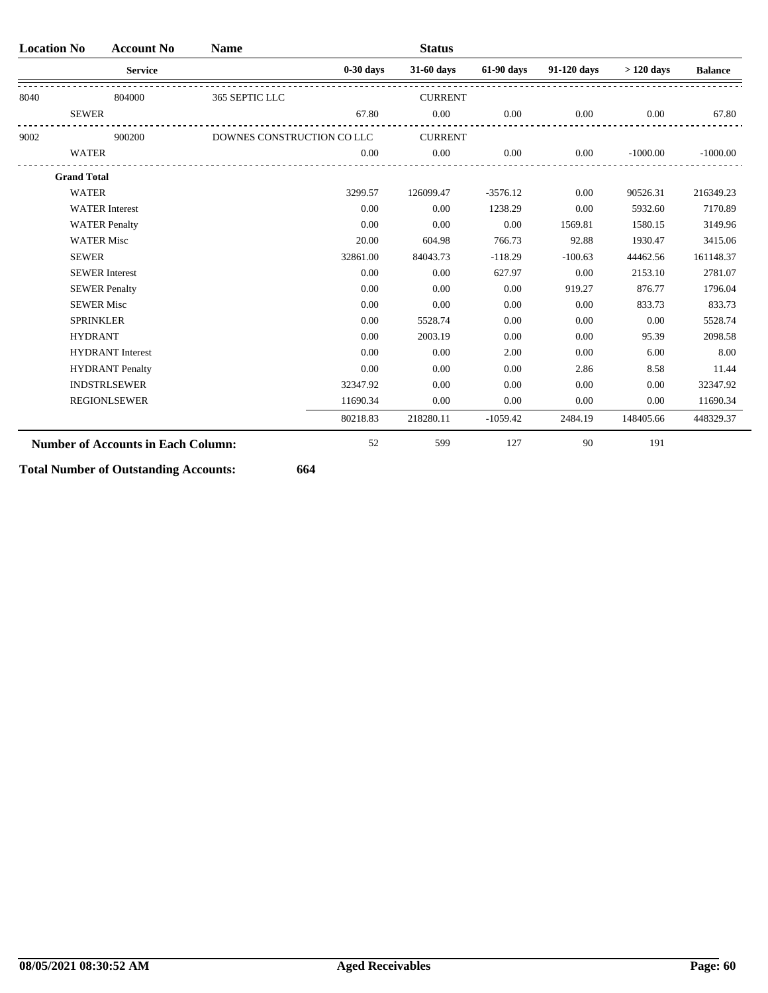| <b>Location No</b> | <b>Account No</b>                         | <b>Name</b>                |             | <b>Status</b>  |            |             |             |                |
|--------------------|-------------------------------------------|----------------------------|-------------|----------------|------------|-------------|-------------|----------------|
|                    | <b>Service</b>                            |                            | $0-30$ days | 31-60 days     | 61-90 days | 91-120 days | $>120$ days | <b>Balance</b> |
| 8040               | 804000                                    | 365 SEPTIC LLC             |             | <b>CURRENT</b> |            |             |             |                |
| <b>SEWER</b>       |                                           |                            | 67.80       | 0.00           | $0.00\,$   | 0.00        | 0.00        | 67.80          |
| 9002               | 900200                                    | DOWNES CONSTRUCTION CO LLC |             | <b>CURRENT</b> |            |             |             |                |
| <b>WATER</b>       |                                           |                            | 0.00        | 0.00           | 0.00       | 0.00        | $-1000.00$  | $-1000.00$     |
| <b>Grand Total</b> |                                           |                            |             |                |            |             |             |                |
| <b>WATER</b>       |                                           |                            | 3299.57     | 126099.47      | $-3576.12$ | 0.00        | 90526.31    | 216349.23      |
|                    | <b>WATER</b> Interest                     |                            | 0.00        | 0.00           | 1238.29    | 0.00        | 5932.60     | 7170.89        |
|                    | <b>WATER Penalty</b>                      |                            | 0.00        | 0.00           | 0.00       | 1569.81     | 1580.15     | 3149.96        |
|                    | <b>WATER Misc</b>                         |                            | 20.00       | 604.98         | 766.73     | 92.88       | 1930.47     | 3415.06        |
| <b>SEWER</b>       |                                           |                            | 32861.00    | 84043.73       | $-118.29$  | $-100.63$   | 44462.56    | 161148.37      |
|                    | <b>SEWER</b> Interest                     |                            | 0.00        | 0.00           | 627.97     | 0.00        | 2153.10     | 2781.07        |
|                    | <b>SEWER Penalty</b>                      |                            | 0.00        | 0.00           | 0.00       | 919.27      | 876.77      | 1796.04        |
|                    | <b>SEWER Misc</b>                         |                            | 0.00        | 0.00           | 0.00       | 0.00        | 833.73      | 833.73         |
|                    | <b>SPRINKLER</b>                          |                            | 0.00        | 5528.74        | 0.00       | 0.00        | 0.00        | 5528.74        |
| <b>HYDRANT</b>     |                                           |                            | 0.00        | 2003.19        | 0.00       | 0.00        | 95.39       | 2098.58        |
|                    | <b>HYDRANT</b> Interest                   |                            | 0.00        | 0.00           | 2.00       | 0.00        | 6.00        | 8.00           |
|                    | <b>HYDRANT</b> Penalty                    |                            | 0.00        | 0.00           | 0.00       | 2.86        | 8.58        | 11.44          |
|                    | <b>INDSTRLSEWER</b>                       |                            | 32347.92    | 0.00           | 0.00       | 0.00        | 0.00        | 32347.92       |
|                    | <b>REGIONLSEWER</b>                       |                            | 11690.34    | 0.00           | 0.00       | 0.00        | 0.00        | 11690.34       |
|                    |                                           |                            | 80218.83    | 218280.11      | $-1059.42$ | 2484.19     | 148405.66   | 448329.37      |
|                    | <b>Number of Accounts in Each Column:</b> |                            | 52          | 599            | 127        | 90          | 191         |                |

**Total Number of Outstanding Accounts: 664**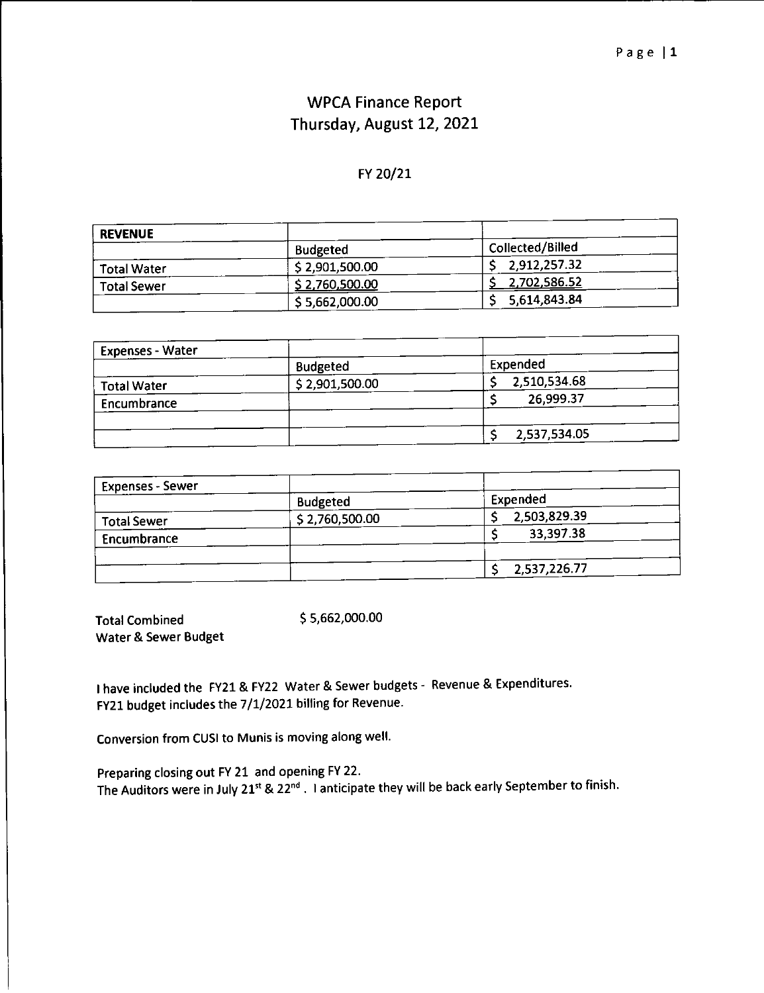#### **WPCA Finance Report** Thursday, August 12, 2021

#### FY 20/21

| <b>REVENUE</b>     |                         |                  |
|--------------------|-------------------------|------------------|
|                    | <b>Budgeted</b>         | Collected/Billed |
| <b>Total Water</b> | \$2,901,500.00          | 2.912,257.32     |
| <b>Total Sewer</b> | \$2,760, <u>500</u> .00 | 2,702,586.52     |
|                    | \$5,662,000.00          | 5,614,843.84     |

| <b>Expenses - Water</b> |                 |              |
|-------------------------|-----------------|--------------|
|                         | <b>Budgeted</b> | Expended     |
| <b>Total Water</b>      | \$2,901,500.00  | 2,510,534.68 |
| Encumbrance             |                 | 26,999.37    |
|                         |                 |              |
|                         |                 | 2,537,534.05 |

| <b>Expenses - Sewer</b> |                 |              |
|-------------------------|-----------------|--------------|
|                         | <b>Budgeted</b> | Expended     |
| <b>Total Sewer</b>      | \$2,760,500.00  | 2,503,829.39 |
| Encumbrance             |                 | 33,397.38    |
|                         |                 |              |
|                         |                 | 2,537,226.77 |

\$5,662,000.00 **Total Combined** Water & Sewer Budget

I have included the FY21 & FY22 Water & Sewer budgets - Revenue & Expenditures. FY21 budget includes the 7/1/2021 billing for Revenue.

Conversion from CUSI to Munis is moving along well.

Preparing closing out FY 21 and opening FY 22. The Auditors were in July 21st & 22nd. I anticipate they will be back early September to finish.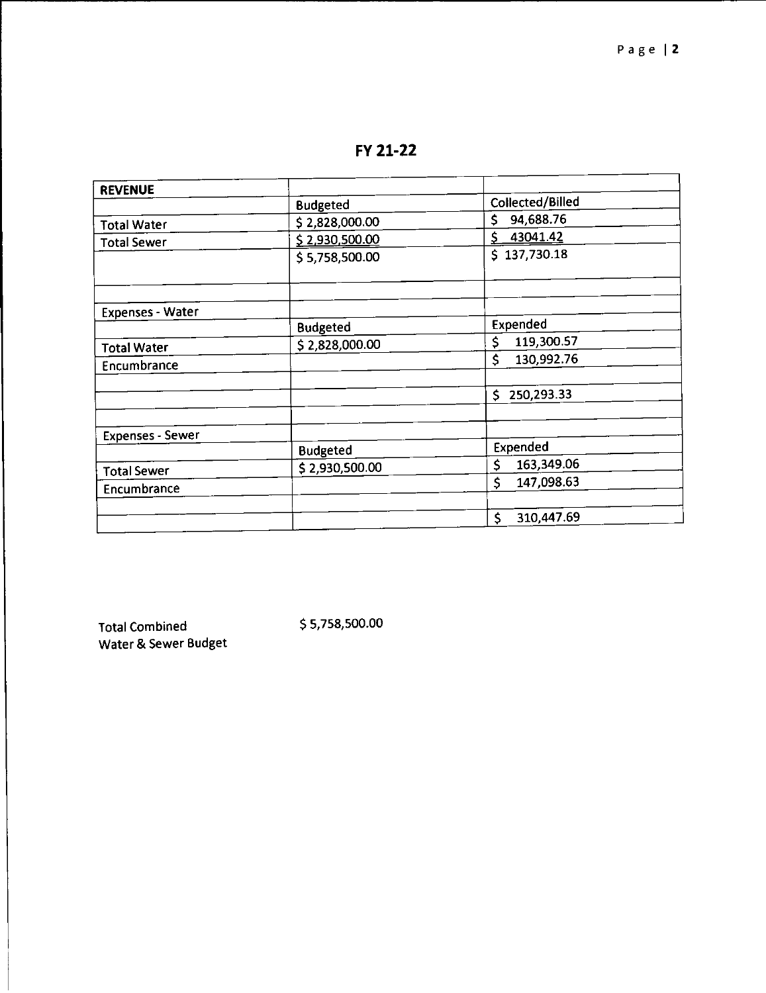FY 21-22

| <b>REVENUE</b>          |                 |                   |
|-------------------------|-----------------|-------------------|
|                         | <b>Budgeted</b> | Collected/Billed  |
| <b>Total Water</b>      | \$2,828,000.00  | \$<br>94,688.76   |
| <b>Total Sewer</b>      | \$2,930,500.00  | 43041.42<br>\$    |
|                         | \$5,758,500.00  | \$137,730.18      |
|                         |                 |                   |
| <b>Expenses - Water</b> |                 |                   |
|                         | <b>Budgeted</b> | Expended          |
| <b>Total Water</b>      | \$2,828,000.00  | 119,300.57<br>\$  |
| Encumbrance             |                 | \$<br>130,992.76  |
|                         |                 | 250,293.33<br>Ś   |
| <b>Expenses - Sewer</b> |                 |                   |
|                         | <b>Budgeted</b> | Expended          |
| <b>Total Sewer</b>      | \$2,930,500.00  | \$<br>163,349.06  |
| Encumbrance             |                 | Ś<br>147,098.63   |
|                         |                 |                   |
|                         |                 | \$.<br>310,447.69 |

**Total Combined** Water & Sewer Budget \$5,758,500.00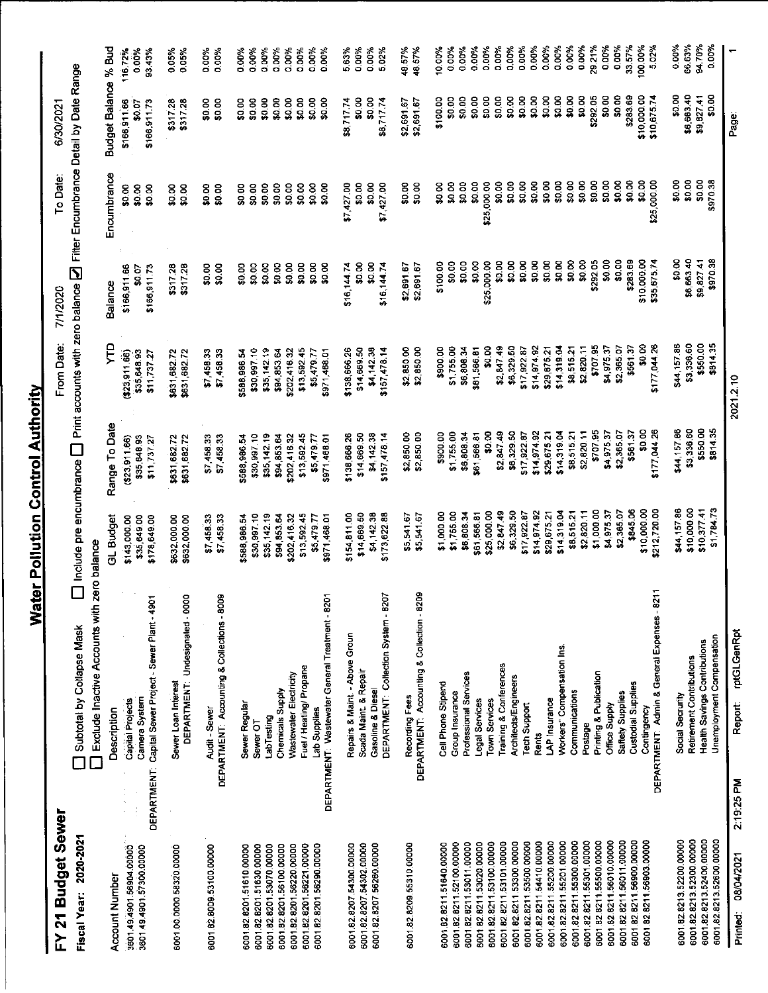#### FY 21 Budget Sewer

 $\square$  Include pre encumbrance  $\square$  Print accounts with zero balance  $\square$  Filter Encumbrance Detail by Date Range 6/30/2021 To Date: From Date: 7/1/2020

| Fiscal Year: 2020-2021                            | Exclude Inactive Accounts with<br>Subtotal by Collapse Mask | zero balance               | $\Box$ Include pre encumbrance $\Box$ Print accounts with zero balance $\Box$ Filter Encumbrance Detail by Date Range |                            |                  |                  |                      |                |
|---------------------------------------------------|-------------------------------------------------------------|----------------------------|-----------------------------------------------------------------------------------------------------------------------|----------------------------|------------------|------------------|----------------------|----------------|
| <b>Account Number</b>                             | Description                                                 | GL Budget                  | Range To Date                                                                                                         | Ę                          | Balance          | Encumbrance      | Budget Balance % Bud |                |
| 3601.49.4901.56904.00000                          | <b>Capital Projects</b><br>$\frac{1}{2}$                    | \$143,000.00               | (623, 911.66)                                                                                                         | (323.911.66)               | \$166,911.66     | \$0.00           | \$166,911.66         | 116.72%        |
| 3601.49.4901.57300.00000                          | Camera System<br>$\frac{1}{2}$                              | \$35,649.00                | \$35,648.93                                                                                                           | \$35,648.93                | \$0.07           | \$0.00           | \$0.07               | 0.00%          |
|                                                   | DEPARTMENT: Capital Sewer Project - Sewer Plant - 4901      | \$178,649.00               | \$11,737.2                                                                                                            | \$11,737.27                | \$166,911.73     | \$0.00           | \$166,911.73         | 93.43%         |
| 6001.00.0000.58320.00000                          | Sewer Loan Interest                                         | \$632,000.00               | \$631,682.72                                                                                                          | \$631,682.72               | \$317.28         | \$0.00           | \$317.28             | 0.05%          |
|                                                   | 8<br>DEPARTMENT: Undesignated - 00                          | \$632,000.00               | \$631,682.72                                                                                                          | \$631,682.72               | \$317.28         | \$0.00           | \$317.28             | 0.05%          |
| 6001.82.8009.53100.00000                          | Audit - Sewer                                               | \$7,458.33                 | \$7,458.33                                                                                                            | \$7,458.33                 | \$0.00           | \$0.00           | \$0.00               | 0.00%          |
|                                                   | DEPARTMENT: Accounting & Collections - 8009                 | \$7,458.33                 | \$7,458.33                                                                                                            | \$7,458.33                 | \$0.00           | \$0.00           | \$0.00               | 0.00%          |
| 6001 82 8201 51610 00000                          | Sewer Regular                                               | \$588,986.54               | \$588,986.54                                                                                                          | \$588,986.54               | \$0.00           | \$0.00           | \$0.00               | 0.00%          |
| 6001.82.8201.51630.00000                          | Sewer OT                                                    | \$30,997.10                | \$30,997.10                                                                                                           | \$30,997.10                | \$0.00           | \$0.00           | \$0.00               | 0.00%          |
| 6001.82.8201.53070.00000                          | LabTesting                                                  | \$35,142 19                | \$35,142.19                                                                                                           | \$35,142.19                | \$0.00           | \$0.00           | \$0.00               | 0.00%          |
| 6001.82.8201.56100.00000                          | Chemicals Supply                                            | \$94,853.64                | \$94,853.64                                                                                                           | \$94,853.64                | \$0.00           | \$0.00           | \$0.00               | 0.00%          |
| 6001.82.8201.56220.00000                          | Wastewater Electricity                                      | \$202,41632                | \$202,416.32                                                                                                          | \$202,416.32               | \$0.00           | \$0.00           | \$0.00               | 0.00%          |
| 6001.82.8201.56221.00000                          | Fuel / Heating/ Propane                                     | \$13,592.45                | \$13,592.45                                                                                                           | \$13,592.45                | \$0.00           | \$0.00           | \$0.00               | 0.00%          |
| 6001.82.8201.56290.00000                          | Lab Supplies                                                | \$5,479.77<br>\$971,468.01 | \$5,479.77<br>\$971,468.01                                                                                            | \$971,458.01<br>\$5,479.77 | \$0.00<br>\$0.00 | \$0.00<br>\$0.00 | \$0.00<br>\$0.00     | 0.00%<br>0.00% |
|                                                   | DEPARTMENT: Wastewater General Treatment - 8201             |                            |                                                                                                                       |                            |                  |                  |                      |                |
| 6001.82.8207.54300.00000                          | Repairs & Maint. - Above Groun                              | \$154,811.00               | \$138,666.26                                                                                                          | \$138,666 26               | \$16 144.74      | \$7,427.00       | \$8,717.74           | 563%           |
| 6001.82.8207.54302.00000                          | Scada Maint. & Repair                                       | \$14,669.50                | \$14,669.50                                                                                                           | \$14,669.50                | \$0.00           | \$0.00           | \$0.00               | 0.00%          |
| 6001.82.8207.56260.00000                          | Gasoline & Diesel                                           | \$4,142.38                 | \$4,142.38                                                                                                            | \$4,142.38                 | \$0.00           | \$0.00           | \$0.00               | 0.00%          |
|                                                   | DEPARTMENT: Collection System - 8207                        | \$173,622.88               | \$157,478.14                                                                                                          | $$157,478$ 14              | \$16,144.74      | \$7,427.00       | \$8,717.74           | 5.02%          |
| 6001.82.8209.55310.00000                          | Recording Fees                                              | \$5,541.67                 | \$2,850.00                                                                                                            | \$2,850.00                 | \$2,691.67       | \$0.00           | \$2,591.67           | 48.57%         |
|                                                   | DEPARTMENT: Accounting & Collection - 8209                  | \$5,541.67                 | \$2,850.00                                                                                                            | \$2,850.00                 | \$2,691.67       | \$0.00           | \$2,691.67           | 48.57%         |
| 6001.82.8211.51640.00000                          | Cell Phone Stipend                                          | \$1,000.00                 | \$900.00                                                                                                              | \$900.00                   | \$100.00         | \$0.00           | \$100.00             | 10.00%         |
| 6001.82.8211.52100.00000                          | Group Insurance                                             | \$1,755.00                 | \$1,755.00                                                                                                            | \$1,755.00                 | \$0.00           | \$0.00           | \$0.00               | 0.00%          |
| 6001.82.8211.53011.00000                          | Professional Services                                       | \$6,808.34                 | \$6,808.34                                                                                                            | \$6,808.34                 | \$0.00           | \$0.00           | \$0.00               | 0.00%          |
| 6001 82 8211 53020.00000                          | Legal Services                                              | \$61,566.81                | \$61,566.81                                                                                                           | \$61,566.81                | \$0.00           | \$0.00           | \$0.00               | 0.00%          |
| 6001.82.8211.53100.00000                          | Town Services                                               | \$25,000.00                | \$0.00                                                                                                                | \$0.00                     | \$25,000.00      | \$25,000.00      | \$0.00               | 0.00%          |
| 6001 82 8211 53101 00000                          | Training & Conferences                                      | \$2,847.49                 | \$2,847.49                                                                                                            | \$2,847.49                 | \$0.00           | \$0.00           | \$0.00               | 0.00%          |
| 600182821153300.00000                             | Architects/Engineers                                        | \$6,329.50                 | \$6,329.50                                                                                                            | \$6,329.50                 | \$0.00           | \$0.00           | \$0.00               | 0.00%<br>0.00% |
| 600182821153500.00000                             | <b>Tech Support</b>                                         | \$17,922.87                | \$17,922.87                                                                                                           | \$17,922.87                | \$0.00           | \$0.00<br>\$0.00 | \$0.00<br>\$0.00     | 0.00%          |
| 6001 82 8211 54410.00000                          | <b>Rents</b>                                                | \$14,974.92                | \$14,974.92                                                                                                           | \$14,974.92<br>\$29,675.2  | \$0.00<br>\$0.00 | 50.08            | \$0.00               | 0.00%          |
| 6001 82 8211 55200 00000                          | LAP Insurance                                               | \$14.319.04<br>\$29,675.21 | \$14.319.04<br>\$29 675.21                                                                                            | \$14,319.04                | \$0.00           | \$0.00           | \$0.00               | 0.00%          |
| 6001 82 8211 55201 00000                          | Workers" Compensation Ins.<br>Communications                | \$8,515.21                 | \$8.515.21                                                                                                            | \$8,515.21                 | \$0.00           | \$0.00           | \$0.00               | 0.00%          |
| 6001.82.8211.55301.00000<br>600182821155300.00000 | Postage                                                     | \$2,820.11                 | \$2820.11                                                                                                             | \$2,820.11                 | \$0.00           | \$0.00           | \$0.00               | 0.00%          |
| 6001.82.8211.55500.00000                          | Printing & Publication                                      | \$1,000.00                 | \$707.95                                                                                                              | \$70795                    | \$292.05         | \$0.00           | \$292.05             | 29.21%         |
| 6001.82.8211.56010.00000                          | Office Supply                                               | \$4,975.37                 | \$497537                                                                                                              | \$4,975.37                 | \$0.00           | \$0.00           | \$0.00               | 0.00%          |
| 6001.82.8211.56011.00000                          | Saftety Supplies                                            | \$2,365.07                 | \$2 365.07                                                                                                            | \$2,365.07                 | \$0.00           | \$0.00           | \$0.00               | 0.00%          |
| 6001.82.8211.56900.00000                          | Custodial Supplies                                          | \$845.06                   | \$561.37                                                                                                              | \$561.37                   | \$283.69         | \$0.00           | \$283.69             | 33.57%         |
| 6001.82.8211.56903.00000                          | Contingency                                                 | \$10,000.00                | 80.00                                                                                                                 | \$0.00                     | \$10,000.00      | \$0.00           | \$10,000.00          | 100.00%        |
|                                                   | DEPARTMENT: Admin & General Expenses - 8211                 | \$212,720.00               | \$177.044.26                                                                                                          | \$177,044.26               | \$35,675.74      | \$25,000.00      | \$10 675 74          | 5.02%          |
| 6001 82.8213.52200.00000                          | Social Secruity                                             | \$44,157.86                | \$44,157.86                                                                                                           | \$44,157.86                | \$0.00           | \$0.00           | \$0.00               | 0.00%          |
| 6001.82.8213.52300.00000                          | Retirement Contributions                                    | \$10,000.00                | \$3,336.60                                                                                                            | \$3,336.60                 | \$6,663.40       | \$0.00           | \$6,683.40           | 66.63%         |
| 6001.82.8213.52400.00000                          | <b>Health Savings Contributions</b>                         | \$10,377.41                | \$550.00                                                                                                              | \$550.00                   | \$9,827.41       | \$0.00           | \$9,827.41<br>\$0.00 | 94.70%         |
| 6001.82.8213.52600.00000                          | Unemployment Compensation                                   | \$1,784.73                 | \$814.35                                                                                                              | \$814.35                   | \$970.38         | \$970.38         |                      | 0.00%          |
| 08/04/2021<br>Printed:                            | rptGLGenRpt<br>Report<br>2:19:25 PM                         |                            |                                                                                                                       | 2021.2.10                  |                  |                  | Page:                |                |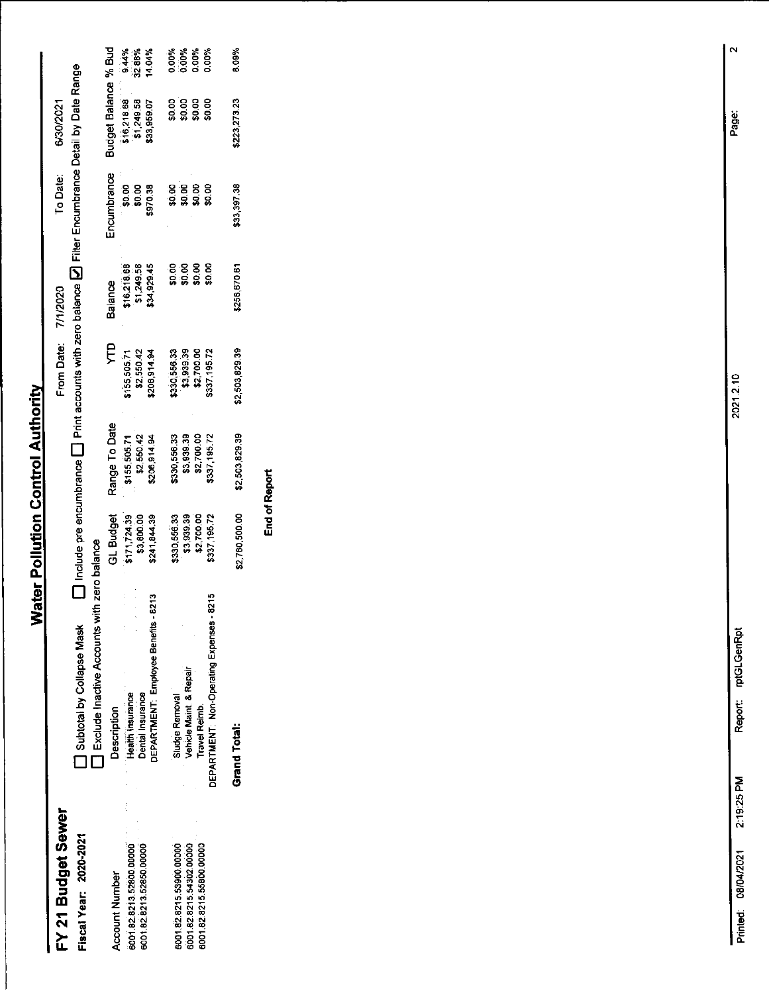6/30/2021

To Date:

From Date: 7/1/2020

#### FY 21 Budget Sewer

Fiscal Year: 2020-2021

Account Number

 $\Box$  Include pre encumbrance  $\Box$  Print accounts with zero balance  $\Box$  Filter Encumbrance Detail by Date Range a Subtotal by Collapse Mask<br>
The Exclude Inactive Accounts with zero balance

| <b>Description</b>                               |                                                         | Range To Date<br>\$155,505,71<br>\$2,550,42<br>\$206,914.94 | Ĕ                                                       | Balance<br>\$16,218,68<br>\$1,249.58<br>\$34,929.45 | Encumbrance<br>\$0.00<br>\$0.00<br>\$970.38 | Budget Balance % Bud<br>\$16,218.88 94%<br>\$1,249.58 32.88%<br>\$33,959.07 14.04% |                                 |
|--------------------------------------------------|---------------------------------------------------------|-------------------------------------------------------------|---------------------------------------------------------|-----------------------------------------------------|---------------------------------------------|------------------------------------------------------------------------------------|---------------------------------|
| Health Insurance                                 |                                                         |                                                             |                                                         |                                                     |                                             |                                                                                    | 9.44%<br>32.88%<br>14.04%       |
| Dental Insurance                                 |                                                         |                                                             |                                                         |                                                     |                                             |                                                                                    |                                 |
| DEPARTMENT: Employee Benefits - 8213             | GL Budget<br>\$171,724.39<br>\$3,800.00<br>\$241,844.39 |                                                             | \$155,505.71<br>\$2,550.42<br>\$206,914.94              |                                                     |                                             |                                                                                    |                                 |
| Sludge Removal                                   |                                                         |                                                             |                                                         |                                                     | 8<br>8888<br>888                            |                                                                                    | ಕ್ಷ್ಮಿ<br>ಸಂಸ್ಥೆ<br>ಸಂಸ್ಥೆಯಲ್ಲಿ |
| Vehicle Maint. & Repair                          |                                                         |                                                             | ,330,556.33<br>\$3,939.39<br>\$2,700.00<br>\$337,195.72 | ខ ខ ខ ខ<br>ធំនួន និ                                 |                                             | ខ្លួនខ្លួន<br>ធ្លូធ្លូន្លូ                                                         |                                 |
| <b>Travel Reimb.</b>                             |                                                         |                                                             |                                                         |                                                     |                                             |                                                                                    |                                 |
| <b>DEPARTMENT: Non-Operating Expenses - 8215</b> | 5330,556.33<br>\$3,939.39<br>\$2,700.00<br>\$337,195.72 | 6330,556.33<br>\$3,939.39<br>\$2,700.00<br>\$337,195.72     |                                                         |                                                     |                                             |                                                                                    |                                 |
|                                                  |                                                         |                                                             |                                                         |                                                     |                                             |                                                                                    |                                 |
| Grand Total:                                     | \$2,760,500.00                                          | \$2,503,829.39                                              | \$2,503,829.39                                          | 256,670.61                                          | \$33,397.38                                 | 6223,273.23                                                                        | 3.09%                           |

**End of Report** 

 $\mathbf{\tilde{N}}$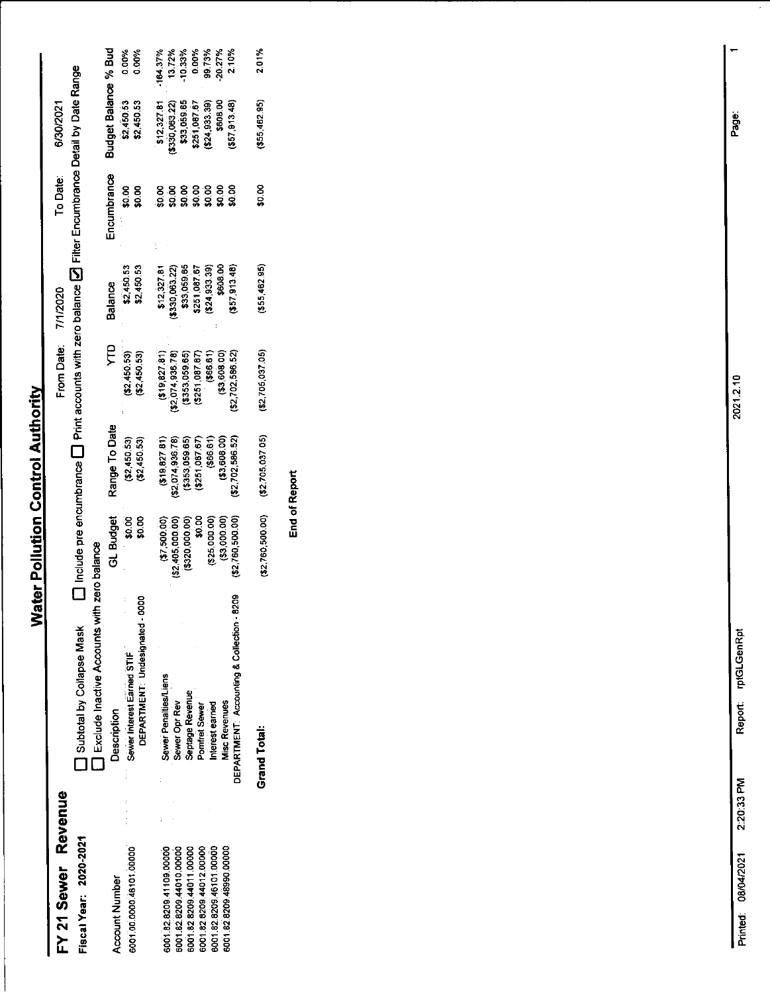#### FY 21 Sewer Revenue Fiscal Year: 2020-2021

 $\Box$  Include pre encumbrance  $\Box$  Print accounts with zero balance  $\Box$  Filter Encumbrance Detail by Date Range From Date: 7/1/2020 **Controlary Collapse Mask** 

6/30/2021

To Date:

|                                                                                                                                                                     | Exclude Inactive Accounts with zero balance                                                                                                                         |                                                                                                               |                                                                                                                 |                                                                                                                         |                                                                                                        |                                         |                                                                                                         |                                                                            |
|---------------------------------------------------------------------------------------------------------------------------------------------------------------------|---------------------------------------------------------------------------------------------------------------------------------------------------------------------|---------------------------------------------------------------------------------------------------------------|-----------------------------------------------------------------------------------------------------------------|-------------------------------------------------------------------------------------------------------------------------|--------------------------------------------------------------------------------------------------------|-----------------------------------------|---------------------------------------------------------------------------------------------------------|----------------------------------------------------------------------------|
| <b>Account Number</b>                                                                                                                                               | Description                                                                                                                                                         | GL Budget                                                                                                     | Range To Date                                                                                                   | Ê                                                                                                                       | <b>Balance</b>                                                                                         | Encumbrance                             | Budget Balance % Bud                                                                                    |                                                                            |
| 6001.00.0000.46101.0000                                                                                                                                             | 88<br>DEPARTMENT: Undesignated-1<br>Sewer Interest Earned STIF                                                                                                      | \$0.00<br>\$0.00                                                                                              | (52,450.53)<br>(52, 450, 53)                                                                                    | (52, 450.53)<br>\$2450.53)                                                                                              | \$2,450.53<br>\$2,450.53                                                                               | \$0.00<br>$\frac{8}{9}$                 | \$2,450.53<br>\$2,450.53                                                                                | 0.00%<br>0.00%                                                             |
| 6001.82.8209.46101.00000<br>6001.82.8209.44012.00000<br>6001.82.8209.48990.0000<br>6001.82.8209.41109.00000<br>6001.82.8209.44010.00000<br>6001.82.8209.44011.00000 | DEPARTMENT: Accounting & Collection - 8209<br>Sewer Penalties/Liens<br>Septage Revenue<br>Sewer Opr Rev<br><b>Misc Revenues</b><br>Interest earned<br>Pomfret Sewer | (53,000.00)<br>(52,760,500.00)<br>\$0.00<br>(525,000.00)<br>(62,405,000.00)<br>(3320,000.00)<br>(200.005, 18) | (33,608,00)<br>\$2,702,586.52)<br>2,074,936.78)<br>(3353,059.65)<br>(5251, 087.57)<br>(366.61)<br>(519, 827.81) | \$2,074 936.78)<br>(63, 608.00)<br>(23.53, 059.65)<br>(366.61)<br>(\$2,702,586.52)<br>(5251087.67)<br>(18, 19, 827, 81) | \$608.00<br>\$33,059.65<br>\$12,327.81<br>\$24,933.39<br>\$57,913.48)<br>\$330,063.22)<br>\$251,087.67 | ខុខខុខខុខខុ<br>ធ្នូ ធ្នូ ធ្នូ ធ្នូ ធ្នូ | \$12,327.81<br>\$330,063.22)<br>\$33,059.65<br>\$608.00<br>\$24,933.39)<br>\$57,913.48)<br>\$251,087.67 | $-164.37%$<br>13.72%<br>$-10.33%$<br>0.00%<br>99.73%<br>$-20.27%$<br>2.10% |
|                                                                                                                                                                     | <b>Grand Total:</b>                                                                                                                                                 | (52, 760, 500, 00)                                                                                            | (32,705,037.05)                                                                                                 | (42, 705, 037, 05)                                                                                                      | (355, 462.95)                                                                                          | \$0.00                                  | \$55,462.95)                                                                                            | 201%                                                                       |

**End of Report** 

 $\overline{r}$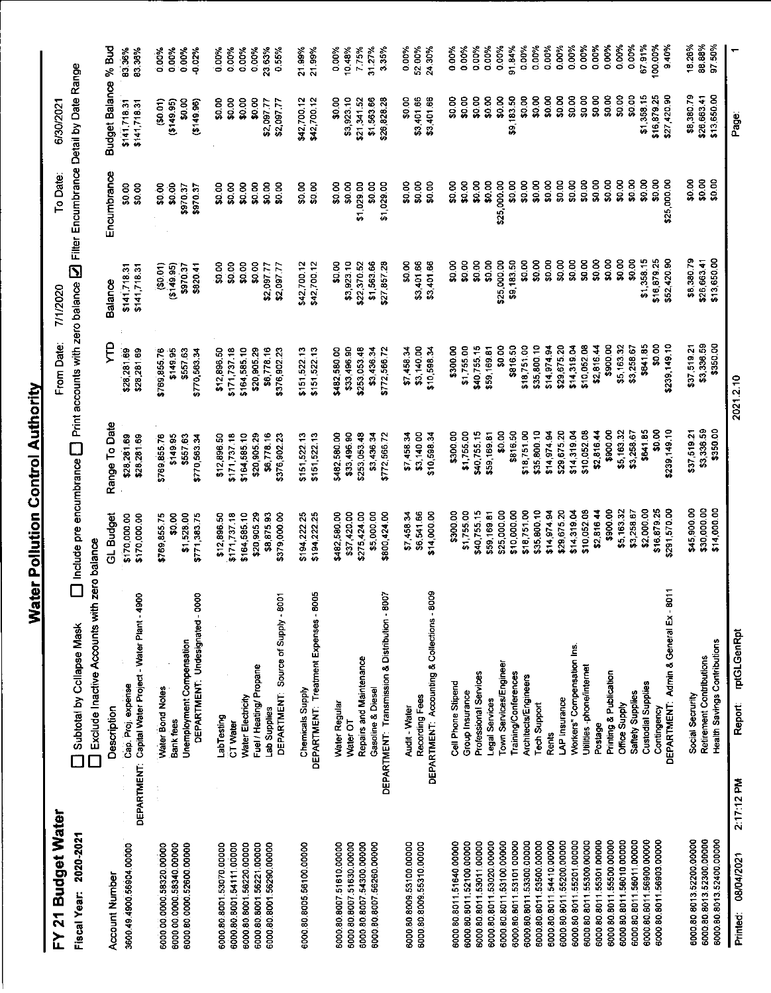### FY 21 Budget Water

 $\Box$  Include pre encumbrance  $\Box$  Print accounts with zero balance  $\Box$  Filter Encumbrance Detail by Date Range 6/30/2021 To Date: From Date: 7/1/2020 Subtotal by Collapse Mask

| Fiscal Year: 2020-2021   | Subtotal by Collapse Mask                              |                | Include pre encumbrance $\Box$ Print accounts with zero balance $\Box$ Filter Encumbrance Detail by Date Range |                 |                |             |                      |          |
|--------------------------|--------------------------------------------------------|----------------|----------------------------------------------------------------------------------------------------------------|-----------------|----------------|-------------|----------------------|----------|
|                          | Exclude Inactive Accounts with                         | h zero balance |                                                                                                                |                 |                |             |                      |          |
| Account Number           | Description                                            | GL Budget      | Range To Date                                                                                                  | ę               | <b>Balance</b> | Encumbrance | Budget Balance % Bud |          |
| 3600.49.4900.56904.00000 | Cap. Proj. expense                                     | \$170,000.00   | \$28,281.69                                                                                                    | \$28,281.69     | \$141,718.31   | \$0.00      | \$141,718.31         | 83.36%   |
|                          | DEPARTMENT: Capital Water Project - Water Plant - 4900 | \$170,000.00   | \$28,281.69                                                                                                    | \$28,281.69     | \$141,718.31   | \$0.00      | \$141,718.31         | 83.36%   |
| 6000.00.0000.58320.00000 | Water Bond Notes                                       | \$769,855.75   | \$769,855.76                                                                                                   | \$769,855.76    | (50.01)        | \$0.00      | (50.01)              | 0.00%    |
| 6000.00.0000.58340.00000 | Bank rees                                              | \$0.00         | \$149.95                                                                                                       | \$149.95        | (3149.95)      | \$0.00      | (3149.95)            | 0.00%    |
| 6000.80.0000.52600.00000 | Unemployment Compensation                              | \$1,528.00     | \$557.63                                                                                                       | \$557.63        | \$970.37       | \$970.37    | ន្ល                  | 0.00%    |
|                          | DEPARTMENT: Undesignated - 0000                        | \$771,383.75   | \$770,563.34                                                                                                   | \$770,563.34    | \$820.41       | \$970.37    | (36.96)              | $-0.02%$ |
| 6000.80.8001.53070.00000 | LabTesting                                             | \$12,896.50    | \$12,896.50                                                                                                    | \$12,896.50     | \$0.00         | \$0.00      | \$0.00               | 0.00%    |
| 6000.80.8001.54111.00000 | CT Water                                               | \$171,737.18   | \$171,737.18                                                                                                   | \$171,737.18    | \$0.00         | \$0.00      | \$0.00               | 0.00%    |
| 6000.80.8001.56220.00000 | Water Electricity                                      | \$164,585.10   | \$164,585.10                                                                                                   | \$164,585.10    | \$0.00         | \$0.00      | \$0.00               | 0.00%    |
| 6000.80.8001.56221.00000 | Fuel / Heating/ Propane                                | \$20,905.29    | \$20,905.29                                                                                                    | \$20,905.29     | \$0.00         | \$0.00      | \$0.00               | 0.00%    |
| 6000.80.8001.56290.00000 | Lab Supplies                                           | \$8,875.93     | \$6,778.16                                                                                                     | \$6,778.16      | \$2,097.77     | \$0.00      | \$2,097.77           | 23.63%   |
|                          | DEPARTMENT: Source of Supply - 8001                    | \$379,000.00   | \$376,902.23                                                                                                   | \$376,902.23    | \$2,097.77     | \$0.00      | \$2,097.77           | 0.55%    |
| 6000.80.8005.56100.00000 | Chemicals Supply                                       | \$194 222 25   | \$151,522.13                                                                                                   | \$151,522.13    | \$42,700 12    | \$0.00      | \$42,700.12          | 21.99%   |
|                          | DEPARTMENT: Treatment Expenses - 8005                  | \$194,222.25   | \$151,522.13                                                                                                   | \$151,522.13    | \$42,700 12    | \$0.00      | \$42,700.12          | 21.99%   |
|                          |                                                        |                |                                                                                                                |                 |                |             |                      |          |
| 6000.80.8007.51610.00000 | Water Regular                                          | \$482,580.00   | \$482,580.00                                                                                                   | \$482,580.00    | \$0.00         | \$0.00      | \$0.00               | 0.00%    |
| 6000.80.8007.51630.00000 | Water OT                                               | \$37,420.00    | \$33,496.90                                                                                                    | \$33,496.90     | \$3,923.10     | \$0.00      | \$3,923.10           | 10.48%   |
| 6000.80.8007.54300.00000 | Repairs and Maintenance                                | \$275,424.00   | \$253,053.48                                                                                                   | \$253,053.48    | \$22,370 52    | \$1,029.00  | \$21341.52           | 775%     |
| 6000.80.8007.56260.00000 | Gasoline & Diesel                                      | \$5,000.00     | \$3,436.34                                                                                                     | \$3,436.34      | \$1,563.66     | \$0.00      | \$1563.66            | 3127%    |
|                          | DEPARTMENT: Transmission & Distribution - 8007         | \$800,424.00   | \$772,566.72                                                                                                   | \$772,566.72    | \$27,857.28    | \$1,029.00  | \$26 828.28          | 3.35%    |
| 6000.80.8009.53100.00000 | Audit - Water                                          | \$7458.34      | \$7,458.34                                                                                                     | \$7,458.34      | SO 00          | \$0.00      | \$0.00               | 0.00%    |
| 6000.80.8009.55310.00000 | Recording Fees                                         | \$6,541.66     | \$3,140.00                                                                                                     | \$3,140.00      | \$3,401.66     | \$0.00      | \$3,401.66           | 52.00%   |
|                          | DEPARTMENT: Accounting & Collections - 8009            | \$14,000.00    | \$10,598.3                                                                                                     | \$10,598.34     | \$3,401.66     | 50.OC       | \$3,401.66           | 24.30%   |
| 6000 80.8011.51640.00000 | Cell Phone Stipend                                     | \$300.00       | \$300.00                                                                                                       | \$300.00        | \$0.00         | \$0.00      | \$0.00               | 0.00%    |
| 6000.80.8011.52100.00000 | Group Insurance                                        | \$1,755.00     | \$1,755.00                                                                                                     | \$1,755.00      | \$0.00         | \$0.00      | \$0.00               | 0.00%    |
| 6000.80.8011.53011.00000 | Professional Services                                  | \$40,755.15    | \$40,755.15                                                                                                    | \$40,755.15     | \$0.00         | \$0.00      | \$0.00               | 0.00%    |
| 6000.80.8011.53020.00000 | Legal Services                                         | \$59,169.81    | \$59,169.81                                                                                                    | \$59,169.81     | \$0.00         | \$0.00      | \$0.00               | 0.00%    |
| 6000.80.8011.53100.00000 | Town Services/Engineer                                 | \$25,000.00    | \$0.00                                                                                                         | \$0.00          | \$25,000.00    | \$25,000.00 | \$0.00               | 0.00%    |
| 6000 80.8011.53101.00000 | Training/Conterences                                   | \$10,000.00    | \$816.50                                                                                                       | \$816.50        | \$9,183.50     | \$0.00      | \$9,183.50           | 91.84%   |
| 6000 80 8011 53300 00000 | Architects/Engineers                                   | \$18,751.00    | \$18,751.00                                                                                                    | \$18,751.00     | \$0.00         | \$0.00      | \$0.00               | 0.00%    |
| 6000 80 8011 53500 00000 | <b>Tech Support</b>                                    | \$35,800.10    | \$35,800.10                                                                                                    | \$35,800.10     | \$0.00         | \$0.00      | \$0.00               | 0.00%    |
| 6000 80.8011.54410.00000 | <b>Rents</b>                                           | \$14,974.94    | \$14,974.94                                                                                                    | \$14,974.94     | \$0.00         | \$0.00      | \$0.00               | 0.00%    |
| 6000 80 8011 55200.00000 | LAP Insurance                                          | \$29,675.20    | \$29,675.20                                                                                                    | \$29,675.20     | \$0.00         | \$0.00      | \$0.00               | 0.00%    |
| 6000 80 8011 55201 00000 | Workers" Compensation Ins.                             | \$14,319.04    | \$14,319.04                                                                                                    | \$14319.04      | \$0.00         | \$0.00      | \$0.00               | 0.00%    |
| 6000 80 8011 55300 00000 | Utilities -phone/internet                              | \$10,052.08    | \$10,052.08                                                                                                    | \$10 052.08     | \$0.00         | \$0.00      | \$0.00               | 0.00%    |
| 6000 80.8011 55301 00000 | Postage                                                | \$2,81644      | \$2,81644                                                                                                      | \$2816.44       | \$0.00         | \$0.00      | \$0.00               | 0.00%    |
| 6000 80 8011 55500.00000 | Printing & Publication                                 | \$900.00       | \$900.00                                                                                                       | \$900.00        | \$0.00         | \$0.00      | \$0.00               | 0.00%    |
| 6000.80.8011.56010.00000 | Office Supply                                          | \$5,16332      | \$5,16332                                                                                                      | \$5 163.32      | \$0.00         | \$0.00      | \$0.00               | 0.00%    |
| 6000.80.8011.56011.00000 | Saftety Supplies                                       | \$3,258.67     | \$3,258.67                                                                                                     | \$3 258.67      | \$0.00         | \$0.00      | \$0.00               | 0.00%    |
| 6000.80.8011.56900.00000 | Custodial Supplies                                     | \$2,000.00     | \$64185                                                                                                        | \$641.85        | \$1,358.15     | \$0.00      | \$1,358.15           | 67.91%   |
| 6000.80.8011.56903.0000  | Contingency                                            | \$16,879.25    | \$0.00                                                                                                         | $\frac{80}{20}$ | \$16,879.25    | \$0.00      | \$16,879.25          | 100.00%  |
|                          | 8011<br>DEPARTMENT: Admin & General Ex-                | \$291,570.00   | \$239,149.10                                                                                                   | \$239,149.10    | \$52,420.90    | \$25,000.00 | \$27,420.90          | 9.40%    |
| 6000.80.8013.52200.00000 | Social Secrurity                                       | \$45,900.00    | \$37,519.21                                                                                                    | \$37,519.21     | \$8,38079      | \$0.00      | \$8,380.79           | 18.26%   |
| 6000.80.8013.52300.00000 | Retirement Contributions                               | \$30,000.00    | \$3,336.59                                                                                                     | \$3,336.59      | \$26,663.41    | \$0.00      | \$26,663.41          | 88.88%   |
| 6000.80.8013.52400.00000 | Health Savings Contributions                           | \$14,000.00    | \$350.00                                                                                                       | \$350.00        | \$13,650.00    | \$0.00      | \$13,650.00          | 97.50%   |
|                          |                                                        |                |                                                                                                                |                 |                |             |                      |          |

Page:

2021.2.10

Report: rptGLGenRpt

 $2:17:12 P M$ 

6000.80.8013.52400.00000 Printed: 08/04/2021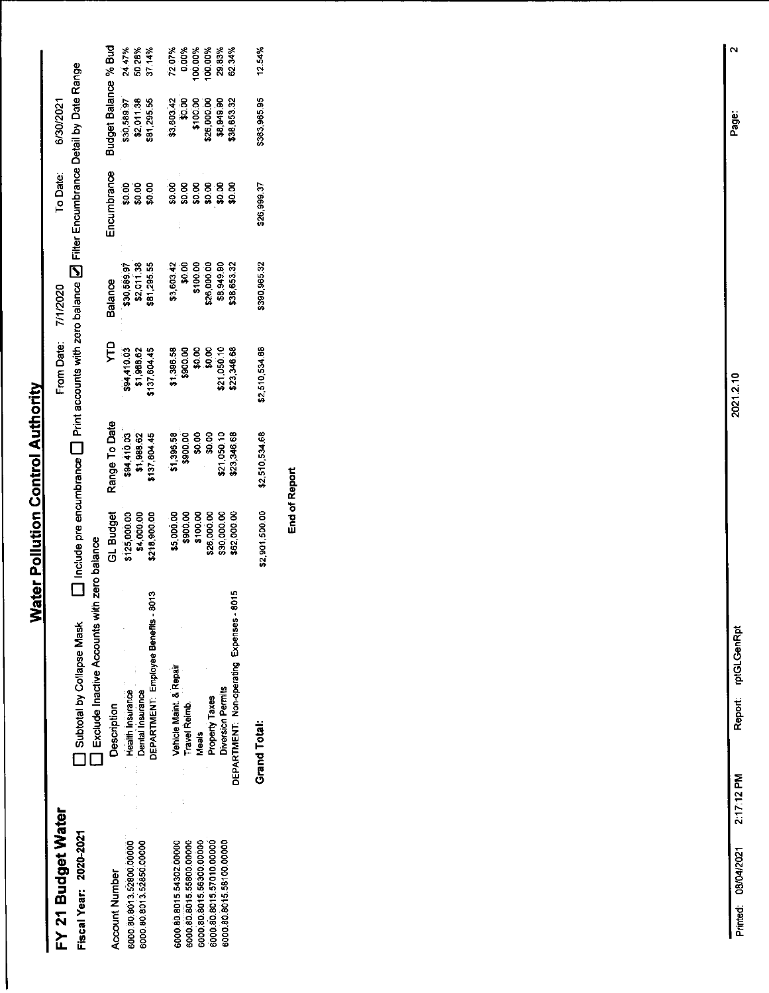#### FY 21 Budget Water Fiscal Year: 2020-2021

ł

 $\Box$  Include pre encumbrance  $\Box$  Print accounts with zero balance  $\Box$  Fitter Encumbrance Detail by Date Range 6/30/2021 To Date: From Date: 7/1/2020 Subtotal by Collapse Mask

|                          | Exclude Inactive Accounts with zero balance |                                                                  |                                                                       |                                            |                                          |                                  |                                                 |                                                           |
|--------------------------|---------------------------------------------|------------------------------------------------------------------|-----------------------------------------------------------------------|--------------------------------------------|------------------------------------------|----------------------------------|-------------------------------------------------|-----------------------------------------------------------|
| <b>Account Number</b>    | Description                                 |                                                                  | Range To Date<br>\$94,410.03<br>\$1,988.62<br>\$137,604.45            |                                            | salance                                  | Encumbrance                      | Budget Balance % Bud                            |                                                           |
| 6000.80.8013.52800.00000 | Health Insurance                            |                                                                  |                                                                       | \$94,410.03<br>\$1,988.62                  | \$30,589.97<br>\$2,011.38<br>\$81,295.55 |                                  | \$30,589.97<br>\$2,011.38<br>\$81,295.55        |                                                           |
| 6000.80 8013 52850.00000 | Dental Insurance                            |                                                                  |                                                                       |                                            |                                          | ខ្លួ ខ្លួ ខ្លួ<br>ឆ្លូ ឆ្លូ ឆ្លូ |                                                 | 24.47%<br>50.28%<br>37.14%                                |
|                          | 8013<br>DEPARTMENT: Employee Benefits - Y   | GL Budget<br>\$125,000.00<br>\$4,000.00<br>\$218,900.00          |                                                                       | 137,604.45                                 |                                          |                                  |                                                 |                                                           |
| 6000 80 8015 54302 00000 | Vehicle Maint. & Repair                     |                                                                  |                                                                       |                                            |                                          |                                  | \$3,603.42<br>\$0.00<br>\$100.00<br>\$26,000.00 | $72.07\%$<br>0.00%<br>0.000%<br>0.000%<br>2.34%<br>62.34% |
| 6000 80 8015 55800.00000 | <b>Travel Reimb.</b>                        |                                                                  |                                                                       |                                            |                                          |                                  |                                                 |                                                           |
| 6000 80 8015 56300 00000 | <b>Meals</b>                                |                                                                  |                                                                       |                                            | \$3,603.42<br>\$0.00<br>\$100.00         |                                  |                                                 |                                                           |
| 6000 80 8015 57010 00000 | Property Taxes                              |                                                                  |                                                                       | \$1,396.58<br>\$900.00<br>\$0.00<br>\$0.00 | \$26,000.00                              |                                  |                                                 |                                                           |
| 6000.80.8015.58100.00000 | <b>Diversion Permits</b>                    | \$5,000.00<br>\$900.00<br>\$100.00<br>\$26,000.00<br>\$30,000.00 |                                                                       | \$21,050.10                                |                                          | ្ត<br>ខេទ្ទខ្លួន<br>ទំនួននិន្ន   |                                                 |                                                           |
|                          | DEPARTMENT: Non-operating Expenses - 8015   | 62,000.00                                                        | \$1,396.58<br>\$900.00<br>\$9.00 \$0.00<br>\$21,050.10<br>\$23,346.68 | 23346.68                                   | \$8,949.90<br>\$38,653.32                |                                  | \$8,949.90<br>\$38,653.32                       |                                                           |
|                          | <b>Grand Total:</b>                         | \$2,901,500.00                                                   | \$2,510,534.68                                                        | \$2,510,534.68                             | \$390,965.32                             | 126,999.37                       | 363,965.95                                      | 12.54%                                                    |

End of Report

Report: rptGLGenRpt

 $\mathbf{\hat{z}}$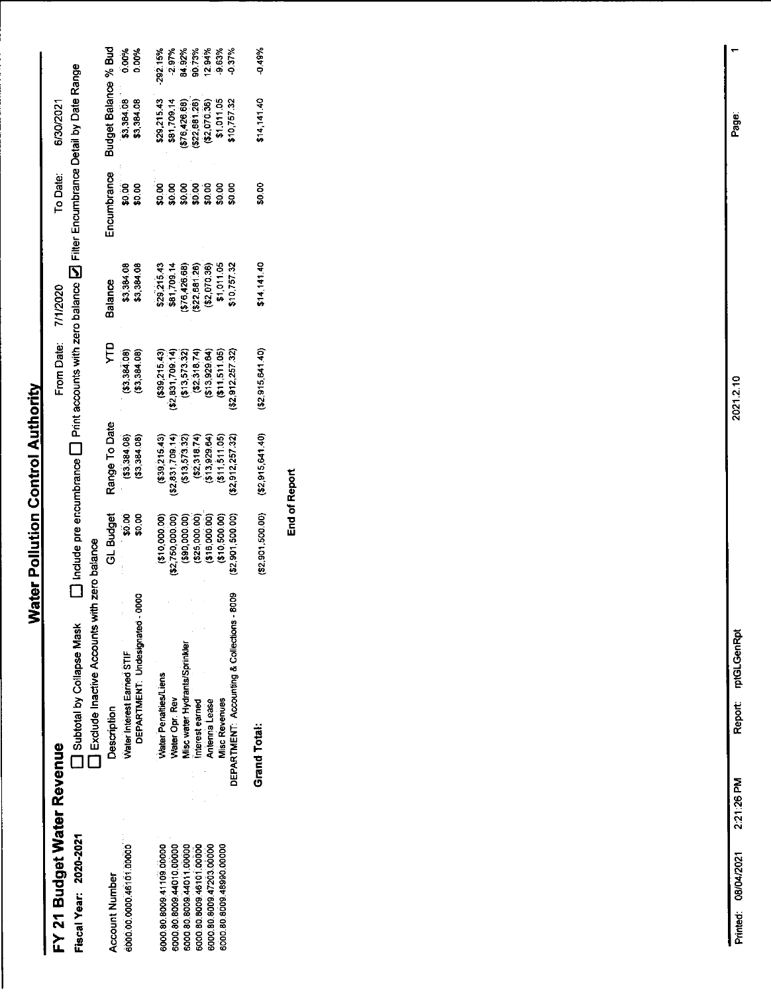#### FY 21 Budget Water Revenue Fiscal Year: 2020-2021

 $\square$  include pre encumbrance  $\square$  Print accounts with zero balance  $\square$  Filter Encumbrance Detail by Date Range From Date: 7/1/2020 □ Subtotal by Collapse Mask<br>□ Fxclude Inactive Accounts with zero balance

6/30/2021

To Date:

|                          | <b>Exclude illactive moduli 400 and 100 paints</b>           |                    |                                                      |                                  |                                                            |                                        |                                                            |                |
|--------------------------|--------------------------------------------------------------|--------------------|------------------------------------------------------|----------------------------------|------------------------------------------------------------|----------------------------------------|------------------------------------------------------------|----------------|
| Account Number           | Description                                                  | <b>GL Budget</b>   | Range To Date                                        | ĘЙ                               | <b>Balance</b>                                             | incumbrance                            | Budget Balance % Bud                                       |                |
| 6000.00.0000.46101.00000 | DEPARTMENT Undesignated - 0000<br>Water Interest Earned STIF | $-50.00$<br>50.00  | (53, 384.08)<br>(33, 384, 08)                        | (33, 384, 08)<br>(53.384.08)     | \$3,384.08<br>\$3,384.08                                   | ទី<br>ទី១.០០                           | \$3,384.08<br>\$3,384.08                                   | 0.00%<br>0.00% |
| 6000.80.8099.41109.00000 | Water Penalties/Liens                                        | (3000000)          | (639, 215.43)                                        | (339,215,43)                     |                                                            |                                        | \$29,215.43                                                | 292.15%        |
| 6000.80.8009.44010.00000 | <b>Nater Opr. Rev</b>                                        | \$2,750,000.00)    |                                                      | \$2,831,709.14)                  | \$29,215.43<br>\$81,709.14                                 | ្គ<br>ខេទ្ទខ្លួនខ្លួន<br>ខេទ្ធខ្លួនន្ត | \$81,709.14                                                | $-2.97%$       |
| 6000.80.8009.44011.0000  | <b>Jisc water Hydrants/Sprinkler</b>                         | (\$90,000.00)      | $(52,831,709.14)$<br>$(513,573.32)$<br>$(52,318.74)$ |                                  |                                                            |                                        |                                                            | 84.92%         |
| 6000.80.8009.46101.00000 | interest earned                                              | (525,000.00)       |                                                      | $($13,573.32)$<br>$($2,318.74)$  |                                                            |                                        |                                                            | 90.73%         |
| 6000.80.8009.47203.00000 | Antenna Lease                                                | (516,000,00)       |                                                      |                                  | \$76,426.68)<br>\$22,681.26)<br>(\$2,070.36)<br>\$1 011.05 |                                        | \$76,426.68)<br>\$22,681.26)<br>(\$2,070.36)<br>\$1,011.05 | 12.94%         |
| 6000.80.8009.48990.0000  | Misc Revenues                                                | (510, 500.00)      | $( $13,929.64)$<br>$( $11,511.05)$                   | $(513.929.64)$<br>$(511.511.05)$ |                                                            |                                        |                                                            | $-9.63%$       |
|                          | DEPARTMENT: Accounting & Collections - 8009                  | (32, 901, 500, 00) | \$2,912,257.32)                                      | \$2,912,257.32)                  | \$10,757.32                                                |                                        | \$10,757.32                                                | $-0.37%$       |
|                          | <b>Grand Total:</b>                                          | (52, 901, 500.00)  | (2, 915, 641, 40)                                    | (2,915,641.40)                   | \$14,141.40                                                | <b>SO.08</b>                           | \$14,141.40                                                | 0.49%          |

**End of Report**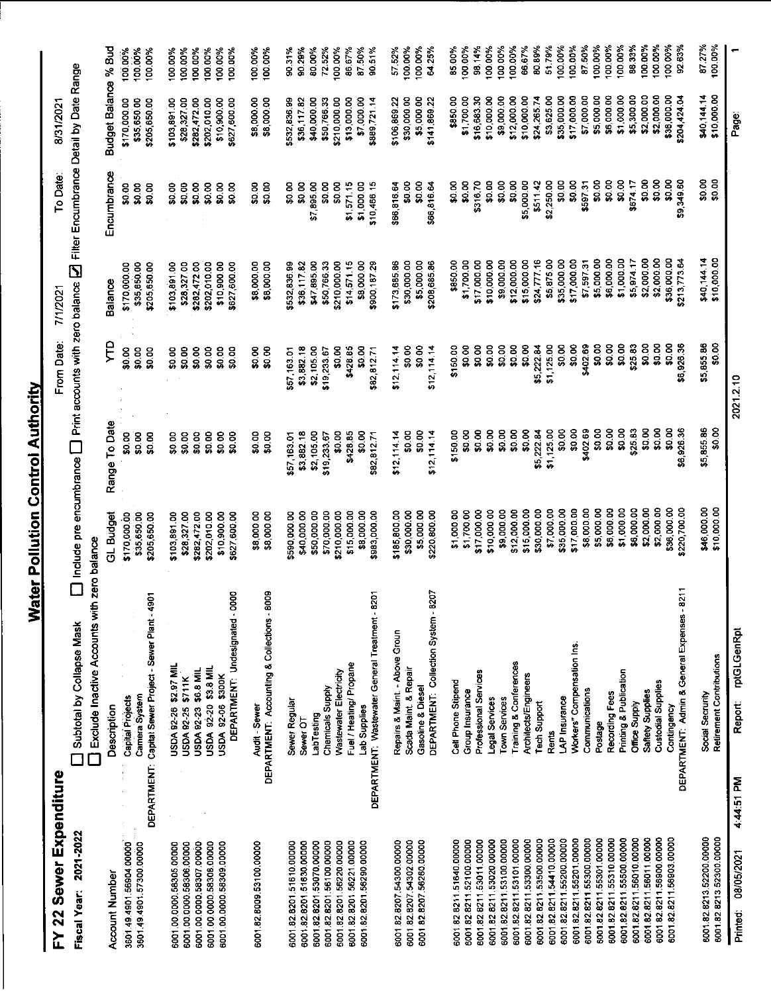### FY 22 Sewer Expenditure

8/31/2021 To Date:  $\mathfrak l$ From Date: 7/1/2021  $\overline{\mathfrak{c}}$  $\overline{\mathbf{r}}$ 

| Fiscal Year: 2021-2022                               |            | Subtotal by Collapse Mask                              |                             | I include pre encumbrance $\bigsqcup$ Print accounts with zero balance $\bigsqcup$ Filter Encumbrance Detail by Date Range |                           |                             |                        |                            |                   |
|------------------------------------------------------|------------|--------------------------------------------------------|-----------------------------|----------------------------------------------------------------------------------------------------------------------------|---------------------------|-----------------------------|------------------------|----------------------------|-------------------|
|                                                      |            | Bisclude Inactive Accounts with                        | zero balance                |                                                                                                                            |                           |                             |                        |                            |                   |
| Account Number                                       |            | Description                                            | GL Budget                   | Range To Date                                                                                                              | Ęд                        | Balance                     | Encumbrance            | Budget Balance % Bud       |                   |
| 3601.49.4901.56904.00000                             |            | Capital Projects                                       | \$170,000.00                | \$0.00                                                                                                                     | \$0.00                    | \$170,000.00                | 80.00                  | \$170,000.00               | 100.00%           |
| 3601.49.4901.57300.00000                             |            | Camera System                                          | \$35,650.00                 | \$0.00                                                                                                                     | \$0.00                    | \$35,650.00                 | \$0.00                 | \$35,650.00                | 100.00%           |
|                                                      |            | DEPARTMENT: Capital Sewer Project - Sewer Plant - 4901 | \$205,650.00                | \$0.00                                                                                                                     | \$0.00                    | \$205,650.00                | \$0.00                 | \$205,650.00               | 100.00%           |
| 6001.00.0000.58305.00000                             |            | USDA 92-26 \$2.97 MIL                                  | \$103,891.00                | \$0.00                                                                                                                     | \$0.00                    | \$103,891.00                | \$0.00                 | \$103,891.00               | 100.00%           |
| 6001.00.0000.58306.00000                             |            | USDA 92-25 \$711K                                      | \$28,327.00                 | \$0.00                                                                                                                     | \$0.00                    | \$28,327.00                 | \$0.00                 | \$28,327.00                | 100.00%           |
| 6001 00.0000.58307.00000                             |            | USDA 92-23 \$6.8 MIL                                   | \$282,472.00                | \$0.00                                                                                                                     | \$0.00                    | \$282,472.00                | \$0.00                 | \$282,472.00               | 100.00%           |
| 6001.00.0000.58308.00000                             |            | USDA 92-20 \$3.8 MIL                                   | \$202,010.00                | \$0.00                                                                                                                     | \$0.00                    | \$202,010.00                | \$0.00                 | \$202,010.00               | 100.00%           |
| 6001.00.0000.58309.00000                             |            | USDA 92-06 \$300K                                      | \$10,900.00                 | \$0.00                                                                                                                     | \$0.00                    | \$10,900.00                 | \$0.00                 | \$10,900.00                | 100.00%           |
|                                                      |            | DEPARTMENT: Undesignated - 0000                        | \$627,600.00                | \$0.00                                                                                                                     | \$0.00                    | \$627,600.00                | \$0.00                 | \$627,500.00               | 100.00%           |
| 6001 82 8009 53100.00000                             |            | Audit - Sewer                                          | \$8,000.00                  | \$0.00                                                                                                                     | \$0.00                    | \$8,000.00                  | \$0.00                 | \$8,000.00                 | 100.00%           |
|                                                      |            | DEPARTMENT: Accounting & Collections - 8009            | \$8,000.00                  | \$0.00                                                                                                                     | \$0.00                    | \$8,000.00                  | \$0.00                 | \$8,000.00                 | 100.00%           |
|                                                      |            |                                                        |                             |                                                                                                                            |                           |                             | \$0.00                 | \$532,836.99               | 90.31%            |
| 6001 82 8201 51610 00000                             |            | Sewer Regular                                          | \$590,000.00<br>\$40,000.00 | \$3,882.18<br>\$57,163.01                                                                                                  | \$3,882.18<br>\$57 163.01 | \$532,836.99<br>\$36,117.82 | \$0.00                 | \$36,117.82                | 90.29%            |
| 6001 82 8201 51630.00000                             |            | Sewer OT                                               | \$50,000.00                 | \$2,105.00                                                                                                                 | \$2,105.00                | \$47,895.00                 | \$7,895.00             | \$40,000.00                | 80.00%            |
| 6001 82 8201 53070.00000<br>6001 82 8201 56100 00000 |            | Chemicals Supply<br>LabTesting                         | \$70,000.00                 | \$19,233.67                                                                                                                | \$19233.67                | \$50,76633                  | \$0.00                 | \$50,766,33                | 72.52%            |
| 6001 82.8201 56220.00000                             |            | Wastewater Electricity                                 | \$210,000.00                | \$0.00                                                                                                                     | \$0.00                    | \$210,000.00                | \$0.00                 | \$210,000.00               | 100.00%           |
| 6001 82 8201 56221 00000                             |            | Fuel / Heating/ Propane                                | \$15,000.00                 | \$428.85                                                                                                                   | \$428.85                  | \$14,571.15                 | \$1,57115              | \$13,000.00                | 86.67%            |
| 6001.82.8201.56290.00000                             |            | Lab Supplies                                           | \$8,000.00                  | \$0.00                                                                                                                     | SO.OO                     | \$8,000.00                  | \$1,000.00             | \$7 000.00                 | 87.50%            |
|                                                      |            | DEPARTMENT. Wastewater General Treatment - 8201        | \$983,000.00                | \$82,812.71                                                                                                                | \$82,812.71               | \$900,187.29                | \$10,466 15            | \$889,721.14               | 90.51%            |
|                                                      |            | Repairs & Maint. - Above Groun                         | \$185,800.00                | \$12,114.14                                                                                                                | \$12,114.14               | \$173,68586                 | \$66,816.64            | \$106,869.22               | 5755%             |
| 6001.82.8207.54302.00000<br>6001.82.8207.54300.00000 |            | Scada Maint. & Repair                                  | \$30,000.00                 | \$0.00                                                                                                                     | \$0.00                    | \$30,000.00                 | \$0.00                 | \$30,000.00                | 100.00%           |
| 6001.82.8207.56260.00000                             |            | Gasoline & Diesel                                      | \$5,000.00                  | \$0.00                                                                                                                     | \$0.00                    | \$5,000.00                  | \$0.00                 | \$5,000.00                 | 100.00%           |
|                                                      |            | DEPARTMENT: Collection System - 8207                   | \$220,800.00                | \$12,114.14                                                                                                                | \$12,114,14               | \$208,685.86                | \$66,816.64            | \$141,869.22               | 64.25%            |
|                                                      |            |                                                        |                             |                                                                                                                            |                           |                             |                        |                            |                   |
| 600182821151640.00000                                |            | Cell Phone Stipend                                     | \$1,000.00                  | \$150.00                                                                                                                   | \$150.00                  | \$850.00                    | \$0.00                 | \$850.00                   | 85.00%            |
| 6001.82.8211.52100.00000                             |            | Group Insurance                                        | \$1,700.00                  | \$0.00                                                                                                                     | \$0.00                    | \$1,700.00<br>\$17,000.00   | \$316.70<br>\$0.00     | \$1,700.00                 | 00.00%            |
| 6001.82.8211.53011.00000                             |            | Professional Services                                  | \$17,000.00                 | \$0.00                                                                                                                     | \$0.00                    |                             |                        | \$16,683.30<br>\$10,000.00 | 100.00%<br>98.14% |
| 6001.82.8211.53020.00000                             |            | Legal Services                                         | \$10,000.00                 | \$0.00                                                                                                                     | \$0.00                    | \$10,000.00                 | \$0.00                 |                            |                   |
| 6001.82.8211.53100.00000                             |            | <b>Town Services</b>                                   | \$9,000.00                  | \$0.00                                                                                                                     | \$0.00                    | \$9,000.00                  | \$0.00                 | \$9,000.00                 | 100.00%           |
| 6001.82.8211.53101.00000                             |            | Training & Conferences                                 | \$12,000.00                 | \$0.00                                                                                                                     | \$0.00                    | \$12,000.00                 | \$0.00                 | \$12,000.00                | 66.67%<br>100.00% |
| 6001.82.8211.53300.00000                             |            | Architects/Engineers                                   | \$15,000.00                 | \$0.00                                                                                                                     | \$0.00<br>\$5,222.84      | \$15,000.00                 | \$5,000.00<br>\$511.42 | \$10,000.00<br>\$24,265.74 | 80.89%            |
| 6001.82.8211.53500.00000                             |            | <b>Tech Support</b>                                    | \$30,000.00                 | \$5,222.84                                                                                                                 | \$1,125.00                | \$24,777.16<br>\$5,875.00   | \$2,250.00             | \$3,625.00                 | 51.79%            |
| 6001.82.8211.54410.0000                              |            | <b>Rents</b>                                           | \$7,000.00<br>\$35,000.00   | \$0.00<br>\$1,125.00                                                                                                       | \$0.00                    | \$35,000.00                 | \$0.00                 | \$35,000.00                | 100.00%           |
| 600182821155200.00000<br>6001.82.8211.55201.00000    |            | Workers" Compensation Ins.<br>LAP Insurance            | \$17,000.00                 | \$0.00                                                                                                                     | \$0.00                    | \$17,000.00                 | \$0.00                 | \$17,000.00                | 100.00%           |
| 6001.82.8211.55300.00000                             |            | Communications                                         | \$8,000.00                  | \$402.69                                                                                                                   | \$402.69                  | \$759731                    | \$597.31               | \$7,000.00                 | 87.50%            |
| 6001.82.8211.55301.00000                             |            | Postage                                                | \$5,000.00                  | \$0.00                                                                                                                     | \$0.00                    | \$5,000.00                  | \$0.00                 | \$5,000.00                 | 100.00%           |
| 6001.82.8211.55310.00000                             |            | Recording Fees                                         | \$6,000 00                  | \$0.00                                                                                                                     | \$0.00                    | \$6,000.00                  | \$0.00                 | \$6,000.00                 | 100.00%           |
| 6001.82.8211.55500.00000                             |            | Printing & Publication                                 | \$1,000.00                  | \$0.00                                                                                                                     | \$0.00                    | \$1,000.00                  | \$0.00                 | \$1,000.00                 | 100.00%           |
| 6001.82.8211.56010.00000                             |            | Office Supply                                          | \$6,000.00                  | \$25.83                                                                                                                    | \$25.83                   | \$5,974.17                  | \$674.17               | \$5,300.00                 | 88.33%            |
| 6001.82.8211.56011.0000                              |            | Saftety Supplies                                       | \$2,000.00                  | \$0.00                                                                                                                     | \$0.00                    | \$2,000.00                  | \$0.00                 | \$2,000.00                 | 100.00%           |
| 6001.82.8211.56900.00000                             |            | Custodial Supplies                                     | \$2,000.00                  | \$0.00                                                                                                                     | \$0.00                    | \$2,000.00                  | \$0.00                 | \$2,000.00                 | 100.00%           |
| 6001.82.8211.56903.00000                             |            | Contingency                                            | \$36,000.00                 | \$0.00                                                                                                                     | \$0.00                    | \$36,000.00                 | \$0.00                 | \$36,000.00                | 100,00%           |
|                                                      |            | DEPARTMENT: Admin & General Expenses - 8211            | \$220,700.00                | \$6,926.36                                                                                                                 | \$6,926.36                | \$213,773.64                | \$9,349.60             | \$204,424.04               | 92.63%            |
|                                                      |            | Social Secrurity                                       | \$46,000.00                 | \$5,855.86                                                                                                                 | \$5,855.86                | \$40,144.14                 | \$0.00                 | \$40,144.14                | 87.27%            |
| 6001.82.8213.52200.00000<br>6001.82.8213.52300.00000 |            | Retirement Contributions                               | \$10,000.00                 | \$0.00                                                                                                                     | \$0.00                    | \$10,000.00                 | \$0.00                 | \$10,000.00                | 100.00%           |
| 08/05/2021<br>Printed:                               | 4:44:51 PM | rptGLGenRpt<br>Report:                                 |                             |                                                                                                                            | 2021210                   |                             |                        | Page                       |                   |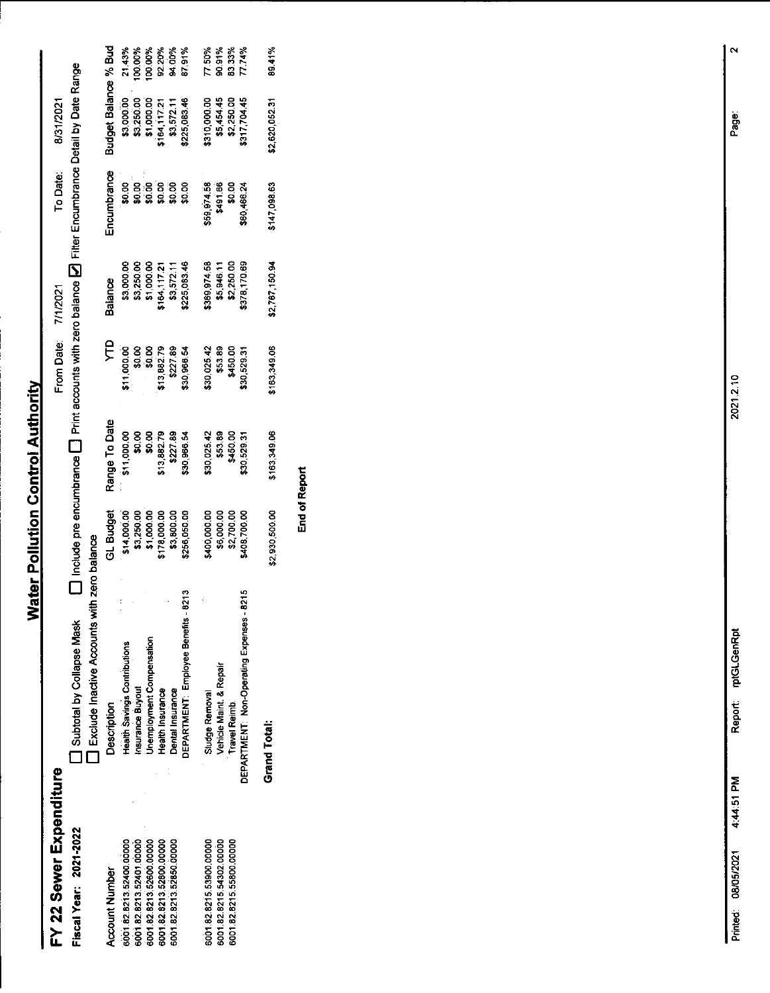### FY 22 Sewer Expenditure Fiscal Year: 2021-2022

 $\square$  Include pre encumbrance  $\square$  Print accounts with zero balance  $\square$  Filter Encumbrance Detail by Date Range 8/31/2021 To Date: From Date: 7/1/2021

and Subtotal by Collapse Mask [ I Include pro Lickude Inactive Accounts with zero balance

| Description                                  |                                                                                                                        | Range To Date                                                                                                                                       |                                                                                                       | sonels                                                                                             | incumbrance                                                                                                                   |                                                                                |                                                                                                                                                      |
|----------------------------------------------|------------------------------------------------------------------------------------------------------------------------|-----------------------------------------------------------------------------------------------------------------------------------------------------|-------------------------------------------------------------------------------------------------------|----------------------------------------------------------------------------------------------------|-------------------------------------------------------------------------------------------------------------------------------|--------------------------------------------------------------------------------|------------------------------------------------------------------------------------------------------------------------------------------------------|
|                                              |                                                                                                                        |                                                                                                                                                     |                                                                                                       |                                                                                                    |                                                                                                                               |                                                                                |                                                                                                                                                      |
|                                              |                                                                                                                        |                                                                                                                                                     |                                                                                                       |                                                                                                    |                                                                                                                               |                                                                                | 21.43%<br>100.00%<br>100.00%<br>92.20%<br>94.00%                                                                                                     |
|                                              |                                                                                                                        |                                                                                                                                                     |                                                                                                       |                                                                                                    |                                                                                                                               |                                                                                |                                                                                                                                                      |
| Health Insurance                             |                                                                                                                        |                                                                                                                                                     |                                                                                                       |                                                                                                    |                                                                                                                               |                                                                                |                                                                                                                                                      |
| Dental Insurance                             |                                                                                                                        |                                                                                                                                                     |                                                                                                       |                                                                                                    |                                                                                                                               |                                                                                |                                                                                                                                                      |
| 8213<br>DEPARTMENT: Employee Benefits -      |                                                                                                                        | \$30,966.54                                                                                                                                         |                                                                                                       |                                                                                                    |                                                                                                                               | 225,083.46                                                                     | 87.91%                                                                                                                                               |
| Sludge Removal                               |                                                                                                                        |                                                                                                                                                     |                                                                                                       |                                                                                                    |                                                                                                                               |                                                                                | 77.50%                                                                                                                                               |
|                                              |                                                                                                                        |                                                                                                                                                     |                                                                                                       |                                                                                                    |                                                                                                                               |                                                                                |                                                                                                                                                      |
| <b>Travel Reimb.</b>                         |                                                                                                                        |                                                                                                                                                     |                                                                                                       |                                                                                                    |                                                                                                                               |                                                                                | 90.91%<br>83.33%                                                                                                                                     |
| 8215<br>DEPARTMENT: Non-Operating Expenses - | 408,700.00                                                                                                             | 30,529.3                                                                                                                                            | 30,529.31                                                                                             | 378,170.69                                                                                         | \$60,466.24                                                                                                                   |                                                                                | 7.74%                                                                                                                                                |
| Grand Total:                                 | \$2,930,500.00                                                                                                         | 163,349.06                                                                                                                                          | 163,349.06                                                                                            | \$2,767,150.94                                                                                     | 147,098.63                                                                                                                    | 12,620,052.31                                                                  | 39.41%                                                                                                                                               |
|                                              | Unemployment Compensation<br><b>Health Savings Contributions</b><br>Vehicle Maint. & Repair<br><b>Insurance Buyout</b> | \$14,000.00<br>\$3,250.00<br>\$1,000.00<br>\$7,800.00<br>\$2,800.00<br>\$256,050.00<br>\$400,000.00<br>\$6,000.00<br>\$2,700.00<br><b>GL Budget</b> | \$11,000.00<br>\$0.00<br>\$13,882.79<br>\$13,882.79<br>\$227.89<br>\$30,025.42<br>\$53.89<br>\$450.00 | $$11,000,00$0,00$0,00$0,00$13,882,79$227,88$227,89$30,966,54$<br>530,025.42<br>\$53.89<br>\$450.00 | 6369,974.58<br>\$5,946.11<br>\$2,250.00<br>\$3,000.00<br>\$3,250.00<br>\$1,000.00<br>\$164,117.21<br>\$3,572.11<br>\$3,572.11 | ្ត<br>ខ្លួនខ្លួនខ្លួន<br>ន្លួនន្លន្ទ្រី<br>\$59,974.58<br>\$491.66<br>\$491.66 | udget Balance % Bud<br>\$3,000,00<br>\$3,250,00<br>\$1,000,00<br>\$3,572,11<br>\$3,572,11<br>6310,000.00<br>\$5,454.45<br>\$2,250.00<br>\$317,704.45 |

End of Report

 $\mathbf{\tilde{c}}$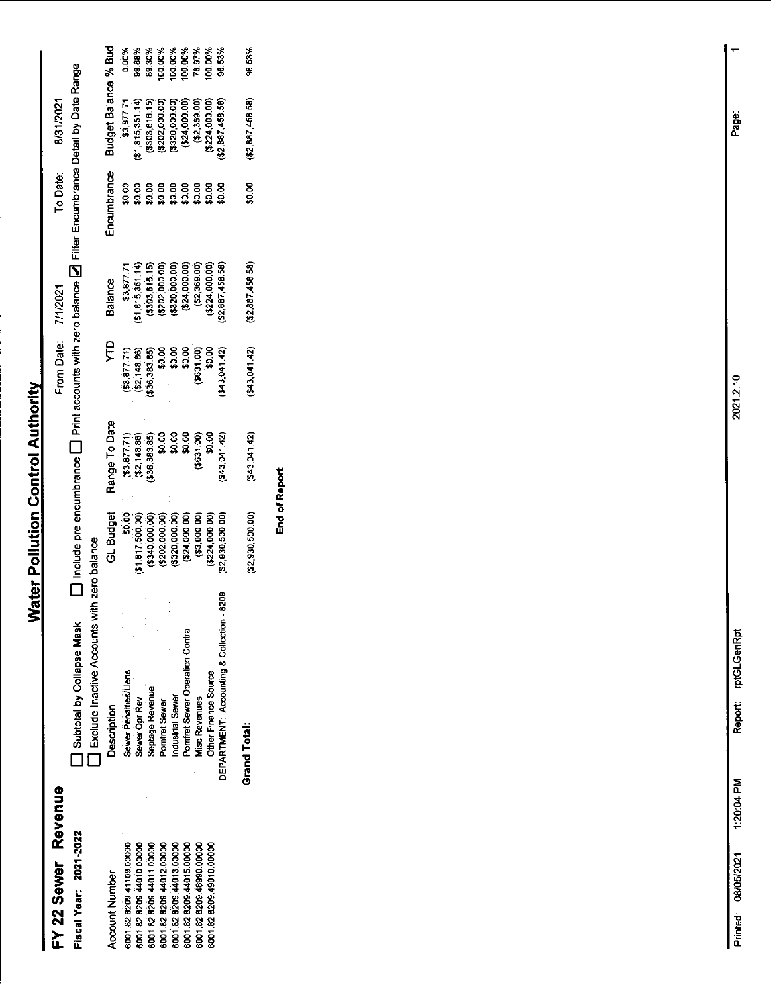### FY 22 Sewer Revenue Fiscal Year: 2021-2022

Account Number

 $\square$  Include pre encumbrance  $\square$  Print accounts with zero balance  $\square$  Filter Encumbrance Detail by Date Range From Date: 7/1/2021

8/31/2021

To Date:

□ Subtotal by Collapse Mask □ Include pro<br>□ Exclude Inactive Accounts with zero balance

| <b>Description</b>                                                    |                                                                                                                                                                                                                                           |                                                                                                           |                                                                                                                                                                                                                                  |                                                                                                                                                                              | ncumbrance                                       | Budget Balance % Bud<br>\$3,877.71 0.00%<br>(\$1,815,351.14) 99.88%<br>(\$303,616.15) 89.30%<br>(\$202,000.00) 100.00%<br>(\$22,000.00) 100.00%<br>(\$2,880,000.00) 78.97%<br>(\$2,880,000.00) 100.00%<br>(\$2,887,458.58) 98.53% |  |
|-----------------------------------------------------------------------|-------------------------------------------------------------------------------------------------------------------------------------------------------------------------------------------------------------------------------------------|-----------------------------------------------------------------------------------------------------------|----------------------------------------------------------------------------------------------------------------------------------------------------------------------------------------------------------------------------------|------------------------------------------------------------------------------------------------------------------------------------------------------------------------------|--------------------------------------------------|-----------------------------------------------------------------------------------------------------------------------------------------------------------------------------------------------------------------------------------|--|
| <b>Jewer Penalties/Liens</b>                                          | GL Budget<br>$\begin{array}{r} 60.006 \ 11.817, 500.000 \ 6302, 0000, 0000 \ 64000, 0000 \ 65000, 0000 \ 66000, 6600 \ 66000, 6600 \ 66000, 66000 \ 66000, 66000 \ 66000, 66000 \ 66000, 66000 \ 66000, 66000 \ 66000, 66000 \end{array}$ | Range To Date<br>(\$3,877.71)<br>(\$2,148.86)<br>(\$2,148.86)<br>\$0.00<br>\$0.000 \$0.00<br>\$0.3041.42) | (143, a)<br>$(8.3, 48.36, 38.36, 38.36, 38.36, 38.36, 38.36, 38.36, 38.36, 38.36, 38.36, 38.36, 38.36, 38.36, 38.36, 38.36, 38.36, 38.36, 38.36, 38.36, 38.36, 38.36, 38.36, 38.36, 38.36, 38.36, 38.36, 38.36, 38.36, 38.36, 3$ | Balance<br>$$3,877$ , $71$<br>$$3,915$ , $351$ , $14$ )<br>$$3938,616,15$<br>$$222,000.000$<br>$$24,000.00$<br>$$24,000.00$<br>$$224,000.00$<br>$$224,000.00$<br>$$2,369.00$ |                                                  |                                                                                                                                                                                                                                   |  |
|                                                                       |                                                                                                                                                                                                                                           |                                                                                                           |                                                                                                                                                                                                                                  |                                                                                                                                                                              | ខ្លួន ខ្លួន ខ្លួន ខ្លួន<br>ឆ្លង្គន្លង្គន្លង្គន្ល |                                                                                                                                                                                                                                   |  |
|                                                                       |                                                                                                                                                                                                                                           |                                                                                                           |                                                                                                                                                                                                                                  |                                                                                                                                                                              |                                                  |                                                                                                                                                                                                                                   |  |
|                                                                       |                                                                                                                                                                                                                                           |                                                                                                           |                                                                                                                                                                                                                                  |                                                                                                                                                                              |                                                  |                                                                                                                                                                                                                                   |  |
| Sewer Opr Rev<br>Septage Revenue<br>Pomfret Sewer<br>Industrial Sewer |                                                                                                                                                                                                                                           |                                                                                                           |                                                                                                                                                                                                                                  |                                                                                                                                                                              |                                                  |                                                                                                                                                                                                                                   |  |
| Pomfret Sewer Operation Contra                                        |                                                                                                                                                                                                                                           |                                                                                                           |                                                                                                                                                                                                                                  |                                                                                                                                                                              |                                                  |                                                                                                                                                                                                                                   |  |
| <b>Visc Revenues</b>                                                  |                                                                                                                                                                                                                                           |                                                                                                           |                                                                                                                                                                                                                                  |                                                                                                                                                                              |                                                  |                                                                                                                                                                                                                                   |  |
| <b>Other Finance Source</b>                                           |                                                                                                                                                                                                                                           |                                                                                                           |                                                                                                                                                                                                                                  |                                                                                                                                                                              |                                                  |                                                                                                                                                                                                                                   |  |
| ğ<br>DEPARTMENT: Accounting & Collection -                            |                                                                                                                                                                                                                                           |                                                                                                           |                                                                                                                                                                                                                                  |                                                                                                                                                                              |                                                  |                                                                                                                                                                                                                                   |  |

6001 82.8209 41108 00000<br>6001 82.8209 44011.00000<br>6001 82.8209 44013.00000<br>6001 82.8209 44013.00000<br>6001 82.8209 44015.00000<br>6001 82.8209 49980.00000<br>6001 82.8209 49910.00000

End of Report

98.53%

 $($2,887,458.58)$ 

\$0.00

 $(52,887,458.58)$ 

 $(543.041.42)$ 

 $(543,041,42)$ 

 $(52, 930, 500.00)$ 

**Grand Total:** 

Report: rptGLGenRpt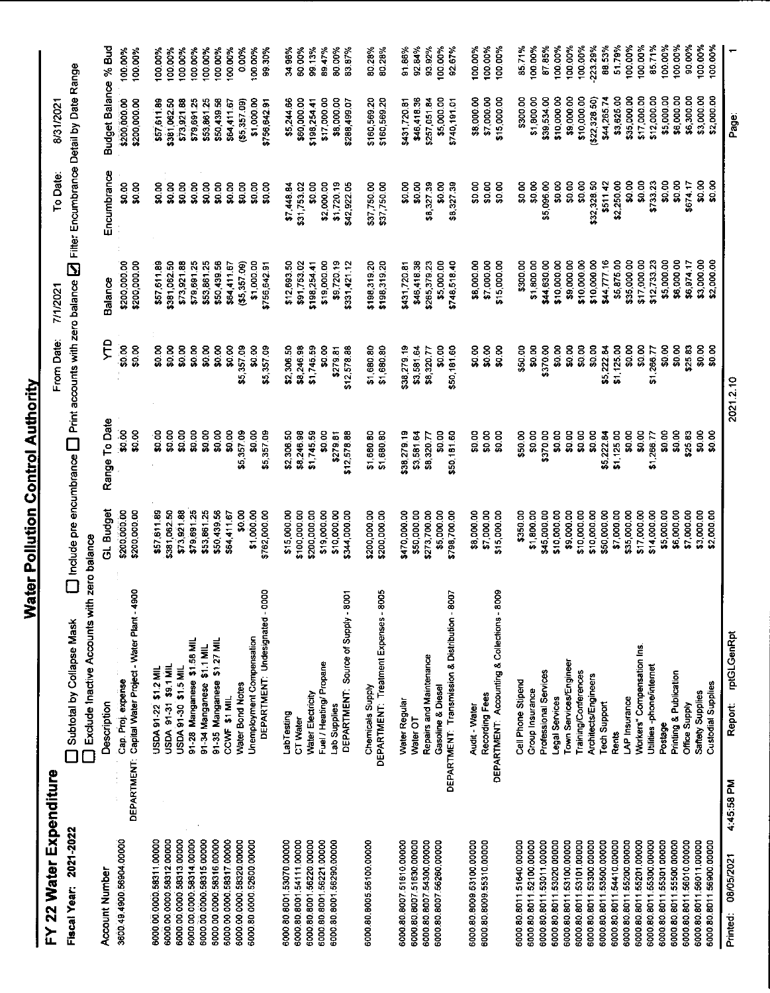## FY 22 Water Expenditure

Fiscal Year: 2021-2022

 $\square$  Include pre encumbrance  $\square$  Print accounts with zero balance  $\square$  Filter Encumbrance Detail by Date Range 8/31/2021 To Date: From Date: 7/1/2021 **D** Subtotal by Collapse Mask

|                                                      |            | Exclude Inactive Accounts with zero balance            |                          |                  |             |               |             |                      |         |
|------------------------------------------------------|------------|--------------------------------------------------------|--------------------------|------------------|-------------|---------------|-------------|----------------------|---------|
| <b>Account Number</b>                                |            | Description                                            | GL Budget                | Range To Date    | ÇЦ          | Balance       | Encumbrance | Budget Balance % Bud |         |
| 3600 49 4900 56904 00000                             |            | Cap. Proj. expense                                     | \$200,000.00             | \$0.00           | 50.00       | \$200,000.00  | \$0.00      | \$200,000.00         | 100.00% |
|                                                      |            | DEPARTMENT: Capital Water Project - Water Plant - 4900 | \$200,000.00             | \$0.00           | \$0.00      | \$200,000.00  | \$0.00      | \$200,000.00         | 100.00% |
| 6000 00 0000 58311,00000                             |            | USDA 91-22 \$1.2 MIL                                   | \$57,611.89              | \$0.00           | \$0.00      | \$57,611.89   | \$0.00      | \$57,611.89          | 100.00% |
| 6000 00 0000 58312.00000                             |            | USDA 91-31 \$9.1 MIL                                   | \$381,062.50             | \$0.00           | \$0.00      | \$381,062.50  | \$0.00      | \$381,062.50         | 100.00% |
| 6000 00 0000 58313.00000                             |            | USDA 91-30 \$1.5 MIL                                   | \$73,921.88              | \$0.00           | \$0.00      | \$73,921.88   | \$0.00      | \$73,921.88          | 100.00% |
| 6000.00.0000.58314.00000                             |            | 91-28 Manganese \$1.58 MIL                             | \$79,691.25              | \$0.00           | \$0.00      | \$79,691.25   | \$0.00      | \$79,691.25          | 100.00% |
| 6000.00.0000.58315.00000                             |            | 91-34 Manganese \$1.1 MIL                              | \$53,861.25              | \$0.00           | \$0.00      | \$53,861.25   | \$0.00      | \$53,861.25          | 100.00% |
| 6000.00.0000.58316.00000                             |            | 91-35 Manganese \$1.27 MIL                             | \$50,439.56              | \$0.00           | \$0.00      | \$50,439.56   | \$0.00      | \$50,439.56          | 100.00% |
| 6000.00.0000.58317.00000                             |            | CCWF \$1 MIL                                           | \$64,411.67              | \$0.00           | \$0.00      | \$64,411.67   | \$0.00      | \$64,411.67          | 100.00% |
| 6000.00.0000.58320.00000                             |            | Water Bond Notes                                       | \$0.00                   | \$5,357.09       | \$5,357.09  | (55, 357, 09) | \$0.00      | (55, 357.09)         | 0.00%   |
| 6000.80 0000.52600.00000                             |            | Unemployment Compensation                              | \$1,000.00               | \$0.00           | \$0.00      | \$1,000.00    | \$0.00      | \$1,000.00           | 100.00% |
|                                                      |            | DEPARTMENT: Undesignated - 0000                        | \$762,000.00             | \$5,357.09       | \$5,357.09  | \$756,642.91  | \$0.00      | \$756 642.91         | 99.30%  |
| 6000.80.8001.53070.00000                             |            | Labilesting                                            | \$15,000.00              | \$2,306.50       | \$2,306.50  | \$12,693.50   | \$7,448.84  | \$5,244.66           | 34.96%  |
| 6000.80.8001.54111.00000                             |            | CT Water                                               | \$100,000.00             | \$8,246.98       | \$8,246.98  |               |             |                      | 60.00%  |
| 6000.80.8001.56220.00000                             |            | Water Electricity                                      | \$200,000.00             |                  |             | \$91,753.02   | \$31,753.02 | \$60,000.00          |         |
| 6000 80 8001.56221.00000                             |            |                                                        |                          | \$1,745.59       | \$1,745.59  | \$198,254.41  | \$0.00      | \$198,254.41         | 99.13%  |
| 6000 80 8001 56290 00000                             |            | Fuel / Heating/ Propane<br>Lab Supplies                | \$19,000.00              | \$0.00           | \$0.00      | \$19,000.00   | \$2,000.00  | \$17000.00           | 89.47%  |
|                                                      |            |                                                        | \$10,000.00              | \$279.81         | \$279.81    | \$9,720.19    | \$1,720.19  | \$8,000.00           | 80.00%  |
|                                                      |            | DEPARTMENT: Source of Supply - 8001                    | \$344,000.00             | \$12,578.88      | \$12,578.88 | \$331,421.12  | \$42,922.05 | \$288,499.07         | 83.87%  |
| 6000.80.8005.56100.00000                             |            | Chemicals Supply                                       | \$200,000.00             | \$1,580.80       | \$1,680.80  | \$198,319.20  | \$37,750.00 | \$160569.20          | 80.28%  |
|                                                      |            | DEPARTMENT: Treatment Expenses - 8005                  | \$200,000.00             | \$1,580.80       | \$1,680.80  | \$198,319.20  | \$37,750.00 | \$160,569.20         | 80.28%  |
|                                                      |            |                                                        |                          |                  |             |               |             |                      |         |
| 6000.80.8007.51610.00000                             |            | Water Regular                                          | \$470,000.00             | \$38,279.19      | \$38,279.19 | \$431,720.81  | \$0.00      | \$431720.81          | 91.86%  |
| 6000 80 8007 51630 00000                             |            | Water OT                                               | \$50,000.00              | \$3,581.64       | \$3,581.64  | \$46,418.36   | \$0.00      | \$46 418.36          | 92.84%  |
| 6000 80 8007 54300.00000                             |            | Repairs and Maintenance                                | \$273,700.00             | \$8 320.77       | \$8,320.77  | \$265,379.23  | \$8,327.39  | \$257,051.84         | 93.92%  |
| 6000 80 8007 56260.00000                             |            | Gasoline & Diesel                                      | \$5,000.00               | \$0.00           | \$0.00      | \$5,000.00    | \$0.00      | \$5,000.00           | 100.00% |
|                                                      |            | DEPARTMENT: Transmission & Distribution - 8007         | \$798,700.00             | \$50,181.60      | \$50,181.60 | \$748,518.40  | \$8,327.39  | \$740,191.01         | 92.67%  |
| 6000 80 8009 53100 00000                             |            | Audit - Water                                          | \$8,000.00               | \$0.00           | \$0.00      | \$8,000.00    | \$0.00      | \$8,000.00           | 100.00% |
| 6000 80 8009 55310.00000                             |            | Recording Fees                                         | \$7,000.00               | \$0.00           | \$0.00      | \$7,000.00    | \$0.00      | \$7,000.00           | 100.00% |
|                                                      |            | DEPARTMENT: Accounting & Collections - 8009            | \$15,000.00              | \$0.00           | \$0.00      | \$15,000.00   | \$0.00      | \$15,000.00          | 100.00% |
| 6000 80 8011 51640 00000                             |            | Cell Phone Stipend                                     | \$350.00                 | \$50.00          | \$50.00     | \$300.00      | \$0.00      | \$300,00             | 85.71%  |
| 6000 80 8011 52100 00000                             |            | Group Insurance                                        | \$1,800.00               | \$0.00           | \$0.00      | \$1,800.00    | \$0.00      | \$1,800.00           | 100.00% |
| 6000.80.8011.53011.00000                             |            | Professional Services                                  | \$45,000.00              | \$370.00         | \$370.00    | \$44,630.00   | \$5,096.00  | \$39,534.00          | 87.85%  |
| 6000.80.8011.53020.00000                             |            | Legal Services                                         | \$10,000.00              | \$0.00           | \$0.00      | \$10,000.00   | \$0.00      | \$10,000.00          | 100.00% |
| 6000.80.8011.53100.00000                             |            | Town Services/Engineer                                 | \$9,000.00               | \$0.00           | \$0.00      | \$9,000.00    | \$0.00      | \$9,000.00           | 100.00% |
| 6000.80.8011.53101.00000                             |            | Training/Conferences                                   | \$10,000.00              | \$0.00           | \$0.00      | \$10,000.00   | \$0.00      | \$10,000.00          | 100.00% |
| 6000.80.8011.53300.00000                             |            | Architects/Engineers                                   | \$10,000.00              | \$0.00           | \$0.00      | \$10,000.00   | \$32,328.50 | (\$22, 328.50)       | 223.29% |
| 6000.80.8011.53500.00000                             |            | <b>Tech Support</b>                                    | \$50,000.00              | \$5,222.84       | \$5,222.84  | \$44,777.16   | \$511.42    | \$44,265.74          | 88.53%  |
| 6000.80.8011.54410.00000                             |            | Rents                                                  | \$7,000.00               | \$1,125.00       | \$1,125.00  | \$5,875.00    | \$2,250.00  | \$3,625.00           | 51.79%  |
| 6000.80.8011.55200.00000                             |            | LAP Insurance                                          | \$35,000.00              | \$0.00           | \$0.00      | \$35,000.00   | \$0.00      | \$35,000.00          | 100.00% |
| 6000.80.8011.55201.00000                             |            | Workers" Compensation Ins.                             | \$17,000.00              | \$0.00           | \$0.00      | \$17,000.00   | \$0.00      | \$17,000.00          | 100.00% |
| 6000.80.8011.55300.00000<br>6000.80.8011.55301.00000 |            | Utilities-phone/internet                               | \$14,000.00              | \$1,266.77       | \$1,266.77  | \$12733.23    | \$733.23    | \$12,000.00          | 85.71%  |
| 6000.80 8011 55500.00000                             |            | Postage                                                | \$5,000.00               | \$0.00           | \$0.00      | \$5,000.00    | \$0.00      | \$5,000.00           | 100.00% |
| 6000 80 8011 56010 00000                             |            | Printing & Publication<br>Office Supply                | \$6,000.00               | \$0.00           | \$0.00      | \$6,000.00    | \$0.00      | \$6,000.00           | 100.00% |
| 6000.80.8011.56011.00000                             |            | Saftety Supplies                                       | \$7,000.00               | \$25.83          | \$25.83     | \$6,974.17    | \$674.17    | \$6,300.00           | 90.00%  |
| 6000 80 8011 56900 00000                             |            | Custodial Supplies                                     | \$3,000.00<br>\$2,000.00 | \$0.00<br>\$0.00 | \$0.00      | \$3,000.00    | \$0.00      | \$3,000.00           | 100.00% |
|                                                      |            |                                                        |                          |                  | \$0.00      | \$2,000.00    | \$0.00      | \$2,000.00           | 100.00% |
| 08/05/2021<br>Printed:                               | 4:45:58 PM | rptGLGenRpt<br>Report:                                 |                          |                  | 2021 2.10   |               |             | Page                 |         |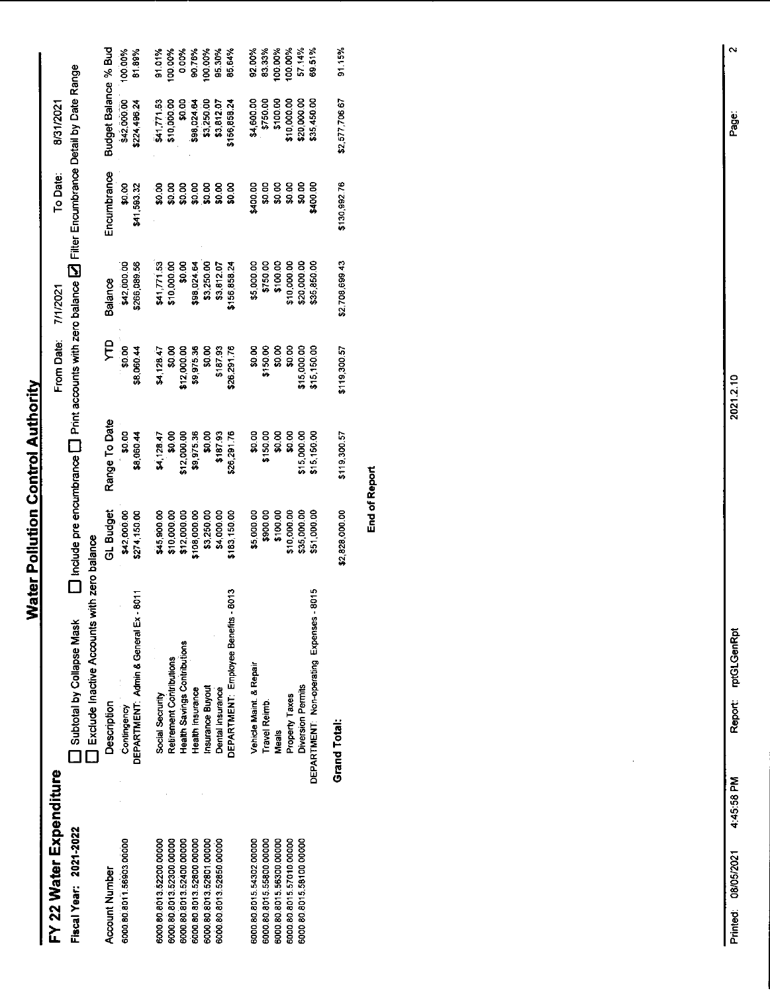## FY 22 Water Expenditure

| FY 22 Water Expenditure  |                                                      |                |                                                                                                                       | From Date    | 7/1/2021       | To Date:     | 8/31/2021            |         |
|--------------------------|------------------------------------------------------|----------------|-----------------------------------------------------------------------------------------------------------------------|--------------|----------------|--------------|----------------------|---------|
| Fiscal Year: 2021-2022   | Subtotal by Collapse Mask                            |                | $\Box$ Include pre encumbrance $\Box$ Print accounts with zero balance $\Box$ Filter Encumbrance Detail by Date Range |              |                |              |                      |         |
|                          | <b>I</b> Exclude Inactive Accounts with zero balance |                |                                                                                                                       |              |                |              |                      |         |
| <b>Account Number</b>    | Description                                          | GL Budget      | Range To Date                                                                                                         | ይታ           | <b>Balance</b> | Encumbrance  | Budget Balance % Bud |         |
| 6000.80.8011.56903.00000 | Contingency                                          | \$42,000.00    | \$0.00                                                                                                                | \$0.00       | \$42,000.00    | <b>So.00</b> | \$42,000.00          | 100.00% |
|                          | DEPARTMENT: Admin & General Ex - 8011                | \$274,150.00   | \$8,060.44                                                                                                            | \$8,060.44   | \$266,089.56   | \$41,593.32  | \$224,496.24         | 81.89%  |
| 6000.80.8013.52200.00000 | Social Secrurity                                     | \$45,900.00    | \$4,128.47                                                                                                            | \$4,128.47   | \$41,771.53    | \$0.00       | \$41,771.53          | 91.01%  |
| 6000.80.8013.52300.00000 | Retirement Contributions                             | \$10,000.00    | 50.00                                                                                                                 | ន្ល          | \$10,000.00    | \$0.00       | \$10,000.00          | 00.00%  |
| 6000.80.8013.52400.00000 | Health Savings Contributions                         | \$12,000.00    | \$12,000.00                                                                                                           | \$12,000.00  | ន្ល            | \$0.00       | \$0.00               | 0.00%   |
| 6000.80.8013.52800.00000 | Health Insurance                                     | \$108,000.00   | \$9,975.36                                                                                                            | \$9.975.30   | \$98,024.64    | \$0.00       | \$98,024.64          | 90.76%  |
| 6000.80.8013.52801.00000 | Insurance Buyout                                     | \$3,250.00     | ន<br>ន                                                                                                                | \$0.00       | \$3,250.00     | \$0.00       | \$3,250.00           | 100.00% |
| 6000.80.8013.52850.00000 | Dental Insurance                                     | \$4,000.00     | \$18/93                                                                                                               | \$187.93     | \$3,812.07     | \$0.00       | \$3,812.07           | 95.30%  |
|                          | 8013<br>DEPARTMENT: Employee Benefits -              | \$183,150.00   | \$26,291.76                                                                                                           | \$26.291.76  | \$156,858.24   | \$0.00       | \$156,858.24         | 85.64%  |
| 6000.80.8015.54302.00000 | Vehicle Maint, & Repair                              | \$5,000.00     | \$0.00                                                                                                                | \$0.00       | \$5,000.00     | \$400.00     | \$4,500.00           | 92.00%  |
| 6000.80.8015.55800.00000 | Travel Reimb.                                        | \$900.00       | \$150.00                                                                                                              | \$150.00     | \$750.00       | \$0.00       | \$750.00             | 83.33%  |
| 6000.80.8015.56300.00000 | Meals                                                | \$100.00       | \$0.00                                                                                                                | \$0.00       | \$100.00       | \$0.00       | \$100.00             | 00.00%  |
| 6000.80.8015.57010.00000 | Property Taxes                                       | \$10,000.00    | \$0.00                                                                                                                | \$0.00       | \$10,000.00    | \$0.00       | \$10,000.00          | 100.00% |
| 6000.80.8015.58100.00000 | Diversion Permits                                    | \$35,000.00    | \$15,000.00                                                                                                           | \$15,000.00  | \$20,000.00    | \$0.00       | \$20,000.00          | 57.14%  |
|                          | 8015<br>DEPARTMENT Non-operating Expenses -          | \$51,000.00    | \$15,15000                                                                                                            | \$15 150.00  | \$35,850.00    | \$400.00     | \$35,450.00          | 69.51%  |
|                          | Grand Total:                                         | \$2,828,000.00 | \$119,300.57                                                                                                          | \$119,300.57 | \$2,708,699.43 | \$130,992.76 | \$2,577,706.67       | 91.15%  |

**End of Report** 

Report: rptGLGenRpt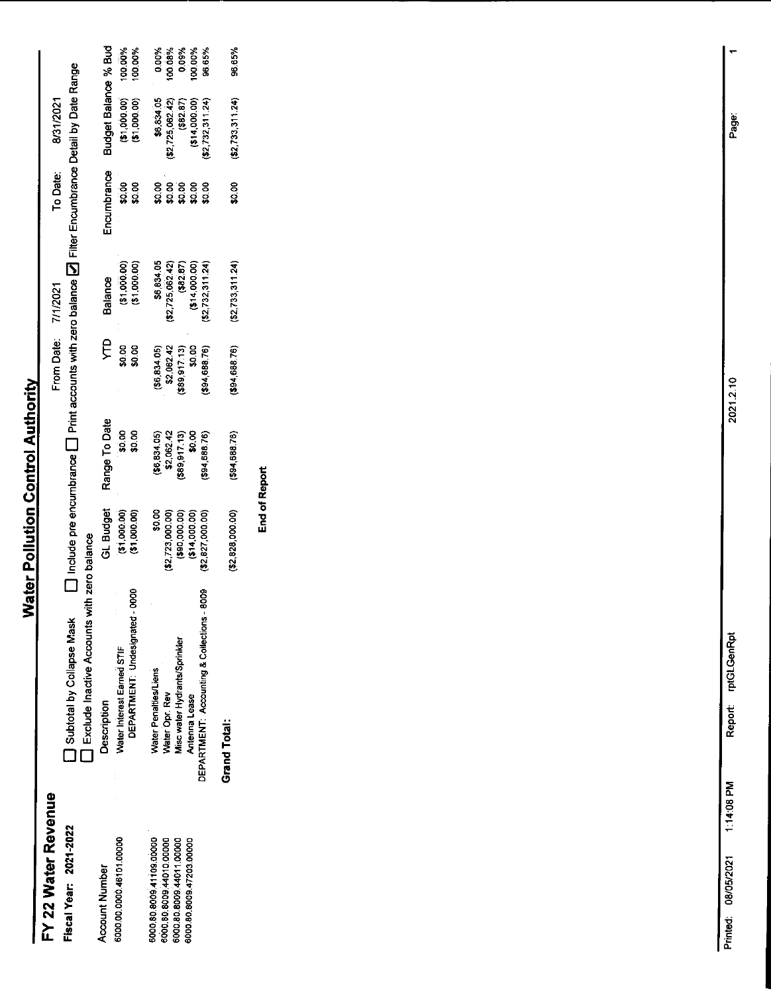#### FY 22 Water Revenue Fiscal Year: 2021-2022

Include pre encumbrance  $\square$  Print accounts with zero balance  $\square$  Filter Encumbrance Detail by Date Range 8/31/2021 To Date: 7/1/2021 From Date: **Subtotal by Collapse Mask D** Include p<br> **C** Exclude Inactive Accounts with zero balance

| The management of the management of the Delivery of the Delivery of the Delivery of the Delivery of the Delivery of the Delivery of the Delivery of the Delivery of the Delivery of the Delivery of the Delivery of the Delive |                                 |                               |                                                      |                                                                    |                                                                                                  |                                                                              |                                      |
|--------------------------------------------------------------------------------------------------------------------------------------------------------------------------------------------------------------------------------|---------------------------------|-------------------------------|------------------------------------------------------|--------------------------------------------------------------------|--------------------------------------------------------------------------------------------------|------------------------------------------------------------------------------|--------------------------------------|
| <b>Description</b>                                                                                                                                                                                                             | GL Budget                       | Range To Date                 | ይ<br>ድ                                               | Balance                                                            | incumbrance                                                                                      | ludget Balance % Bud                                                         |                                      |
| eoo<br>DEPARTMENT: Undesignated<br>Water Interest Earned STIF                                                                                                                                                                  | $(51,000,00)$<br>$(51,000,00)$  | ទី១.<br>ទី១.<br>ទី១.          | ន<br>ទី និ                                           | $(51,000.00)$<br>$(51,000.00)$                                     | $\frac{8}{9}$ 8                                                                                  | (90.000.00)                                                                  | 100.00%<br>100.00%                   |
| Water Penalties/Liens                                                                                                                                                                                                          | \$0.00<br>\$2,723,000.00)       | $($ \$6,834.05)<br>\$2,062.42 |                                                      | $$6,834.05\n$2,725,062.42\n$82,87\n$82.87\n$82.87\n$82.87\n$82.87$ |                                                                                                  | \$6,834.05                                                                   |                                      |
| Water Opr. Rev                                                                                                                                                                                                                 |                                 |                               |                                                      |                                                                    |                                                                                                  |                                                                              |                                      |
| Misc water Hydrants/Sprinkler                                                                                                                                                                                                  | $(90,000,00)$<br>$(914,000,00)$ | $(589, 917, 13)$<br>$$0.00$   | (\$6,834.05)<br>\$2,062.42<br>\$89,917.13)<br>\$0.00 |                                                                    | ខ ខ ខ ខ ខ<br>ផ្គុំ ផ្គុំ ផ្គុំ ផ្គុំ ផ្គុំ ផ្គុំ ផ្គុំ ផ្គុំ ផ្គុំ ផ្គុំ ផ្គុំ ផ្គុំ ផ្គុំ ផ្គុំ |                                                                              | 0.00%<br>%00.00%<br>0.09%<br>100.00% |
| Antenna Lease                                                                                                                                                                                                                  |                                 |                               |                                                      |                                                                    |                                                                                                  |                                                                              |                                      |
| 8009<br>DEPARTMENT: Accounting & Collections                                                                                                                                                                                   | \$2,827,000.00                  | \$94,688.76)                  | 94,688.76)                                           | (52, 732, 311.24)                                                  |                                                                                                  | $(52, 725, 062, 42)$<br>$(582.87)$<br>$(514, 000.00)$<br>$(52, 732, 311.24)$ | 96.65%                               |
| <b>Grand Total:</b>                                                                                                                                                                                                            | \$2,828,000.00)                 | (\$94,688.76)                 | (\$94,688.76)                                        | (\$2,733,311.24)                                                   | \$0.00                                                                                           | (\$2 733,311 24)                                                             | 96 65%                               |
|                                                                                                                                                                                                                                |                                 |                               |                                                      |                                                                    |                                                                                                  |                                                                              |                                      |

6000.80.8099.41109.0000<br>6000.80.8009.44010.0000<br>6000.80.8009.44011.00000<br>6000.80.8009.47203.00000

6000.00.0000.46101.00000

**Account Number** 

**End of Report**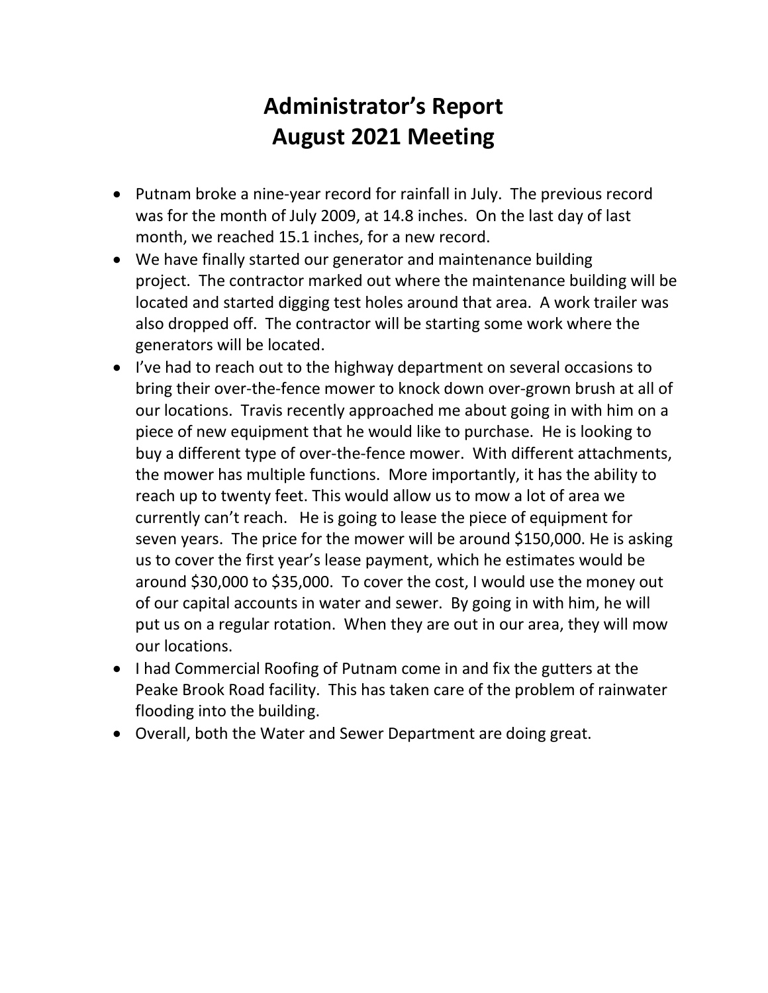#### **Administrator's Report August 2021 Meeting**

- Putnam broke a nine-year record for rainfall in July. The previous record was for the month of July 2009, at 14.8 inches. On the last day of last month, we reached 15.1 inches, for a new record.
- We have finally started our generator and maintenance building project. The contractor marked out where the maintenance building will be located and started digging test holes around that area. A work trailer was also dropped off. The contractor will be starting some work where the generators will be located.
- I've had to reach out to the highway department on several occasions to bring their over-the-fence mower to knock down over-grown brush at all of our locations. Travis recently approached me about going in with him on a piece of new equipment that he would like to purchase. He is looking to buy a different type of over-the-fence mower. With different attachments, the mower has multiple functions. More importantly, it has the ability to reach up to twenty feet. This would allow us to mow a lot of area we currently can't reach. He is going to lease the piece of equipment for seven years. The price for the mower will be around \$150,000. He is asking us to cover the first year's lease payment, which he estimates would be around \$30,000 to \$35,000. To cover the cost, I would use the money out of our capital accounts in water and sewer. By going in with him, he will put us on a regular rotation. When they are out in our area, they will mow our locations.
- I had Commercial Roofing of Putnam come in and fix the gutters at the Peake Brook Road facility. This has taken care of the problem of rainwater flooding into the building.
- Overall, both the Water and Sewer Department are doing great.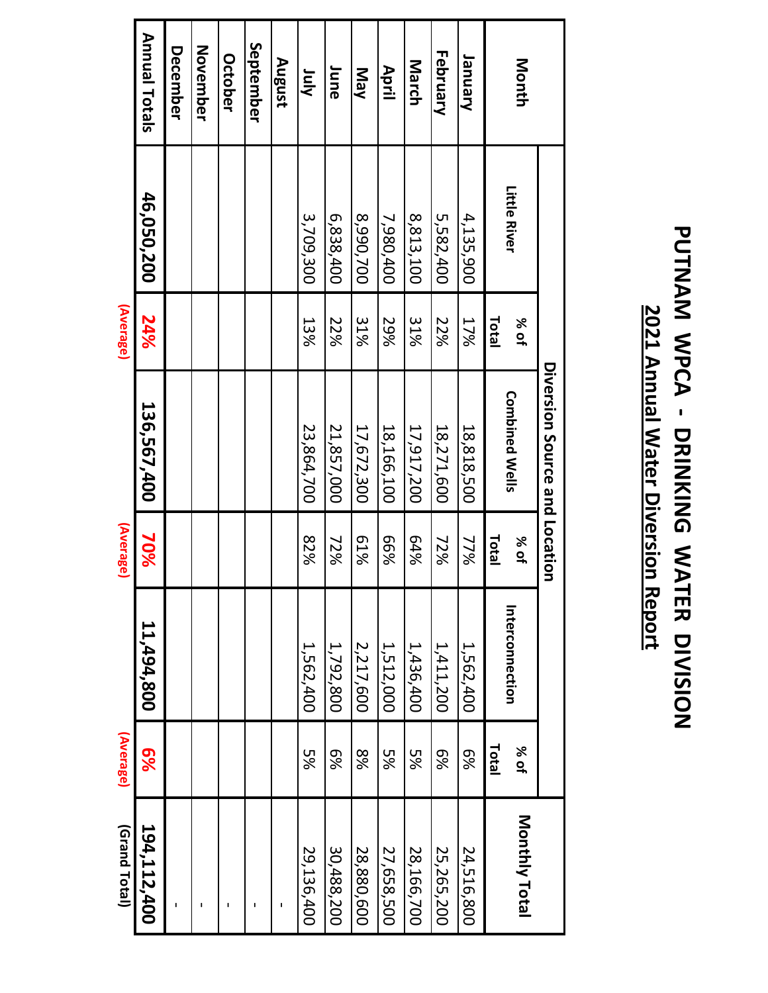|             |              |       | Diversion Source and Location |              |                |          |               |
|-------------|--------------|-------|-------------------------------|--------------|----------------|----------|---------------|
| Month       | Little River | % of  | <b>Combined Wells</b>         | % of         | nterconnection | % of     | Monthly Total |
|             |              | Total |                               | <b>Total</b> |                | Total    |               |
| Vanuary     | 4,135,900    | 17%   | 18,818,500                    | 77%          | 1,562,400      | 8%       | 24,516,800    |
| February    | 5,582,400    | 22%   | 18,271,600                    | 72%          | 1,411,200      | 8%       | 25,265,200    |
| March       | 8,813,100    | 31%   | 17,917,200                    | 64%          | 1,436,400      | 5%       | 28,166,700    |
| April       | 7,980,400    | 29%   | 18,166,100                    | %99          | 1,512,000      | уg<br>Ус | 27,658,500    |
| New         | 8,990,700    | 31%   | 17,672,300                    | 81%          | 2,217,600      | 8%       | 28,880,600    |
| June        | 6,838,400    | 22%   | 21,857,000                    | 72%          | 1,792,800      | 9%       | 30,488,200    |
| <b>Ainr</b> | 3,709,300    | 13%   | 23,864,700                    | 82%          | 1,562,400      | уg<br>Ус | 29,136,400    |
| August      |              |       |                               |              |                |          |               |
| ientember   |              |       |                               |              |                |          | $\mathbf{I}$  |

### **PUNAM NPCA - DRINKING NATER DIVISION PUTNAM WPCA - DRINKING WATER DIVISION** 2021 Annual Water Diversion Report **2021 Annual Water Diversion Report**

**Annual Totals Annual Totals September November December October August June July 46,050,200 24%** 46,050,200 **(Average)** 24% **136,567,400 70%** 136,567,400 **(Average)** 70% **11,494,800 6%** 11,494,800 **(Average)**  $6\%$ - - - - - 29,136,400 **194,112,400**  (Grand Total) 194,112,400 **(Grand Total)**  $\mathbf{I}$  $\overline{O}$  $\overline{5}$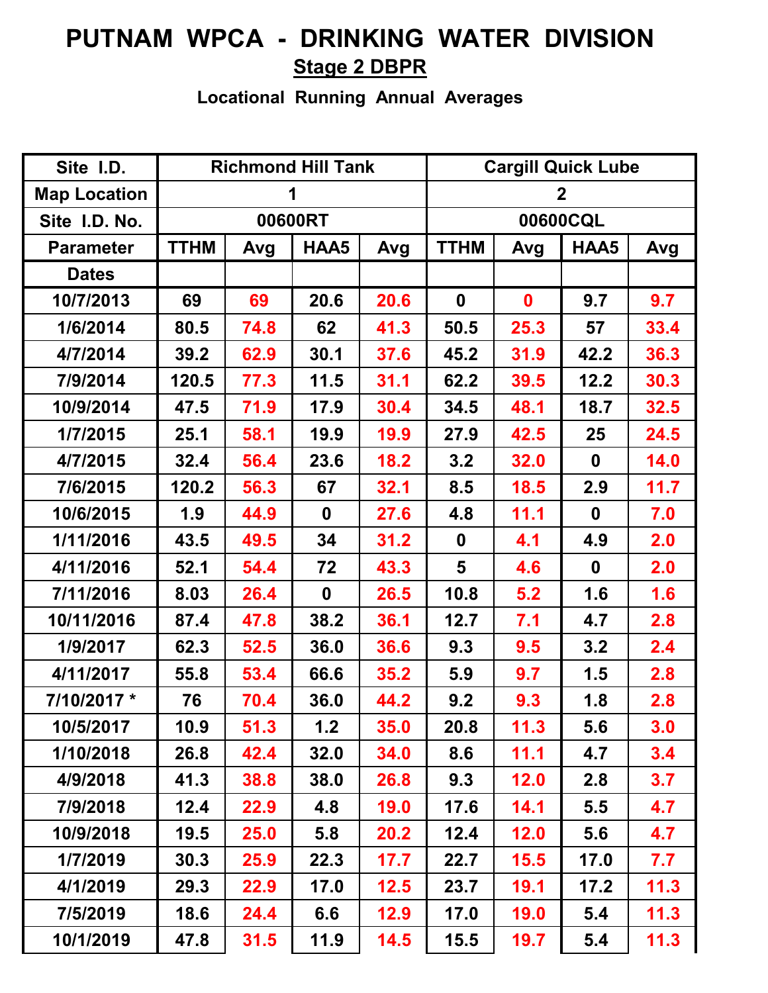#### **PUTNAM WPCA - DRINKING WATER DIVISION Stage 2 DBPR**

**Locational Running Annual Averages**

| Site I.D.           |             |      | <b>Richmond Hill Tank</b> |      |                  | <b>Cargill Quick Lube</b> |                  |      |  |  |
|---------------------|-------------|------|---------------------------|------|------------------|---------------------------|------------------|------|--|--|
| <b>Map Location</b> |             |      |                           |      |                  |                           | $\mathbf 2$      |      |  |  |
| Site I.D. No.       |             |      | 00600RT                   |      |                  |                           | 00600CQL         |      |  |  |
| <b>Parameter</b>    | <b>TTHM</b> | Avg  | HAA5                      | Avg  | <b>TTHM</b>      | Avg                       | HAA5             | Avg  |  |  |
| <b>Dates</b>        |             |      |                           |      |                  |                           |                  |      |  |  |
| 10/7/2013           | 69          | 69   | 20.6                      | 20.6 | $\boldsymbol{0}$ | $\mathbf 0$               | 9.7              | 9.7  |  |  |
| 1/6/2014            | 80.5        | 74.8 | 62                        | 41.3 | 50.5             | 25.3                      | 57               | 33.4 |  |  |
| 4/7/2014            | 39.2        | 62.9 | 30.1                      | 37.6 | 45.2             | 31.9                      | 42.2             | 36.3 |  |  |
| 7/9/2014            | 120.5       | 77.3 | 11.5                      | 31.1 | 62.2             | 39.5                      | 12.2             | 30.3 |  |  |
| 10/9/2014           | 47.5        | 71.9 | 17.9                      | 30.4 | 34.5             | 48.1                      | 18.7             | 32.5 |  |  |
| 1/7/2015            | 25.1        | 58.1 | 19.9                      | 19.9 | 27.9             | 42.5                      | 25               | 24.5 |  |  |
| 4/7/2015            | 32.4        | 56.4 | 23.6                      | 18.2 | 3.2              | 32.0                      | $\mathbf 0$      | 14.0 |  |  |
| 7/6/2015            | 120.2       | 56.3 | 67                        | 32.1 | 8.5              | 18.5                      | 2.9              | 11.7 |  |  |
| 10/6/2015           | 1.9         | 44.9 | $\boldsymbol{0}$          | 27.6 | 4.8              | 11.1                      | $\boldsymbol{0}$ | 7.0  |  |  |
| 1/11/2016           | 43.5        | 49.5 | 34                        | 31.2 | $\mathbf 0$      | 4.1                       | 4.9              | 2.0  |  |  |
| 4/11/2016           | 52.1        | 54.4 | 72                        | 43.3 | 5                | 4.6                       | $\mathbf 0$      | 2.0  |  |  |
| 7/11/2016           | 8.03        | 26.4 | $\boldsymbol{0}$          | 26.5 | 10.8             | 5.2                       | 1.6              | 1.6  |  |  |
| 10/11/2016          | 87.4        | 47.8 | 38.2                      | 36.1 | 12.7             | 7.1                       | 4.7              | 2.8  |  |  |
| 1/9/2017            | 62.3        | 52.5 | 36.0                      | 36.6 | 9.3              | 9.5                       | 3.2              | 2.4  |  |  |
| 4/11/2017           | 55.8        | 53.4 | 66.6                      | 35.2 | 5.9              | 9.7                       | 1.5              | 2.8  |  |  |
| 7/10/2017 *         | 76          | 70.4 | 36.0                      | 44.2 | 9.2              | 9.3                       | 1.8              | 2.8  |  |  |
| 10/5/2017           | 10.9        | 51.3 | 1.2                       | 35.0 | 20.8             | 11.3                      | 5.6              | 3.0  |  |  |
| 1/10/2018           | 26.8        | 42.4 | 32.0                      | 34.0 | 8.6              | 11.1                      | 4.7              | 3.4  |  |  |
| 4/9/2018            | 41.3        | 38.8 | 38.0                      | 26.8 | 9.3              | 12.0                      | 2.8              | 3.7  |  |  |
| 7/9/2018            | 12.4        | 22.9 | 4.8                       | 19.0 | 17.6             | 14.1                      | 5.5              | 4.7  |  |  |
| 10/9/2018           | 19.5        | 25.0 | 5.8                       | 20.2 | 12.4             | 12.0                      | 5.6              | 4.7  |  |  |
| 1/7/2019            | 30.3        | 25.9 | 22.3                      | 17.7 | 22.7             | 15.5                      | 17.0             | 7.7  |  |  |
| 4/1/2019            | 29.3        | 22.9 | 17.0                      | 12.5 | 23.7             | 19.1                      | 17.2             | 11.3 |  |  |
| 7/5/2019            | 18.6        | 24.4 | 6.6                       | 12.9 | 17.0             | 19.0                      | 5.4              | 11.3 |  |  |
| 10/1/2019           | 47.8        | 31.5 | 11.9                      | 14.5 | 15.5             | 19.7                      | 5.4              | 11.3 |  |  |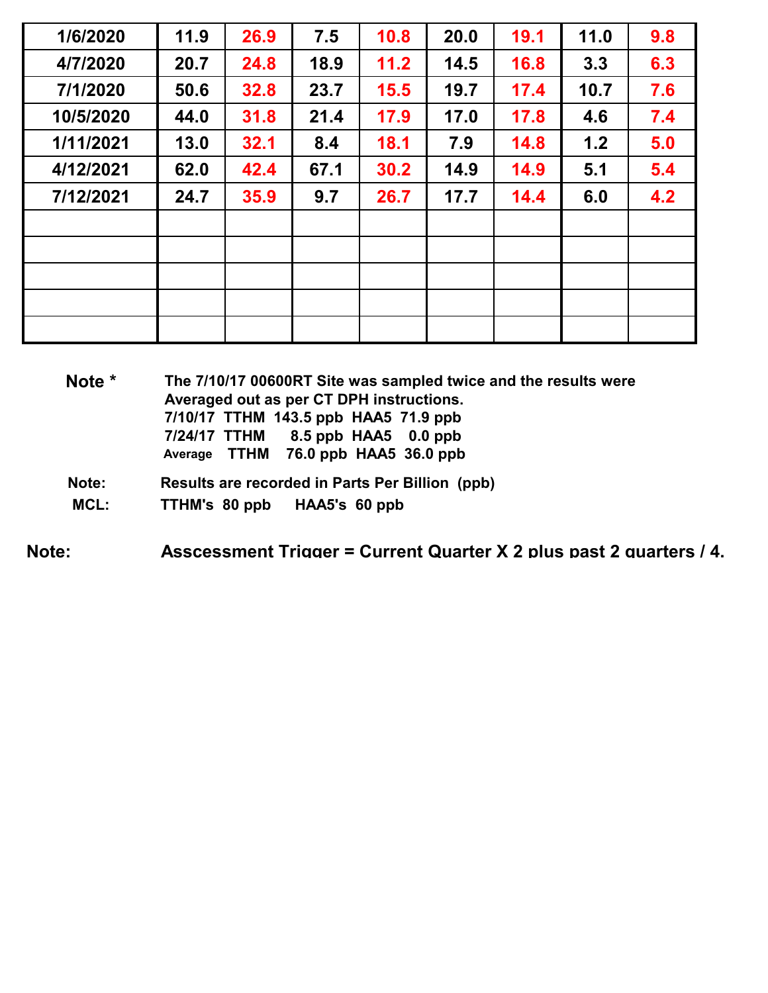| 1/6/2020  | 11.9 | 26.9 | 7.5  | 10.8   | 20.0 | 19.1 | 11.0 | 9.8 |
|-----------|------|------|------|--------|------|------|------|-----|
| 4/7/2020  | 20.7 | 24.8 | 18.9 | $11.2$ | 14.5 | 16.8 | 3.3  | 6.3 |
| 7/1/2020  | 50.6 | 32.8 | 23.7 | 15.5   | 19.7 | 17.4 | 10.7 | 7.6 |
| 10/5/2020 | 44.0 | 31.8 | 21.4 | 17.9   | 17.0 | 17.8 | 4.6  | 7.4 |
| 1/11/2021 | 13.0 | 32.1 | 8.4  | 18.1   | 7.9  | 14.8 | 1.2  | 5.0 |
| 4/12/2021 | 62.0 | 42.4 | 67.1 | 30.2   | 14.9 | 14.9 | 5.1  | 5.4 |
| 7/12/2021 | 24.7 | 35.9 | 9.7  | 26.7   | 17.7 | 14.4 | 6.0  | 4.2 |
|           |      |      |      |        |      |      |      |     |
|           |      |      |      |        |      |      |      |     |
|           |      |      |      |        |      |      |      |     |
|           |      |      |      |        |      |      |      |     |
|           |      |      |      |        |      |      |      |     |

**Note \* The 7/10/17 00600RT Site was sampled twice and the results were Averaged out as per CT DPH instructions. 7/10/17 TTHM 143.5 ppb HAA5 71.9 ppb** 8.5 ppb HAA5 0.0 ppb  **Average TTHM 76.0 ppb HAA5 36.0 ppb**

- **Note: Results are recorded in Parts Per Billion (ppb)**
- **MCL: TTHM's 80 ppb HAA5's 60 ppb**

**Note: Asscessment Trigger = Current Quarter X 2 plus past 2 quarters / 4.**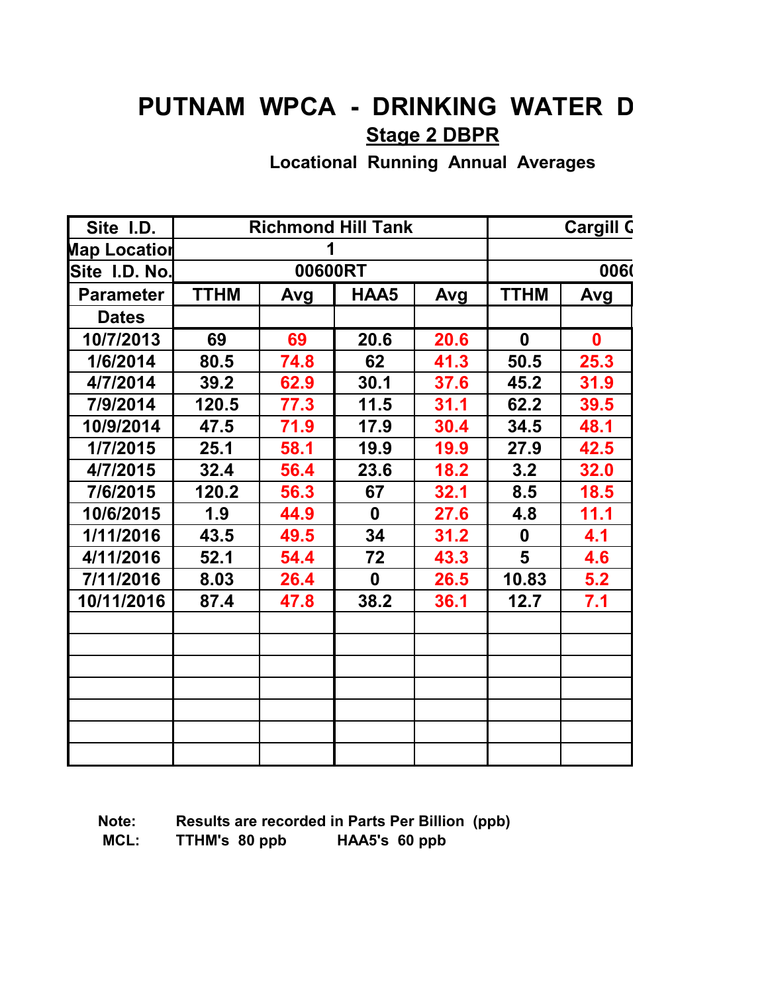#### **PUTNAM WPCA - DRINKING WATER D Stage 2 DBPR**

**Locational Running Annual Averages**

| Site I.D.        |             |         | <b>Richmond Hill Tank</b> |      |             | <b>Cargill C</b> |
|------------------|-------------|---------|---------------------------|------|-------------|------------------|
| Map Locatior     |             | 1       |                           |      |             |                  |
| Site I.D. No.    |             | 00600RT |                           |      |             | 0060             |
| <b>Parameter</b> | <b>TTHM</b> | Avg     | HAA5                      | Avg  | <b>TTHM</b> | Avg              |
| <b>Dates</b>     |             |         |                           |      |             |                  |
| 10/7/2013        | 69          | 69      | 20.6                      | 20.6 | $\mathbf 0$ | $\mathbf{0}$     |
| 1/6/2014         | 80.5        | 74.8    | 62                        | 41.3 | 50.5        | 25.3             |
| 4/7/2014         | 39.2        | 62.9    | 30.1                      | 37.6 | 45.2        | 31.9             |
| 7/9/2014         | 120.5       | 77.3    | 11.5                      | 31.1 | 62.2        | 39.5             |
| 10/9/2014        | 47.5        | 71.9    | 17.9                      | 30.4 | 34.5        | 48.1             |
| 1/7/2015         | 25.1        | 58.1    | 19.9                      | 19.9 | 27.9        | 42.5             |
| 4/7/2015         | 32.4        | 56.4    | 23.6                      | 18.2 | 3.2         | 32.0             |
| 7/6/2015         | 120.2       | 56.3    | 67                        | 32.1 | 8.5         | 18.5             |
| 10/6/2015        | 1.9         | 44.9    | $\mathbf{0}$              | 27.6 | 4.8         | 11.1             |
| 1/11/2016        | 43.5        | 49.5    | 34                        | 31.2 | $\mathbf 0$ | 4.1              |
| 4/11/2016        | 52.1        | 54.4    | 72                        | 43.3 | 5           | 4.6              |
| 7/11/2016        | 8.03        | 26.4    | $\mathbf{0}$              | 26.5 | 10.83       | 5.2              |
| 10/11/2016       | 87.4        | 47.8    | 38.2                      | 36.1 | 12.7        | 7.1              |
|                  |             |         |                           |      |             |                  |
|                  |             |         |                           |      |             |                  |
|                  |             |         |                           |      |             |                  |
|                  |             |         |                           |      |             |                  |
|                  |             |         |                           |      |             |                  |
|                  |             |         |                           |      |             |                  |
|                  |             |         |                           |      |             |                  |

| Note: | Results are recorded in Parts Per Billion (ppb) |  |
|-------|-------------------------------------------------|--|
|-------|-------------------------------------------------|--|

**MCL: TTHM's 80 ppb HAA5's 60 ppb**